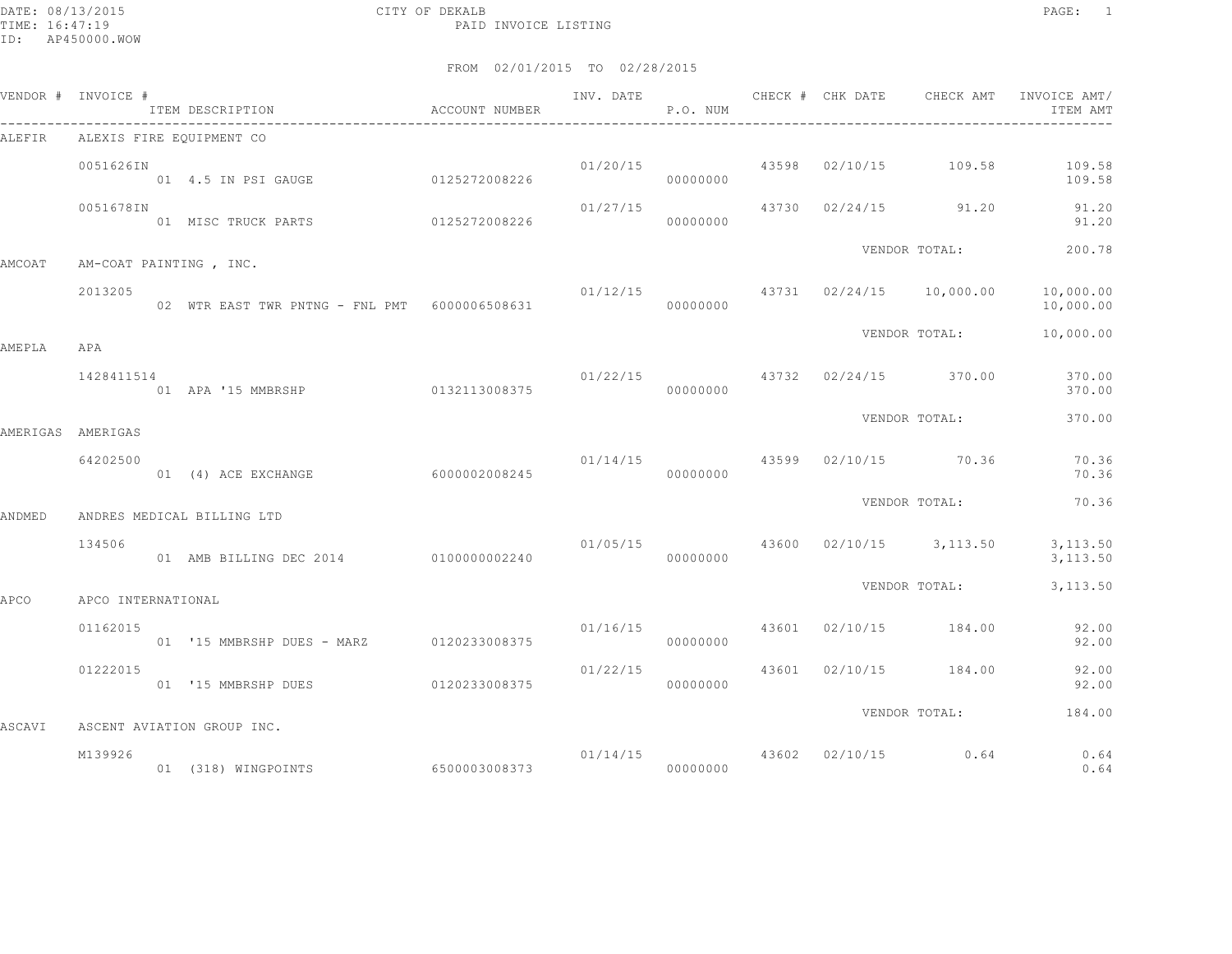DATE: 08/13/2015 CITY OF DEKALB PAGE: 1 PAID INVOICE LISTING

|          | VENDOR # INVOICE # | ITEM DESCRIPTION<br>---------------------------------- | <b>ACCOUNT NUMBER</b> | INV. DATE | P.O. NUM             | CHECK # CHK DATE | CHECK AMT                             | INVOICE AMT/<br>ITEM AMT |
|----------|--------------------|--------------------------------------------------------|-----------------------|-----------|----------------------|------------------|---------------------------------------|--------------------------|
| ALEFIR   |                    | ALEXIS FIRE EQUIPMENT CO                               |                       |           |                      |                  |                                       |                          |
|          | 0051626IN          | 01 4.5 IN PSI GAUGE                                    | 0125272008226         |           | 01/20/15<br>00000000 |                  | 43598 02/10/15 109.58                 | 109.58<br>109.58         |
|          | 0051678IN          | 01 MISC TRUCK PARTS                                    | 0125272008226         | 01/27/15  | 00000000             |                  | 43730 02/24/15 91.20                  | 91.20<br>91.20           |
| AMCOAT   |                    | AM-COAT PAINTING, INC.                                 |                       |           |                      |                  | VENDOR TOTAL:                         | 200.78                   |
|          | 2013205            | 02 WTR EAST TWR PNTNG - FNL PMT 6000006508631          |                       |           | 00000000             |                  | $01/12/15$ 43731 02/24/15 10,000.00   | 10,000.00<br>10,000.00   |
| AMEPLA   | APA                |                                                        |                       |           |                      |                  | VENDOR TOTAL:                         | 10,000.00                |
|          | 1428411514         | 01 APA '15 MMBRSHP 0132113008375                       |                       | 01/22/15  | 00000000             |                  | 43732 02/24/15 370.00                 | 370.00<br>370.00         |
| AMERIGAS | AMERIGAS           |                                                        |                       |           |                      |                  | VENDOR TOTAL:                         | 370.00                   |
|          | 64202500           | 01 (4) ACE EXCHANGE                                    | 60000002008245        |           | 00000000             |                  | $01/14/15$ $43599$ $02/10/15$ $70.36$ | 70.36<br>70.36           |
| ANDMED   |                    | ANDRES MEDICAL BILLING LTD                             |                       |           |                      |                  | VENDOR TOTAL:                         | 70.36                    |
|          | 134506             | 01 AMB BILLING DEC 2014 0100000002240                  |                       |           | 00000000             |                  | $01/05/15$ 43600 02/10/15 3,113.50    | 3, 113.50<br>3,113.50    |
| APCO     | APCO INTERNATIONAL |                                                        |                       |           |                      |                  | VENDOR TOTAL:                         | 3, 113.50                |
|          | 01162015           | 01 '15 MMBRSHP DUES - MARZ 0120233008375               |                       | 01/16/15  | 00000000             |                  | 43601 02/10/15 184.00                 | 92.00<br>92.00           |
|          | 01222015           | 01 '15 MMBRSHP DUES                                    | 0120233008375         | 01/22/15  | 00000000             |                  | 43601 02/10/15 184.00                 | 92.00<br>92.00           |
| ASCAVI   |                    | ASCENT AVIATION GROUP INC.                             |                       |           |                      |                  | VENDOR TOTAL:                         | 184.00                   |
|          | M139926            | 01 (318) WINGPOINTS                                    | 6500003008373         | 01/14/15  | 00000000             |                  | 43602 02/10/15 0.64                   | 0.64<br>0.64             |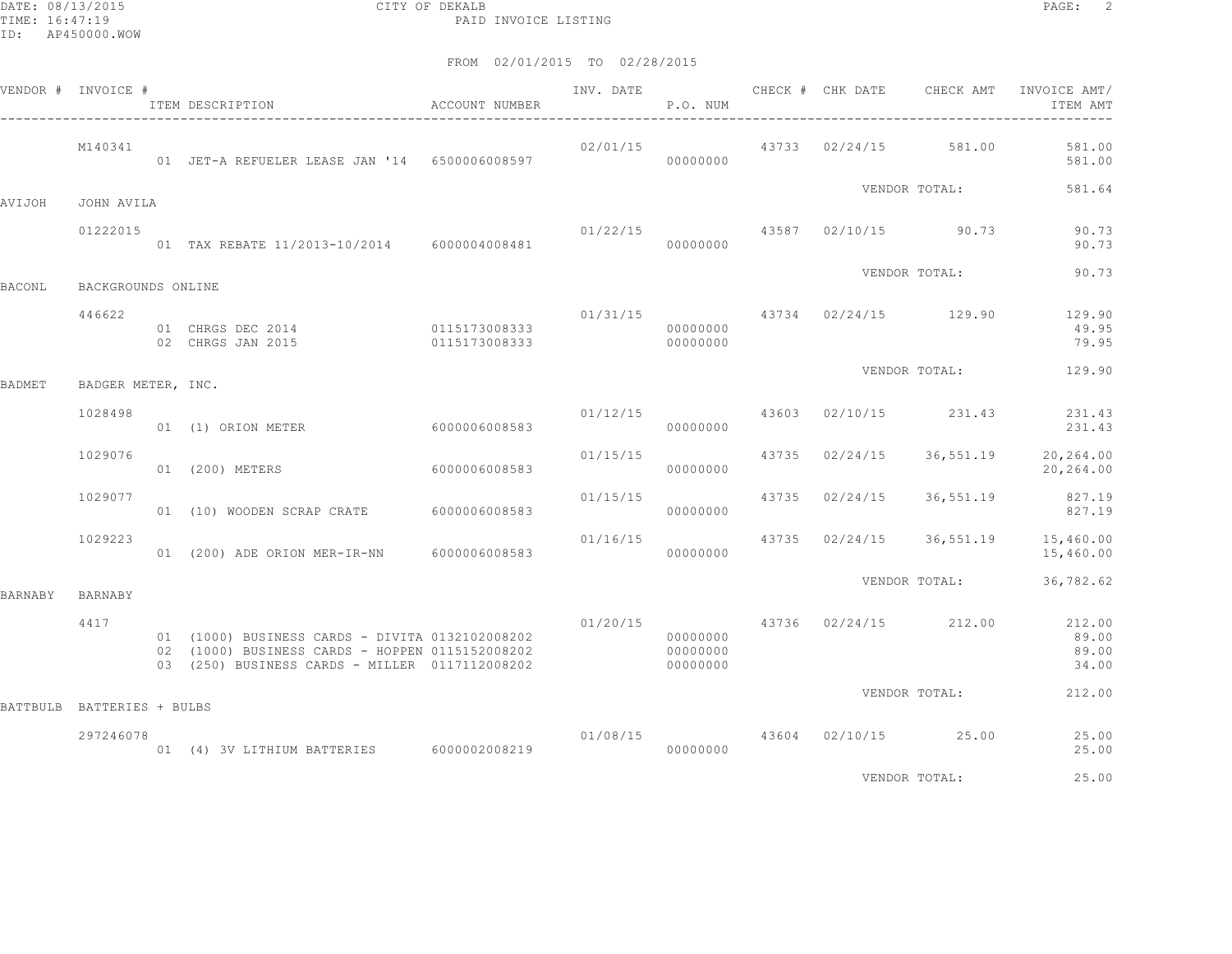DATE: 08/13/2015 CITY OF DEKALB PAGE: 2 PAID INVOICE LISTING

|                | VENDOR # INVOICE #         | ITEM DESCRIPTION                                                                                                                                     | ACCOUNT NUMBER | INV. DATE | P.O. NUM                         | CHECK # CHK DATE | CHECK AMT                              | INVOICE AMT/<br>ITEM AMT                        |
|----------------|----------------------------|------------------------------------------------------------------------------------------------------------------------------------------------------|----------------|-----------|----------------------------------|------------------|----------------------------------------|-------------------------------------------------|
|                | M140341                    | 01 JET-A REFUELER LEASE JAN '14 6500006008597                                                                                                        |                | 00000000  | 02/01/15                         |                  | 43733 02/24/15 581.00                  | 581.00<br>581.00                                |
| AVIJOH         | JOHN AVILA                 |                                                                                                                                                      |                |           |                                  |                  | VENDOR TOTAL:                          | 581.64                                          |
|                | 01222015                   | 01 TAX REBATE 11/2013-10/2014 6000004008481                                                                                                          |                |           | 00000000                         |                  | $01/22/15$ 43587 02/10/15 90.73        | 90.73<br>90.73                                  |
| BACONL         | BACKGROUNDS ONLINE         |                                                                                                                                                      |                |           |                                  |                  | VENDOR TOTAL:                          | 90.73                                           |
|                | 446622                     | 01 CHRGS DEC 2014 0115173008333<br>02 CHRGS JAN 2015                                                                                                 | 0115173008333  |           | 00000000<br>00000000             |                  | $01/31/15$ $43734$ $02/24/15$ $129.90$ | 129.90<br>49.95<br>79.95                        |
| BADMET         | BADGER METER, INC.         |                                                                                                                                                      |                |           |                                  |                  | VENDOR TOTAL:                          | 129.90                                          |
|                | 1028498                    | 01 (1) ORION METER 6000006008583                                                                                                                     |                | 01/12/15  | 00000000                         |                  |                                        | 43603 02/10/15 231.43 231.43<br>231.43          |
|                | 1029076                    | 01 (200) METERS 6000006008583                                                                                                                        |                | 01/15/15  | 00000000                         |                  |                                        | 43735 02/24/15 36,551.19 20,264.00<br>20,264.00 |
|                | 1029077                    | 01 (10) WOODEN SCRAP CRATE 6000006008583                                                                                                             |                | 01/15/15  | 00000000                         | 43735 02/24/15   |                                        | 36,551.19 827.19<br>827.19                      |
|                | 1029223                    | 01 (200) ADE ORION MER-IR-NN 6000006008583                                                                                                           |                | 01/16/15  | 00000000                         |                  |                                        | 43735 02/24/15 36,551.19 15,460.00<br>15,460.00 |
| <b>BARNABY</b> | <b>BARNABY</b>             |                                                                                                                                                      |                |           |                                  |                  | VENDOR TOTAL:                          | 36,782.62                                       |
|                | 4417                       | 01 (1000) BUSINESS CARDS - DIVITA 0132102008202<br>02 (1000) BUSINESS CARDS - HOPPEN 0115152008202<br>03 (250) BUSINESS CARDS - MILLER 0117112008202 |                |           | 00000000<br>00000000<br>00000000 |                  | $01/20/15$ $43736$ $02/24/15$ $212.00$ | 212.00<br>89.00<br>89.00<br>34.00               |
|                | BATTBULB BATTERIES + BULBS |                                                                                                                                                      |                |           |                                  |                  | VENDOR TOTAL:                          | 212.00                                          |
|                | 297246078                  |                                                                                                                                                      |                |           |                                  |                  | 01/08/15 43604 02/10/15 25.00          | 25.00<br>25.00                                  |
|                |                            |                                                                                                                                                      |                |           |                                  |                  | VENDOR TOTAL:                          | 25.00                                           |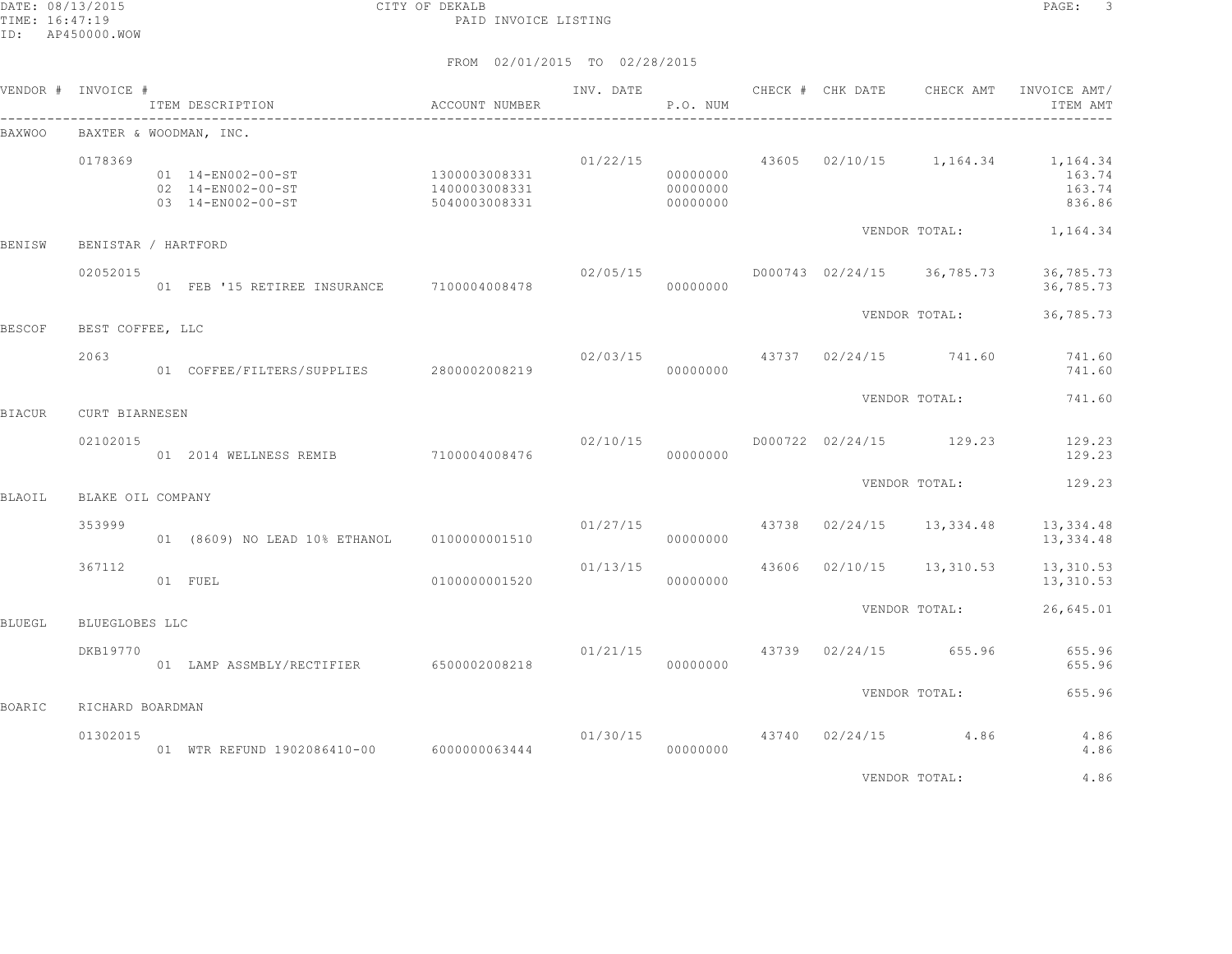|                     | VENDOR # INVOICE #  | ITEM DESCRIPTION                                            | ACCOUNT NUMBER                                  | INV. DATE | P.O. NUM                                     |                | CHECK # CHK DATE CHECK AMT | INVOICE AMT/<br>ITEM AMT                                       |
|---------------------|---------------------|-------------------------------------------------------------|-------------------------------------------------|-----------|----------------------------------------------|----------------|----------------------------|----------------------------------------------------------------|
| ---------<br>BAXWOO |                     | BAXTER & WOODMAN, INC.                                      |                                                 |           |                                              |                |                            |                                                                |
|                     | 0178369             | 01 14-EN002-00-ST<br>02 14-EN002-00-ST<br>03 14-EN002-00-ST | 1300003008331<br>1400003008331<br>5040003008331 |           | 01/22/15<br>00000000<br>00000000<br>00000000 |                |                            | 43605 02/10/15 1,164.34 1,164.34<br>163.74<br>163.74<br>836.86 |
| BENISW              | BENISTAR / HARTFORD |                                                             |                                                 |           |                                              |                | VENDOR TOTAL:              | 1,164.34                                                       |
|                     | 02052015            | 01 FEB '15 RETIREE INSURANCE 7100004008478                  |                                                 |           | 02/05/15<br>00000000                         |                | D000743 02/24/15 36,785.73 | 36,785.73<br>36,785.73                                         |
| BESCOF              | BEST COFFEE, LLC    |                                                             |                                                 |           |                                              |                | VENDOR TOTAL:              | 36,785.73                                                      |
|                     | 2063                | 01 COFFEE/FILTERS/SUPPLIES 2800002008219                    |                                                 | 02/03/15  | 00000000                                     |                | 43737 02/24/15 741.60      | 741.60<br>741.60                                               |
| BIACUR              | CURT BIARNESEN      |                                                             |                                                 |           |                                              |                | VENDOR TOTAL:              | 741.60                                                         |
|                     | 02102015            | 01 2014 WELLNESS REMIB                                      | 7100004008476                                   | 02/10/15  | 00000000                                     |                | D000722 02/24/15 129.23    | 129.23<br>129.23                                               |
| BLAOIL              | BLAKE OIL COMPANY   |                                                             |                                                 |           |                                              |                | VENDOR TOTAL:              | 129.23                                                         |
|                     | 353999              | 01 (8609) NO LEAD 10% ETHANOL 01000000001510                |                                                 | 01/27/15  | 00000000                                     | 43738 02/24/15 | 13,334.48                  | 13,334.48<br>13,334.48                                         |
|                     | 367112              | 01 FUEL                                                     | 0100000001520                                   | 01/13/15  | 00000000                                     | 43606 02/10/15 | 13,310.53                  | 13,310.53<br>13,310.53                                         |
| BLUEGL              | BLUEGLOBES LLC      |                                                             |                                                 |           |                                              |                | VENDOR TOTAL:              | 26,645.01                                                      |
|                     | DKB19770            | 01 LAMP ASSMBLY/RECTIFIER 6500002008218                     |                                                 | 01/21/15  | 00000000                                     | 43739 02/24/15 | 655.96                     | 655.96<br>655.96                                               |
| BOARIC              | RICHARD BOARDMAN    |                                                             |                                                 |           |                                              |                | VENDOR TOTAL:              | 655.96                                                         |
|                     | 01302015            | 01 WTR REFUND 1902086410-00 6000000063444                   |                                                 | 01/30/15  | 00000000                                     |                | 43740 02/24/15 4.86        | 4.86<br>4.86                                                   |
|                     |                     |                                                             |                                                 |           |                                              |                | VENDOR TOTAL:              | 4.86                                                           |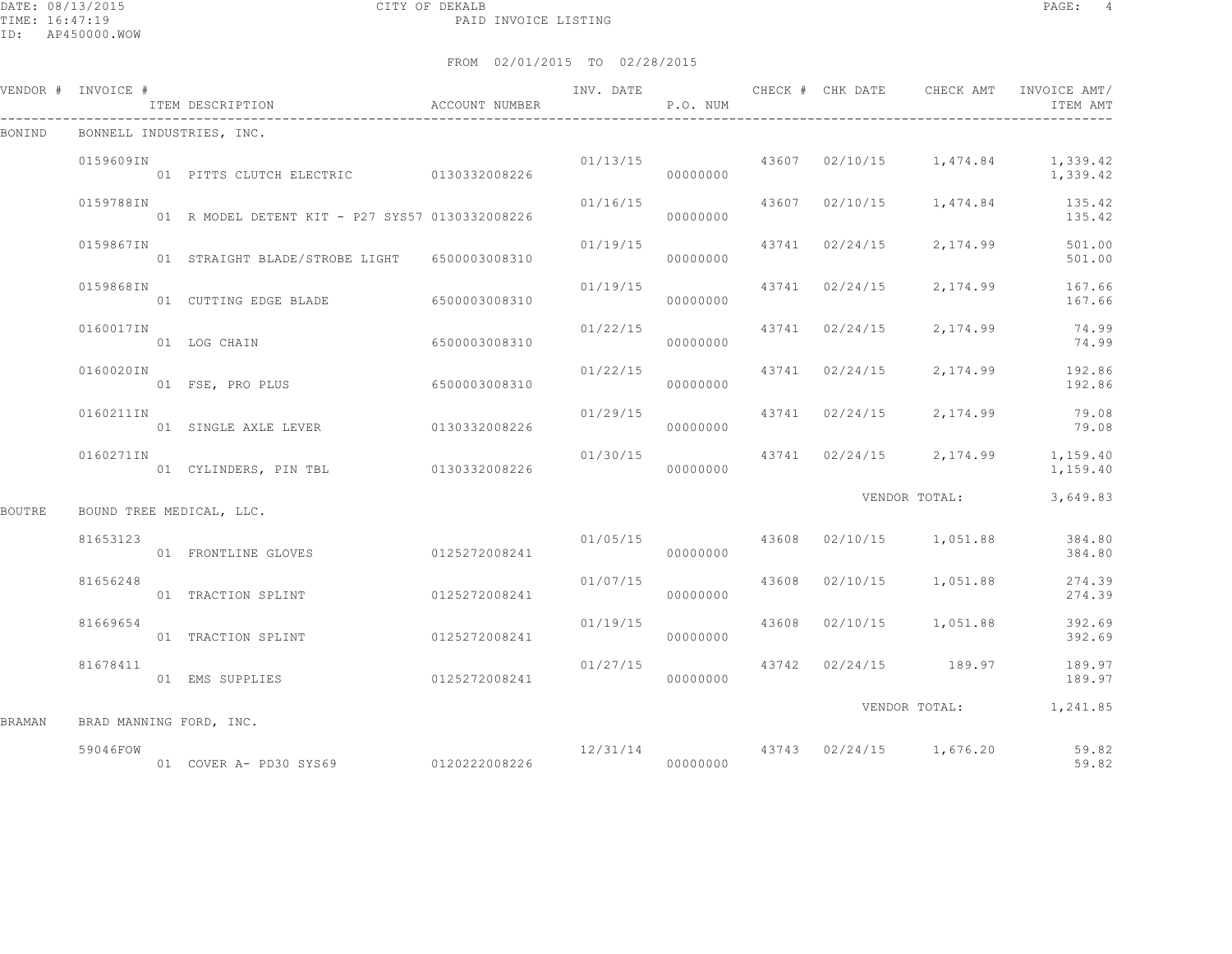DATE: 08/13/2015 CITY OF DEKALB PAGE: 4 PAID INVOICE LISTING

|        | VENDOR # INVOICE # | ITEM DESCRIPTION <a> </a> <a> </a> ACCOUNT NUMBER       |               |          | P.O. NUM |                |                                                     | ITEM AMT         |
|--------|--------------------|---------------------------------------------------------|---------------|----------|----------|----------------|-----------------------------------------------------|------------------|
| BONIND |                    | BONNELL INDUSTRIES, INC.                                |               |          |          |                |                                                     |                  |
|        | 0159609IN          | 01 PITTS CLUTCH ELECTRIC 0130332008226                  |               |          | 00000000 |                | $01/13/15$ $43607$ $02/10/15$ $1,474.84$ $1,339.42$ | 1,339.42         |
|        | 0159788IN          | 01 R MODEL DETENT KIT - P27 SYS57 0130332008226         |               | 01/16/15 | 00000000 |                | 43607 02/10/15 1,474.84                             | 135.42<br>135.42 |
|        | 0159867IN          | 01 STRAIGHT BLADE/STROBE LIGHT 6500003008310            |               | 01/19/15 | 00000000 |                | 43741 02/24/15 2,174.99                             | 501.00<br>501.00 |
|        | 0159868IN          |                                                         |               | 01/19/15 | 00000000 | 43741 02/24/15 | 2,174.99                                            | 167.66<br>167.66 |
|        | 0160017IN          | 01 LOG CHAIN                                            | 6500003008310 | 01/22/15 | 00000000 | 43741 02/24/15 | 2,174.99                                            | 74.99<br>74.99   |
|        | 0160020IN          | 01 FSE, PRO PLUS 6500003008310                          |               | 01/22/15 | 00000000 | 43741 02/24/15 | 2,174.99                                            | 192.86<br>192.86 |
|        | 0160211IN          | 01 SINGLE AXLE LEVER 0130332008226                      |               | 01/29/15 | 00000000 |                | 43741 02/24/15 2,174.99                             | 79.08<br>79.08   |
|        | 0160271IN          |                                                         |               |          |          |                | $01/30/15$ $43741$ $02/24/15$ $2,174.99$ $1,159.40$ | 1,159.40         |
| BOUTRE |                    | BOUND TREE MEDICAL, LLC.                                |               |          |          |                | VENDOR TOTAL: 3,649.83                              |                  |
|        | 81653123           | 01 FRONTLINE GLOVES                                     | 0125272008241 |          | 00000000 |                | $01/05/15$ 43608 $02/10/15$ 1,051.88                | 384.80<br>384.80 |
|        | 81656248           | 01 TRACTION SPLINT                                      | 0125272008241 | 01/07/15 | 00000000 |                | 43608 02/10/15 1,051.88                             | 274.39<br>274.39 |
|        | 81669654           | 01 TRACTION SPLINT                                      | 0125272008241 | 01/19/15 | 00000000 |                | 43608 02/10/15 1,051.88                             | 392.69<br>392.69 |
|        | 81678411           | 01 EMS SUPPLIES 0125272008241                           |               | 01/27/15 | 00000000 |                | 43742 02/24/15 189.97                               | 189.97<br>189.97 |
| BRAMAN |                    | BRAD MANNING FORD, INC.                                 |               |          |          |                | VENDOR TOTAL: 1,241.85                              |                  |
|        | 59046FOW           | 01 COVER A- PD30 SYS69 0120222008226 000000000 00000000 |               |          |          |                | 12/31/14 43743 02/24/15 1,676.20                    | 59.82<br>59.82   |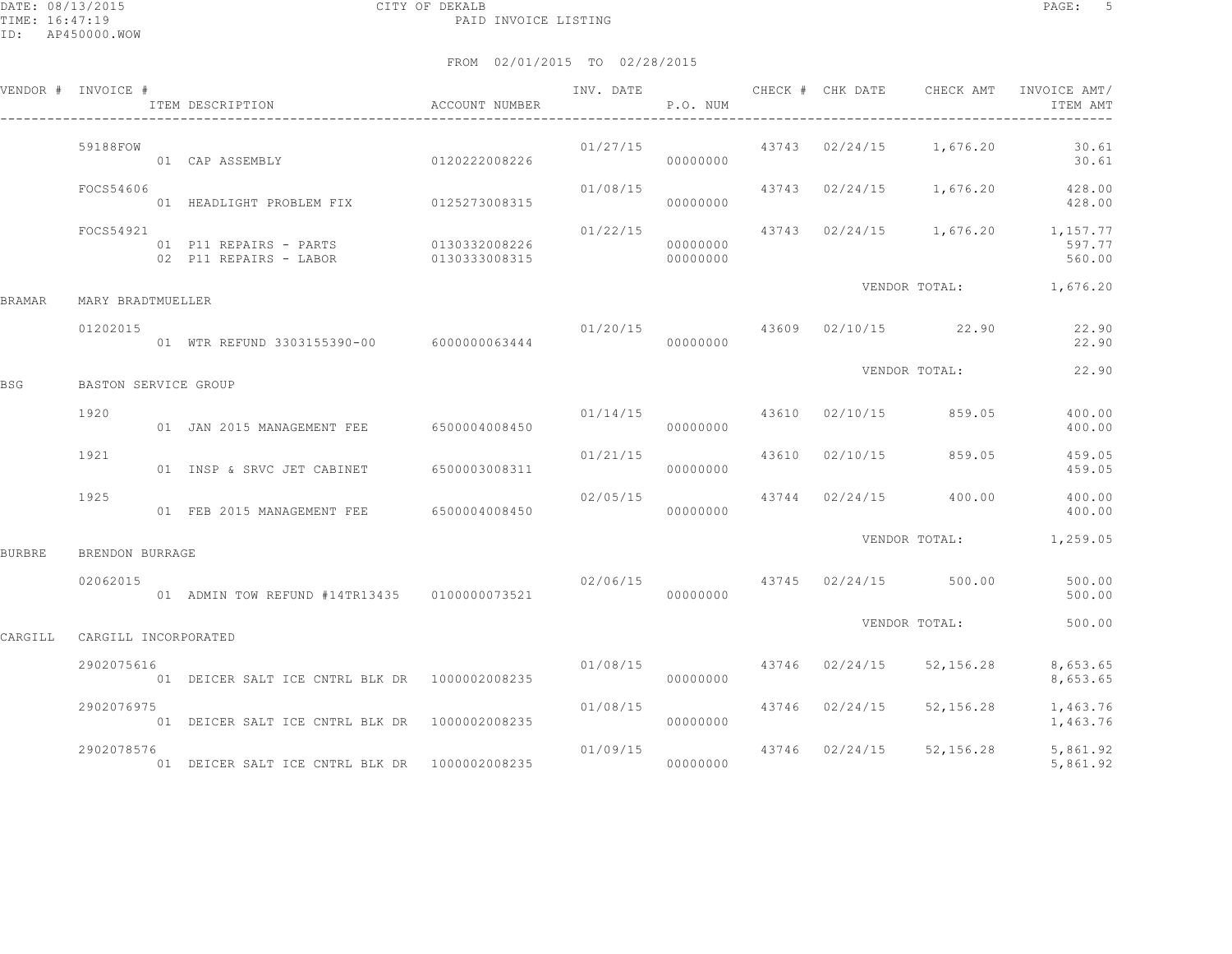|               | VENDOR # INVOICE #   | ITEM DESCRIPTION                              | ACCOUNT NUMBER | INV. DATE               | P.O. NUM             |  | CHECK # CHK DATE CHECK AMT             | INVOICE AMT/<br>ITEM AMT                                                |
|---------------|----------------------|-----------------------------------------------|----------------|-------------------------|----------------------|--|----------------------------------------|-------------------------------------------------------------------------|
|               | 59188FOW             | 01 CAP ASSEMBLY 0120222008226                 |                | 01/27/15                | 00000000             |  | 43743 02/24/15 1,676.20                | 30.61<br>30.61                                                          |
|               | FOCS54606            | 01 HEADLIGHT PROBLEM FIX 0125273008315        |                | 01/08/15                | 00000000             |  |                                        | 43743 02/24/15 1,676.20 428.00<br>428.00                                |
|               | FOCS54921            | .<br>01 P11 REPAIRS - PARTS 0130332008226     |                |                         | 00000000             |  |                                        | $01/22/15$ $43743$ $02/24/15$ $1,676.20$ $1,157.77$<br>597.77<br>560.00 |
| BRAMAR        | MARY BRADTMUELLER    |                                               |                |                         |                      |  |                                        | VENDOR TOTAL: 1,676.20                                                  |
|               | 01202015             | 01 WTR REFUND 3303155390-00 6000000063444     |                |                         | 00000000             |  | $01/20/15$ $43609$ $02/10/15$ $22.90$  | 22.90<br>22.90                                                          |
| BSG           | BASTON SERVICE GROUP |                                               |                |                         |                      |  | VENDOR TOTAL:                          | 22.90                                                                   |
|               | 1920                 | 01 JAN 2015 MANAGEMENT FEE 6500004008450      |                |                         | 00000000             |  | $01/14/15$ 43610 02/10/15 859.05       | 400.00<br>400.00                                                        |
|               | 1921                 | 01 INSP & SRVC JET CABINET 6500003008311      |                | 01/21/15 43610 02/10/15 | 00000000             |  | 859.05                                 | 459.05<br>459.05                                                        |
|               | 1925                 | 01 FEB 2015 MANAGEMENT FEE 6500004008450      |                | 02/05/15                | 00000000             |  |                                        | 43744 02/24/15 400.00 400.00<br>400.00                                  |
| <b>BURBRE</b> | BRENDON BURRAGE      |                                               |                |                         |                      |  |                                        | VENDOR TOTAL: 1,259.05                                                  |
|               | 02062015             | 01 ADMIN TOW REFUND #14TR13435 0100000073521  |                |                         | 00000000             |  | $02/06/15$ $43745$ $02/24/15$ $500.00$ | 500.00<br>500.00                                                        |
| CARGILL       | CARGILL INCORPORATED |                                               |                |                         |                      |  | VENDOR TOTAL:                          | 500.00                                                                  |
|               | 2902075616           | 01 DEICER SALT ICE CNTRL BLK DR 1000002008235 |                |                         | 01/08/15<br>00000000 |  | 43746 02/24/15 52,156.28               | 8,653.65<br>8,653.65                                                    |
|               | 2902076975           | 01 DEICER SALT ICE CNTRL BLK DR 1000002008235 |                | 01/08/15                | 00000000             |  | 43746 02/24/15 52,156.28               | 1,463.76<br>1,463.76                                                    |
|               | 2902078576           | 01 DEICER SALT ICE CNTRL BLK DR 1000002008235 |                |                         | 01/09/15<br>00000000 |  | 43746 02/24/15 52,156.28               | 5,861.92<br>5,861.92                                                    |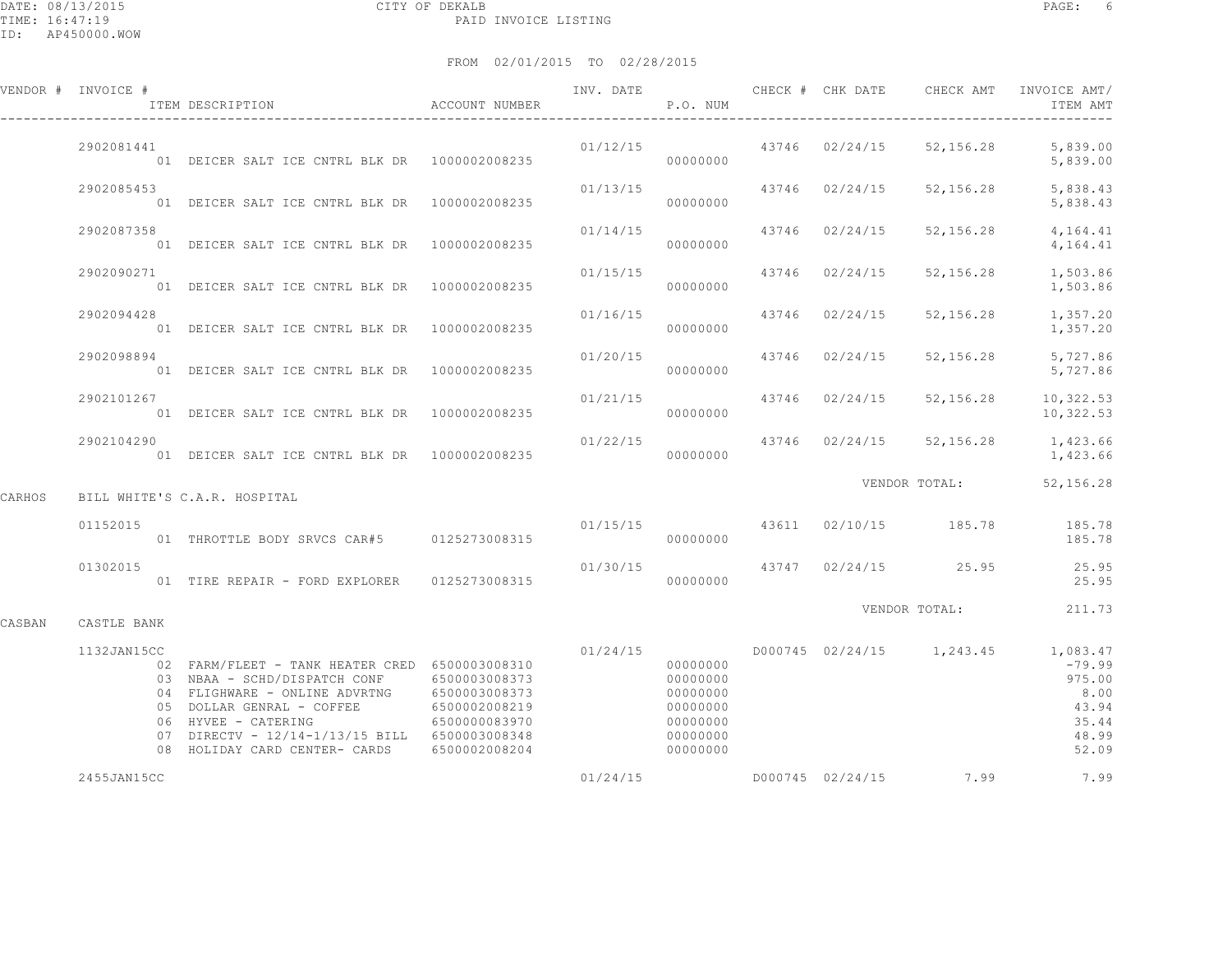|        | VENDOR # INVOICE # | ITEM DESCRIPTION                                                                                                                                                                                                                                                                                              | ACCOUNT NUMBER | INV. DATE<br>P.O. NUM |                                                                      |                |                                       | CHECK # CHK DATE CHECK AMT INVOICE AMT/<br>ITEM AMT                                                  |
|--------|--------------------|---------------------------------------------------------------------------------------------------------------------------------------------------------------------------------------------------------------------------------------------------------------------------------------------------------------|----------------|-----------------------|----------------------------------------------------------------------|----------------|---------------------------------------|------------------------------------------------------------------------------------------------------|
|        | 2902081441         |                                                                                                                                                                                                                                                                                                               |                |                       | 00000000                                                             |                |                                       | $01/12/15$ $43746$ $02/24/15$ $52,156.28$ $5,839.00$<br>5,839.00                                     |
|        | 2902085453         | 01 DEICER SALT ICE CNTRL BLK DR 1000002008235                                                                                                                                                                                                                                                                 |                | 01/13/15              | 00000000                                                             | 43746 02/24/15 |                                       | 52, 156. 28 5, 838. 43<br>5,838.43                                                                   |
|        | 2902087358         | 01 DEICER SALT ICE CNTRL BLK DR 1000002008235                                                                                                                                                                                                                                                                 |                | 01/14/15              | 00000000                                                             | 43746 02/24/15 |                                       | 52, 156.28 4, 164.41<br>4,164.41                                                                     |
|        | 2902090271         |                                                                                                                                                                                                                                                                                                               |                | 01/15/15              | 00000000                                                             | 43746 02/24/15 | 52,156.28                             | 1,503.86<br>1,503.86                                                                                 |
|        | 2902094428         | 01 DEICER SALT ICE CNTRL BLK DR 1000002008235                                                                                                                                                                                                                                                                 |                | 01/16/15              | 00000000                                                             |                |                                       | 43746 02/24/15 52,156.28 1,357.20<br>1,357.20                                                        |
|        | 2902098894         | 01 DEICER SALT ICE CNTRL BLK DR 1000002008235                                                                                                                                                                                                                                                                 |                | 01/20/15              | 00000000                                                             | 43746 02/24/15 |                                       | 52, 156. 28 5, 727. 86<br>5,727.86                                                                   |
|        | 2902101267         | 01 DEICER SALT ICE CNTRL BLK DR 1000002008235                                                                                                                                                                                                                                                                 |                | 01/21/15              | 00000000                                                             | 43746 02/24/15 | 52,156.28                             | 10,322.53<br>10,322.53                                                                               |
|        | 2902104290         | 01 DEICER SALT ICE CNTRL BLK DR 1000002008235                                                                                                                                                                                                                                                                 |                |                       | 00000000                                                             |                |                                       | $01/22/15$ $43746$ $02/24/15$ $52,156.28$ $1,423.66$<br>1,423.66                                     |
| CARHOS |                    | BILL WHITE'S C.A.R. HOSPITAL                                                                                                                                                                                                                                                                                  |                |                       |                                                                      |                |                                       | VENDOR TOTAL: 52,156.28                                                                              |
|        | 01152015           | 01 THROTTLE BODY SRVCS CAR#5 0125273008315                                                                                                                                                                                                                                                                    |                |                       | 00000000                                                             |                |                                       | $01/15/15$ $43611$ $02/10/15$ $185.78$ $185.78$<br>185.78                                            |
|        | 01302015           | 01 TIRE REPAIR - FORD EXPLORER 0125273008315                                                                                                                                                                                                                                                                  |                |                       | 00000000                                                             |                | $01/30/15$ $43747$ $02/24/15$ $25.95$ | 25.95<br>25.95                                                                                       |
| CASBAN | CASTLE BANK        |                                                                                                                                                                                                                                                                                                               |                |                       |                                                                      |                | VENDOR TOTAL:                         | 211.73                                                                                               |
|        | 1132JAN15CC        | 02 FARM/FLEET - TANK HEATER CRED 6500003008310<br>03 NBAA - SCHD/DISPATCH CONF 6500003008373<br>04 FLIGHWARE - ONLINE ADVRTNG 6500003008373<br>05 DOLLAR GENRAL - COFFEE 6500002008219<br>06 HYVEE - CATERING<br>07 DIRECTV - 12/14-1/13/15 BILL 6500003008348<br>08 HOLIDAY CARD CENTER- CARDS 6500002008204 | 6500000083970  | 01/24/15<br>00000000  | 00000000<br>00000000<br>00000000<br>00000000<br>00000000<br>00000000 |                |                                       | D000745 02/24/15 1,243.45 1,083.47<br>$-79.99$<br>975.00<br>8.00<br>43.94<br>35.44<br>48.99<br>52.09 |
|        | 2455JAN15CC        |                                                                                                                                                                                                                                                                                                               |                | 01/24/15              |                                                                      |                | D000745 02/24/15 7.99                 | 7.99                                                                                                 |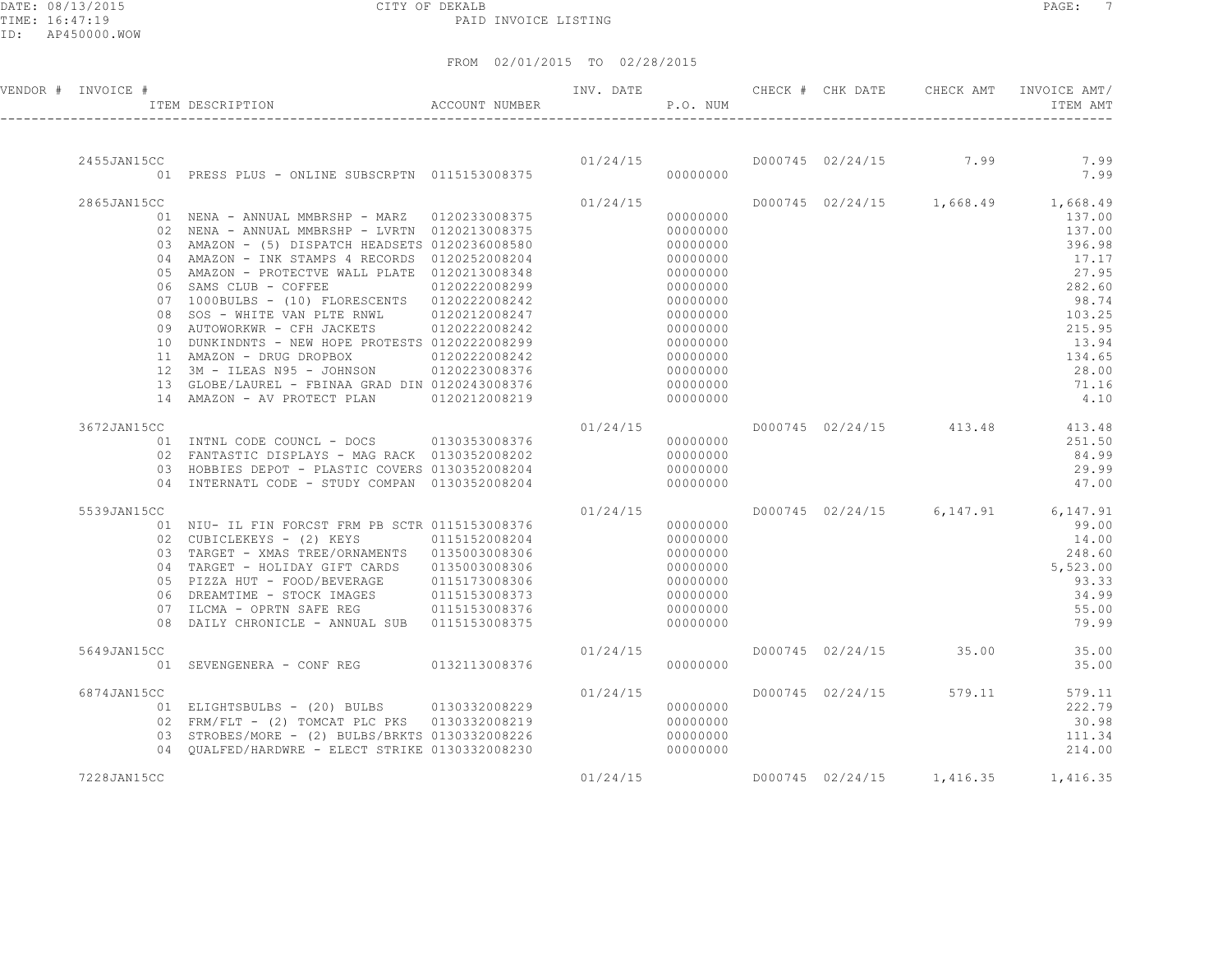DATE: 08/13/2015 CITY OF DEKALB PAGE: 7 PAID INVOICE LISTING

ID: AP450000.WOW

| VENDOR # INVOICE # | ITEM DESCRIPTION                                                                                 | ACCOUNT NUMBER | INV. DATE | P.O. NUM                           |                  |                                        | ITEM AMT                             |
|--------------------|--------------------------------------------------------------------------------------------------|----------------|-----------|------------------------------------|------------------|----------------------------------------|--------------------------------------|
|                    |                                                                                                  |                |           |                                    |                  |                                        | 7.99                                 |
| 2455JAN15CC        | 01 PRESS PLUS - ONLINE SUBSCRPTN 0115153008375                                                   |                |           | 00000000                           |                  | $01/24/15$ $D000745$ $02/24/15$ $7.99$ | 7.99                                 |
| 2865JAN15CC        |                                                                                                  |                | 01/24/15  |                                    |                  |                                        | $D000745$ 02/24/15 1,668.49 1,668.49 |
|                    | 01 NENA - ANNUAL MMBRSHP - MARZ 0120233008375                                                    |                |           | 00000000                           |                  |                                        | 137.00                               |
|                    | 02 NENA - ANNUAL MMBRSHP - LVRTN 0120213008375                                                   |                |           | 00000000                           |                  |                                        | 137.00                               |
|                    | 03 AMAZON - (5) DISPATCH HEADSETS 0120236008580                                                  |                |           | 00000000                           |                  |                                        | 396.98                               |
|                    | 04 AMAZON - INK STAMPS 4 RECORDS 0120252008204<br>05 AMAZON - PROTECTVE WALL PLATE 0120213008348 |                |           | 00000000<br>00000000               |                  |                                        | 17.17<br>27.95                       |
|                    | 06 SAMS CLUB - COFFEE                                                                            | 0120222008299  |           | 00000000                           |                  |                                        | 282.60                               |
|                    | 07 1000BULBS - (10) FLORESCENTS 0120222008242                                                    |                |           | 00000000                           |                  |                                        | 98.74                                |
|                    | 08 SOS - WHITE VAN PLTE RNWL 0120212008247                                                       |                |           | 00000000                           |                  |                                        | 103.25                               |
|                    | 09 AUTOWORKWR - CFH JACKETS 0120222008242                                                        |                |           | 00000000                           |                  |                                        | 215.95                               |
|                    | 10 DUNKINDNTS - NEW HOPE PROTESTS 0120222008299                                                  |                |           | 00000000                           |                  |                                        | 13.94                                |
|                    | 11 AMAZON - DRUG DROPBOX 0120222008242                                                           |                |           | 00000000                           |                  |                                        | 134.65                               |
|                    | 12 3M - ILEAS N95 - JOHNSON 0120223008376                                                        |                |           | 00000000                           |                  |                                        | 28.00                                |
|                    | 13 GLOBE/LAUREL - FBINAA GRAD DIN 0120243008376                                                  |                |           | 00000000                           |                  |                                        | 71.16                                |
|                    | 14 AMAZON - AV PROTECT PLAN 0120212008219                                                        |                |           | 00000000                           |                  |                                        | 4.10                                 |
| 3672JAN15CC        |                                                                                                  |                | 01/24/15  |                                    |                  | D000745 02/24/15 413.48 413.48         |                                      |
|                    | 01 INTNL CODE COUNCL - DOCS 0130353008376                                                        |                |           | 00000000                           |                  |                                        | 251.50                               |
|                    | 02 FANTASTIC DISPLAYS - MAG RACK 0130352008202                                                   |                |           | 00000000                           |                  |                                        | 84.99                                |
|                    | 03 HOBBIES DEPOT - PLASTIC COVERS 0130352008204                                                  |                |           | 00000000                           |                  |                                        | 29.99                                |
|                    | 04 INTERNATL CODE - STUDY COMPAN 0130352008204                                                   |                |           | 00000000                           |                  |                                        | 47.00                                |
| 5539JAN15CC        |                                                                                                  |                | 01/24/15  |                                    |                  | D000745 02/24/15 6,147.91 6,147.91     |                                      |
|                    | 01 NIU- IL FIN FORCST FRM PB SCTR 0115153008376                                                  |                |           | 00000000                           |                  |                                        | 99.00                                |
|                    | 02 CUBICLEKEYS - (2) KEYS 0115152008204                                                          |                |           | 00000000                           |                  |                                        | 14.00                                |
|                    | 03 TARGET - XMAS TREE/ORNAMENTS 0135003008306                                                    |                |           | 00000000                           |                  |                                        | 248.60                               |
|                    | 04 TARGET - HOLIDAY GIFT CARDS 0135003008306                                                     |                |           | 00000000                           |                  |                                        | 5,523.00                             |
|                    | 05 PIZZA HUT - FOOD/BEVERAGE 0115173008306                                                       |                |           | 00000000                           |                  |                                        | 93.33                                |
|                    | 06 DREAMTIME - STOCK IMAGES 0115153008373<br>07 ILCMA - OPRTN SAFE REG 0115153008376             |                |           | 00000000<br>00000000               |                  |                                        | 34.99<br>55.00                       |
|                    | 08 DAILY CHRONICLE - ANNUAL SUB 0115153008375                                                    |                |           | 00000000                           |                  |                                        | 79.99                                |
|                    |                                                                                                  |                |           |                                    |                  |                                        |                                      |
| 5649JAN15CC        |                                                                                                  |                | 01/24/15  |                                    |                  | D000745 02/24/15 35.00                 | 35.00                                |
|                    | 01 SEVENGENERA - CONF REG 0132113008376                                                          |                |           | 00000000                           |                  |                                        | 35.00                                |
| 6874JAN15CC        |                                                                                                  |                | 01/24/15  |                                    | D000745 02/24/15 |                                        | 579.11 579.11                        |
|                    | 01 ELIGHTSBULBS - (20) BULBS 0130332008229                                                       |                |           | 00000000                           |                  |                                        | 222.79                               |
|                    | 02 FRM/FLT - (2) TOMCAT PLC PKS 0130332008219                                                    |                |           |                                    |                  |                                        | 30.98                                |
|                    | 03 STROBES/MORE - (2) BULBS/BRKTS 0130332008226                                                  |                |           | $000000000$ $000000000$ $00000000$ |                  |                                        | 111.34                               |
|                    | 04 QUALFED/HARDWRE - ELECT STRIKE 0130332008230                                                  |                |           | 00000000                           |                  |                                        | 214.00                               |
| 7228JAN15CC        |                                                                                                  |                | 01/24/15  |                                    |                  |                                        | D000745 02/24/15 1,416.35 1,416.35   |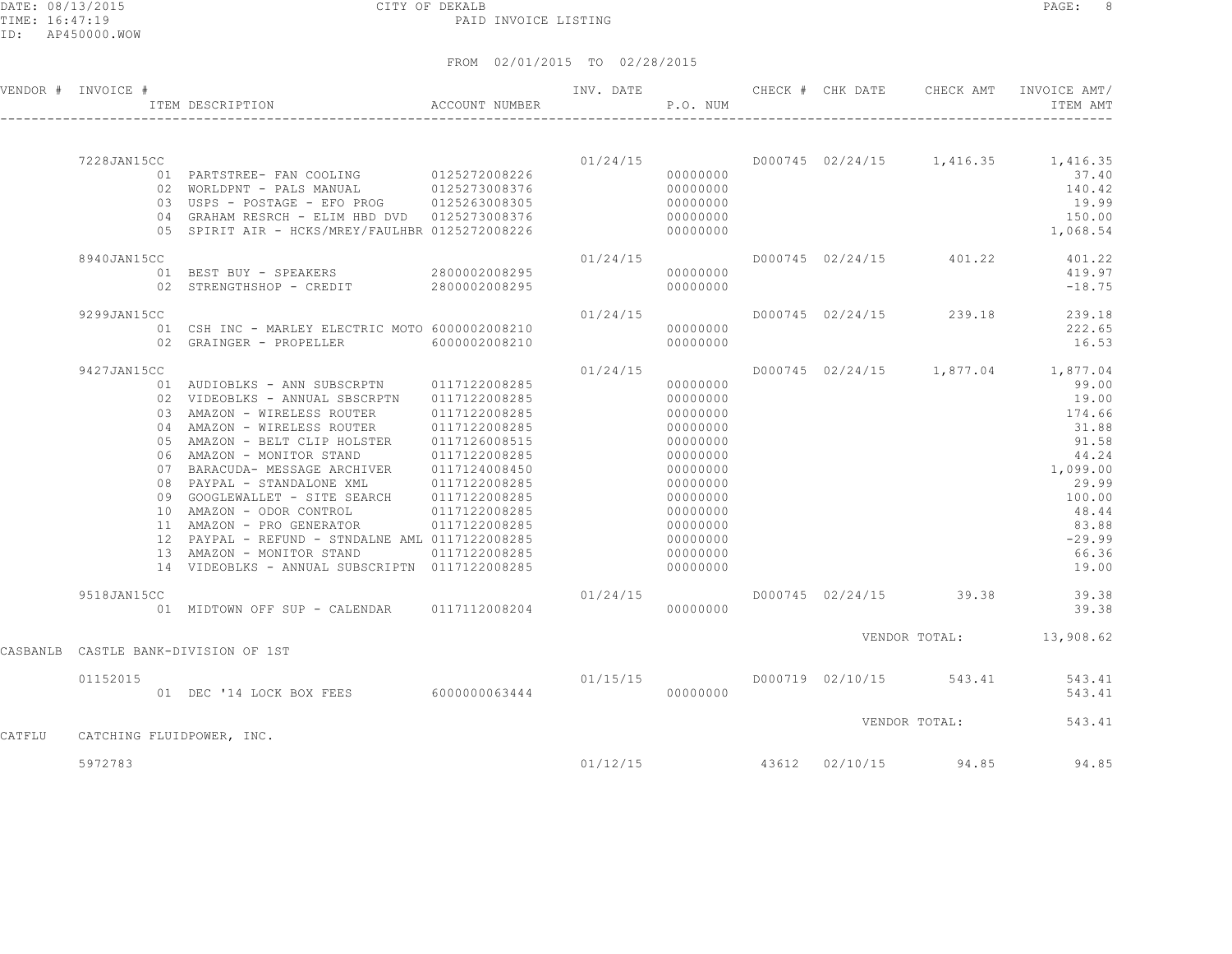#### DATE: 08/13/2015 CITY OF DEKALB PAGE: 8 PAID INVOICE LISTING

|        | VENDOR # INVOICE #        | ITEM DESCRIPTION                                                                                 | ACCOUNT NUMBER                                        | INV. DATE | P.O. NUM             |  | CHECK # CHK DATE CHECK AMT            | INVOICE AMT/<br>ITEM AMT           |
|--------|---------------------------|--------------------------------------------------------------------------------------------------|-------------------------------------------------------|-----------|----------------------|--|---------------------------------------|------------------------------------|
|        |                           |                                                                                                  |                                                       |           |                      |  |                                       |                                    |
|        | 7228JAN15CC               |                                                                                                  | $01/24/15$ $0000745$ $02/24/15$ $1,416.35$ $1,416.35$ |           |                      |  |                                       |                                    |
|        |                           | 01 PARTSTREE- FAN COOLING 0125272008226                                                          |                                                       |           | 00000000             |  |                                       | 37.40                              |
|        |                           | 02 WORLDPNT - PALS MANUAL<br>03 USPS - POSTAGE - EFO PROG 0125263008305                          | 0125273008376                                         |           | 00000000             |  |                                       | 140.42                             |
|        |                           |                                                                                                  |                                                       |           | 00000000             |  |                                       | 19.99                              |
|        |                           | 04 GRAHAM RESRCH - ELIM HBD DVD 0125273008376<br>05 SPIRIT AIR - HCKS/MREY/FAULHBR 0125272008226 |                                                       | 000000000 | 00000000             |  |                                       | 150.00<br>1,068.54                 |
|        | 8940JAN15CC               |                                                                                                  |                                                       | 01/24/15  |                      |  |                                       | D000745 02/24/15 401.22 401.22     |
|        |                           | 01 BEST BUY - SPEAKERS 2800002008295                                                             |                                                       |           | 00000000             |  |                                       | 419.97                             |
|        |                           | 02 STRENGTHSHOP - CREDIT 2800002008295                                                           |                                                       |           | 00000000             |  |                                       | $-18.75$                           |
|        | 9299JAN15CC               |                                                                                                  |                                                       | 01/24/15  |                      |  |                                       | D000745 02/24/15 239.18 239.18     |
|        |                           | 01 CSH INC - MARLEY ELECTRIC MOTO 6000002008210                                                  |                                                       |           | 00000000             |  |                                       | 222.65                             |
|        |                           | 02 GRAINGER - PROPELLER 6000002008210                                                            |                                                       |           | 00000000             |  |                                       | 16.53                              |
|        | 9427JAN15CC               |                                                                                                  |                                                       | 01/24/15  |                      |  |                                       | D000745 02/24/15 1,877.04 1,877.04 |
|        |                           | 01 AUDIOBLKS - ANN SUBSCRPTN 0117122008285                                                       |                                                       |           | 00000000             |  |                                       | 99.00                              |
|        |                           | 02 VIDEOBLKS - ANNUAL SBSCRPTN 0117122008285                                                     |                                                       |           | 00000000             |  |                                       | 19.00                              |
|        |                           | 03 AMAZON - WIRELESS ROUTER 0117122008285<br>04 AMAZON - WIRELESS ROUTER 0117122008285           |                                                       |           | 00000000             |  |                                       | 174.66                             |
|        |                           |                                                                                                  |                                                       |           | 00000000             |  |                                       | 31.88                              |
|        |                           | 05 AMAZON - BELT CLIP HOLSTER 0117126008515                                                      |                                                       |           | 00000000             |  |                                       | 91.58                              |
|        |                           | 06 AMAZON - MONITOR STAND 0117122008285                                                          |                                                       |           | 00000000<br>00000000 |  |                                       | 44.24<br>1,099.00                  |
|        |                           | 07 BARACUDA- MESSAGE ARCHIVER 0117124008450<br>08 PAYPAL - STANDALONE XML 0117122008285          |                                                       |           | 00000000             |  |                                       | 29.99                              |
|        |                           | 09 GOOGLEWALLET - SITE SEARCH 0117122008285                                                      |                                                       |           | 00000000             |  |                                       | 100.00                             |
|        |                           | 10 AMAZON - ODOR CONTROL 0117122008285                                                           |                                                       |           | 00000000             |  |                                       | 48.44                              |
|        |                           | 11 AMAZON - PRO GENERATOR 0117122008285                                                          |                                                       |           | 00000000             |  |                                       | 83.88                              |
|        |                           |                                                                                                  |                                                       |           | 00000000             |  |                                       | $-29.99$                           |
|        |                           | 13 AMAZON - MONITOR STAND                                                                        | 0117122008285                                         |           | 00000000             |  |                                       | 66.36                              |
|        |                           | 14 VIDEOBLKS - ANNUAL SUBSCRIPTN 0117122008285                                                   |                                                       |           | 00000000             |  |                                       | 19.00                              |
|        |                           |                                                                                                  |                                                       |           |                      |  |                                       |                                    |
|        | 9518JAN15CC               |                                                                                                  |                                                       | 01/24/15  |                      |  |                                       | D000745 02/24/15 39.38 39.38       |
|        |                           | 01 MIDTOWN OFF SUP - CALENDAR 0117112008204 0000000000                                           |                                                       |           |                      |  |                                       | 39.38                              |
|        |                           | CASBANLB CASTLE BANK-DIVISION OF 1ST                                                             |                                                       |           |                      |  |                                       | VENDOR TOTAL: 13,908.62            |
|        |                           |                                                                                                  |                                                       |           |                      |  |                                       |                                    |
|        | 01152015                  |                                                                                                  |                                                       |           |                      |  |                                       |                                    |
|        |                           | 01 DEC '14 LOCK BOX FEES 6000000063444                                                           |                                                       |           | 00000000             |  |                                       | 543.41                             |
| CATFLU | CATCHING FLUIDPOWER, INC. |                                                                                                  |                                                       |           |                      |  | VENDOR TOTAL:                         | 543.41                             |
|        |                           |                                                                                                  |                                                       |           |                      |  |                                       |                                    |
|        | 5972783                   |                                                                                                  |                                                       |           |                      |  | $01/12/15$ $43612$ $02/10/15$ $94.85$ | 94.85                              |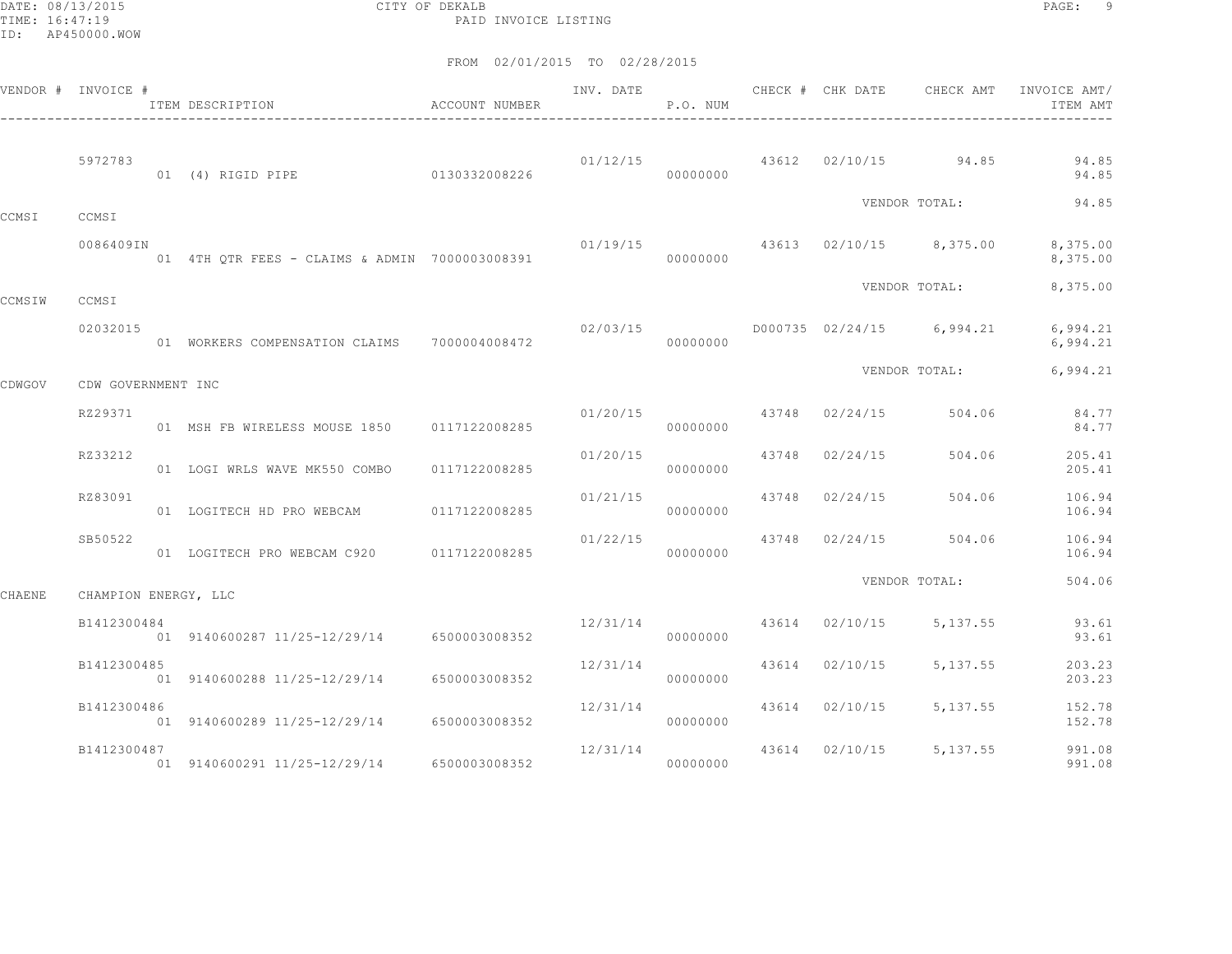DATE: 08/13/2015 CITY OF DEKALB PAGE: 9 PAID INVOICE LISTING

|              | VENDOR # INVOICE #   | ITEM DESCRIPTION                               | ACCOUNT NUMBER | INV. DATE | P.O. NUM             |       | CHECK # CHK DATE | CHECK AMT                          | INVOICE AMT/<br>ITEM AMT |
|--------------|----------------------|------------------------------------------------|----------------|-----------|----------------------|-------|------------------|------------------------------------|--------------------------|
|              | 5972783              | 01 (4) RIGID PIPE 0130332008226                |                | 01/12/15  | 00000000             |       |                  | 43612 02/10/15 94.85               | 94.85<br>94.85           |
| <b>CCMSI</b> | CCMSI                |                                                |                |           |                      |       |                  | VENDOR TOTAL:                      | 94.85                    |
|              | 0086409IN            | 01 4TH QTR FEES - CLAIMS & ADMIN 7000003008391 |                |           | 00000000             |       |                  | $01/19/15$ 43613 02/10/15 8,375.00 | 8,375.00<br>8,375.00     |
| CCMSIW       | CCMSI                |                                                |                |           |                      |       |                  | VENDOR TOTAL:                      | 8,375.00                 |
|              | 02032015             | 01 WORKERS COMPENSATION CLAIMS 7000004008472   |                | 02/03/15  | 00000000             |       |                  | D000735 02/24/15 6,994.21          | 6,994.21<br>6,994.21     |
| CDWGOV       | CDW GOVERNMENT INC   |                                                |                |           |                      |       |                  | VENDOR TOTAL:                      | 6,994.21                 |
|              | RZ29371              | 01 MSH FB WIRELESS MOUSE 1850 0117122008285    |                | 01/20/15  | 00000000             |       | 43748 02/24/15   | 504.06                             | 84.77<br>84.77           |
|              | RZ33212              | 01 LOGI WRLS WAVE MK550 COMBO                  | 0117122008285  | 01/20/15  | 00000000             | 43748 | 02/24/15         | 504.06                             | 205.41<br>205.41         |
|              | RZ83091              | 01 LOGITECH HD PRO WEBCAM                      | 0117122008285  | 01/21/15  | 00000000             | 43748 |                  | 02/24/15 504.06                    | 106.94<br>106.94         |
|              | SB50522              | 01 LOGITECH PRO WEBCAM C920 0117122008285      |                | 01/22/15  | 00000000             |       |                  | 43748 02/24/15 504.06              | 106.94<br>106.94         |
| CHAENE       | CHAMPION ENERGY, LLC |                                                |                |           |                      |       |                  | VENDOR TOTAL:                      | 504.06                   |
|              | B1412300484          | 01 9140600287 11/25-12/29/14 6500003008352     |                | 12/31/14  | 00000000             |       | 43614 02/10/15   | 5,137.55                           | 93.61<br>93.61           |
|              | B1412300485          | 01 9140600288 11/25-12/29/14 6500003008352     |                | 12/31/14  | 00000000             |       | 43614 02/10/15   | 5, 137.55                          | 203.23<br>203.23         |
|              | B1412300486          | 01 9140600289 11/25-12/29/14 6500003008352     |                | 12/31/14  | 00000000             |       | 43614 02/10/15   | 5,137.55                           | 152.78<br>152.78         |
|              | B1412300487          | 01 9140600291 11/25-12/29/14 6500003008352     |                |           | 12/31/14<br>00000000 | 43614 | 02/10/15         | 5, 137.55                          | 991.08<br>991.08         |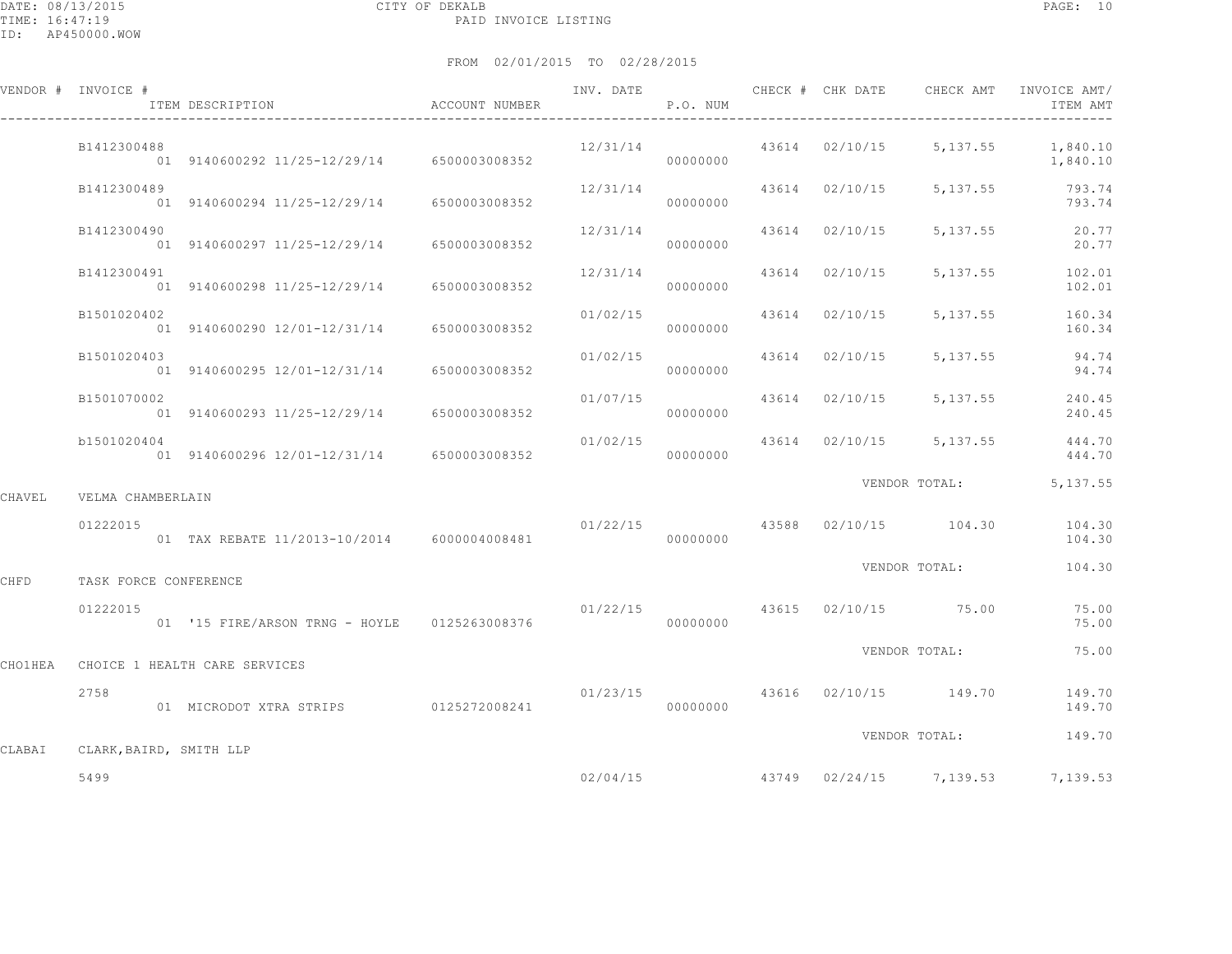|         | VENDOR # INVOICE #      | ITEM DESCRIPTION                             | ACCOUNT NUMBER | INV. DATE | P.O. NUM             |       | CHECK # CHK DATE | CHECK AMT                             | INVOICE AMT/<br>ITEM AMT                            |
|---------|-------------------------|----------------------------------------------|----------------|-----------|----------------------|-------|------------------|---------------------------------------|-----------------------------------------------------|
|         | B1412300488             | 01 9140600292 11/25-12/29/14 6500003008352   |                |           | 12/31/14<br>00000000 |       |                  | 43614 02/10/15 5,137.55               | 1,840.10<br>1,840.10                                |
|         | B1412300489             | 01 9140600294 11/25-12/29/14 6500003008352   |                | 12/31/14  | 00000000             |       | 43614 02/10/15   |                                       | 5, 137.55 793.74<br>793.74                          |
|         | B1412300490             | 01 9140600297 11/25-12/29/14 6500003008352   |                | 12/31/14  | 00000000             |       | 43614 02/10/15   | 5,137.55                              | 20.77<br>20.77                                      |
|         | B1412300491             | 01 9140600298 11/25-12/29/14 6500003008352   |                | 12/31/14  | 00000000             | 43614 | 02/10/15         | 5, 137.55                             | 102.01<br>102.01                                    |
|         | B1501020402             | 01 9140600290 12/01-12/31/14                 | 6500003008352  | 01/02/15  | 00000000             |       | 43614 02/10/15   | 5,137.55                              | 160.34<br>160.34                                    |
|         | B1501020403             | 01 9140600295 12/01-12/31/14                 | 6500003008352  | 01/02/15  | 00000000             |       | 43614 02/10/15   | 5,137.55                              | 94.74<br>94.74                                      |
|         | B1501070002             | 01 9140600293 11/25-12/29/14 6500003008352   |                | 01/07/15  | 00000000             |       | 43614 02/10/15   | 5,137.55                              | 240.45<br>240.45                                    |
|         | b1501020404             | 01 9140600296 12/01-12/31/14 6500003008352   |                | 01/02/15  | 00000000             |       |                  | 43614 02/10/15 5,137.55               | 444.70<br>444.70                                    |
| CHAVEL  | VELMA CHAMBERLAIN       |                                              |                |           |                      |       |                  | VENDOR TOTAL:                         | 5,137.55                                            |
|         | 01222015                | 01 TAX REBATE 11/2013-10/2014 6000004008481  |                | 01/22/15  | 00000000             |       |                  | 43588 02/10/15 104.30                 | 104.30<br>104.30                                    |
| CHFD    | TASK FORCE CONFERENCE   |                                              |                |           |                      |       |                  | VENDOR TOTAL:                         | 104.30                                              |
|         | 01222015                | 01 '15 FIRE/ARSON TRNG - HOYLE 0125263008376 |                |           | 00000000             |       |                  | $01/22/15$ $43615$ $02/10/15$ $75.00$ | 75.00<br>75.00                                      |
| CHO1HEA |                         | CHOICE 1 HEALTH CARE SERVICES                |                |           |                      |       |                  | VENDOR TOTAL:                         | 75.00                                               |
|         | 2758                    | 01 MICRODOT XTRA STRIPS 0125272008241        |                | 01/23/15  | 00000000             |       |                  | 43616 02/10/15 149.70                 | 149.70<br>149.70                                    |
| CLABAI  | CLARK, BAIRD, SMITH LLP |                                              |                |           |                      |       |                  | VENDOR TOTAL:                         | 149.70                                              |
|         | 5499                    |                                              |                |           |                      |       |                  |                                       | $02/04/15$ $43749$ $02/24/15$ $7,139.53$ $7,139.53$ |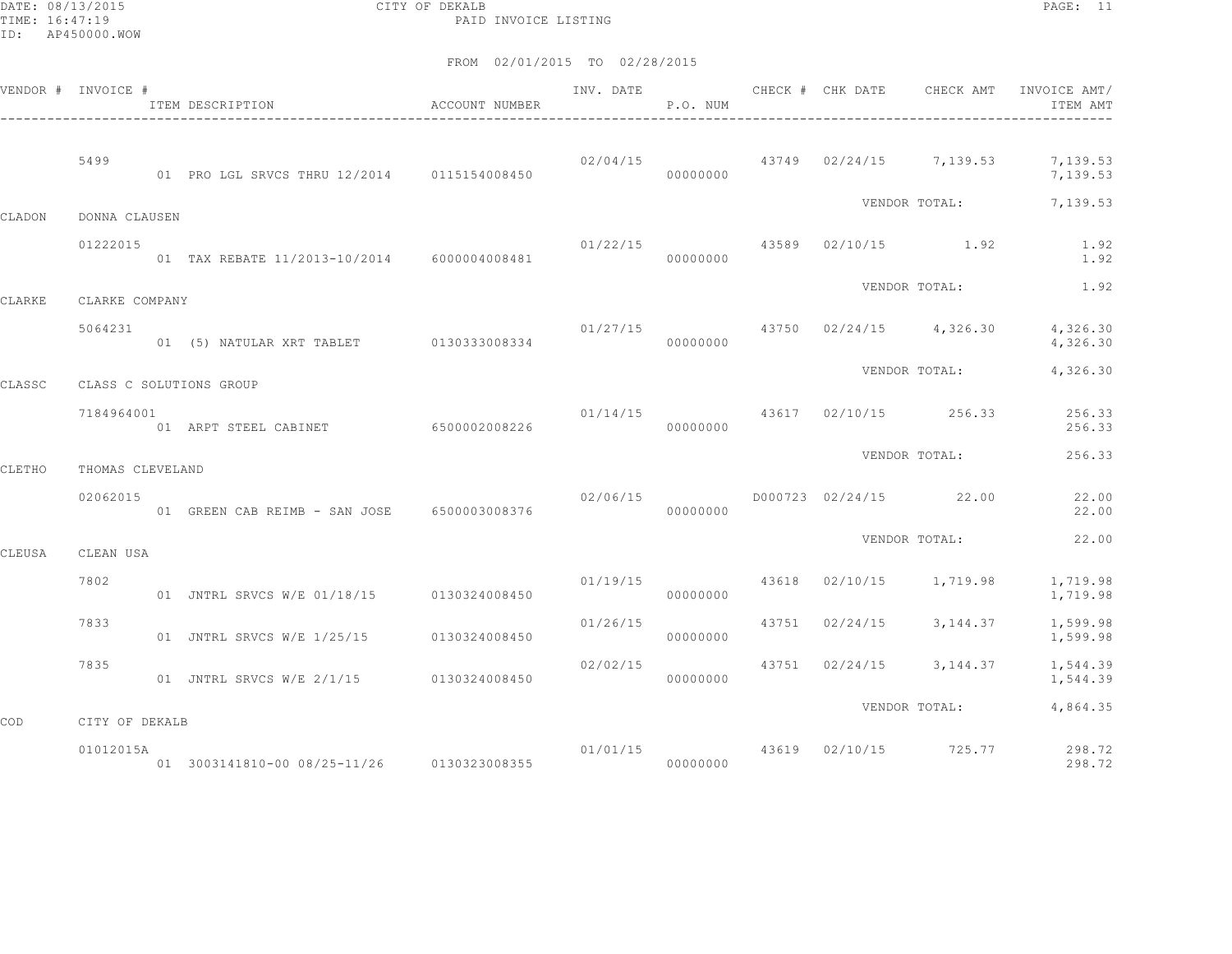DATE: 08/13/2015 CITY OF DEKALB PAGE: 11 PAID INVOICE LISTING

|        | VENDOR # INVOICE #           | ITEM DESCRIPTION                                                   | ACCOUNT NUMBER | INV. DATE | P.O. NUM |  | CHECK # CHK DATE CHECK AMT               | INVOICE AMT/<br>ITEM AMT                                        |
|--------|------------------------------|--------------------------------------------------------------------|----------------|-----------|----------|--|------------------------------------------|-----------------------------------------------------------------|
|        | 5499                         | 01 PRO LGL SRVCS THRU 12/2014 0115154008450                        |                |           | 00000000 |  |                                          | $02/04/15$ $43749$ $02/24/15$ $7,139.53$ $7,139.53$<br>7,139.53 |
| CLADON | DONNA CLAUSEN                |                                                                    |                |           |          |  |                                          | VENDOR TOTAL: 7,139.53                                          |
|        | 01222015                     | 01 TAX REBATE 11/2013-10/2014 6000004008481                        |                | 00000000  |          |  | $01/22/15$ 43589 02/10/15 1.92           | 1.92<br>1.92                                                    |
| CLARKE | CLARKE COMPANY               |                                                                    |                |           |          |  |                                          | VENDOR TOTAL: 1.92                                              |
|        | 5064231                      | 01 (5) NATULAR XRT TABLET 0130333008334                            |                |           | 00000000 |  | $01/27/15$ 43750 02/24/15 4,326.30       | 4,326.30<br>4,326.30                                            |
| CLASSC |                              | CLASS C SOLUTIONS GROUP                                            |                |           |          |  | VENDOR TOTAL:                            | 4,326.30                                                        |
|        | 7184964001                   | 01 ARPT STEEL CABINET 6500002008226                                |                |           | 00000000 |  |                                          | $01/14/15$ $43617$ $02/10/15$ $256.33$ $256.33$<br>256.33       |
|        |                              |                                                                    |                |           |          |  | VENDOR TOTAL:                            | 256.33                                                          |
| CLETHO | THOMAS CLEVELAND<br>02062015 | 01 GREEN CAB REIMB - SAN JOSE 6500003008376                        |                | 02/06/15  | 00000000 |  | D000723 02/24/15 22.00                   | 22.00<br>22.00                                                  |
| CLEUSA | CLEAN USA                    |                                                                    |                |           |          |  | VENDOR TOTAL:                            | 22.00                                                           |
|        | 7802                         | 01 JNTRL SRVCS W/E 01/18/15 0130324008450                          |                |           | 00000000 |  | $01/19/15$ $43618$ $02/10/15$ $1,719.98$ | 1,719.98<br>1,719.98                                            |
|        | 7833                         | 01 JNTRL SRVCS W/E 1/25/15 0130324008450                           |                | 01/26/15  | 00000000 |  | 43751 02/24/15 3,144.37                  | 1,599.98<br>1,599.98                                            |
|        | 7835                         | 01 JNTRL SRVCS W/E 2/1/15 0130324008450                            |                | 02/02/15  | 00000000 |  | 43751 02/24/15 3,144.37                  | 1,544.39<br>1,544.39                                            |
| COD    | CITY OF DEKALB               |                                                                    |                |           |          |  | VENDOR TOTAL:                            | 4,864.35                                                        |
|        | 01012015A                    | 01  3003141810-00  08/25-11/26  0130323008355  000000000  00000000 |                |           |          |  |                                          | $01/01/15$ $43619$ $02/10/15$ $725.77$ $298.72$<br>298.72       |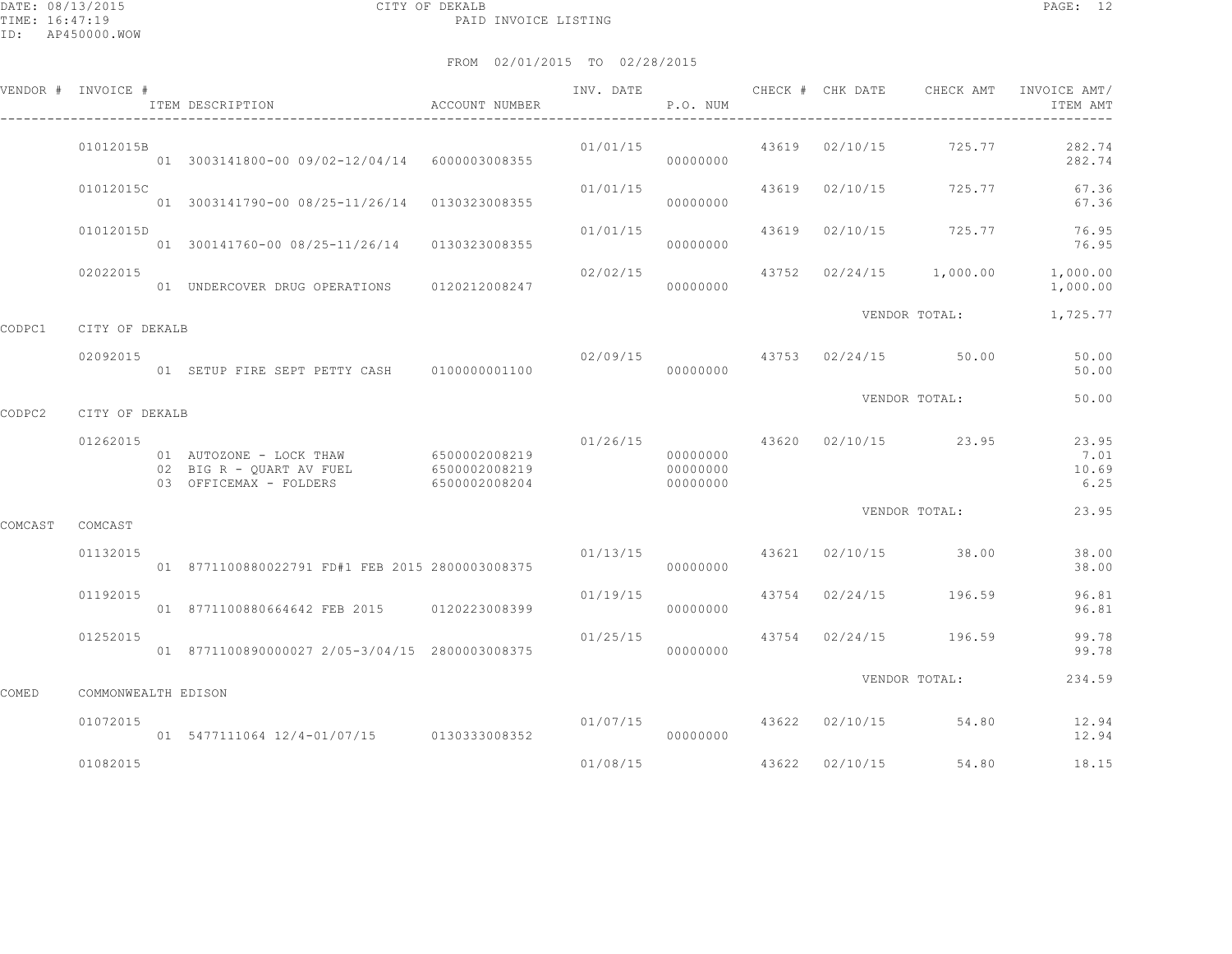|              | VENDOR # INVOICE #  | ITEM DESCRIPTION                                                                            | ACCOUNT NUMBER                 | INV. DATE | P.O. NUM                         |       |                | CHECK # CHK DATE CHECK AMT      | INVOICE AMT/<br>ITEM AMT       |
|--------------|---------------------|---------------------------------------------------------------------------------------------|--------------------------------|-----------|----------------------------------|-------|----------------|---------------------------------|--------------------------------|
|              | 01012015B           | 01 3003141800-00 09/02-12/04/14 6000003008355                                               |                                | 01/01/15  | 00000000                         |       | 43619 02/10/15 | 725.77                          | 282.74<br>282.74               |
|              | 01012015C           | 01 3003141790-00 08/25-11/26/14 0130323008355                                               |                                | 01/01/15  | 00000000                         |       | 43619 02/10/15 | 725.77                          | 67.36<br>67.36                 |
|              | 01012015D           | 01 300141760-00 08/25-11/26/14 0130323008355                                                |                                | 01/01/15  | 00000000                         | 43619 | 02/10/15       | 725.77                          | 76.95<br>76.95                 |
|              | 02022015            | 01 UNDERCOVER DRUG OPERATIONS                                                               | 0120212008247                  | 02/02/15  | 00000000                         |       | 43752 02/24/15 | 1,000.00                        | 1,000.00<br>1,000.00           |
| CODPC1       | CITY OF DEKALB      |                                                                                             |                                |           |                                  |       |                | VENDOR TOTAL:                   | 1,725.77                       |
|              | 02092015            | 01 SETUP FIRE SEPT PETTY CASH 0100000001100                                                 |                                |           | 00000000                         |       |                | $02/09/15$ 43753 02/24/15 50.00 | 50.00<br>50.00                 |
| CODPC2       | CITY OF DEKALB      |                                                                                             |                                |           |                                  |       |                | VENDOR TOTAL:                   | 50.00                          |
|              | 01262015            | 01 AUTOZONE - LOCK THAW 6500002008219<br>02 BIG R - QUART AV FUEL<br>03 OFFICEMAX - FOLDERS | 6500002008219<br>6500002008204 | 01/26/15  | 00000000<br>00000000<br>00000000 |       |                | 43620 02/10/15 23.95            | 23.95<br>7.01<br>10.69<br>6.25 |
| COMCAST      | COMCAST             |                                                                                             |                                |           |                                  |       |                | VENDOR TOTAL:                   | 23.95                          |
|              | 01132015            | 01 8771100880022791 FD#1 FEB 2015 2800003008375                                             |                                | 01/13/15  | 00000000                         |       |                | 43621 02/10/15 38.00            | 38.00<br>38.00                 |
|              | 01192015            | 01 8771100880664642 FEB 2015 0120223008399                                                  |                                | 01/19/15  | 00000000                         |       |                | 43754 02/24/15 196.59           | 96.81<br>96.81                 |
|              | 01252015            | 01 8771100890000027 2/05-3/04/15 2800003008375                                              |                                |           | 01/25/15<br>00000000             | 43754 |                | 02/24/15 196.59                 | 99.78<br>99.78                 |
| <b>COMED</b> | COMMONWEALTH EDISON |                                                                                             |                                |           |                                  |       |                | VENDOR TOTAL:                   | 234.59                         |
|              | 01072015            | 01 5477111064 12/4-01/07/15 0130333008352                                                   |                                | 01/07/15  | 00000000                         |       | 43622 02/10/15 | 54.80                           | 12.94<br>12.94                 |
|              | 01082015            |                                                                                             |                                | 01/08/15  |                                  |       | 43622 02/10/15 | 54.80                           | 18.15                          |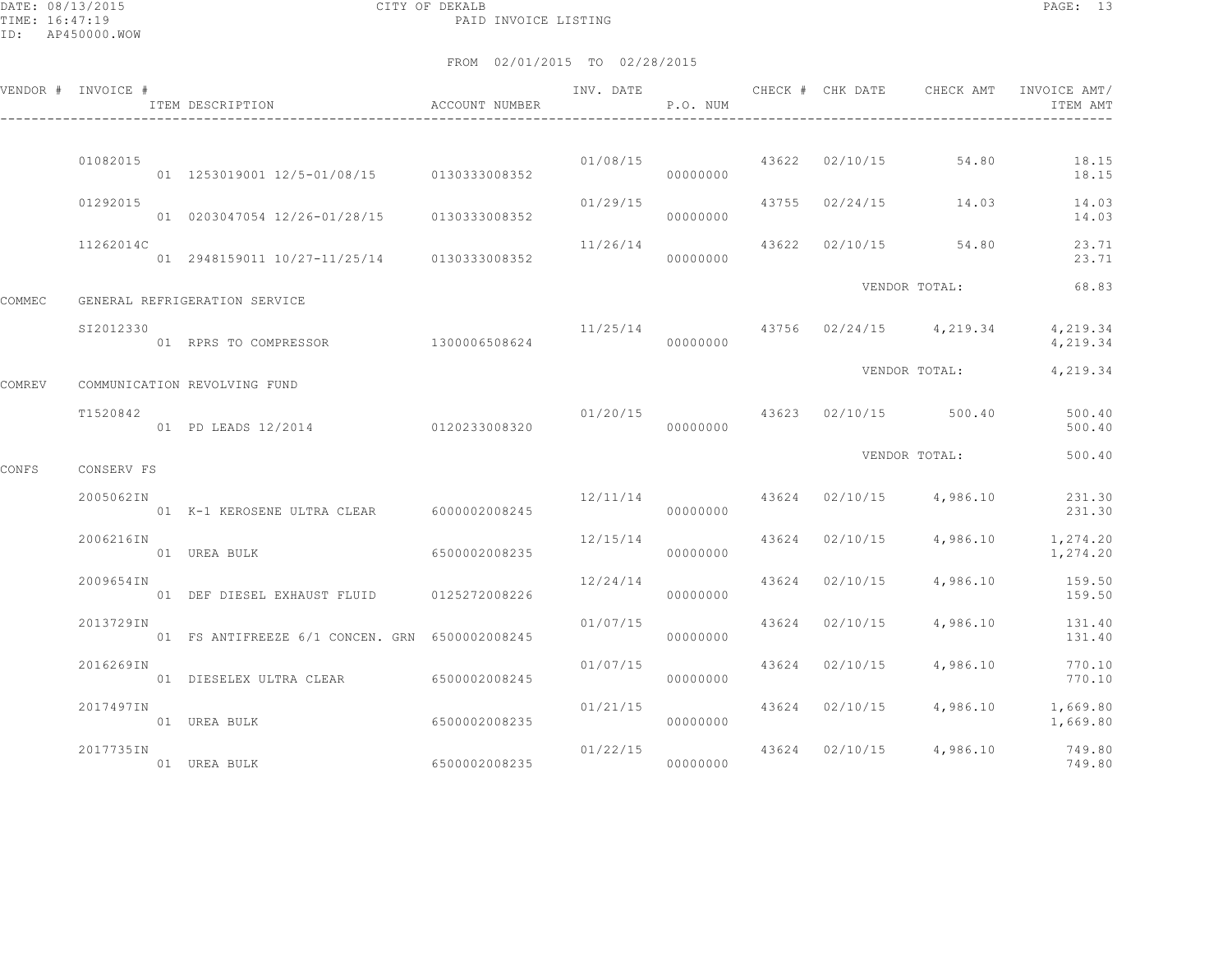DATE: 08/13/2015 CITY OF DEKALB PAGE: 13 PAID INVOICE LISTING

|        | VENDOR # INVOICE # | ITEM DESCRIPTION                               | ACCOUNT NUMBER | INV. DATE        | P.O. NUM |                | CHECK # CHK DATE CHECK AMT            | INVOICE AMT/<br>ITEM AMT                                    |
|--------|--------------------|------------------------------------------------|----------------|------------------|----------|----------------|---------------------------------------|-------------------------------------------------------------|
|        |                    |                                                |                |                  |          |                |                                       |                                                             |
|        | 01082015           | 01 1253019001 12/5-01/08/15 0130333008352      |                |                  | 00000000 |                | $01/08/15$ $43622$ $02/10/15$ $54.80$ | 18.15<br>18.15                                              |
|        | 01292015           | 01 0203047054 12/26-01/28/15 0130333008352     |                | 01/29/15         | 00000000 |                | 43755 02/24/15 14.03                  | 14.03<br>14.03                                              |
|        | 11262014C          |                                                |                | 11/26/14         |          |                | 43622 02/10/15 54.80                  | 23.71<br>23.71                                              |
| COMMEC |                    | GENERAL REFRIGERATION SERVICE                  |                |                  |          |                |                                       | VENDOR TOTAL: 68.83                                         |
|        | SI2012330          | 01 RPRS TO COMPRESSOR 1300006508624            |                | 11/25/14         | 00000000 |                | 43756 02/24/15 4,219.34               | 4,219.34<br>4,219.34                                        |
| COMREV |                    | COMMUNICATION REVOLVING FUND                   |                |                  |          |                | VENDOR TOTAL:                         | 4,219.34                                                    |
|        | T1520842           | 01 PD LEADS 12/2014 0120233008320              |                |                  | 00000000 |                | $01/20/15$ 43623 02/10/15 500.40      | 500.40<br>500.40                                            |
| CONFS  | CONSERV FS         |                                                |                |                  |          |                | VENDOR TOTAL:                         | 500.40                                                      |
|        | 2005062IN          | 01 K-1 KEROSENE ULTRA CLEAR 6000002008245      |                |                  | 00000000 |                |                                       | $12/11/14$ $43624$ $02/10/15$ $4,986.10$ 231.30<br>231.30   |
|        | 2006216IN          | 01 UREA BULK                                   | 6500002008235  | 12/15/14         | 00000000 |                | 43624 02/10/15 4,986.10               | 1,274.20<br>1,274.20                                        |
|        | 2009654IN          | 01 DEF DIESEL EXHAUST FLUID 0125272008226      |                | $12/24/14$ 43624 | 00000000 |                |                                       | $02/10/15$ 4,986.10 159.50<br>159.50                        |
|        | 2013729IN          | 01 FS ANTIFREEZE 6/1 CONCEN. GRN 6500002008245 |                | 01/07/15         | 00000000 | 43624 02/10/15 | 4,986.10                              | 131.40<br>131.40                                            |
|        | 2016269IN          | 01 DIESELEX ULTRA CLEAR 6500002008245          |                | 01/07/15         | 00000000 |                |                                       | 43624 02/10/15 4,986.10 770.10<br>770.10                    |
|        | 2017497IN          | 01 UREA BULK                                   | 6500002008235  | 01/21/15         | 00000000 |                | 43624 02/10/15 4,986.10               | 1,669.80<br>1,669.80                                        |
|        | 2017735IN          | 01 UREA BULK                                   | 6500002008235  |                  | 00000000 |                |                                       | $01/22/15$ $43624$ $02/10/15$ $4$ , 986.10 749.80<br>749.80 |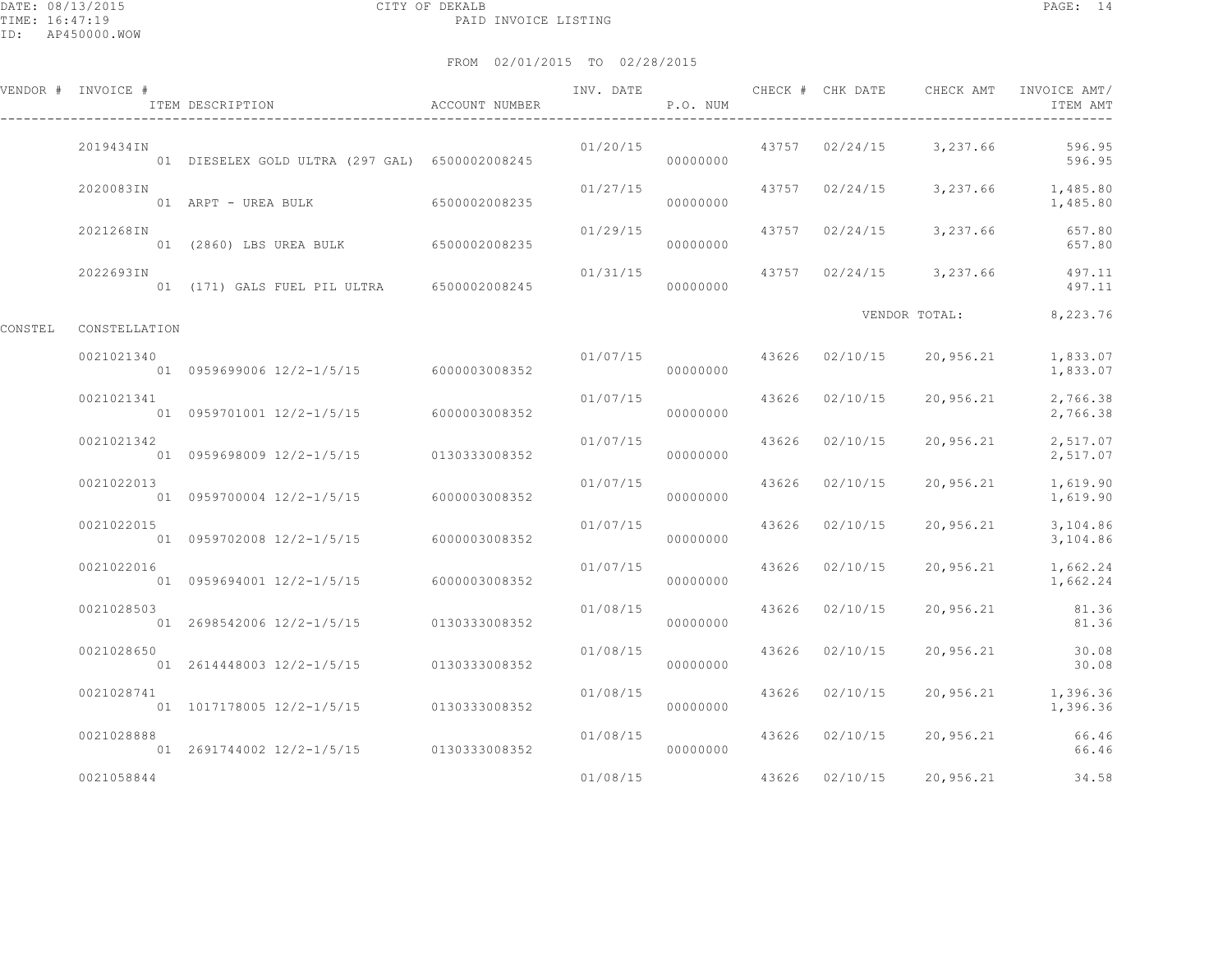|         | VENDOR # INVOICE # | ITEM DESCRIPTION                               | ACCOUNT NUMBER | INV. DATE | P.O. NUM             |       | CHECK # CHK DATE | CHECK AMT               | INVOICE AMT/<br>ITEM AMT           |
|---------|--------------------|------------------------------------------------|----------------|-----------|----------------------|-------|------------------|-------------------------|------------------------------------|
|         | 2019434IN          | 01 DIESELEX GOLD ULTRA (297 GAL) 6500002008245 |                | 01/20/15  | 00000000             |       |                  | 43757 02/24/15 3,237.66 | 596.95<br>596.95                   |
|         | 2020083IN          | 01 ARPT - UREA BULK                            | 6500002008235  | 01/27/15  | 00000000             |       | 43757 02/24/15   | 3,237.66                | 1,485.80<br>1,485.80               |
|         | 2021268IN          | 01 (2860) LBS UREA BULK 6500002008235          |                | 01/29/15  | 00000000             |       | 43757 02/24/15   | 3,237.66                | 657.80<br>657.80                   |
|         | 2022693IN          | 01 (171) GALS FUEL PIL ULTRA 6500002008245     |                |           | 01/31/15<br>00000000 | 43757 |                  |                         | 02/24/15 3,237.66 497.11<br>497.11 |
| CONSTEL | CONSTELLATION      |                                                |                |           |                      |       |                  | VENDOR TOTAL:           | 8,223.76                           |
|         | 0021021340         | 01 0959699006 12/2-1/5/15 6000003008352        |                | 01/07/15  | 00000000             |       | 43626 02/10/15   | 20,956.21               | 1,833.07<br>1,833.07               |
|         | 0021021341         | 01 0959701001 12/2-1/5/15                      | 6000003008352  | 01/07/15  | 00000000             |       | 43626 02/10/15   | 20,956.21               | 2,766.38<br>2,766.38               |
|         | 0021021342         | 01 0959698009 12/2-1/5/15                      | 0130333008352  | 01/07/15  | 00000000             | 43626 | 02/10/15         | 20,956.21               | 2,517.07<br>2,517.07               |
|         | 0021022013         | 01 0959700004 12/2-1/5/15                      | 6000003008352  | 01/07/15  | 00000000             | 43626 | 02/10/15         | 20,956.21               | 1,619.90<br>1,619.90               |
|         | 0021022015         | 01 0959702008 12/2-1/5/15                      | 6000003008352  | 01/07/15  | 00000000             | 43626 | 02/10/15         | 20,956.21               | 3,104.86<br>3,104.86               |
|         | 0021022016         | 01 0959694001 12/2-1/5/15                      | 6000003008352  | 01/07/15  | 00000000             | 43626 | 02/10/15         | 20,956.21               | 1,662.24<br>1,662.24               |
|         | 0021028503         | 01 2698542006 12/2-1/5/15                      | 0130333008352  | 01/08/15  | 00000000             | 43626 | 02/10/15         | 20,956.21               | 81.36<br>81.36                     |
|         | 0021028650         | 01  2614448003  12/2-1/5/15  0130333008352     |                | 01/08/15  | 00000000             | 43626 | 02/10/15         | 20,956.21               | 30.08<br>30.08                     |
|         | 0021028741         | 01 1017178005 12/2-1/5/15 0130333008352        |                | 01/08/15  | 00000000             | 43626 | 02/10/15         | 20,956.21               | 1,396.36<br>1,396.36               |
|         | 0021028888         | 01 2691744002 12/2-1/5/15 0130333008352        |                | 01/08/15  | 00000000             | 43626 | 02/10/15         | 20,956.21               | 66.46<br>66.46                     |
|         | 0021058844         |                                                |                | 01/08/15  |                      |       | 43626 02/10/15   | 20,956.21               | 34.58                              |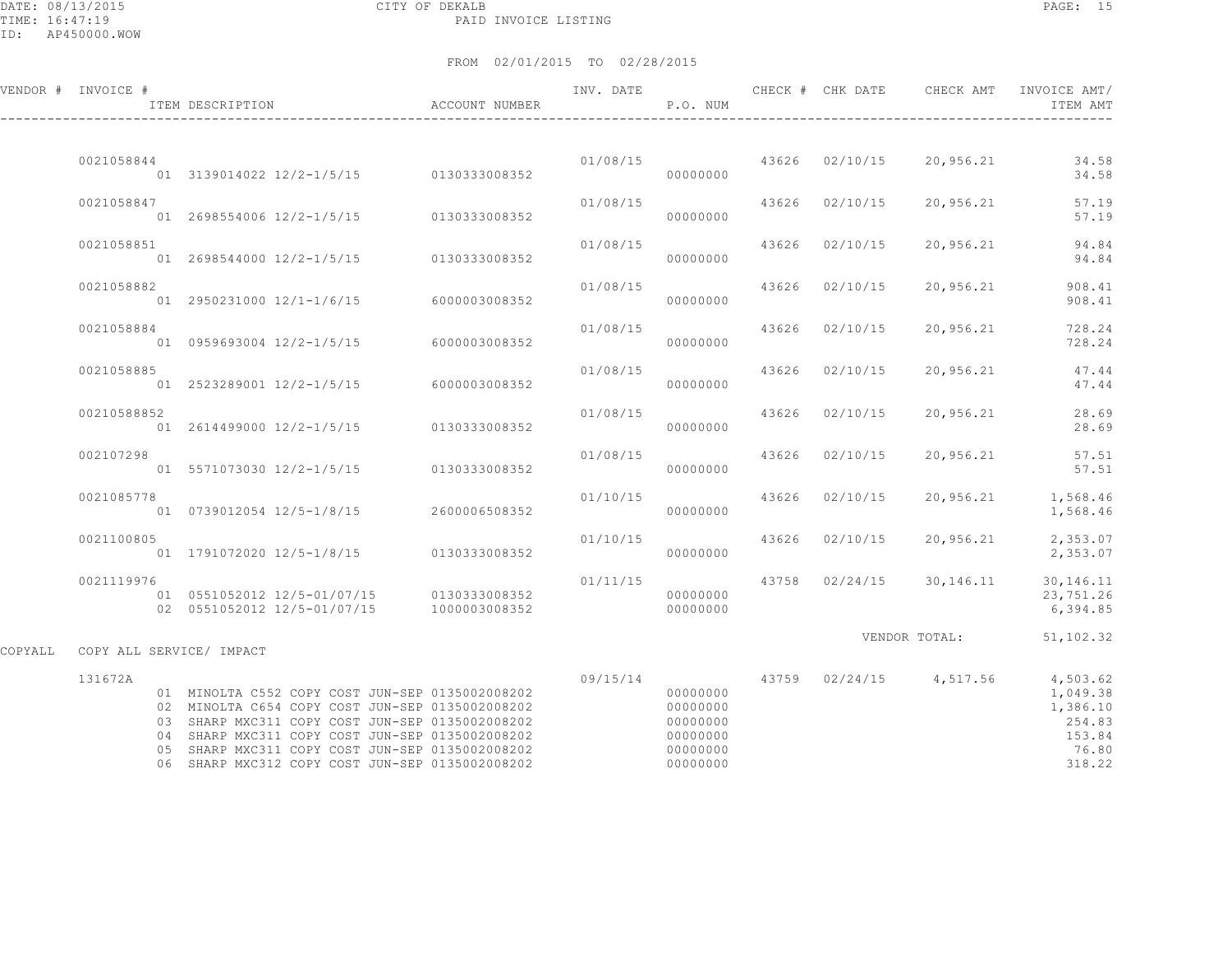DATE: 08/13/2015 CITY OF DEKALB PAGE: 15 PAID INVOICE LISTING

ID: AP450000.WOW

|         | VENDOR # INVOICE #       | ITEM DESCRIPTION                                                                                                                                                                                                                                                                                               | ACCOUNT NUMBER | INV. DATE                 | P.O. NUM                                                             |       | CHECK # CHK DATE | CHECK AMT               | INVOICE AMT/<br>ITEM AMT                                                |
|---------|--------------------------|----------------------------------------------------------------------------------------------------------------------------------------------------------------------------------------------------------------------------------------------------------------------------------------------------------------|----------------|---------------------------|----------------------------------------------------------------------|-------|------------------|-------------------------|-------------------------------------------------------------------------|
|         |                          |                                                                                                                                                                                                                                                                                                                |                |                           |                                                                      |       |                  |                         |                                                                         |
|         | 0021058844               | 01 3139014022 12/2-1/5/15 0130333008352                                                                                                                                                                                                                                                                        |                | 01/08/15                  | 00000000                                                             |       | 43626 02/10/15   | 20,956.21               | 34.58<br>34.58                                                          |
|         | 0021058847               | 01 2698554006 12/2-1/5/15 0130333008352                                                                                                                                                                                                                                                                        |                | 01/08/15                  | 00000000                                                             |       | 43626 02/10/15   | 20,956.21               | 57.19<br>57.19                                                          |
|         | 0021058851               | 01 2698544000 12/2-1/5/15 0130333008352                                                                                                                                                                                                                                                                        |                | 01/08/15                  | 00000000                                                             | 43626 | 02/10/15         | 20,956.21               | 94.84<br>94.84                                                          |
|         | 0021058882               | 01 2950231000 12/1-1/6/15                                                                                                                                                                                                                                                                                      | 6000003008352  | 01/08/15                  | 00000000                                                             | 43626 | 02/10/15         | 20,956.21               | 908.41<br>908.41                                                        |
|         | 0021058884               | 01 0959693004 12/2-1/5/15 6000003008352                                                                                                                                                                                                                                                                        |                | 01/08/15                  | 00000000                                                             | 43626 | 02/10/15         | 20,956.21               | 728.24<br>728.24                                                        |
|         | 0021058885               | 01 2523289001 12/2-1/5/15 6000003008352                                                                                                                                                                                                                                                                        |                | 01/08/15                  | 00000000                                                             | 43626 | 02/10/15         | 20,956.21               | 47.44<br>47.44                                                          |
|         | 00210588852              | 01  2614499000  12/2-1/5/15  0130333008352                                                                                                                                                                                                                                                                     |                | 01/08/15                  | 00000000                                                             | 43626 | 02/10/15         | 20,956.21               | 28.69<br>28.69                                                          |
|         | 002107298                | 01 5571073030 12/2-1/5/15 0130333008352                                                                                                                                                                                                                                                                        |                | 01/08/15                  | 00000000                                                             | 43626 | 02/10/15         | 20,956.21               | 57.51<br>57.51                                                          |
|         | 0021085778               |                                                                                                                                                                                                                                                                                                                |                | 01/10/15                  |                                                                      | 43626 | 02/10/15         | 20,956.21               | 1,568.46                                                                |
|         | 0021100805               | 01 0739012054 12/5-1/8/15                                                                                                                                                                                                                                                                                      | 2600006508352  | 01/10/15                  | 00000000                                                             |       | 43626 02/10/15   | 20,956.21               | 1,568.46<br>2,353.07                                                    |
|         |                          | 01 1791072020 12/5-1/8/15 0130333008352                                                                                                                                                                                                                                                                        |                |                           | 00000000                                                             |       |                  |                         | 2,353.07                                                                |
|         | 0021119976               | 01 0551052012 12/5-01/07/15 0130333008352<br>02 0551052012 12/5-01/07/15 1000003008352                                                                                                                                                                                                                         |                | $01/11/15$ 43758 02/24/15 | 00000000<br>00000000                                                 |       |                  | 30,146.11               | 30,146.11<br>23,751.26<br>6,394.85                                      |
|         | COPY ALL SERVICE/ IMPACT |                                                                                                                                                                                                                                                                                                                |                |                           |                                                                      |       |                  | VENDOR TOTAL:           | 51,102.32                                                               |
| COPYALL |                          |                                                                                                                                                                                                                                                                                                                |                |                           |                                                                      |       |                  |                         |                                                                         |
|         | 131672A                  | 01 MINOLTA C552 COPY COST JUN-SEP 0135002008202<br>02 MINOLTA C654 COPY COST JUN-SEP 0135002008202<br>03 SHARP MXC311 COPY COST JUN-SEP 0135002008202<br>04 SHARP MXC311 COPY COST JUN-SEP 0135002008202<br>05 SHARP MXC311 COPY COST JUN-SEP 0135002008202<br>06 SHARP MXC312 COPY COST JUN-SEP 0135002008202 |                | 09/15/14                  | 00000000<br>00000000<br>00000000<br>00000000<br>00000000<br>00000000 |       |                  | 43759 02/24/15 4,517.56 | 4,503.62<br>1,049.38<br>1,386.10<br>254.83<br>153.84<br>76.80<br>318.22 |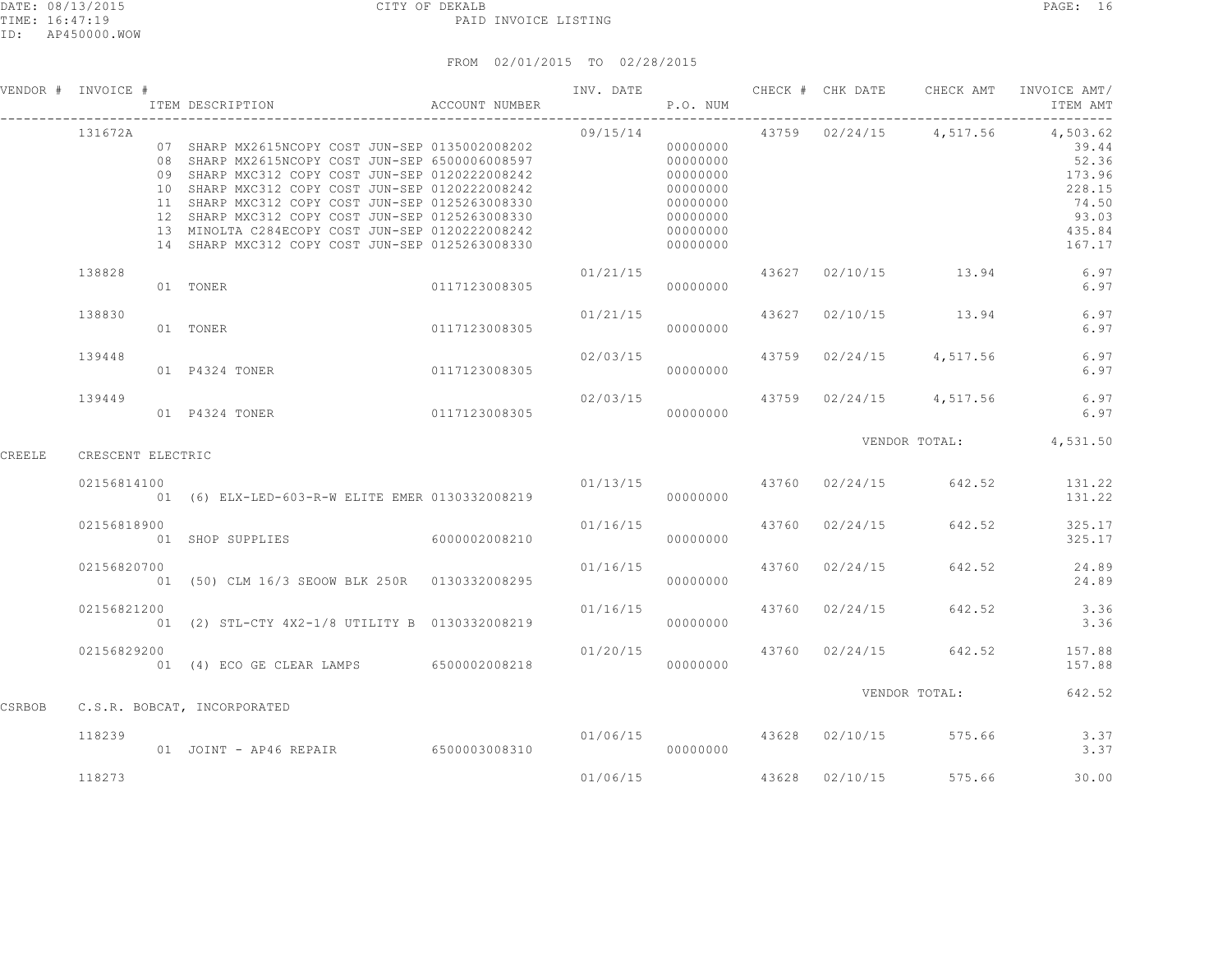| VENDOR # INVOICE # |                   | ITEM DESCRIPTION                                                                                                                                                                                                                                                                                               | ACCOUNT NUMBER |          | P.O. NUM                                                  |                |                                       | INV. DATE 6 CHECK # CHK DATE CHECK AMT INVOICE AMT<br>ITEM AMT                                               |
|--------------------|-------------------|----------------------------------------------------------------------------------------------------------------------------------------------------------------------------------------------------------------------------------------------------------------------------------------------------------------|----------------|----------|-----------------------------------------------------------|----------------|---------------------------------------|--------------------------------------------------------------------------------------------------------------|
|                    | 131672A           | 07 SHARP MX2615NCOPY COST JUN-SEP 0135002008202<br>10 SHARP MXC312 COPY COST JUN-SEP 0120222008242<br>11 SHARP MXC312 COPY COST JUN-SEP 0125263008330<br>12 SHARP MXC312 COPY COST JUN-SEP 0125263008330<br>13 MINOLTA C284ECOPY COST JUN-SEP 0120222008242<br>14 SHARP MXC312 COPY COST JUN-SEP 0125263008330 |                | 09/15/14 | 00000000<br>000000000<br>00000000<br>00000000<br>00000000 |                |                                       | 43759 02/24/15 4,517.56 4,503.62<br>39.44<br>52.36<br>173.96<br>228.15<br>74.50<br>93.03<br>435.84<br>167.17 |
|                    | 138828            | 01 TONER                                                                                                                                                                                                                                                                                                       | 0117123008305  |          | 00000000                                                  |                |                                       | $01/21/15$ 43627 02/10/15 13.94 6.97<br>6.97                                                                 |
|                    | 138830            | 01 TONER                                                                                                                                                                                                                                                                                                       | 0117123008305  |          | 000000000                                                 |                | $01/21/15$ $43627$ $02/10/15$ $13.94$ | 6.97<br>6.97                                                                                                 |
|                    | 139448            | 01 P4324 TONER                                                                                                                                                                                                                                                                                                 | 0117123008305  | 02/03/15 | 00000000                                                  |                | 43759 02/24/15 4,517.56               | 6.97<br>6.97                                                                                                 |
|                    | 139449            | 01 P4324 TONER                                                                                                                                                                                                                                                                                                 |                | 02/03/15 |                                                           |                |                                       | 43759 02/24/15 4,517.56 6.97<br>6.97                                                                         |
| CREELE             | CRESCENT ELECTRIC |                                                                                                                                                                                                                                                                                                                |                |          |                                                           |                |                                       | VENDOR TOTAL: 4,531.50                                                                                       |
|                    | 02156814100       | 01 (6) ELX-LED-603-R-W ELITE EMER 0130332008219                                                                                                                                                                                                                                                                |                |          | 000000000                                                 |                |                                       | $01/13/15$ $43760$ $02/24/15$ $642.52$ $131.22$<br>131.22                                                    |
|                    | 02156818900       | 01 SHOP SUPPLIES 6000002008210                                                                                                                                                                                                                                                                                 |                | 01/16/15 | 00000000                                                  |                | 43760 02/24/15 642.52                 | 325.17<br>325.17                                                                                             |
|                    | 02156820700       | 01 (50) CLM 16/3 SEOOW BLK 250R 0130332008295                                                                                                                                                                                                                                                                  |                | 01/16/15 | 00000000                                                  | 43760 02/24/15 | 642.52                                | 24.89<br>24.89                                                                                               |
|                    | 02156821200       | 01 (2) STL-CTY 4X2-1/8 UTILITY B 0130332008219                                                                                                                                                                                                                                                                 |                | 01/16/15 | 00000000                                                  |                | 43760 02/24/15 642.52                 | 3.36<br>3.36                                                                                                 |
|                    | 02156829200       | 01 (4) ECO GE CLEAR LAMPS 6500002008218                                                                                                                                                                                                                                                                        |                |          | 00000000                                                  |                |                                       | $01/20/15$ $43760$ $02/24/15$ $642.52$ $157.88$<br>157.88                                                    |
| CSRBOB             |                   | C.S.R. BOBCAT, INCORPORATED                                                                                                                                                                                                                                                                                    |                |          |                                                           |                | VENDOR TOTAL:                         | 642.52                                                                                                       |
|                    | 118239            | 01 JOINT - AP46 REPAIR 6500003008310                                                                                                                                                                                                                                                                           |                |          | 00000000                                                  |                |                                       | $01/06/15$ 43628 02/10/15 575.66 3.37<br>3.37                                                                |
|                    | 118273            |                                                                                                                                                                                                                                                                                                                |                | 01/06/15 |                                                           |                | 43628 02/10/15 575.66                 | 30.00                                                                                                        |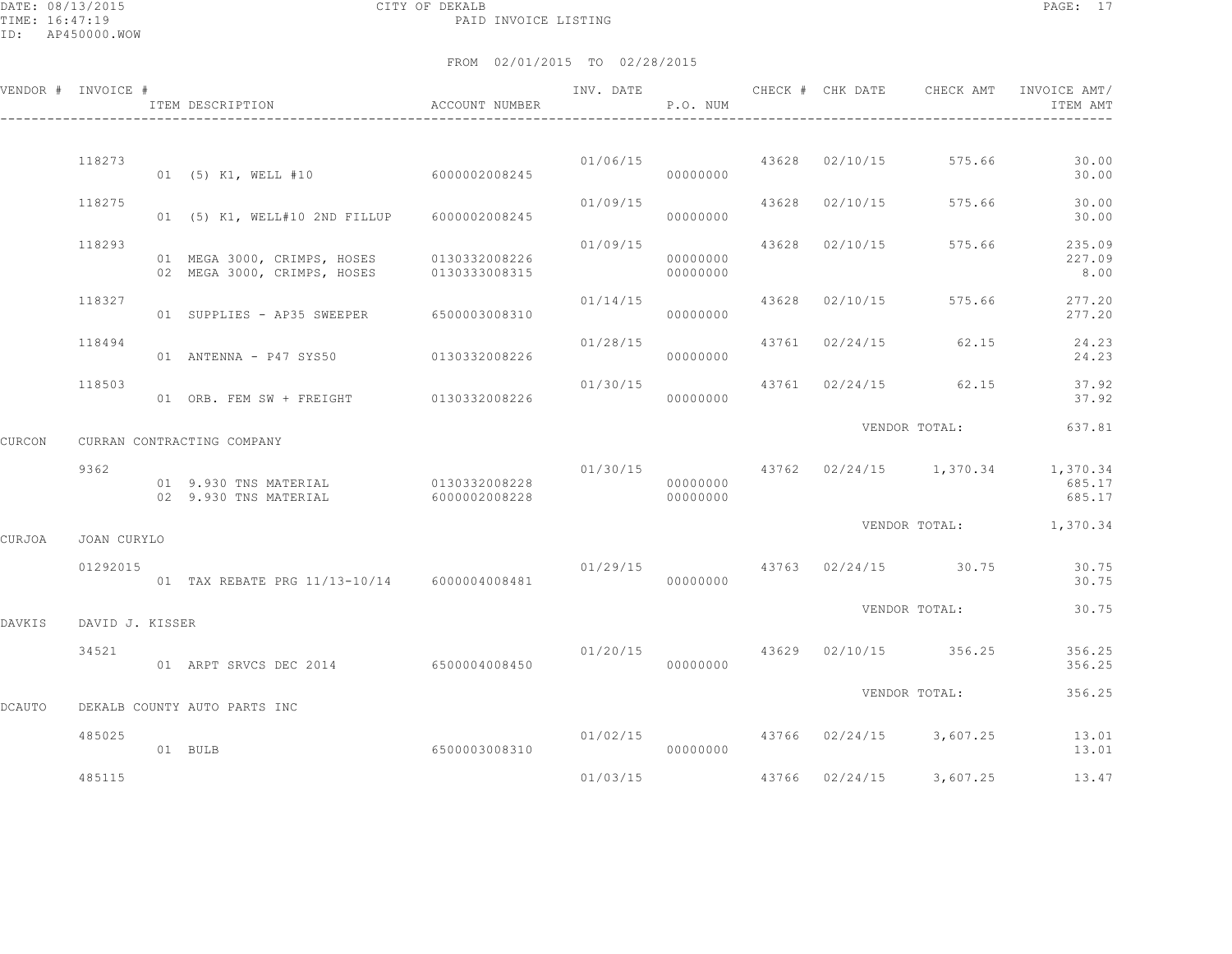DATE: 08/13/2015 CITY OF DEKALB PAGE: 17 PAID INVOICE LISTING

ID: AP450000.WOW

|        | VENDOR # INVOICE #       | ITEM DESCRIPTION                                                                       | ACCOUNT NUMBER                 | INV. DATE | P.O. NUM             |                |                                        | CHECK # CHK DATE CHECK AMT INVOICE AMT/<br>ITEM AMT                     |
|--------|--------------------------|----------------------------------------------------------------------------------------|--------------------------------|-----------|----------------------|----------------|----------------------------------------|-------------------------------------------------------------------------|
|        |                          |                                                                                        |                                |           |                      |                |                                        |                                                                         |
|        | 118273                   | 01 (5) K1, WELL #10 6000002008245                                                      |                                |           | 00000000             |                | $01/06/15$ $43628$ $02/10/15$ $575.66$ | 30.00<br>30.00                                                          |
|        | 118275                   | 01 (5) K1, WELL#10 2ND FILLUP 6000002008245                                            |                                | 01/09/15  | 00000000             | 43628 02/10/15 |                                        | 30.00<br>575.66<br>30.00                                                |
|        | 118293                   | 01 MEGA 3000, CRIMPS, HOSES 0130332008226<br>02 MEGA 3000, CRIMPS, HOSES 0130333008315 |                                | 01/09/15  | 00000000<br>00000000 | 43628 02/10/15 | 575.66                                 | 235.09<br>227.09<br>8.00                                                |
|        | 118327                   | 01 SUPPLIES - AP35 SWEEPER 6500003008310                                               |                                | 01/14/15  | 00000000             | 43628 02/10/15 | 575.66                                 | 277.20<br>277.20                                                        |
|        | 118494                   | 01 ANTENNA - P47 SYS50 0130332008226                                                   |                                | 01/28/15  | 00000000             |                | 43761 02/24/15 62.15                   | 24.23<br>24.23                                                          |
|        | 118503                   | 01 ORB. FEM SW + FREIGHT 0130332008226                                                 |                                |           | 00000000             |                | $01/30/15$ $43761$ $02/24/15$ $62.15$  | 37.92<br>37.92                                                          |
| CURCON |                          | CURRAN CONTRACTING COMPANY                                                             |                                |           |                      |                | VENDOR TOTAL:                          | 637.81                                                                  |
|        | 9362                     | 01 9.930 TNS MATERIAL<br>02 9.930 TNS MATERIAL                                         | 0130332008228<br>6000002008228 |           | 00000000<br>00000000 |                |                                        | $01/30/15$ $43762$ $02/24/15$ $1,370.34$ $1,370.34$<br>685.17<br>685.17 |
| CURJOA | JOAN CURYLO              |                                                                                        |                                |           |                      |                |                                        | VENDOR TOTAL: 1,370.34                                                  |
|        | 01292015                 | 01 TAX REBATE PRG 11/13-10/14 6000004008481                                            |                                |           | 00000000             |                | $01/29/15$ $43763$ $02/24/15$ $30.75$  | 30.75<br>30.75                                                          |
|        |                          |                                                                                        |                                |           |                      |                | VENDOR TOTAL:                          | 30.75                                                                   |
| DAVKIS | DAVID J. KISSER<br>34521 | 01 ARPT SRVCS DEC 2014 6500004008450                                                   |                                |           | 00000000             |                | $01/20/15$ $43629$ $02/10/15$ $356.25$ | 356.25<br>356.25                                                        |
|        |                          |                                                                                        |                                |           |                      |                | VENDOR TOTAL:                          | 356.25                                                                  |
| DCAUTO |                          | DEKALB COUNTY AUTO PARTS INC                                                           |                                |           |                      |                |                                        |                                                                         |
|        | 485025                   | 01 BULB                                                                                | 6500003008310                  | 00000000  |                      |                | $01/02/15$ 43766 02/24/15 3,607.25     | 13.01<br>13.01                                                          |
|        | 485115                   |                                                                                        |                                | 01/03/15  |                      |                | 43766 02/24/15 3,607.25                | 13.47                                                                   |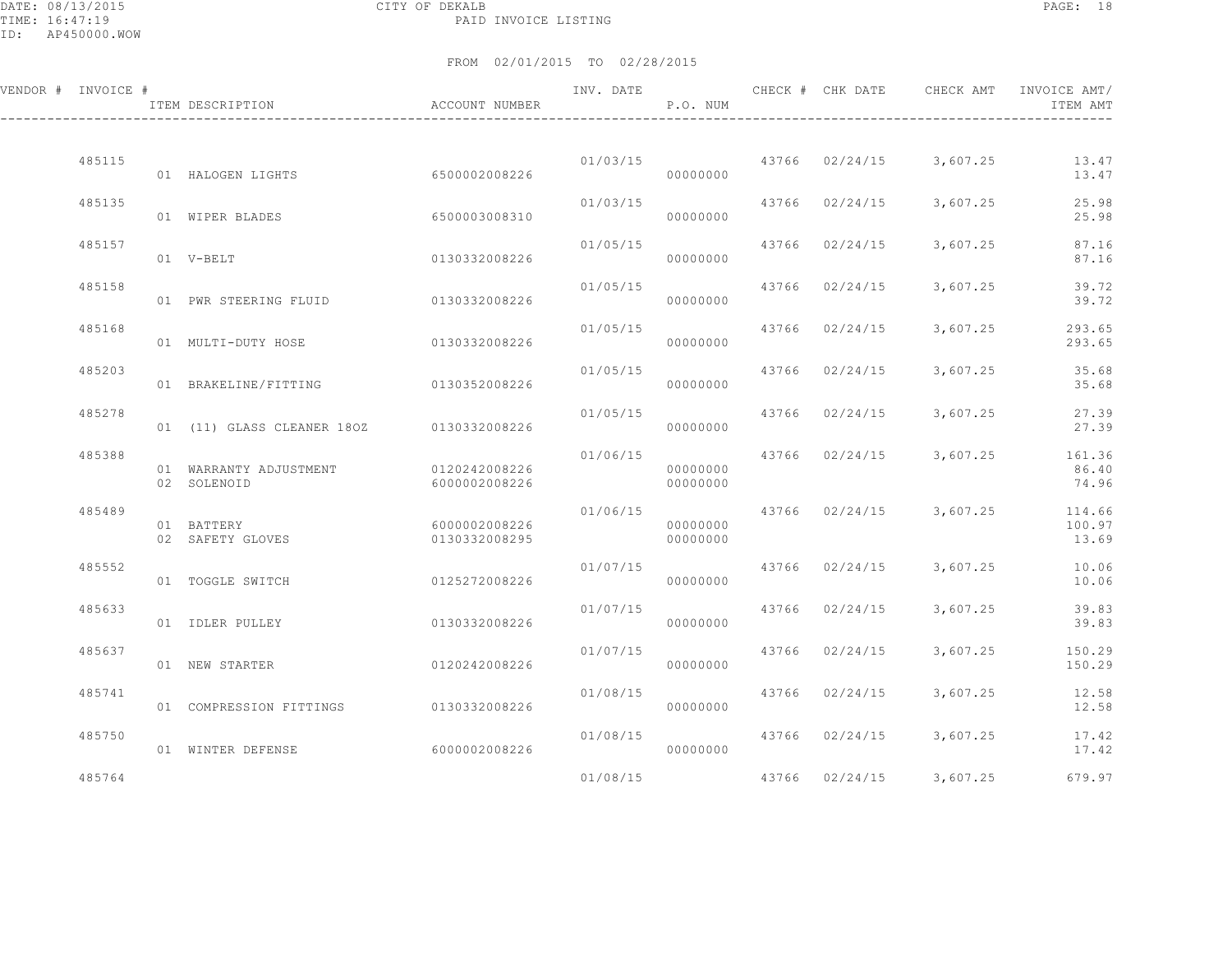DATE: 08/13/2015 CITY OF DEKALB PAGE: 18 PAID INVOICE LISTING

ID: AP450000.WOW

| VENDOR # INVOICE # | ITEM DESCRIPTION                         | ACCOUNT NUMBER                 | INV. DATE | P.O. NUM             |       |                         | CHECK # CHK DATE CHECK AMT | INVOICE AMT/<br>ITEM AMT  |
|--------------------|------------------------------------------|--------------------------------|-----------|----------------------|-------|-------------------------|----------------------------|---------------------------|
| 485115             |                                          |                                |           |                      |       | 01/03/15 43766 02/24/15 | 3,607.25                   | 13.47                     |
|                    | 01 HALOGEN LIGHTS                        | 6500002008226                  |           | 00000000             |       |                         |                            | 13.47                     |
| 485135             | 01 WIPER BLADES                          | 6500003008310                  | 01/03/15  | 00000000             |       | 43766 02/24/15          | 3,607.25                   | 25.98<br>25.98            |
| 485157             | 01 V-BELT                                | 0130332008226                  | 01/05/15  | 00000000             |       | 43766 02/24/15          | 3,607.25                   | 87.16<br>87.16            |
| 485158             | 01 PWR STEERING FLUID                    | 0130332008226                  | 01/05/15  | 00000000             | 43766 | 02/24/15                | 3,607.25                   | 39.72<br>39.72            |
| 485168             | 01 MULTI-DUTY HOSE                       | 0130332008226                  | 01/05/15  | 00000000             |       | 43766 02/24/15          | 3,607.25                   | 293.65<br>293.65          |
| 485203             | 01 BRAKELINE/FITTING                     | 0130352008226                  | 01/05/15  | 00000000             |       | 43766 02/24/15          | 3,607.25                   | 35.68<br>35.68            |
| 485278             | 01 (11) GLASS CLEANER 180Z 0130332008226 |                                | 01/05/15  | 00000000             |       | 43766 02/24/15          | 3,607.25                   | 27.39<br>27.39            |
| 485388             | 01 WARRANTY ADJUSTMENT<br>02 SOLENOID    | 0120242008226<br>6000002008226 | 01/06/15  | 00000000<br>00000000 |       | 43766 02/24/15          | 3,607.25                   | 161.36<br>86.40<br>74.96  |
| 485489             | 01 BATTERY<br>02 SAFETY GLOVES           | 6000002008226<br>0130332008295 | 01/06/15  | 00000000<br>00000000 |       | 43766 02/24/15          | 3,607.25                   | 114.66<br>100.97<br>13.69 |
| 485552             | 01 TOGGLE SWITCH                         | 0125272008226                  | 01/07/15  | 00000000             |       | 43766 02/24/15          | 3,607.25                   | 10.06<br>10.06            |
| 485633             | 01 IDLER PULLEY                          | 0130332008226                  | 01/07/15  | 00000000             |       | 43766 02/24/15          | 3,607.25                   | 39.83<br>39.83            |
| 485637             | 01 NEW STARTER                           | 0120242008226                  | 01/07/15  | 00000000             |       | 43766 02/24/15          | 3,607.25                   | 150.29<br>150.29          |
| 485741             | 01 COMPRESSION FITTINGS 0130332008226    |                                | 01/08/15  | 00000000             |       | 43766 02/24/15          | 3,607.25                   | 12.58<br>12.58            |
| 485750             | 01 WINTER DEFENSE                        | 60000002008226                 | 01/08/15  | 00000000             |       | 43766 02/24/15          | 3,607.25                   | 17.42<br>17.42            |
| 485764             |                                          |                                | 01/08/15  |                      |       | 43766 02/24/15          | 3,607.25                   | 679.97                    |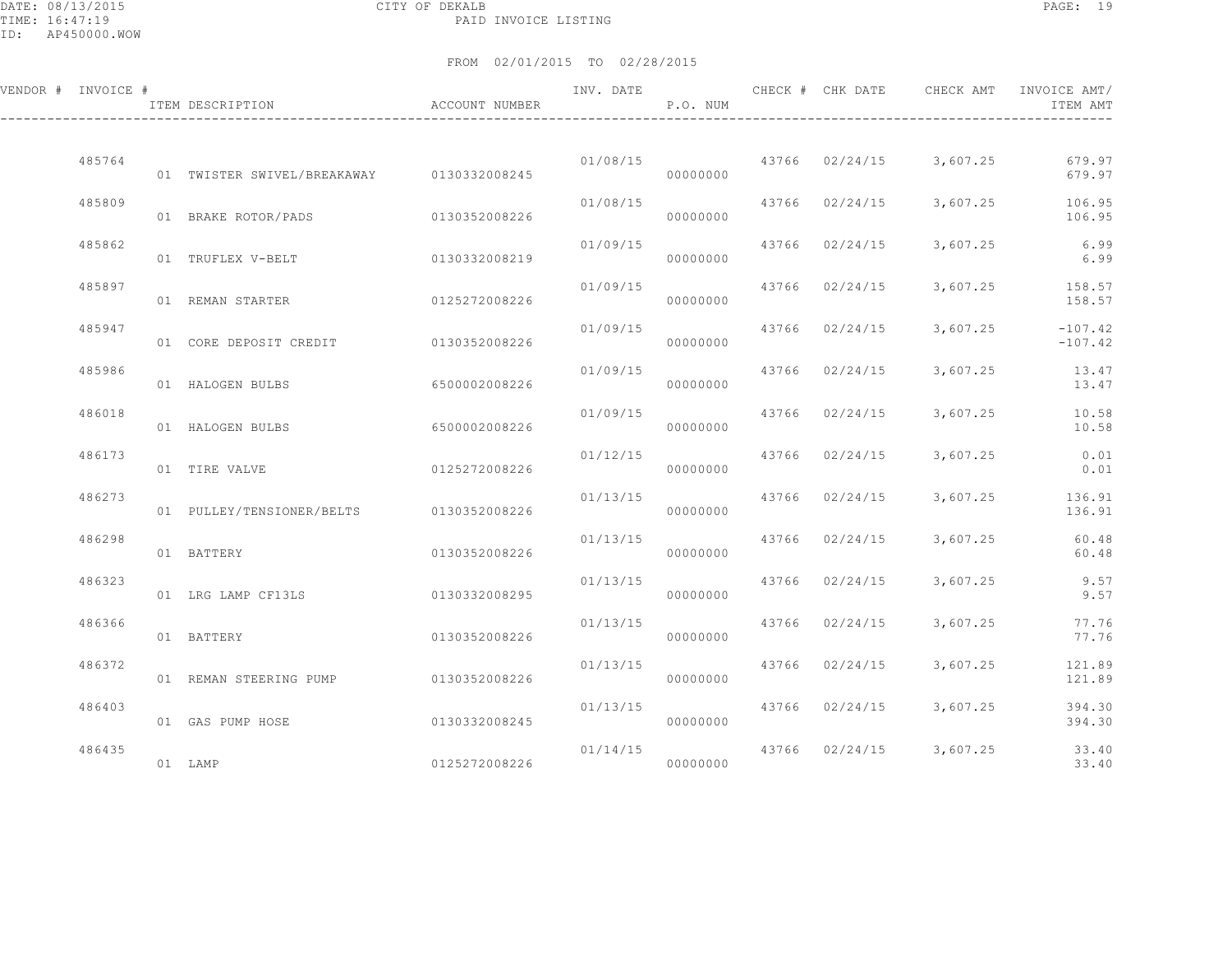DATE: 08/13/2015 CITY OF DEKALB PAGE: 19 PAID INVOICE LISTING

| VENDOR # INVOICE # |        | ITEM DESCRIPTION                          | ACCOUNT NUMBER         | INV. DATE | P.O. NUM | CHECK # CHK DATE | CHECK AMT                                        | INVOICE AMT/<br>ITEM AMT                   |
|--------------------|--------|-------------------------------------------|------------------------|-----------|----------|------------------|--------------------------------------------------|--------------------------------------------|
|                    | 485764 | 01 TWISTER SWIVEL/BREAKAWAY 0130332008245 |                        | 01/08/15  | 00000000 |                  |                                                  | $43766$ 02/24/15 3,607.25 679.97<br>679.97 |
|                    | 485809 | 01 BRAKE ROTOR/PADS 0130352008226         |                        | 01/08/15  | 00000000 | 43766 02/24/15   |                                                  | 3,607.25 106.95<br>106.95                  |
|                    | 485862 | 01 TRUFLEX V-BELT                         | 0130332008219          | 01/09/15  | 00000000 | 43766 02/24/15   | 3,607.25                                         | 6.99<br>6.99                               |
|                    | 485897 | 01 REMAN STARTER                          | 0125272008226          | 01/09/15  | 00000000 | 43766 02/24/15   |                                                  | 3,607.25 158.57<br>158.57                  |
|                    | 485947 | 01 CORE DEPOSIT CREDIT 0130352008226      |                        | 01/09/15  | 00000000 | 43766 02/24/15   | 3,607.25                                         | $-107.42$<br>$-107.42$                     |
|                    | 485986 | 01 HALOGEN BULBS                          | 6500002008226          | 01/09/15  | 00000000 | 43766 02/24/15   |                                                  | 3,607.25 13.47<br>13.47                    |
|                    | 486018 | 01 HALOGEN BULBS                          | 6500002008226          | 01/09/15  | 00000000 | 43766 02/24/15   | 3,607.25                                         | 10.58<br>10.58                             |
|                    | 486173 | 01 TIRE VALVE                             | 0125272008226          | 01/12/15  | 00000000 | 43766 02/24/15   | 3,607.25                                         | 0.01<br>0.01                               |
|                    | 486273 | 01 PULLEY/TENSIONER/BELTS 0130352008226   |                        | 01/13/15  | 00000000 | 43766 02/24/15   |                                                  | 3,607.25 136.91<br>136.91                  |
|                    | 486298 | 01 BATTERY                                | 0130352008226          | 01/13/15  | 00000000 | 43766 02/24/15   | 3,607.25                                         | 60.48<br>60.48                             |
|                    | 486323 | 01 LRG LAMP CF13LS                        | 0130332008295          | 01/13/15  | 00000000 | 43766 02/24/15   | 3,607.25                                         | 9.57<br>9.57                               |
|                    | 486366 | 01 BATTERY                                | 0130352008226          | 01/13/15  | 00000000 | 43766 02/24/15   | 3,607.25                                         | 77.76<br>77.76                             |
|                    | 486372 | 01 REMAN STEERING PUMP                    | 0130352008226          | 01/13/15  | 00000000 | 43766 02/24/15   | 3,607.25                                         | 121.89<br>121.89                           |
|                    | 486403 | 01 GAS PUMP HOSE                          | 0130332008245          | 01/13/15  | 00000000 | 43766 02/24/15   | 3,607.25                                         | 394.30<br>394.30                           |
|                    | 486435 | 01 LAMP                                   | 0125272008226 00000000 |           |          |                  | $01/14/15$ $43766$ $02/24/15$ $3,607.25$ $33.40$ | 33.40                                      |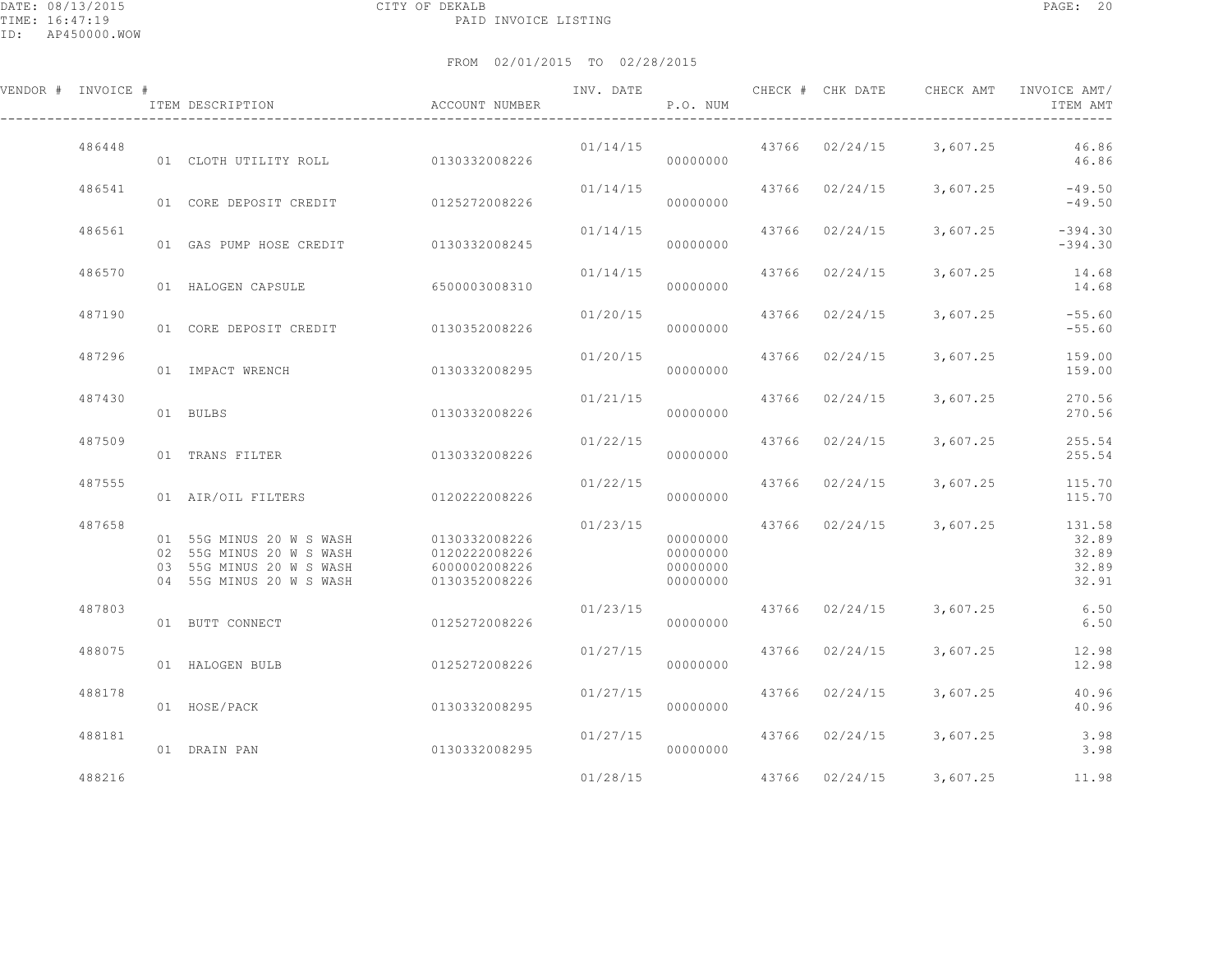| VENDOR # INVOICE # | ITEM DESCRIPTION                                                                                                           | ACCOUNT NUMBER                                  |                         | P.O. NUM                                     |                |                           | INV. DATE 6 CHECK # CHK DATE CHECK AMT INVOICE AMT/<br>ITEM AMT    |
|--------------------|----------------------------------------------------------------------------------------------------------------------------|-------------------------------------------------|-------------------------|----------------------------------------------|----------------|---------------------------|--------------------------------------------------------------------|
| 486448             | 01 CLOTH UTILITY ROLL 0130332008226                                                                                        |                                                 | 01/14/15                | 00000000                                     |                | $43766$ 02/24/15 3,607.25 | 46.86<br>46.86                                                     |
| 486541             | 01 CORE DEPOSIT CREDIT 0125272008226                                                                                       |                                                 | 01/14/15                | 00000000                                     | 43766 02/24/15 |                           | $3,607.25$ -49.50<br>$-49.50$                                      |
| 486561             | 01 GAS PUMP HOSE CREDIT 0130332008245                                                                                      |                                                 | 01/14/15                | 00000000                                     | 43766 02/24/15 | 3,607.25                  | $-394.30$<br>$-394.30$                                             |
| 486570             | 01 HALOGEN CAPSULE                                                                                                         | 6500003008310                                   | 01/14/15                | 00000000                                     | 43766 02/24/15 | 3,607.25                  | 14.68<br>14.68                                                     |
| 487190             | 01 CORE DEPOSIT CREDIT 0130352008226                                                                                       |                                                 | 01/20/15                | 00000000                                     | 43766 02/24/15 | 3,607.25                  | $-55.60$<br>$-55.60$                                               |
| 487296             | 01 IMPACT WRENCH                                                                                                           | 0130332008295                                   | 01/20/15                | 00000000                                     | 43766 02/24/15 | 3,607.25                  | 159.00<br>159.00                                                   |
| 487430             | 01 BULBS                                                                                                                   | 0130332008226                                   | 01/21/15                | 00000000                                     | 43766 02/24/15 | 3,607.25                  | 270.56<br>270.56                                                   |
| 487509             | 01 TRANS FILTER                                                                                                            | 0130332008226                                   | 01/22/15                | 00000000                                     | 43766 02/24/15 | 3,607.25                  | 255.54<br>255.54                                                   |
| 487555             | 01 AIR/OIL FILTERS                                                                                                         | 0120222008226                                   | 01/22/15 43766 02/24/15 | 00000000                                     |                | 3,607.25                  | 115.70<br>115.70                                                   |
| 487658             | 01 55G MINUS 20 W S WASH 0130332008226<br>02 55G MINUS 20 W S WASH<br>03 55G MINUS 20 W S WASH<br>04 55G MINUS 20 W S WASH | 0120222008226<br>6000002008226<br>0130352008226 | 01/23/15                | 00000000<br>00000000<br>00000000<br>00000000 |                |                           | 43766 02/24/15 3,607.25 131.58<br>32.89<br>32.89<br>32.89<br>32.91 |
| 487803             | 01 BUTT CONNECT                                                                                                            | 0125272008226                                   | 01/23/15 43766 02/24/15 | 00000000                                     |                | 3,607.25                  | 6.50<br>6.50                                                       |
| 488075             | 01 HALOGEN BULB                                                                                                            | 0125272008226                                   | 01/27/15                | 00000000                                     | 43766 02/24/15 | 3,607.25                  | 12.98<br>12.98                                                     |
| 488178             | 01 HOSE/PACK                                                                                                               | 0130332008295                                   | 01/27/15                | 00000000                                     | 43766 02/24/15 | 3,607.25                  | 40.96<br>40.96                                                     |
| 488181             | 01 DRAIN PAN                                                                                                               | 0130332008295                                   | 01/27/15                | 00000000                                     |                | 43766 02/24/15 3,607.25   | 3.98<br>3.98                                                       |
| 488216             |                                                                                                                            |                                                 | 01/28/15                |                                              |                | 43766 02/24/15 3,607.25   | 11.98                                                              |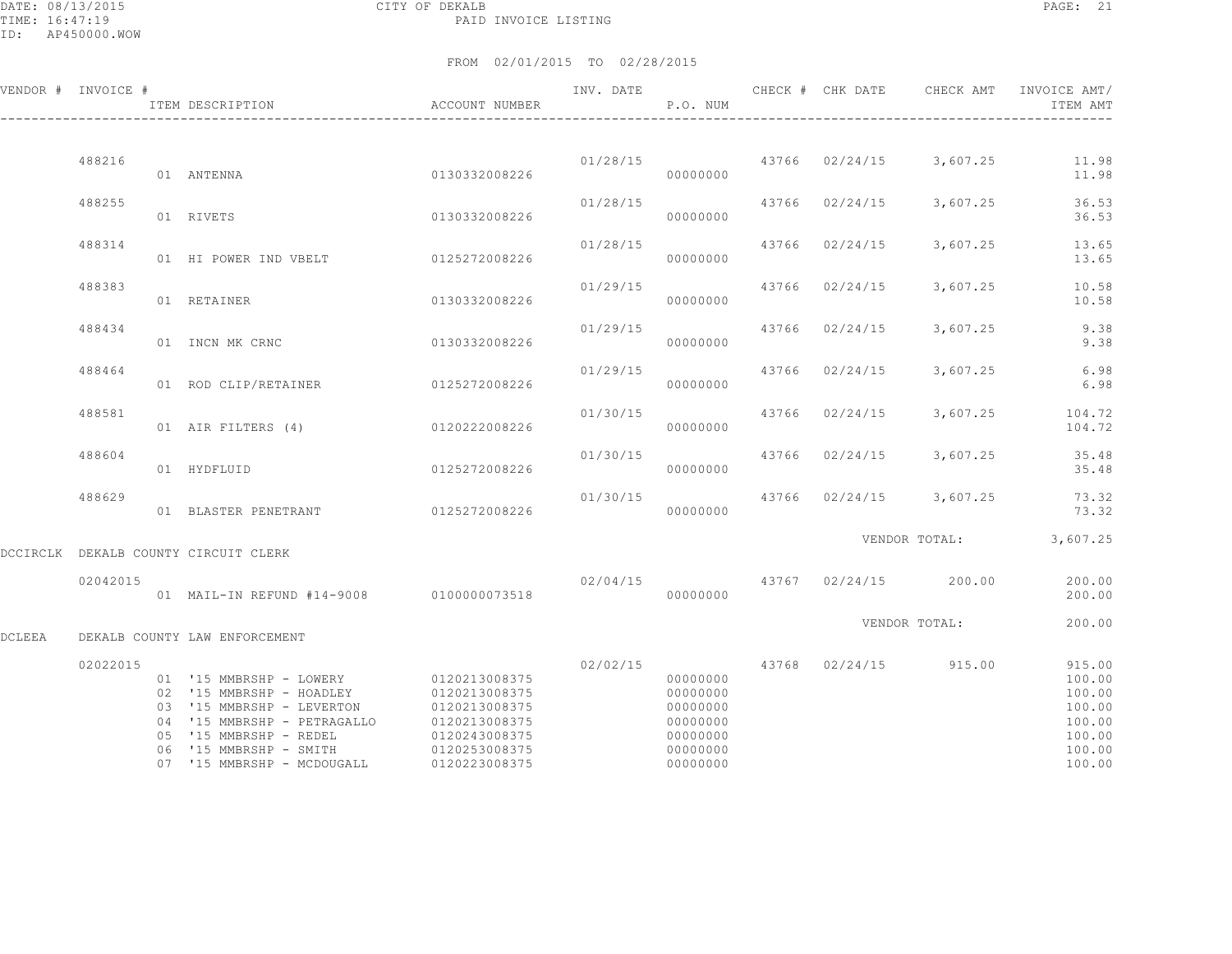DATE: 08/13/2015 CITY OF DEKALB PAGE: 21 PAID INVOICE LISTING

|        | VENDOR # INVOICE # |    | ACCOUNT NUMBER<br>ITEM DESCRIPTION                                                                                                        |                                                                                   | INV. DATE                     | P.O. NUM                                                 |       | CHECK # CHK DATE |                         | CHECK AMT INVOICE AMT/<br>ITEM AMT                       |
|--------|--------------------|----|-------------------------------------------------------------------------------------------------------------------------------------------|-----------------------------------------------------------------------------------|-------------------------------|----------------------------------------------------------|-------|------------------|-------------------------|----------------------------------------------------------|
|        |                    |    |                                                                                                                                           |                                                                                   |                               |                                                          |       |                  |                         |                                                          |
|        | 488216             |    | 01 ANTENNA                                                                                                                                | 0130332008226                                                                     | 01/28/15                      | 00000000                                                 |       |                  | 43766 02/24/15 3,607.25 | 11.98<br>11.98                                           |
|        | 488255             |    | 01 RIVETS                                                                                                                                 | 0130332008226                                                                     | 01/28/15                      | 00000000                                                 |       | 43766 02/24/15   | 3,607.25                | 36.53<br>36.53                                           |
|        | 488314             |    | 01 HI POWER IND VBELT                                                                                                                     | 0125272008226                                                                     | 01/28/15                      | 00000000                                                 |       | 43766 02/24/15   | 3,607.25                | 13.65<br>13.65                                           |
|        | 488383             |    | 01 RETAINER                                                                                                                               | 0130332008226                                                                     | 01/29/15                      | 00000000                                                 |       | 43766 02/24/15   | 3,607.25                | 10.58<br>10.58                                           |
|        | 488434             |    | 01 INCN MK CRNC                                                                                                                           | 0130332008226                                                                     | 01/29/15                      | 00000000                                                 |       | 43766 02/24/15   | 3,607.25                | 9.38<br>9.38                                             |
|        | 488464             |    | 01 ROD CLIP/RETAINER                                                                                                                      | 0125272008226                                                                     | 01/29/15                      | 00000000                                                 | 43766 | 02/24/15         | 3,607.25                | 6.98<br>6.98                                             |
|        | 488581             |    | 01 AIR FILTERS (4)                                                                                                                        | 0120222008226                                                                     | 01/30/15                      | 00000000                                                 | 43766 | 02/24/15         |                         | 3,607.25 104.72<br>104.72                                |
|        | 488604             |    | 01 HYDFLUID                                                                                                                               | 0125272008226                                                                     | 01/30/15                      | 00000000                                                 |       | 43766 02/24/15   | 3,607.25                | 35.48<br>35.48                                           |
|        | 488629             |    | 01 BLASTER PENETRANT 0125272008226                                                                                                        |                                                                                   | 01/30/15                      | 00000000                                                 |       |                  | 43766 02/24/15 3,607.25 | 73.32<br>73.32                                           |
|        |                    |    |                                                                                                                                           |                                                                                   |                               |                                                          |       |                  | VENDOR TOTAL:           | 3,607.25                                                 |
|        |                    |    | DCCIRCLK DEKALB COUNTY CIRCUIT CLERK                                                                                                      |                                                                                   |                               |                                                          |       |                  |                         |                                                          |
|        | 02042015           |    | 01 MAIL-IN REFUND #14-9008 0100000073518                                                                                                  |                                                                                   | $02/04/15$ $43767$ $02/24/15$ | 00000000                                                 |       |                  | 200.00                  | 200.00<br>200.00                                         |
| DCLEEA |                    |    | DEKALB COUNTY LAW ENFORCEMENT                                                                                                             |                                                                                   |                               |                                                          |       |                  | VENDOR TOTAL:           | 200.00                                                   |
|        | 02022015           |    | 01 '15 MMBRSHP - LOWERY<br>02 '15 MMBRSHP - HOADLEY<br>03 '15 MMBRSHP - LEVERTON<br>04 '15 MMBRSHP - PETRAGALLO<br>05 '15 MMBRSHP - REDEL | 0120213008375<br>0120213008375<br>0120213008375<br>0120213008375<br>0120243008375 | 02/02/15                      | 00000000<br>00000000<br>00000000<br>00000000<br>00000000 |       |                  | 43768 02/24/15 915.00   | 915.00<br>100.00<br>100.00<br>100.00<br>100.00<br>100.00 |
|        |                    | 06 | '15 MMBRSHP - SMITH<br>07 '15 MMBRSHP - MCDOUGALL                                                                                         | 0120253008375<br>0120223008375                                                    |                               | 00000000<br>00000000                                     |       |                  |                         | 100.00<br>100.00                                         |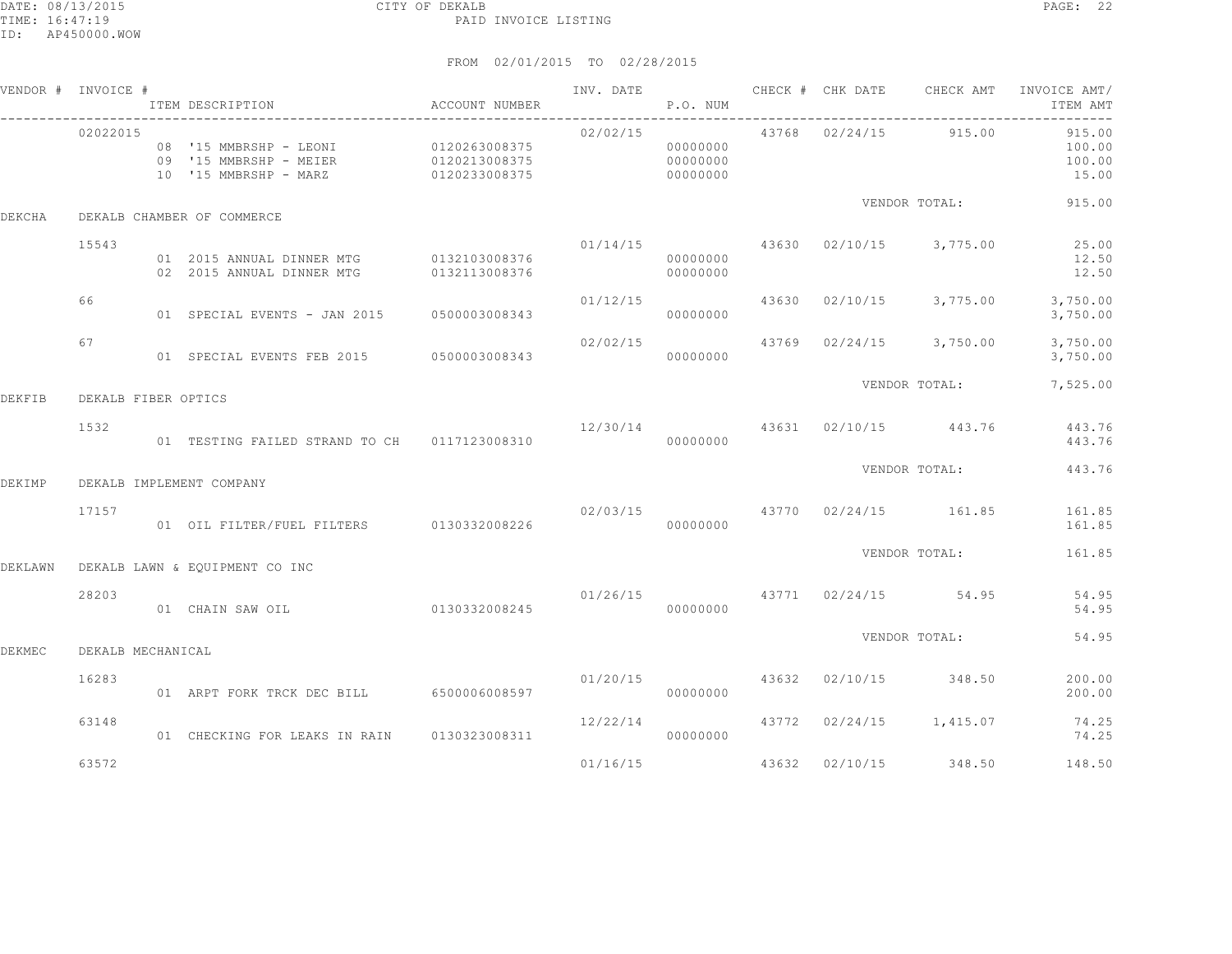|               | VENDOR # INVOICE #  | ITEM DESCRIPTION                                                                                      | ACCOUNT NUMBER |          | P.O. NUM                         |  |                                        | INV. DATE 6 CHECK # CHK DATE CHECK AMT INVOICE AMT/<br>ITEM AMT |
|---------------|---------------------|-------------------------------------------------------------------------------------------------------|----------------|----------|----------------------------------|--|----------------------------------------|-----------------------------------------------------------------|
|               | 02022015            | 08 '15 MMBRSHP - LEONI 0120263008375<br>09 '15 MMBRSHP - MEIER 0120213008375<br>10 '15 MMBRSHP - MARZ | 0120233008375  | 02/02/15 | 00000000<br>00000000<br>00000000 |  | 43768 02/24/15 915.00                  | 915.00<br>100.00<br>100.00<br>15.00                             |
| <b>DEKCHA</b> |                     | DEKALB CHAMBER OF COMMERCE                                                                            |                |          |                                  |  | VENDOR TOTAL:                          | 915.00                                                          |
|               | 15543               |                                                                                                       |                |          | 00000000<br>00000000             |  | $01/14/15$ 43630 02/10/15 3,775.00     | 25.00<br>12.50<br>12.50                                         |
|               | 66                  | 01 SPECIAL EVENTS - JAN 2015 0500003008343                                                            |                | 01/12/15 | 00000000                         |  | 43630 02/10/15 3,775.00                | 3,750.00<br>3,750.00                                            |
|               | 67                  | 01 SPECIAL EVENTS FEB 2015 0500003008343                                                              |                |          | 00000000                         |  | $02/02/15$ 43769 02/24/15 3,750.00     | 3,750.00<br>3,750.00                                            |
| <b>DEKFIB</b> | DEKALB FIBER OPTICS |                                                                                                       |                |          |                                  |  | VENDOR TOTAL:                          | 7,525.00                                                        |
|               | 1532                | 01 TESTING FAILED STRAND TO CH  0117123008310                                                         |                |          | 00000000                         |  |                                        | $12/30/14$ $43631$ $02/10/15$ $443.76$ $443.76$<br>443.76       |
| DEKIMP        |                     | DEKALB IMPLEMENT COMPANY                                                                              |                |          |                                  |  | VENDOR TOTAL:                          | 443.76                                                          |
|               | 17157               | 01 OIL FILTER/FUEL FILTERS 0130332008226                                                              |                |          | 00000000                         |  | $02/03/15$ $43770$ $02/24/15$ $161.85$ | 161.85<br>161.85                                                |
| DEKLAWN       |                     | DEKALB LAWN & EQUIPMENT CO INC                                                                        |                |          |                                  |  | VENDOR TOTAL:                          | 161.85                                                          |
|               | 28203               |                                                                                                       |                |          |                                  |  | $01/26/15$ $43771$ $02/24/15$ $54.95$  | 54.95<br>54.95                                                  |
| <b>DEKMEC</b> | DEKALB MECHANICAL   |                                                                                                       |                |          |                                  |  | VENDOR TOTAL:                          | 54.95                                                           |
|               | 16283               | 01 ARPT FORK TRCK DEC BILL 6500006008597                                                              |                |          | 00000000                         |  | $01/20/15$ 43632 02/10/15 348.50       | 200.00<br>200.00                                                |
|               | 63148               | 01 CHECKING FOR LEAKS IN RAIN 0130323008311                                                           |                | 12/22/14 | 00000000                         |  | 43772 02/24/15 1,415.07                | 74.25<br>74.25                                                  |
|               | 63572               |                                                                                                       |                | 01/16/15 |                                  |  | 43632 02/10/15 348.50                  | 148.50                                                          |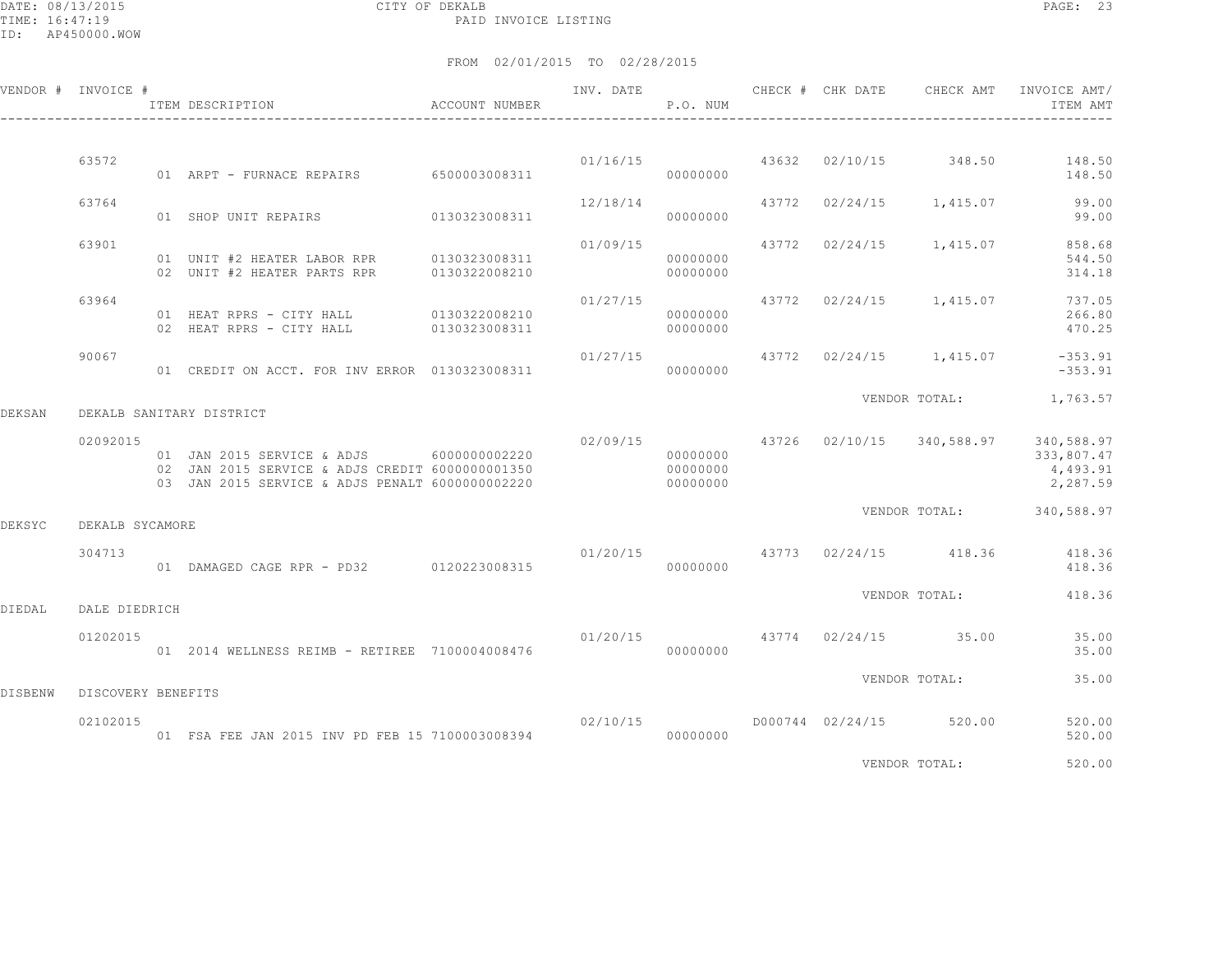|         | VENDOR # INVOICE #             | ITEM DESCRIPTION                                                                                                                               | <b>ACCOUNT NUMBER</b>          | INV. DATE                             | P.O. NUM                         | CHECK # CHK DATE | CHECK AMT               | INVOICE AMT/<br>ITEM AMT                                                                      |
|---------|--------------------------------|------------------------------------------------------------------------------------------------------------------------------------------------|--------------------------------|---------------------------------------|----------------------------------|------------------|-------------------------|-----------------------------------------------------------------------------------------------|
|         |                                |                                                                                                                                                |                                |                                       |                                  |                  |                         |                                                                                               |
|         | 63572                          | 01 ARPT - FURNACE REPAIRS 6500003008311                                                                                                        |                                |                                       | 00000000                         |                  |                         | $01/16/15$ $43632$ $02/10/15$ $348.50$ $148.50$<br>148.50                                     |
|         | 63764                          | 01 SHOP UNIT REPAIRS 0130323008311                                                                                                             |                                | 12/18/14                              | 00000000                         |                  | 43772 02/24/15 1,415.07 | 99.00<br>99.00                                                                                |
|         | 63901                          | 02 UNIT #2 HEATER PARTS RPR                                                                                                                    | 0130322008210                  | 01/09/15                              | 00000000<br>00000000             |                  | 43772 02/24/15 1,415.07 | 858.68<br>544.50<br>314.18                                                                    |
|         | 63964                          | 01 HEAT RPRS - CITY HALL<br>02 HEAT RPRS - CITY HALL                                                                                           | 0130322008210<br>0130323008311 | 01/27/15                              | 00000000<br>00000000             |                  |                         | 43772 02/24/15 1,415.07 737.05<br>266.80<br>470.25                                            |
|         | 90067                          | 01 CREDIT ON ACCT. FOR INV ERROR 0130323008311                                                                                                 |                                |                                       | 00000000                         |                  |                         | $01/27/15$ $43772$ $02/24/15$ $1,415.07$ $-353.91$<br>$-353.91$                               |
| DEKSAN  |                                | DEKALB SANITARY DISTRICT                                                                                                                       |                                |                                       |                                  |                  |                         | VENDOR TOTAL: 1,763.57                                                                        |
|         | 02092015                       | 01 JAN 2015 SERVICE & ADJS 6000000002220<br>02 JAN 2015 SERVICE & ADJS CREDIT 6000000001350<br>03 JAN 2015 SERVICE & ADJS PENALT 6000000002220 |                                |                                       | 00000000<br>00000000<br>00000000 |                  |                         | $02/09/15$ $43726$ $02/10/15$ $340,588.97$ $340,588.97$<br>333,807.47<br>4,493.91<br>2,287.59 |
| DEKSYC  | DEKALB SYCAMORE                |                                                                                                                                                |                                |                                       |                                  |                  |                         | VENDOR TOTAL: 340,588.97                                                                      |
|         | 304713                         | 01 DAMAGED CAGE RPR - PD32 0120223008315                                                                                                       |                                | 01/20/15                              | 00000000                         |                  |                         | 43773 02/24/15 418.36 418.36<br>418.36                                                        |
| DIEDAL  | DALE DIEDRICH                  |                                                                                                                                                |                                |                                       |                                  |                  | VENDOR TOTAL:           | 418.36                                                                                        |
|         | 01202015                       | 01  2014  WELLNESS  REIMB - RETIREE  7100004008476                                                                                             |                                | $01/20/15$ $43774$ $02/24/15$ $35.00$ | 00000000                         |                  |                         | 35.00<br>35.00                                                                                |
|         |                                |                                                                                                                                                |                                |                                       |                                  |                  | VENDOR TOTAL:           | 35.00                                                                                         |
| DISBENW | DISCOVERY BENEFITS<br>02102015 |                                                                                                                                                |                                | 02/10/15                              |                                  |                  | D000744 02/24/15 520.00 | 520.00<br>520.00                                                                              |
|         |                                |                                                                                                                                                |                                |                                       |                                  |                  | VENDOR TOTAL:           | 520.00                                                                                        |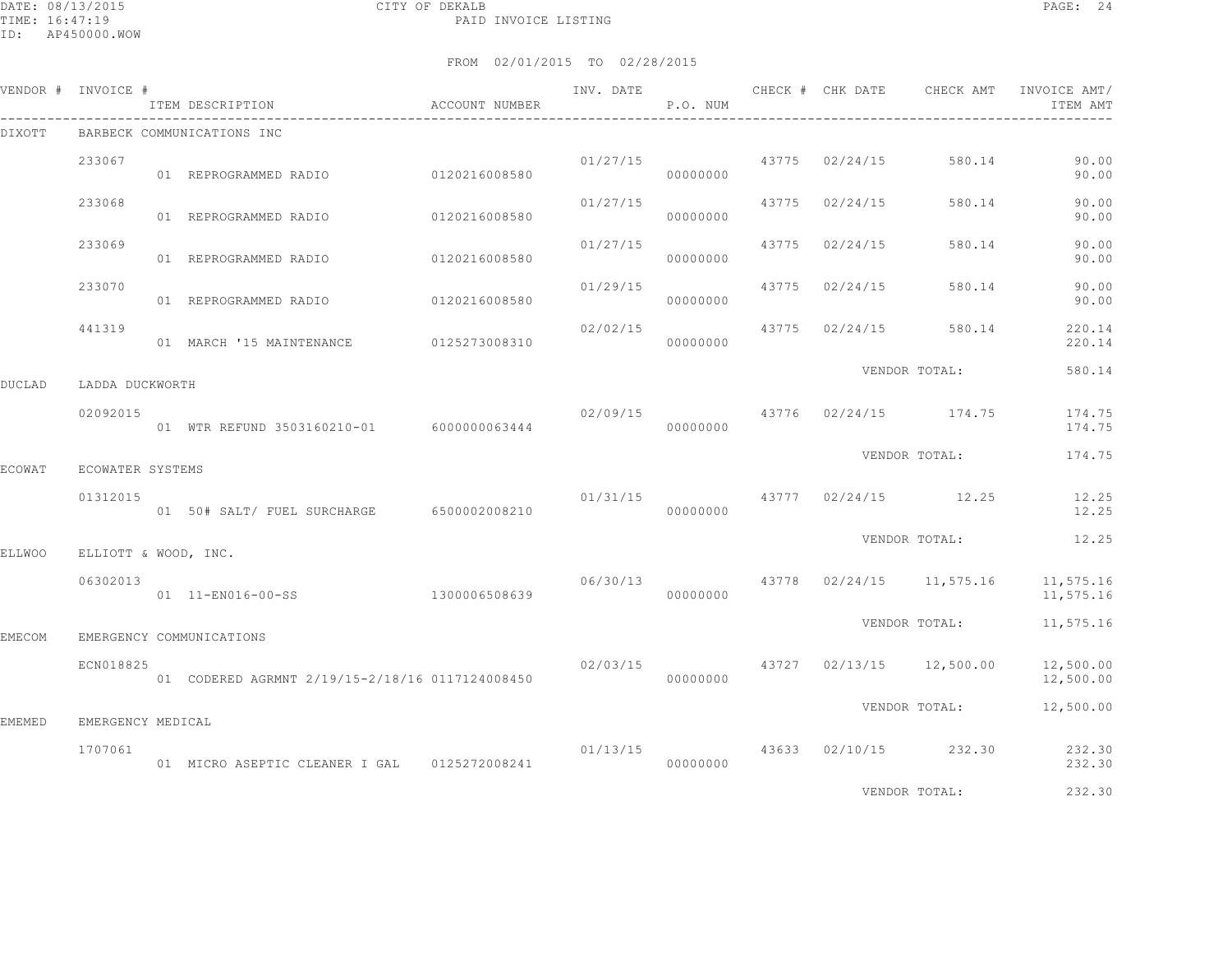|        | VENDOR # INVOICE #   | ITEM DESCRIPTION                                | ACCOUNT NUMBER | INV. DATE | P.O. NUM             |       | CHECK # CHK DATE | CHECK AMT                         | INVOICE AMT/<br>ITEM AMT |
|--------|----------------------|-------------------------------------------------|----------------|-----------|----------------------|-------|------------------|-----------------------------------|--------------------------|
| DIXOTT |                      | BARBECK COMMUNICATIONS INC                      |                |           |                      |       |                  |                                   |                          |
|        | 233067               | 01 REPROGRAMMED RADIO                           | 0120216008580  | 01/27/15  | 00000000             |       | 43775 02/24/15   | 580.14                            | 90.00<br>90.00           |
|        | 233068               | 01 REPROGRAMMED RADIO                           | 0120216008580  | 01/27/15  | 00000000             | 43775 | 02/24/15         | 580.14                            | 90.00<br>90.00           |
|        | 233069               | 01 REPROGRAMMED RADIO                           | 0120216008580  | 01/27/15  | 00000000             | 43775 | 02/24/15         | 580.14                            | 90.00<br>90.00           |
|        | 233070               | 01 REPROGRAMMED RADIO                           | 0120216008580  | 01/29/15  | 00000000             | 43775 | 02/24/15         | 580.14                            | 90.00<br>90.00           |
|        | 441319               | 01 MARCH '15 MAINTENANCE                        | 0125273008310  | 02/02/15  | 00000000             | 43775 | 02/24/15         | 580.14                            | 220.14<br>220.14         |
| DUCLAD | LADDA DUCKWORTH      |                                                 |                |           |                      |       |                  | VENDOR TOTAL:                     | 580.14                   |
|        | 02092015             | 01 WTR REFUND 3503160210-01 6000000063444       |                | 02/09/15  | 00000000             |       |                  | 43776 02/24/15 174.75             | 174.75<br>174.75         |
| ECOWAT | ECOWATER SYSTEMS     |                                                 |                |           |                      |       |                  | VENDOR TOTAL:                     | 174.75                   |
|        | 01312015             | 01 50# SALT/ FUEL SURCHARGE 6500002008210       |                | 01/31/15  | 00000000             |       |                  | 43777 02/24/15 12.25              | 12.25<br>12.25           |
| ELLWOO | ELLIOTT & WOOD, INC. |                                                 |                |           |                      |       |                  | VENDOR TOTAL:                     | 12.25                    |
|        | 06302013             | 01 11-EN016-00-SS                               | 1300006508639  |           | 00000000             |       |                  | 06/30/13 43778 02/24/15 11,575.16 | 11,575.16<br>11,575.16   |
| EMECOM |                      | EMERGENCY COMMUNICATIONS                        |                |           |                      |       |                  | VENDOR TOTAL:                     | 11,575.16                |
|        | ECN018825            | 01 CODERED AGRMNT 2/19/15-2/18/16 0117124008450 |                | 02/03/15  | 00000000             |       |                  | 43727 02/13/15 12,500.00          | 12,500.00<br>12,500.00   |
| EMEMED | EMERGENCY MEDICAL    |                                                 |                |           |                      |       |                  | VENDOR TOTAL:                     | 12,500.00                |
|        | 1707061              | 01 MICRO ASEPTIC CLEANER I GAL 0125272008241    |                |           | 01/13/15<br>00000000 |       | 43633 02/10/15   | 232.30                            | 232.30<br>232.30         |
|        |                      |                                                 |                |           |                      |       |                  | VENDOR TOTAL:                     | 232.30                   |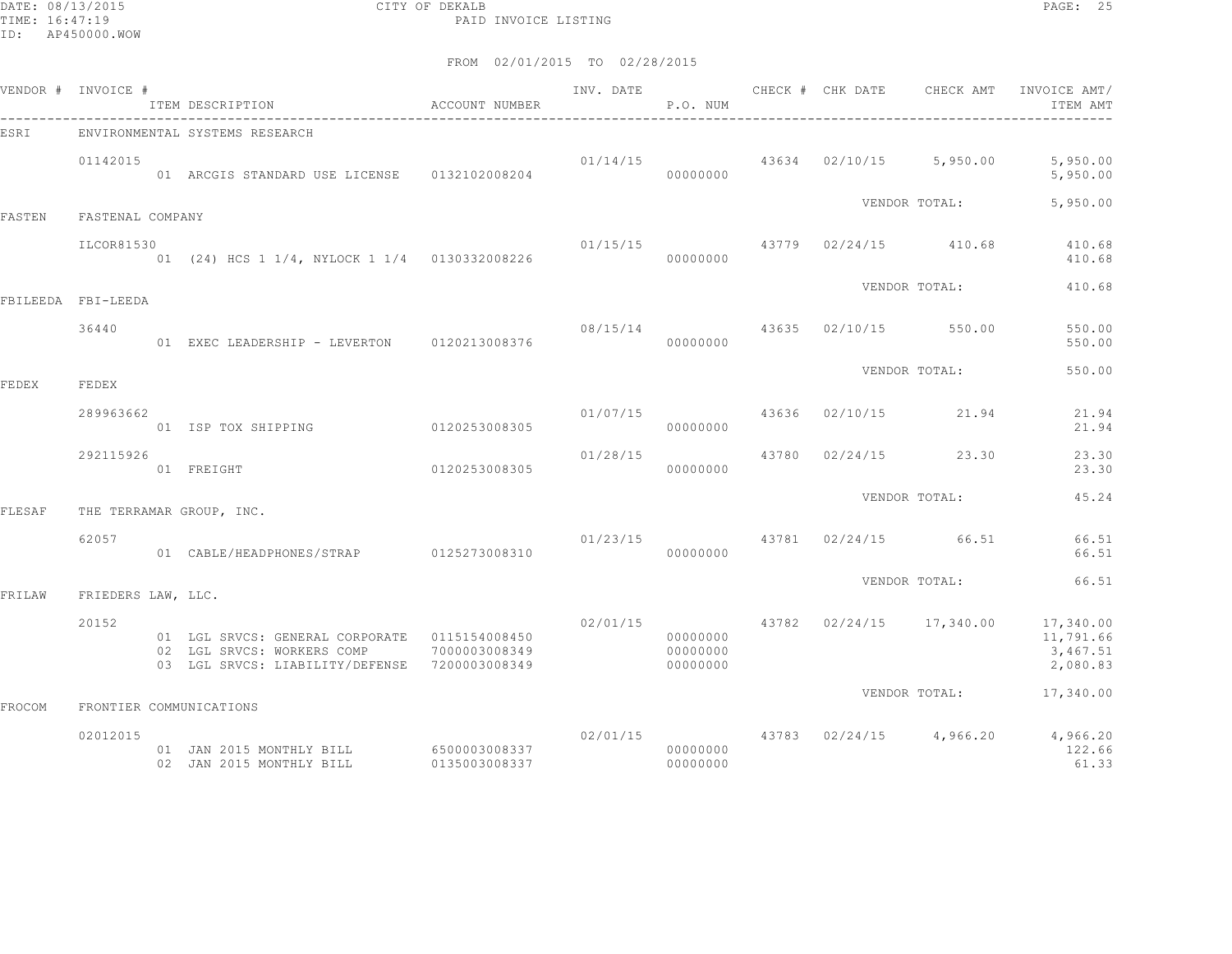DATE: 08/13/2015 CITY OF DEKALB PAGE: 25 PAID INVOICE LISTING

|        | VENDOR # INVOICE #          | ITEM DESCRIPTION                                                                                                              | <b>ACCOUNT NUMBER</b> | INV. DATE | P.O. NUM                         |       | CHECK # CHK DATE        | CHECK AMT                                | INVOICE AMT/<br>ITEM AMT                       |
|--------|-----------------------------|-------------------------------------------------------------------------------------------------------------------------------|-----------------------|-----------|----------------------------------|-------|-------------------------|------------------------------------------|------------------------------------------------|
| ESRI   |                             | ENVIRONMENTAL SYSTEMS RESEARCH                                                                                                |                       |           |                                  |       |                         |                                          |                                                |
|        | 01142015                    | 01 ARCGIS STANDARD USE LICENSE 0132102008204                                                                                  |                       |           | 00000000                         |       |                         | $01/14/15$ $43634$ $02/10/15$ $5,950.00$ | 5,950.00<br>5,950.00                           |
| FASTEN | FASTENAL COMPANY            |                                                                                                                               |                       |           |                                  |       |                         | VENDOR TOTAL:                            | 5,950.00                                       |
|        | ILCOR81530                  | 01 (24) HCS 1 1/4, NYLOCK 1 1/4 0130332008226 0000000000 00000000                                                             |                       |           |                                  |       |                         | $01/15/15$ $43779$ $02/24/15$ $410.68$   | 410.68<br>410.68                               |
|        |                             |                                                                                                                               |                       |           |                                  |       |                         | VENDOR TOTAL:                            | 410.68                                         |
|        | FBILEEDA FBI-LEEDA<br>36440 | 01 EXEC LEADERSHIP - LEVERTON 0120213008376                                                                                   |                       |           | 00000000                         |       | 08/15/14 43635 02/10/15 | 550.00                                   | 550.00<br>550.00                               |
| FEDEX  | FEDEX                       |                                                                                                                               |                       |           |                                  |       |                         | VENDOR TOTAL:                            | 550.00                                         |
|        | 289963662                   | 01 ISP TOX SHIPPING                                                                                                           | 0120253008305         | 01/07/15  | 00000000                         | 43636 | 02/10/15                | 21.94                                    | 21.94<br>21.94                                 |
|        | 292115926                   | 01 FREIGHT                                                                                                                    | 0120253008305         | 01/28/15  | 00000000                         | 43780 | 02/24/15                | 23.30                                    | 23.30<br>23.30                                 |
| FLESAF |                             | THE TERRAMAR GROUP, INC.                                                                                                      |                       |           |                                  |       |                         | VENDOR TOTAL:                            | 45.24                                          |
|        | 62057                       | 01 CABLE/HEADPHONES/STRAP 0125273008310                                                                                       |                       |           | 01/23/15<br>00000000             |       |                         | 43781 02/24/15 66.51                     | 66.51<br>66.51                                 |
| FRILAW | FRIEDERS LAW, LLC.          |                                                                                                                               |                       |           |                                  |       |                         | VENDOR TOTAL:                            | 66.51                                          |
|        | 20152                       | 01 LGL SRVCS: GENERAL CORPORATE  0115154008450<br>02 LGL SRVCS: WORKERS COMP<br>03 LGL SRVCS: LIABILITY/DEFENSE 7200003008349 | 7000003008349         |           | 00000000<br>00000000<br>00000000 |       |                         | $02/01/15$ 43782 02/24/15 17,340.00      | 17,340.00<br>11,791.66<br>3,467.51<br>2,080.83 |
| FROCOM |                             | FRONTIER COMMUNICATIONS                                                                                                       |                       |           |                                  |       |                         | VENDOR TOTAL:                            | 17,340.00                                      |
|        | 02012015                    | 01 JAN 2015 MONTHLY BILL 6500003008337<br>02 JAN 2015 MONTHLY BILL                                                            | 0135003008337         |           | 00000000<br>00000000             |       |                         | $02/01/15$ 43783 02/24/15 4,966.20       | 4,966.20<br>122.66<br>61.33                    |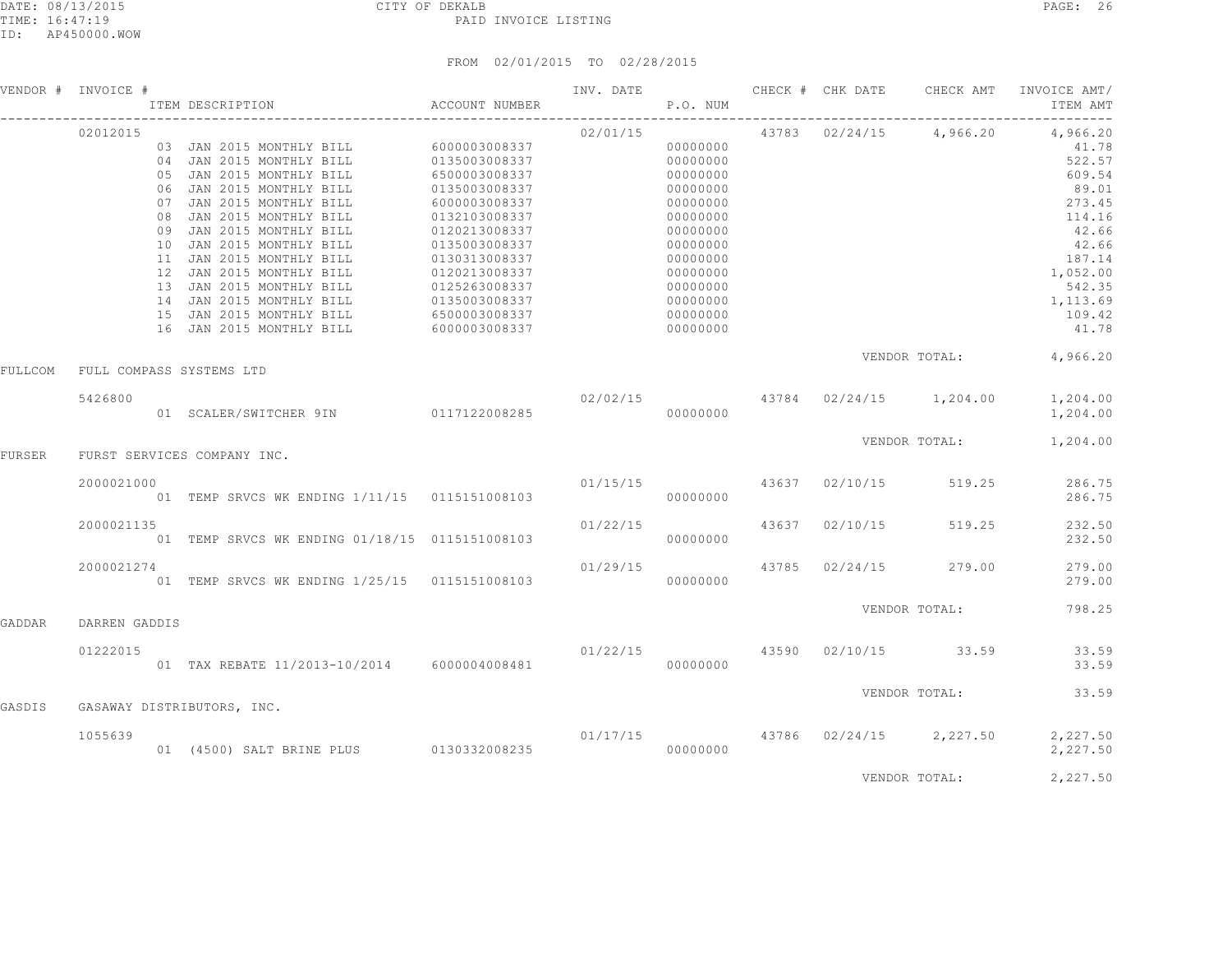|               | VENDOR # INVOICE #       | ITEM DESCRIPTION                                                                                                                                                                                                                                                                                                                                                                                                   | ACCOUNT NUMBER                                                                                                                                                                                                            |          | P.O. NUM                                                                                                                                                             |  | INV. DATE 6 CHECK # CHK DATE CHECK AMT   | INVOICE AMT/<br>ITEM AMT                                                                                                                            |
|---------------|--------------------------|--------------------------------------------------------------------------------------------------------------------------------------------------------------------------------------------------------------------------------------------------------------------------------------------------------------------------------------------------------------------------------------------------------------------|---------------------------------------------------------------------------------------------------------------------------------------------------------------------------------------------------------------------------|----------|----------------------------------------------------------------------------------------------------------------------------------------------------------------------|--|------------------------------------------|-----------------------------------------------------------------------------------------------------------------------------------------------------|
|               | 02012015                 | 03 JAN 2015 MONTHLY BILL 6000003008337<br>04 JAN 2015 MONTHLY BILL<br>05 JAN 2015 MONTHLY BILL<br>06 JAN 2015 MONTHLY BILL<br>07 JAN 2015 MONTHLY BILL<br>08 JAN 2015 MONTHLY BILL<br>09 JAN 2015 MONTHLY BILL<br>10 JAN 2015 MONTHLY BILL<br>11 JAN 2015 MONTHLY BILL<br>12 JAN 2015 MONTHLY BILL<br>13 JAN 2015 MONTHLY BILL<br>14 JAN 2015 MONTHLY BILL<br>15 JAN 2015 MONTHLY BILL<br>16 JAN 2015 MONTHLY BILL | 0135003008337<br>6500003008337<br>0135003008337<br>6000003008337<br>0132103008337<br>0120213008337<br>0135003008337<br>0130313008337<br>0120213008337<br>0125263008337<br>0135003008337<br>6500003008337<br>6000003008337 | 02/01/15 | 00000000<br>00000000<br>00000000<br>00000000<br>00000000<br>00000000<br>00000000<br>00000000<br>00000000<br>00000000<br>00000000<br>00000000<br>00000000<br>00000000 |  | 43783 02/24/15 4,966.20                  | 4,966.20<br>41.78<br>522.57<br>609.54<br>89.01<br>273.45<br>114.16<br>42.66<br>42.66<br>187.14<br>1,052.00<br>542.35<br>1,113.69<br>109.42<br>41.78 |
| FULLCOM       | FULL COMPASS SYSTEMS LTD |                                                                                                                                                                                                                                                                                                                                                                                                                    |                                                                                                                                                                                                                           |          |                                                                                                                                                                      |  |                                          | VENDOR TOTAL: 4,966.20                                                                                                                              |
|               | 5426800                  | 02702715<br>000000000 0117122008285 0000000000 00000000                                                                                                                                                                                                                                                                                                                                                            |                                                                                                                                                                                                                           |          |                                                                                                                                                                      |  | $02/02/15$ $43784$ $02/24/15$ $1,204.00$ | 1,204.00<br>1,204.00                                                                                                                                |
| FURSER        |                          | FURST SERVICES COMPANY INC.                                                                                                                                                                                                                                                                                                                                                                                        |                                                                                                                                                                                                                           |          |                                                                                                                                                                      |  | VENDOR TOTAL:                            | 1,204.00                                                                                                                                            |
|               | 2000021000               | 01 TEMP SRVCS WK ENDING 1/11/15 0115151008103                                                                                                                                                                                                                                                                                                                                                                      |                                                                                                                                                                                                                           |          | 00000000                                                                                                                                                             |  | $01/15/15$ $43637$ $02/10/15$ $519.25$   | 286.75<br>286.75                                                                                                                                    |
|               | 2000021135               | 01 TEMP SRVCS WK ENDING 01/18/15 0115151008103                                                                                                                                                                                                                                                                                                                                                                     |                                                                                                                                                                                                                           |          | 01/22/15<br>00000000                                                                                                                                                 |  | 43637 02/10/15 519.25                    | 232.50<br>232.50                                                                                                                                    |
|               | 2000021274               | 01 TEMP SRVCS WK ENDING 1/25/15 0115151008103                                                                                                                                                                                                                                                                                                                                                                      |                                                                                                                                                                                                                           |          | 01/29/15<br>00000000                                                                                                                                                 |  | 43785 02/24/15 279.00                    | 279.00<br>279.00                                                                                                                                    |
| <b>GADDAR</b> | DARREN GADDIS            |                                                                                                                                                                                                                                                                                                                                                                                                                    |                                                                                                                                                                                                                           |          |                                                                                                                                                                      |  | VENDOR TOTAL:                            | 798.25                                                                                                                                              |
|               | 01222015                 | 01 TAX REBATE 11/2013-10/2014 6000004008481                                                                                                                                                                                                                                                                                                                                                                        | $01/22/15$ $43590$ $02/10/15$ $33.59$                                                                                                                                                                                     |          | 00000000                                                                                                                                                             |  |                                          | 33.59<br>33.59                                                                                                                                      |
| GASDIS        |                          | GASAWAY DISTRIBUTORS, INC.                                                                                                                                                                                                                                                                                                                                                                                         |                                                                                                                                                                                                                           |          |                                                                                                                                                                      |  | VENDOR TOTAL:                            | 33.59                                                                                                                                               |
|               | 1055639                  | 01 (4500) SALT BRINE PLUS 0130332008235                                                                                                                                                                                                                                                                                                                                                                            | $01/17/15$ 43786 02/24/15 2,227.50                                                                                                                                                                                        |          | 00000000                                                                                                                                                             |  |                                          | 2,227.50<br>2,227.50                                                                                                                                |
|               |                          |                                                                                                                                                                                                                                                                                                                                                                                                                    |                                                                                                                                                                                                                           |          |                                                                                                                                                                      |  | VENDOR TOTAL:                            | 2,227.50                                                                                                                                            |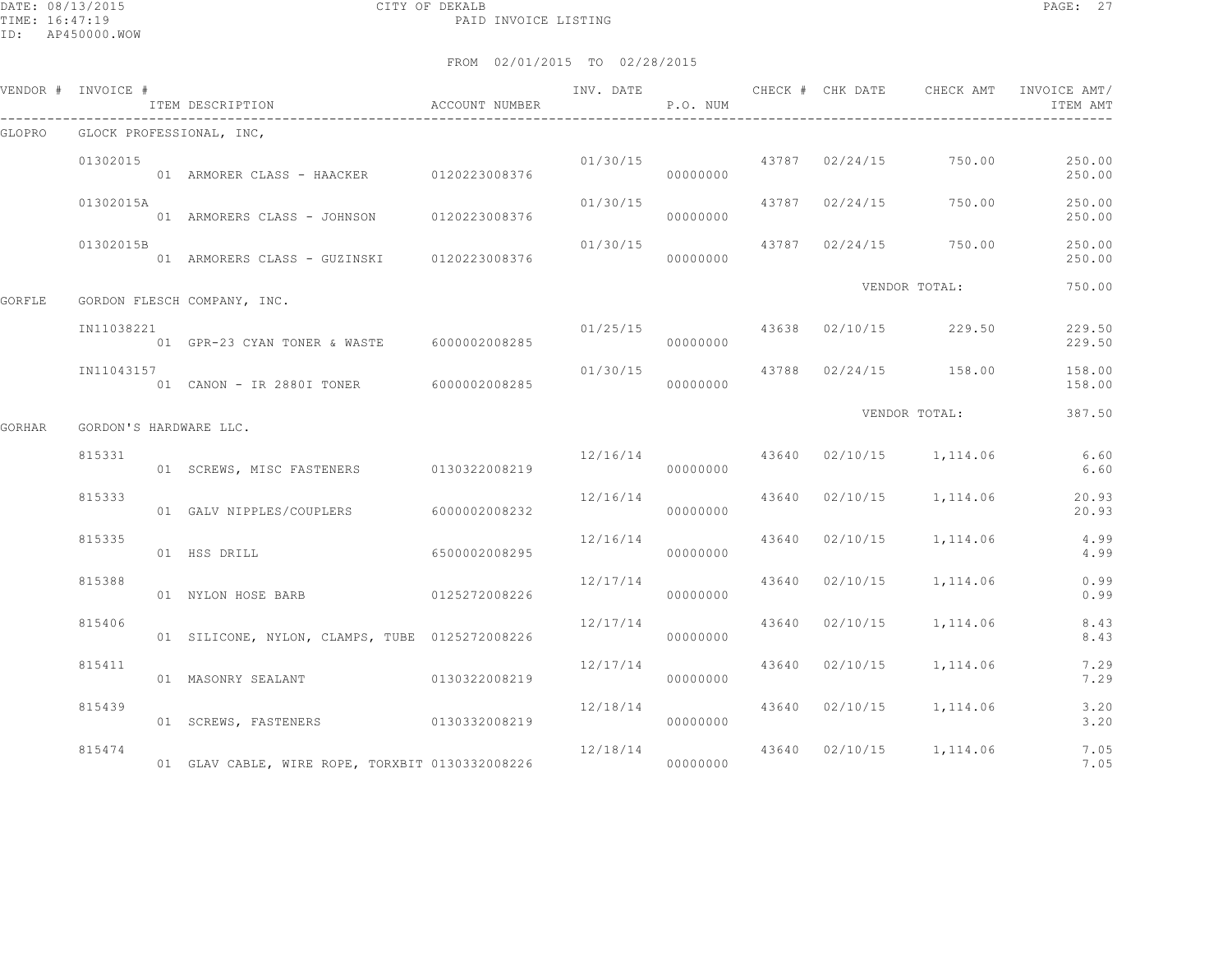DATE: 08/13/2015 CITY OF DEKALB PAGE: 27 PAID INVOICE LISTING

|        | VENDOR # INVOICE # | ITEM DESCRIPTION <a> d<br/> d<br/> d<br/> d<br/> d<br/> d<br/>CCOUNT NUMBER</a> |               |          | P.O. NUM  |                | INV. DATE 6 CHECK # CHK DATE CHECK AMT INVOICE AMT/ | ITEM AMT         |
|--------|--------------------|---------------------------------------------------------------------------------|---------------|----------|-----------|----------------|-----------------------------------------------------|------------------|
| GLOPRO |                    | GLOCK PROFESSIONAL, INC,                                                        |               |          |           |                |                                                     |                  |
|        | 01302015           | 01 ARMORER CLASS - HAACKER 0120223008376                                        |               |          | 000000000 |                | $01/30/15$ $43787$ $02/24/15$ $750.00$              | 250.00<br>250.00 |
|        | 01302015A          | 01 ARMORERS CLASS - JOHNSON 0120223008376                                       |               | 01/30/15 | 00000000  |                | 43787 02/24/15 750.00                               | 250.00<br>250.00 |
|        | 01302015B          | 01 ARMORERS CLASS - GUZINSKI 0120223008376                                      |               | 01/30/15 | 00000000  |                | 43787 02/24/15 750.00                               | 250.00<br>250.00 |
| GORFLE |                    | GORDON FLESCH COMPANY, INC.                                                     |               |          |           |                | VENDOR TOTAL:                                       | 750.00           |
|        | IN11038221         | 01 GPR-23 CYAN TONER & WASTE 6000002008285                                      |               |          | 00000000  |                | $01/25/15$ 43638 02/10/15 229.50                    | 229.50<br>229.50 |
|        | IN11043157         |                                                                                 |               |          | 00000000  |                | $01/30/15$ $43788$ $02/24/15$ $158.00$              | 158.00<br>158.00 |
| GORHAR |                    | GORDON'S HARDWARE LLC.                                                          |               |          |           |                | VENDOR TOTAL:                                       | 387.50           |
|        | 815331             | 01 SCREWS, MISC FASTENERS 0130322008219                                         |               |          | 00000000  |                | 12/16/14 43640 02/10/15 1,114.06                    | 6.60<br>6.60     |
|        | 815333             | 01 GALV NIPPLES/COUPLERS 6000002008232                                          |               | 12/16/14 | 00000000  |                | 43640 02/10/15 1,114.06                             | 20.93<br>20.93   |
|        | 815335             | 01 HSS DRILL                                                                    | 6500002008295 | 12/16/14 | 00000000  |                | 43640 02/10/15 1,114.06                             | 4.99<br>4.99     |
|        | 815388             | 01 NYLON HOSE BARB                                                              | 0125272008226 | 12/17/14 | 00000000  | 43640 02/10/15 | 1,114.06                                            | 0.99<br>0.99     |
|        | 815406             | 01 SILICONE, NYLON, CLAMPS, TUBE 0125272008226                                  |               | 12/17/14 | 00000000  | 43640 02/10/15 | 1,114.06                                            | 8.43<br>8.43     |
|        | 815411             | 01 MASONRY SEALANT                                                              | 0130322008219 | 12/17/14 | 00000000  |                | 43640 02/10/15 1,114.06                             | 7.29<br>7.29     |
|        | 815439             | 01 SCREWS, FASTENERS 0130332008219                                              |               | 12/18/14 | 00000000  |                | 43640 02/10/15 1,114.06                             | 3.20<br>3.20     |
|        | 815474             |                                                                                 |               |          |           |                | $12/18/14$ $43640$ $02/10/15$ $1,114.06$            | 7.05<br>7.05     |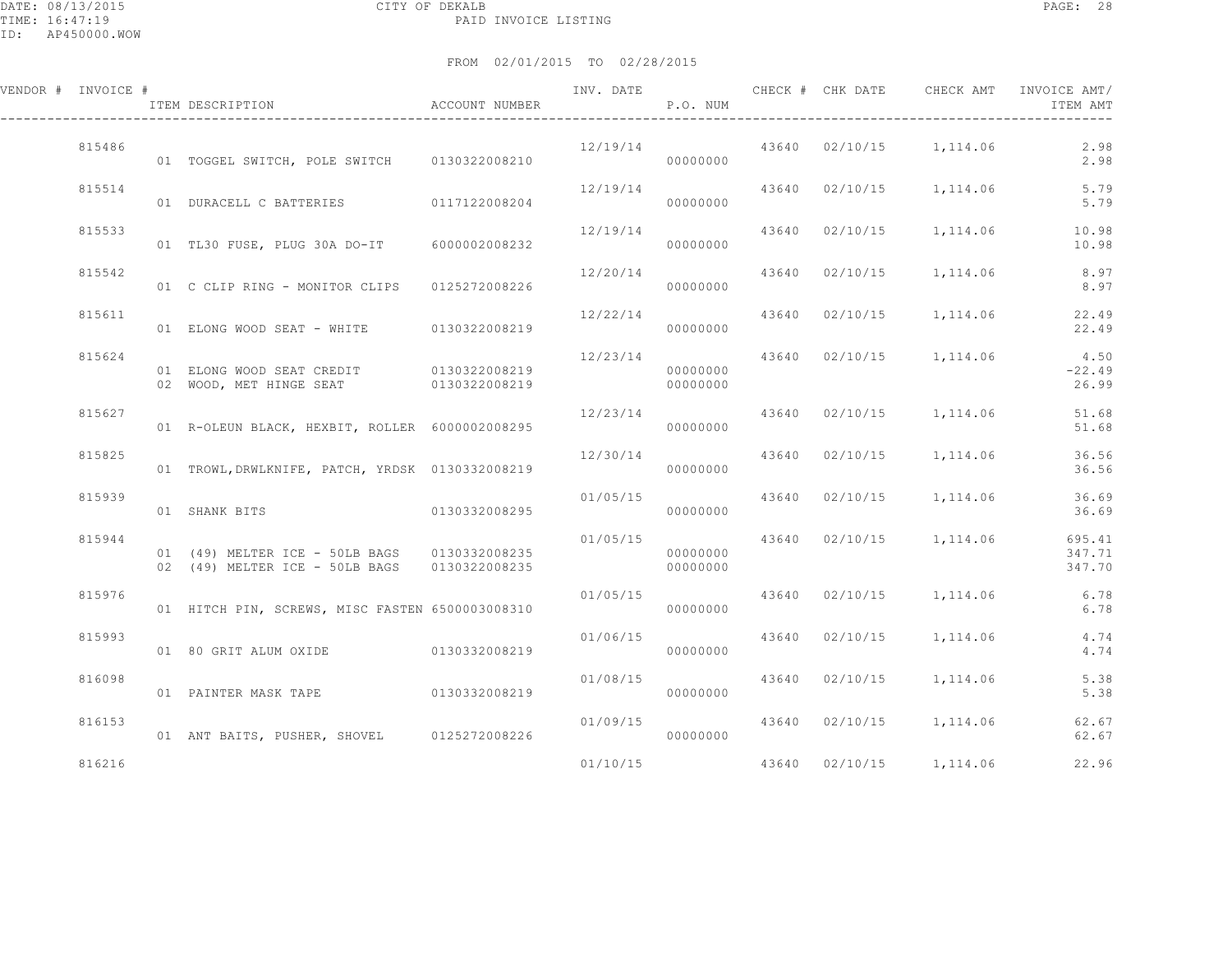| VENDOR # INVOICE # | ITEM DESCRIPTION                                                                             | ACCOUNT NUMBER | INV. DATE             | P.O. NUM             | CHECK # CHK DATE | CHECK AMT                                | INVOICE AMT/<br>ITEM AMT   |
|--------------------|----------------------------------------------------------------------------------------------|----------------|-----------------------|----------------------|------------------|------------------------------------------|----------------------------|
| 815486             | 01 TOGGEL SWITCH, POLE SWITCH 0130322008210                                                  |                | 12/19/14              | 00000000             |                  | 43640 02/10/15 1,114.06                  | 2.98<br>2.98               |
| 815514             | 01 DURACELL C BATTERIES 0117122008204                                                        |                | 12/19/14              | 00000000             |                  | 43640 02/10/15 1,114.06                  | 5.79<br>5.79               |
| 815533             | 01 TL30 FUSE, PLUG 30A DO-IT 6000002008232                                                   |                |                       | 00000000             |                  | $12/19/14$ $43640$ $02/10/15$ $1,114.06$ | 10.98<br>10.98             |
| 815542             | 01 C CLIP RING - MONITOR CLIPS 0125272008226                                                 |                | 12/20/14              | 00000000             |                  | 43640 02/10/15 1,114.06                  | 8.97<br>8.97               |
| 815611             | 01 ELONG WOOD SEAT - WHITE 0130322008219                                                     |                | 12/22/14              | 00000000             |                  | 43640 02/10/15 1,114.06                  | 22.49<br>22.49             |
| 815624             | 01 ELONG WOOD SEAT CREDIT 0130322008219<br>02 WOOD, MET HINGE SEAT 0130322008219             |                | 12/23/14<br>000000000 | 00000000             |                  | 43640 02/10/15 1,114.06                  | 4.50<br>$-22.49$<br>26.99  |
| 815627             | 01 R-OLEUN BLACK, HEXBIT, ROLLER 6000002008295                                               |                | 12/23/14              | 00000000             |                  | 43640 02/10/15 1,114.06                  | 51.68<br>51.68             |
| 815825             | 01 TROWL, DRWLKNIFE, PATCH, YRDSK 0130332008219                                              |                | 12/30/14              | 000000000            |                  | 43640 02/10/15 1,114.06                  | 36.56<br>36.56             |
| 815939             | 01 SHANK BITS                                                                                | 0130332008295  | 01/05/15              | 00000000             |                  | 43640 02/10/15 1,114.06                  | 36.69<br>36.69             |
| 815944             | 01 (49) MELTER ICE - 50LB BAGS 0130332008235<br>02 (49) MELTER ICE - 50LB BAGS 0130322008235 |                | 01/05/15              | 00000000<br>00000000 |                  | 43640 02/10/15 1,114.06                  | 695.41<br>347.71<br>347.70 |
| 815976             | 01 HITCH PIN, SCREWS, MISC FASTEN 6500003008310                                              |                | 01/05/15              | 000000000            |                  | 43640 02/10/15 1,114.06                  | 6.78<br>6.78               |
| 815993             | 01 80 GRIT ALUM OXIDE 0130332008219                                                          |                |                       | 00000000             |                  | $01/06/15$ 43640 02/10/15 1,114.06       | 4.74<br>4.74               |
| 816098             | 01 PAINTER MASK TAPE 6130332008219                                                           |                | 01/08/15              | 00000000             |                  | 43640 02/10/15 1,114.06                  | 5.38<br>5.38               |
| 816153             | 01 ANT BAITS, PUSHER, SHOVEL 0125272008226                                                   |                | 01/09/15              | 000000000            |                  | 43640 02/10/15 1,114.06                  | 62.67<br>62.67             |
| 816216             |                                                                                              |                | 01/10/15              |                      |                  | 43640 02/10/15 1,114.06                  | 22.96                      |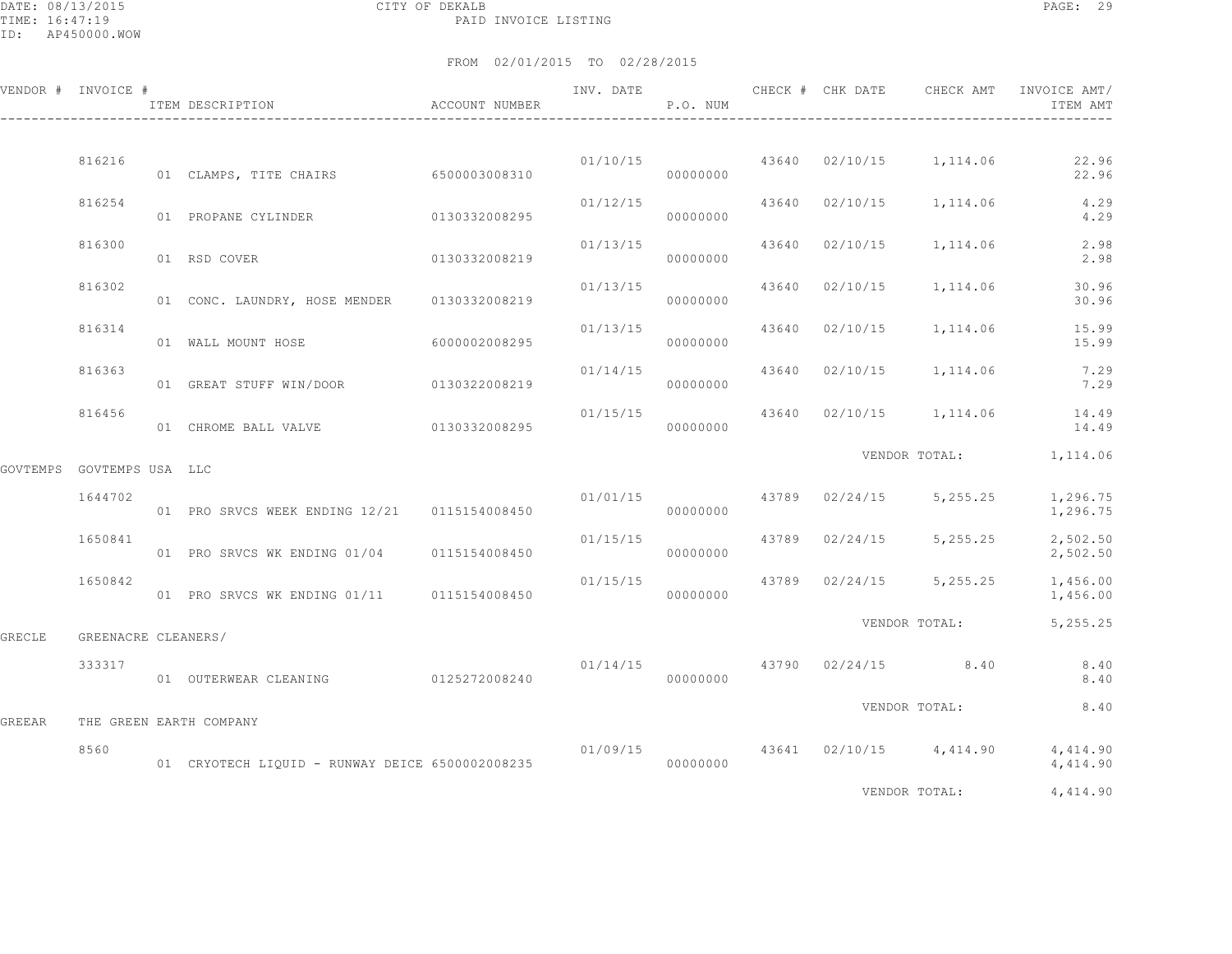DATE: 08/13/2015 CITY OF DEKALB PAGE: 29 PAID INVOICE LISTING

|          | VENDOR # INVOICE #  | ACCOUNT NUMBER<br>ITEM DESCRIPTION              |               | INV. DATE | P.O. NUM |       | CHECK # CHK DATE | CHECK AMT               | INVOICE AMT/<br>ITEM AMT |
|----------|---------------------|-------------------------------------------------|---------------|-----------|----------|-------|------------------|-------------------------|--------------------------|
|          |                     |                                                 |               |           |          |       |                  |                         |                          |
|          | 816216              | 01 CLAMPS, TITE CHAIRS                          | 6500003008310 | 01/10/15  | 00000000 | 43640 | 02/10/15         | 1,114.06                | 22.96<br>22.96           |
|          | 816254              | 01 PROPANE CYLINDER                             | 0130332008295 | 01/12/15  | 00000000 | 43640 | 02/10/15         | 1,114.06                | 4.29<br>4.29             |
|          | 816300              | 01 RSD COVER                                    | 0130332008219 | 01/13/15  | 00000000 | 43640 | 02/10/15         | 1,114.06                | 2.98<br>2.98             |
|          | 816302              | 01 CONC. LAUNDRY, HOSE MENDER                   | 0130332008219 | 01/13/15  | 00000000 | 43640 | 02/10/15         | 1,114.06                | 30.96<br>30.96           |
|          | 816314              | 01 WALL MOUNT HOSE                              | 6000002008295 | 01/13/15  | 00000000 | 43640 | 02/10/15         | 1,114.06                | 15.99<br>15.99           |
|          | 816363              | 01 GREAT STUFF WIN/DOOR                         | 0130322008219 | 01/14/15  | 00000000 | 43640 | 02/10/15         | 1,114.06                | 7.29<br>7.29             |
|          | 816456              | 01 CHROME BALL VALVE                            | 0130332008295 | 01/15/15  | 00000000 | 43640 | 02/10/15         | 1,114.06                | 14.49<br>14.49           |
| GOVTEMPS | GOVTEMPS USA LLC    |                                                 |               |           |          |       |                  | VENDOR TOTAL:           | 1,114.06                 |
|          | 1644702             |                                                 |               | 01/01/15  |          | 43789 |                  | $02/24/15$ 5, 255.25    | 1,296.75                 |
|          |                     | 01 PRO SRVCS WEEK ENDING 12/21 0115154008450    |               |           | 00000000 |       |                  |                         | 1,296.75                 |
|          | 1650841             | 01 PRO SRVCS WK ENDING 01/04                    | 0115154008450 | 01/15/15  | 00000000 | 43789 | 02/24/15         | 5,255.25                | 2,502.50<br>2,502.50     |
|          | 1650842             | 01 PRO SRVCS WK ENDING 01/11 0115154008450      |               | 01/15/15  | 00000000 | 43789 | 02/24/15         | 5,255.25                | 1,456.00<br>1,456.00     |
| GRECLE   | GREENACRE CLEANERS/ |                                                 |               |           |          |       |                  | VENDOR TOTAL:           | 5,255.25                 |
|          | 333317              | 01 OUTERWEAR CLEANING 0125272008240             |               | 01/14/15  | 00000000 | 43790 | $02/24/15$ 8.40  |                         | 8.40<br>8.40             |
|          |                     |                                                 |               |           |          |       |                  | VENDOR TOTAL:           | 8.40                     |
| GREEAR   |                     | THE GREEN EARTH COMPANY                         |               |           |          |       |                  |                         |                          |
|          | 8560                | 01 CRYOTECH LIQUID - RUNWAY DEICE 6500002008235 |               | 01/09/15  | 00000000 |       |                  | 43641 02/10/15 4,414.90 | 4,414.90<br>4,414.90     |
|          |                     |                                                 |               |           |          |       |                  | VENDOR TOTAL:           | 4,414.90                 |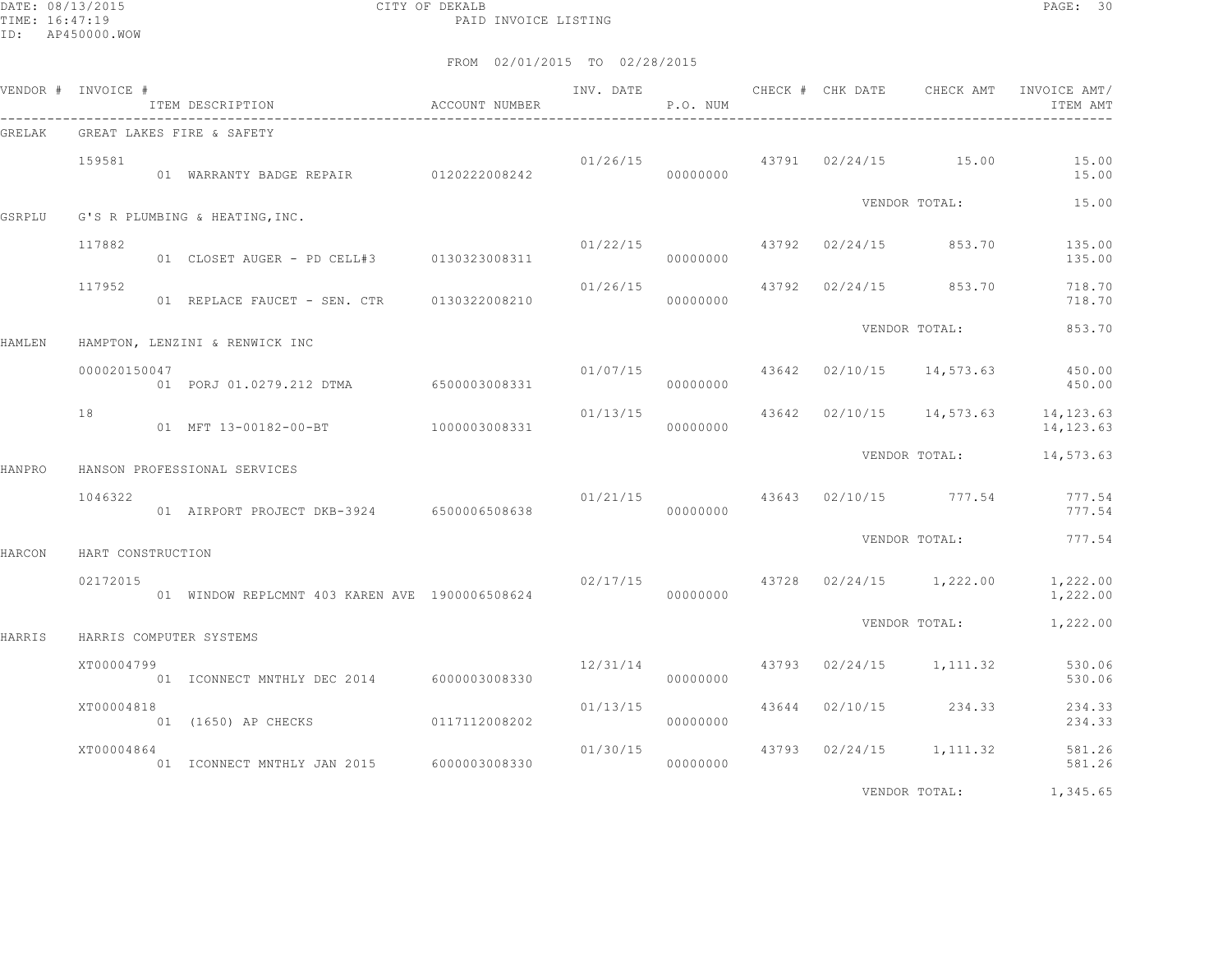DATE: 08/13/2015 CITY OF DEKALB PAGE: 30 PAID INVOICE LISTING

|        | VENDOR # INVOICE # | ITEM DESCRIPTION                               | ACCOUNT NUMBER |          | P.O. NUM |  |                                        | INV. DATE 6 CHECK # CHK DATE CHECK AMT INVOICE AMT/<br>ITEM AMT     |
|--------|--------------------|------------------------------------------------|----------------|----------|----------|--|----------------------------------------|---------------------------------------------------------------------|
| GRELAK |                    | GREAT LAKES FIRE & SAFETY                      |                |          |          |  |                                        |                                                                     |
|        | 159581             | 01 WARRANTY BADGE REPAIR 0120222008242         |                |          | 00000000 |  | $01/26/15$ 43791 $02/24/15$ 15.00      | 15.00<br>15.00                                                      |
| GSRPLU |                    | G'S R PLUMBING & HEATING, INC.                 |                |          |          |  | VENDOR TOTAL:                          | 15.00                                                               |
|        | 117882             | 01 CLOSET AUGER - PD CELL#3 0130323008311      |                |          | 00000000 |  | $01/22/15$ $43792$ $02/24/15$ $853.70$ | 135.00<br>135.00                                                    |
|        | 117952             | 01 REPLACE FAUCET - SEN. CTR 0130322008210     |                | 01/26/15 | 00000000 |  | 43792 02/24/15 853.70                  | 718.70<br>718.70                                                    |
| HAMLEN |                    | HAMPTON, LENZINI & RENWICK INC                 |                |          |          |  | VENDOR TOTAL:                          | 853.70                                                              |
|        | 000020150047       | 01 PORJ 01.0279.212 DTMA 6500003008331         |                |          | 00000000 |  | $01/07/15$ 43642 02/10/15 14,573.63    | 450.00<br>450.00                                                    |
|        | 18                 | 01 MFT 13-00182-00-BT 1000003008331            |                |          | 00000000 |  |                                        | $01/13/15$ $43642$ $02/10/15$ $14,573.63$ $14,123.63$<br>14, 123.63 |
| HANPRO |                    | HANSON PROFESSIONAL SERVICES                   |                |          |          |  |                                        | VENDOR TOTAL: 14,573.63                                             |
|        | 1046322            | 01 AIRPORT PROJECT DKB-3924 6500006508638      |                | 01/21/15 | 00000000 |  | 43643 02/10/15 777.54                  | 777.54<br>777.54                                                    |
| HARCON | HART CONSTRUCTION  |                                                |                |          |          |  | VENDOR TOTAL:                          | 777.54                                                              |
|        | 02172015           | 01 WINDOW REPLCMNT 403 KAREN AVE 1900006508624 |                |          | 00000000 |  | $02/17/15$ 43728 02/24/15 1,222.00     | 1,222.00<br>1,222.00                                                |
| HARRIS |                    | HARRIS COMPUTER SYSTEMS                        |                |          |          |  | VENDOR TOTAL:                          | 1,222.00                                                            |
|        | XT00004799         | 01 ICONNECT MNTHLY DEC 2014 6000003008330      |                | 12/31/14 | 00000000 |  | 43793 02/24/15 1,111.32                | 530.06<br>530.06                                                    |
|        | XT00004818         | 01 (1650) AP CHECKS 0117112008202              |                | 01/13/15 | 00000000 |  | 43644 02/10/15 234.33                  | 234.33<br>234.33                                                    |
|        | XT00004864         | 01 ICONNECT MNTHLY JAN 2015 6000003008330      |                | 01/30/15 | 00000000 |  | 43793 02/24/15 1,111.32                | 581.26<br>581.26                                                    |
|        |                    |                                                |                |          |          |  | VENDOR TOTAL:                          | 1,345.65                                                            |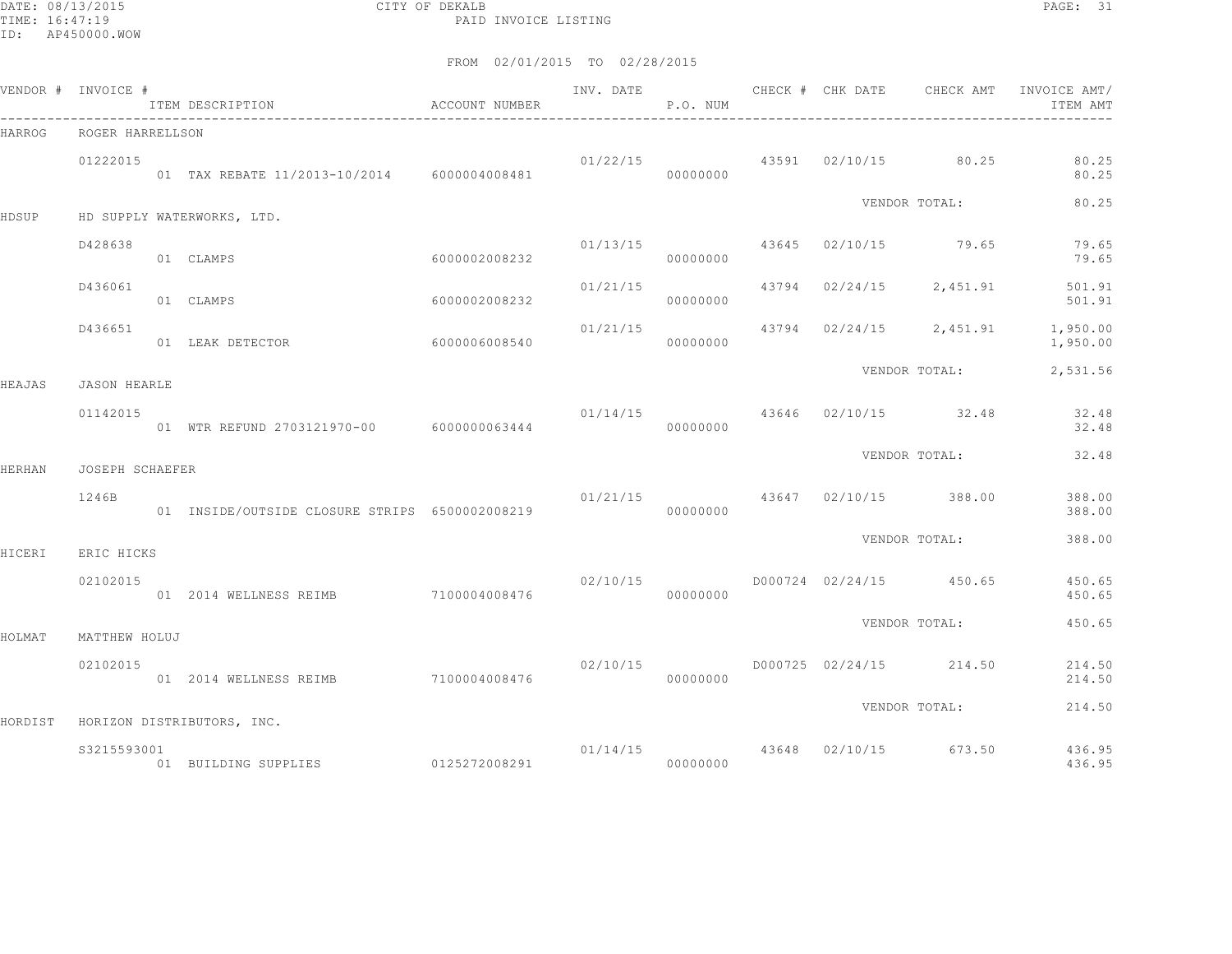DATE: 08/13/2015 CITY OF DEKALB PAGE: 31 PAID INVOICE LISTING

|        | VENDOR # INVOICE # | ACCOUNT NUMBER<br>ITEM DESCRIPTION             |               |                                        | P.O. NUM             |  | INV. DATE 6 CHECK # CHK DATE CHECK AMT   | INVOICE AMT/<br>ITEM AMT                     |
|--------|--------------------|------------------------------------------------|---------------|----------------------------------------|----------------------|--|------------------------------------------|----------------------------------------------|
| HARROG | ROGER HARRELLSON   |                                                |               |                                        |                      |  |                                          |                                              |
|        | 01222015           | 01 TAX REBATE 11/2013-10/2014 6000004008481    |               |                                        | 00000000             |  | $01/22/15$ 43591 02/10/15 80.25          | 80.25<br>80.25                               |
| HDSUP  |                    | HD SUPPLY WATERWORKS, LTD.                     |               |                                        |                      |  | VENDOR TOTAL:                            | 80.25                                        |
|        | D428638            | 01 CLAMPS                                      | 6000002008232 |                                        | 01/13/15<br>00000000 |  | 43645 02/10/15 79.65                     | 79.65<br>79.65                               |
|        | D436061            | 01 CLAMPS                                      | 6000002008232 |                                        | 00000000             |  | $01/21/15$ $43794$ $02/24/15$ $2,451.91$ | 501.91<br>501.91                             |
|        | D436651            | 01 LEAK DETECTOR                               | 6000006008540 | 01/21/15                               | 00000000             |  |                                          | 43794 02/24/15 2,451.91 1,950.00<br>1,950.00 |
| HEAJAS | JASON HEARLE       |                                                |               |                                        |                      |  | VENDOR TOTAL:                            | 2,531.56                                     |
|        | 01142015           | 01 WTR REFUND 2703121970-00 6000000063444      |               |                                        | 00000000             |  | $01/14/15$ 43646 02/10/15 32.48          | 32.48<br>32.48                               |
| HERHAN | JOSEPH SCHAEFER    |                                                |               |                                        |                      |  | VENDOR TOTAL:                            | 32.48                                        |
|        | 1246B              | 01 INSIDE/OUTSIDE CLOSURE STRIPS 6500002008219 |               | $01/21/15$ $43647$ $02/10/15$ $388.00$ | 00000000             |  |                                          | 388.00<br>388.00                             |
| HICERI | ERIC HICKS         |                                                |               |                                        |                      |  | VENDOR TOTAL:                            | 388.00                                       |
|        | 02102015           |                                                |               |                                        | 00000000             |  |                                          | 450.65<br>450.65                             |
| HOLMAT | MATTHEW HOLUJ      |                                                |               |                                        |                      |  | VENDOR TOTAL:                            | 450.65                                       |
|        | 02102015           | 01 2014 WELLNESS REIMB                         | 7100004008476 | 02/10/15                               | 00000000             |  | D000725 02/24/15 214.50                  | 214.50<br>214.50                             |
|        |                    | HORDIST HORIZON DISTRIBUTORS, INC.             |               |                                        |                      |  | VENDOR TOTAL:                            | 214.50                                       |
|        | S3215593001        | 01 BUILDING SUPPLIES 0125272008291             |               |                                        | 00000000             |  | 01/14/15 43648 02/10/15 673.50           | 436.95<br>436.95                             |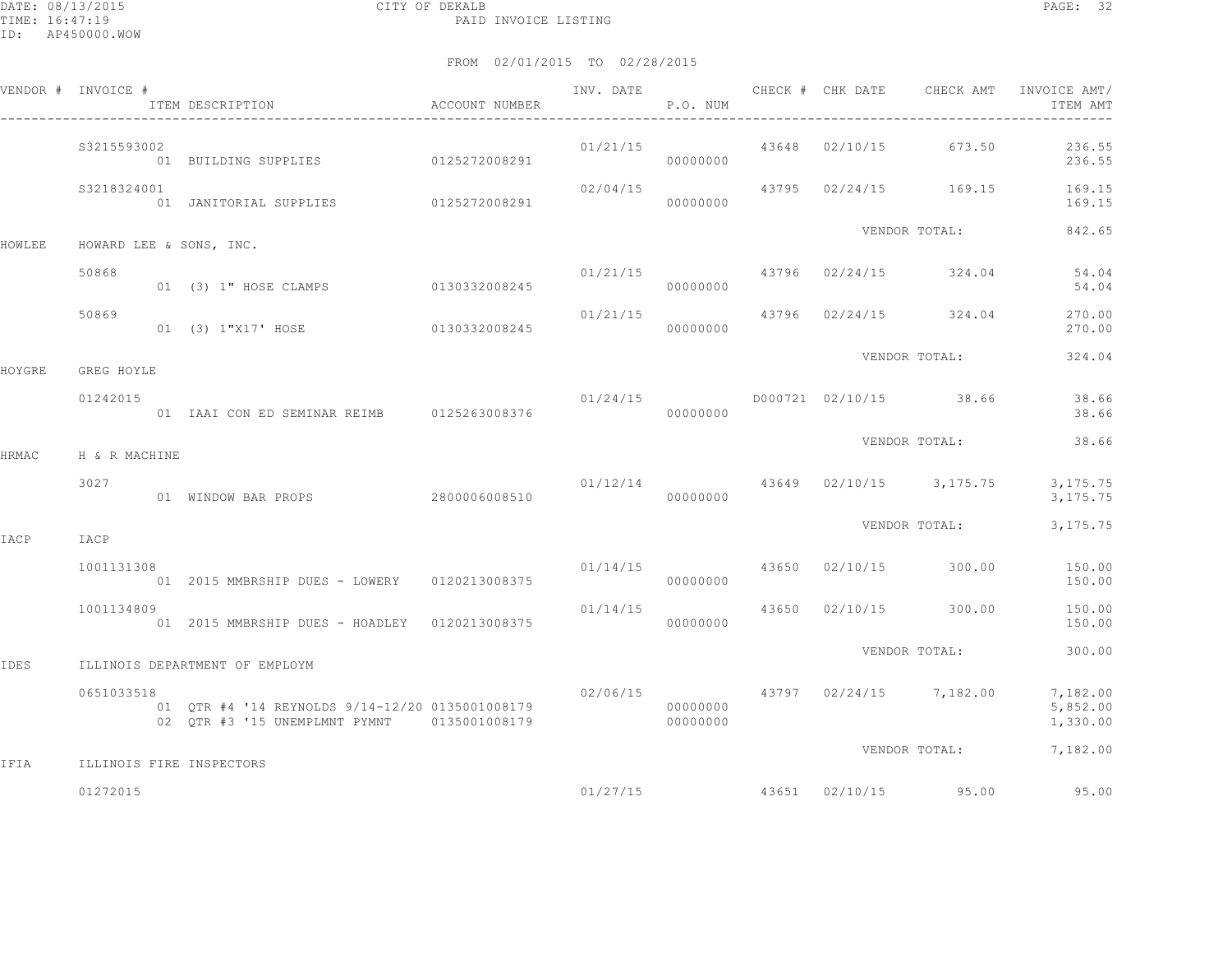|        | VENDOR # INVOICE #      | ACCOUNT NUMBER<br>ITEM DESCRIPTION                                                             | INV. DATE | P.O. NUM             |  | CHECK # CHK DATE CHECK AMT               | INVOICE AMT/<br>ITEM AMT               |
|--------|-------------------------|------------------------------------------------------------------------------------------------|-----------|----------------------|--|------------------------------------------|----------------------------------------|
|        | \$3215593002            | 01 BUILDING SUPPLIES 0125272008291                                                             |           | 00000000             |  | $01/21/15$ $43648$ $02/10/15$ 673.50     | 236.55<br>236.55                       |
|        | S3218324001             | 01 JANITORIAL SUPPLIES 0125272008291                                                           | 02/04/15  | 00000000             |  |                                          | 43795 02/24/15 169.15 169.15<br>169.15 |
| HOWLEE | HOWARD LEE & SONS, INC. |                                                                                                |           |                      |  | VENDOR TOTAL:                            | 842.65                                 |
|        | 50868                   | 01 (3) 1" HOSE CLAMPS 0130332008245                                                            | 01/21/15  | 00000000             |  | 43796 02/24/15 324.04                    | 54.04<br>54.04                         |
|        | 50869                   | 01 (3) 1"X17' HOSE 0130332008245                                                               |           | 00000000             |  | $01/21/15$ 43796 02/24/15 324.04         | 270.00<br>270.00                       |
| HOYGRE | GREG HOYLE              |                                                                                                |           |                      |  | VENDOR TOTAL:                            | 324.04                                 |
|        | 01242015                | 01 IAAI CON ED SEMINAR REIMB 0125263008376                                                     | 01/24/15  | 00000000             |  | D000721 02/10/15 38.66                   | 38.66<br>38.66                         |
| HRMAC  | H & R MACHINE           |                                                                                                |           |                      |  | VENDOR TOTAL:                            | 38.66                                  |
|        | 3027                    | 01 WINDOW BAR PROPS 2800006008510                                                              | 00000000  |                      |  | $01/12/14$ 43649 02/10/15 3,175.75       | 3, 175. 75<br>3, 175.75                |
| IACP   | IACP                    |                                                                                                |           |                      |  |                                          | VENDOR TOTAL: 3,175.75                 |
|        | 1001131308              | 01  2015  MMBRSHIP  DUES - LOWERY  0120213008375                                               |           | 00000000             |  | $01/14/15$ $43650$ $02/10/15$ $300.00$   | 150.00<br>150.00                       |
|        | 1001134809              | 01  2015  MMBRSHIP  DUES - HOADLEY  0120213008375                                              | 01/14/15  | 00000000             |  | 43650 02/10/15 300.00                    | 150.00<br>150.00                       |
| IDES   |                         | ILLINOIS DEPARTMENT OF EMPLOYM                                                                 |           |                      |  | VENDOR TOTAL:                            | 300.00                                 |
|        | 0651033518              | 01 QTR #4 '14 REYNOLDS 9/14-12/20 0135001008179<br>02 QTR #3 '15 UNEMPLMNT PYMNT 0135001008179 |           | 00000000<br>00000000 |  | $02/06/15$ $43797$ $02/24/15$ $7,182.00$ | 7,182.00<br>5,852.00<br>1,330.00       |
| IFIA   |                         | ILLINOIS FIRE INSPECTORS                                                                       |           |                      |  | VENDOR TOTAL:                            | 7,182.00                               |
|        | 01272015                |                                                                                                |           | 01/27/15             |  | 43651 02/10/15 95.00                     | 95.00                                  |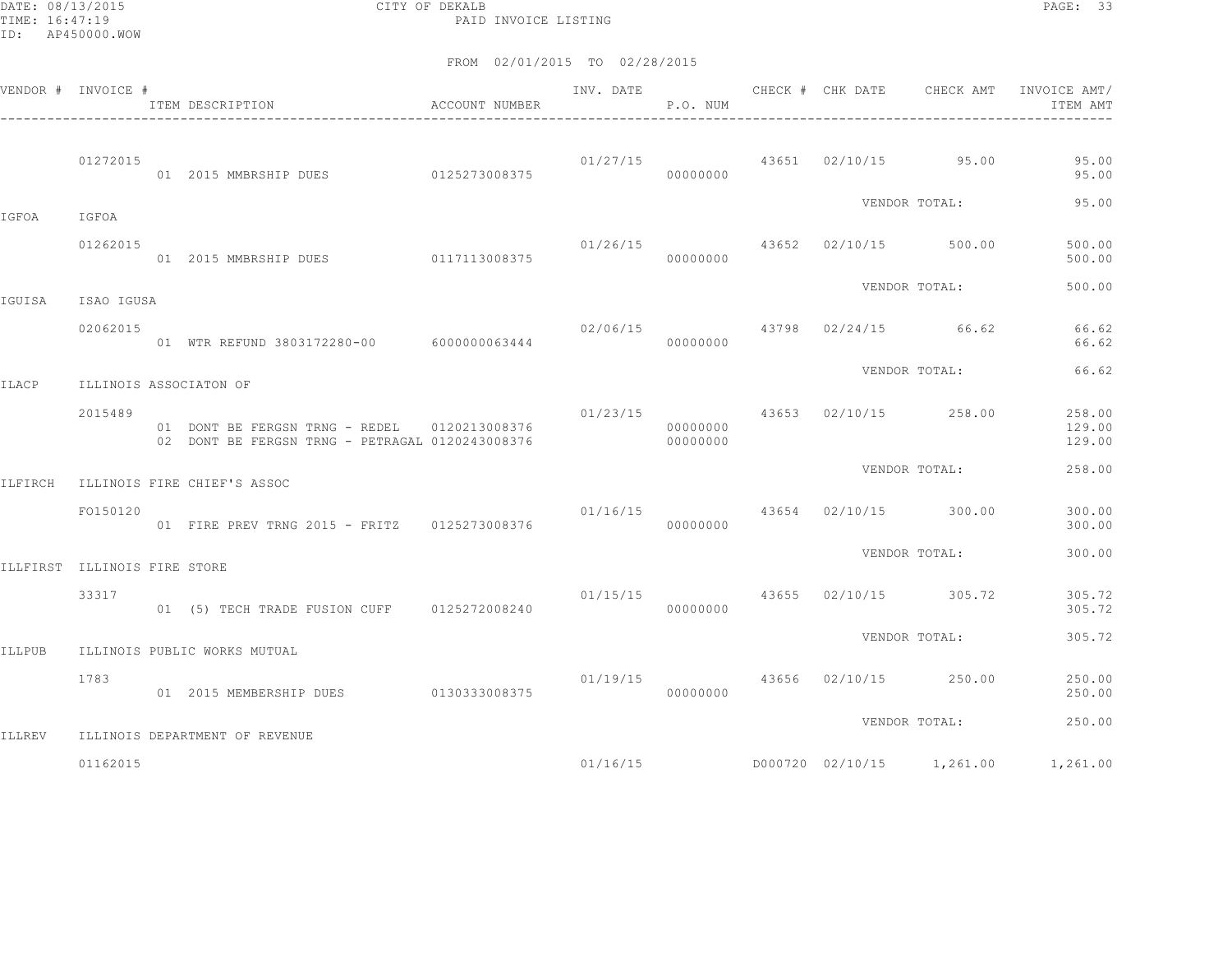DATE: 08/13/2015 CITY OF DEKALB PAGE: 33 PAID INVOICE LISTING

|               | VENDOR # INVOICE #           | ITEM DESCRIPTION                                                                                | ACCOUNT NUMBER | INV. DATE | P.O. NUM             |  | CHECK # CHK DATE CHECK AMT       | INVOICE AMT/<br>ITEM AMT   |
|---------------|------------------------------|-------------------------------------------------------------------------------------------------|----------------|-----------|----------------------|--|----------------------------------|----------------------------|
|               | 01272015                     | 01  2015  MMBRSHIP  DUES   0125273008375                                                        |                |           | 00000000             |  | $01/27/15$ 43651 02/10/15 95.00  | 95.00<br>95.00             |
| IGFOA         | IGFOA                        |                                                                                                 |                |           |                      |  | VENDOR TOTAL:                    | 95.00                      |
|               | 01262015                     | 01  2015  MMBRSHIP  DUES   0117113008375                                                        |                | 000000000 |                      |  | 01/26/15 43652 02/10/15 500.00   | 500.00<br>500.00           |
| IGUISA        | ISAO IGUSA                   |                                                                                                 |                |           |                      |  | VENDOR TOTAL:                    | 500.00                     |
|               | 02062015                     | 01 WTR REFUND 3803172280-00 6000000063444                                                       |                |           | 00000000             |  | 02/06/15 43798 02/24/15 66.62    | 66.62<br>66.62             |
| <b>ILACP</b>  |                              | ILLINOIS ASSOCIATON OF                                                                          |                |           |                      |  | VENDOR TOTAL:                    | 66.62                      |
|               | 2015489                      | 01 DONT BE FERGSN TRNG - REDEL 0120213008376<br>02 DONT BE FERGSN TRNG - PETRAGAL 0120243008376 |                |           | 00000000<br>00000000 |  | $01/23/15$ 43653 02/10/15 258.00 | 258.00<br>129.00<br>129.00 |
| ILFIRCH       |                              | ILLINOIS FIRE CHIEF'S ASSOC                                                                     |                |           |                      |  | VENDOR TOTAL:                    | 258.00                     |
|               | F0150120                     | 01 FIRE PREV TRNG 2015 - FRITZ 0125273008376                                                    |                |           | 00000000             |  | $01/16/15$ 43654 02/10/15 300.00 | 300.00<br>300.00           |
|               | ILLFIRST ILLINOIS FIRE STORE |                                                                                                 |                |           |                      |  | VENDOR TOTAL:                    | 300.00                     |
|               | 33317                        | 01 (5) TECH TRADE FUSION CUFF 0125272008240                                                     |                |           | 00000000             |  | $01/15/15$ 43655 02/10/15 305.72 | 305.72<br>305.72           |
| ILLPUB        |                              | ILLINOIS PUBLIC WORKS MUTUAL                                                                    |                |           |                      |  | VENDOR TOTAL:                    | 305.72                     |
|               | 1783                         |                                                                                                 |                |           | 00000000             |  | $01/19/15$ 43656 02/10/15 250.00 | 250.00<br>250.00           |
| <b>ILLREV</b> |                              | ILLINOIS DEPARTMENT OF REVENUE                                                                  |                |           |                      |  | VENDOR TOTAL:                    | 250.00                     |
|               | 01162015                     |                                                                                                 |                | 01/16/15  |                      |  | D000720 02/10/15 1,261.00        | 1,261.00                   |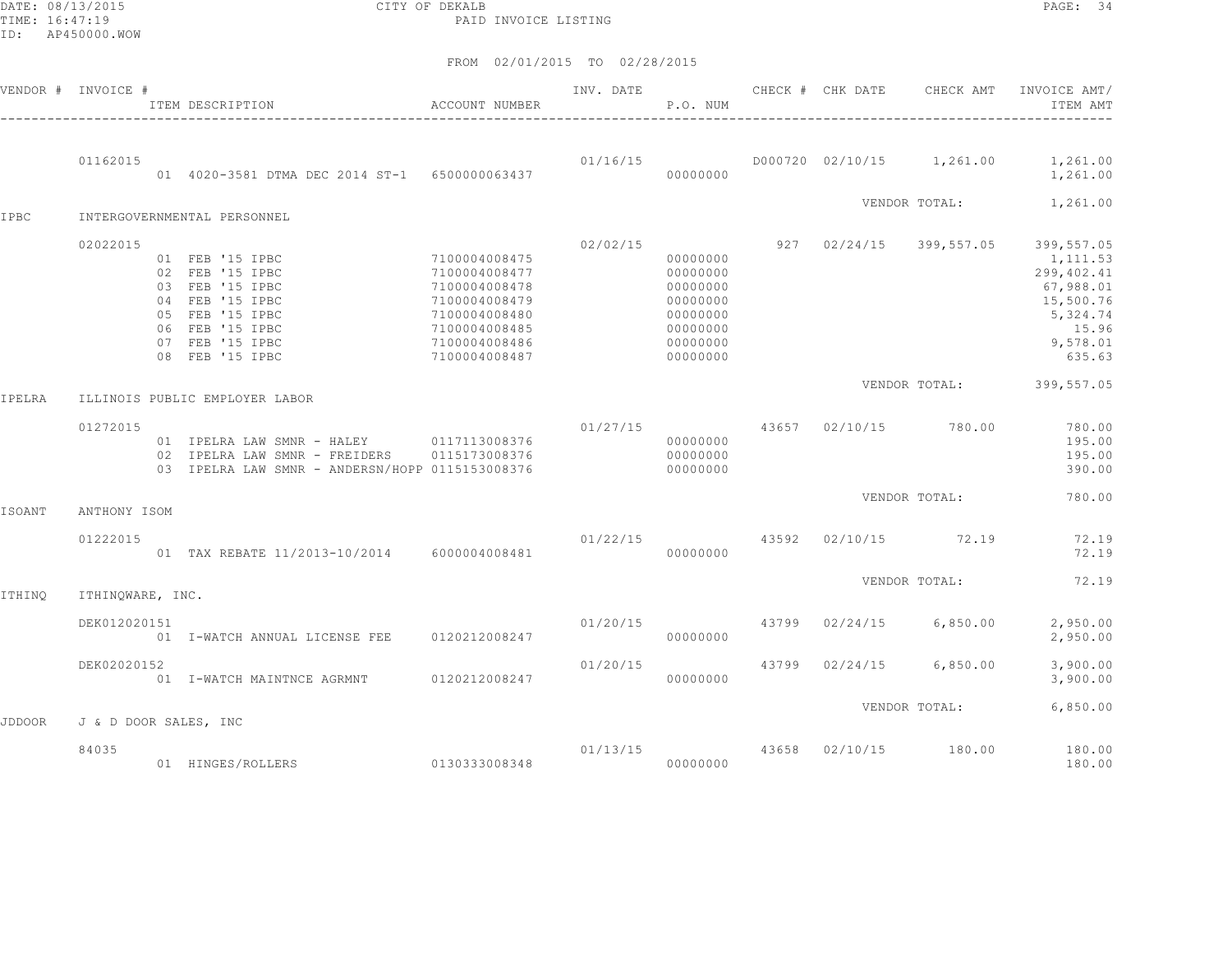DATE: 08/13/2015 CITY OF DEKALB PAGE: 34 PAID INVOICE LISTING

|               | VENDOR # INVOICE # | ITEM DESCRIPTION                                                                                                                                     | ACCOUNT NUMBER                                                                                                                       | INV. DATE | P.O. NUM                                                                                     |       | CHECK # CHK DATE | CHECK AMT                 | INVOICE AMT/<br>ITEM AMT                                                                                  |
|---------------|--------------------|------------------------------------------------------------------------------------------------------------------------------------------------------|--------------------------------------------------------------------------------------------------------------------------------------|-----------|----------------------------------------------------------------------------------------------|-------|------------------|---------------------------|-----------------------------------------------------------------------------------------------------------|
|               | 01162015           | 01 4020-3581 DTMA DEC 2014 ST-1 6500000063437                                                                                                        |                                                                                                                                      | 01/16/15  | 00000000                                                                                     |       |                  | D000720 02/10/15 1,261.00 | 1,261.00<br>1,261.00                                                                                      |
| IPBC          |                    | INTERGOVERNMENTAL PERSONNEL                                                                                                                          |                                                                                                                                      |           |                                                                                              |       |                  | VENDOR TOTAL:             | 1,261.00                                                                                                  |
|               |                    |                                                                                                                                                      |                                                                                                                                      |           |                                                                                              |       |                  |                           |                                                                                                           |
|               | 02022015           | 01 FEB '15 IPBC<br>02 FEB '15 IPBC<br>03 FEB '15 IPBC<br>04 FEB '15 IPBC<br>05 FEB '15 IPBC<br>06 FEB '15 IPBC<br>07 FEB '15 IPBC<br>08 FEB '15 IPBC | 7100004008475<br>7100004008477<br>7100004008478<br>7100004008479<br>7100004008480<br>7100004008485<br>7100004008486<br>7100004008487 | 02/02/15  | 00000000<br>00000000<br>00000000<br>00000000<br>00000000<br>00000000<br>00000000<br>00000000 | 927   | 02/24/15         | 399,557.05                | 399,557.05<br>1,111.53<br>299,402.41<br>67,988.01<br>15,500.76<br>5,324.74<br>15.96<br>9,578.01<br>635.63 |
| IPELRA        |                    | ILLINOIS PUBLIC EMPLOYER LABOR                                                                                                                       |                                                                                                                                      |           |                                                                                              |       |                  |                           | VENDOR TOTAL: 399,557.05                                                                                  |
|               | 01272015           | 01 IPELRA LAW SMNR - HALEY 0117113008376<br>02 IPELRA LAW SMNR - FREIDERS<br>03 IPELRA LAW SMNR - ANDERSN/HOPP 0115153008376                         | 0115173008376                                                                                                                        | 01/27/15  | 00000000<br>00000000<br>00000000                                                             | 43657 | 02/10/15         | 780.00                    | 780.00<br>195.00<br>195.00<br>390.00                                                                      |
| ISOANT        | ANTHONY ISOM       |                                                                                                                                                      |                                                                                                                                      |           |                                                                                              |       |                  | VENDOR TOTAL:             | 780.00                                                                                                    |
|               | 01222015           | 01 TAX REBATE 11/2013-10/2014 6000004008481                                                                                                          |                                                                                                                                      | 01/22/15  | 00000000                                                                                     | 43592 |                  | 02/10/15 72.19            | 72.19<br>72.19                                                                                            |
| ITHINO        | ITHINQWARE, INC.   |                                                                                                                                                      |                                                                                                                                      |           |                                                                                              |       |                  | VENDOR TOTAL:             | 72.19                                                                                                     |
|               | DEK012020151       | 01 I-WATCH ANNUAL LICENSE FEE                                                                                                                        | 0120212008247                                                                                                                        | 01/20/15  | 00000000                                                                                     | 43799 | 02/24/15         | 6,850.00                  | 2,950.00<br>2,950.00                                                                                      |
|               | DEK02020152        | 01 I-WATCH MAINTNCE AGRMNT                                                                                                                           | 0120212008247                                                                                                                        | 01/20/15  | 00000000                                                                                     | 43799 | 02/24/15         | 6,850.00                  | 3,900.00<br>3,900.00                                                                                      |
| <b>JDDOOR</b> |                    | J & D DOOR SALES, INC                                                                                                                                |                                                                                                                                      |           |                                                                                              |       |                  | VENDOR TOTAL:             | 6,850.00                                                                                                  |
|               | 84035              | 01 HINGES/ROLLERS                                                                                                                                    | 0130333008348                                                                                                                        | 01/13/15  | 00000000                                                                                     | 43658 | 02/10/15         | 180.00                    | 180.00<br>180.00                                                                                          |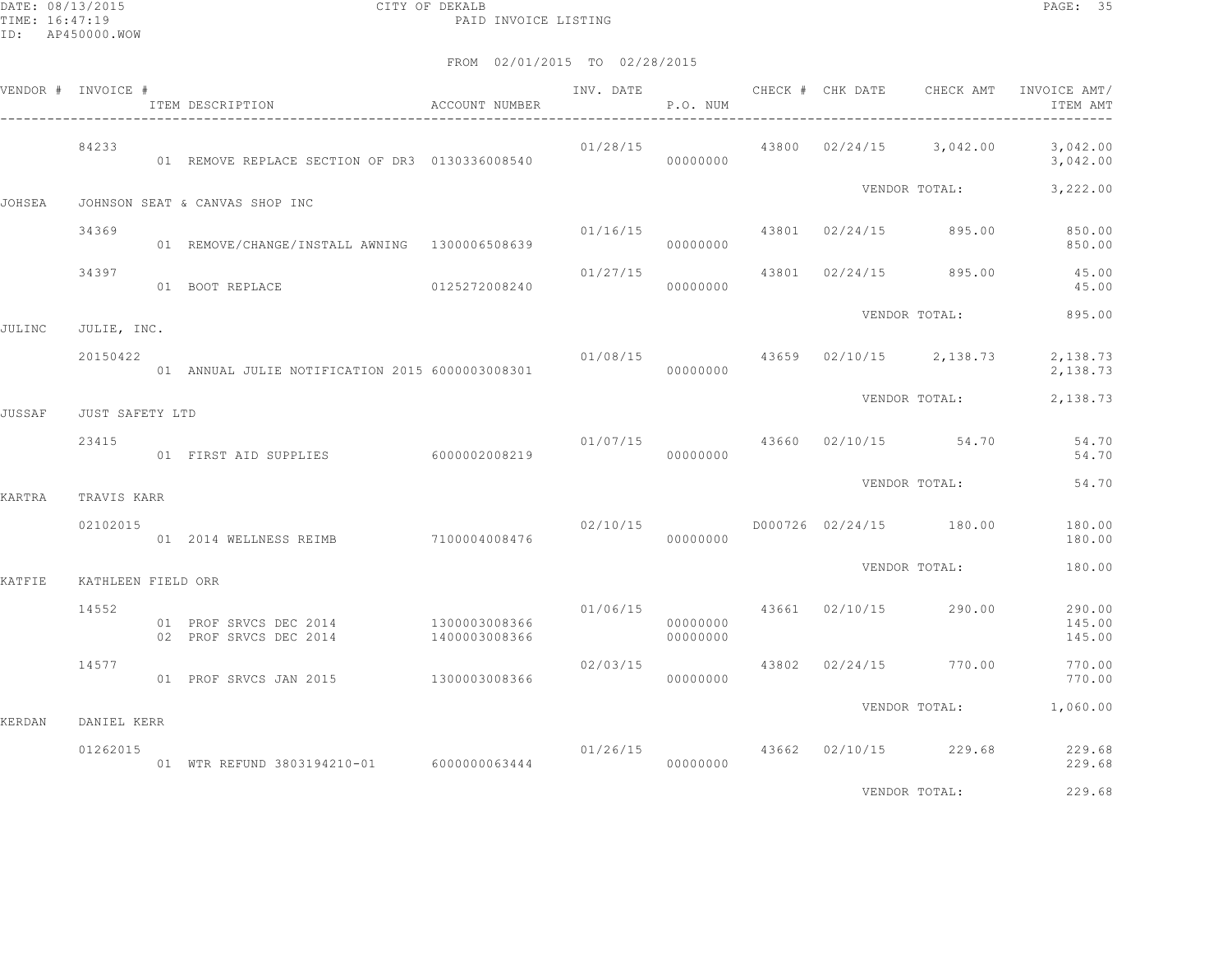|               | VENDOR # INVOICE # | ACCOUNT NUMBER<br>ITEM DESCRIPTION                                           |                      | P.O. NUM             |  | INV. DATE 6 CHECK # CHK DATE CHECK AMT | INVOICE AMT/<br>ITEM AMT                                        |
|---------------|--------------------|------------------------------------------------------------------------------|----------------------|----------------------|--|----------------------------------------|-----------------------------------------------------------------|
|               | 84233              |                                                                              |                      |                      |  |                                        | $01/28/15$ 43800 $02/24/15$ 3,042.00 3,042.00<br>3,042.00       |
| JOHSEA        |                    | JOHNSON SEAT & CANVAS SHOP INC                                               |                      |                      |  |                                        | VENDOR TOTAL: 3,222.00                                          |
|               | 34369              | 01 REMOVE/CHANGE/INSTALL AWNING 1300006508639                                | 01/16/15             | 00000000             |  |                                        | 43801 02/24/15 895.00 850.00<br>850.00                          |
|               | 34397              | 0125272008240<br>01 BOOT REPLACE                                             | 01/27/15<br>00000000 |                      |  | 43801 02/24/15 895.00                  | 45.00<br>45.00                                                  |
| JULINC        | JULIE, INC.        |                                                                              |                      |                      |  | VENDOR TOTAL:                          | 895.00                                                          |
|               | 20150422           | 01 ANNUAL JULIE NOTIFICATION 2015 6000003008301 0000000000 00000000          |                      |                      |  |                                        | $01/08/15$ $43659$ $02/10/15$ $2,138.73$ $2,138.73$<br>2,138.73 |
| <b>JUSSAF</b> | JUST SAFETY LTD    |                                                                              |                      |                      |  |                                        | VENDOR TOTAL: 2,138.73                                          |
|               | 23415              | 01 FIRST AID SUPPLIES 6000002008219                                          |                      | 00000000             |  | $01/07/15$ 43660 02/10/15 54.70        | 54.70<br>54.70                                                  |
| KARTRA        | TRAVIS KARR        |                                                                              |                      |                      |  | VENDOR TOTAL:                          | 54.70                                                           |
|               | 02102015           | 01  2014  WELLNESS REIMB  7100004008476                                      |                      | 00000000             |  |                                        | 180.00<br>180.00                                                |
| KATFIE        | KATHLEEN FIELD ORR |                                                                              |                      |                      |  | VENDOR TOTAL:                          | 180.00                                                          |
|               | 14552              | 01 PROF SRVCS DEC 2014 1300003008366<br>02 PROF SRVCS DEC 2014 1400003008366 | 01/06/15             | 00000000<br>00000000 |  |                                        | 43661 02/10/15 290.00 290.00<br>145.00<br>145.00                |
|               | 14577              | 01 PROF SRVCS JAN 2015 1300003008366                                         | 02/03/15             | 00000000             |  |                                        | 43802 02/24/15 770.00 770.00<br>770.00                          |
| <b>KERDAN</b> | DANIEL KERR        |                                                                              |                      |                      |  |                                        | VENDOR TOTAL: 1,060.00                                          |
|               | 01262015           | 01 WTR REFUND 3803194210-01 6000000063444 01/26/15 43662 02/10/15 229.68     |                      |                      |  |                                        | 229.68<br>229.68                                                |
|               |                    |                                                                              |                      |                      |  | VENDOR TOTAL:                          | 229.68                                                          |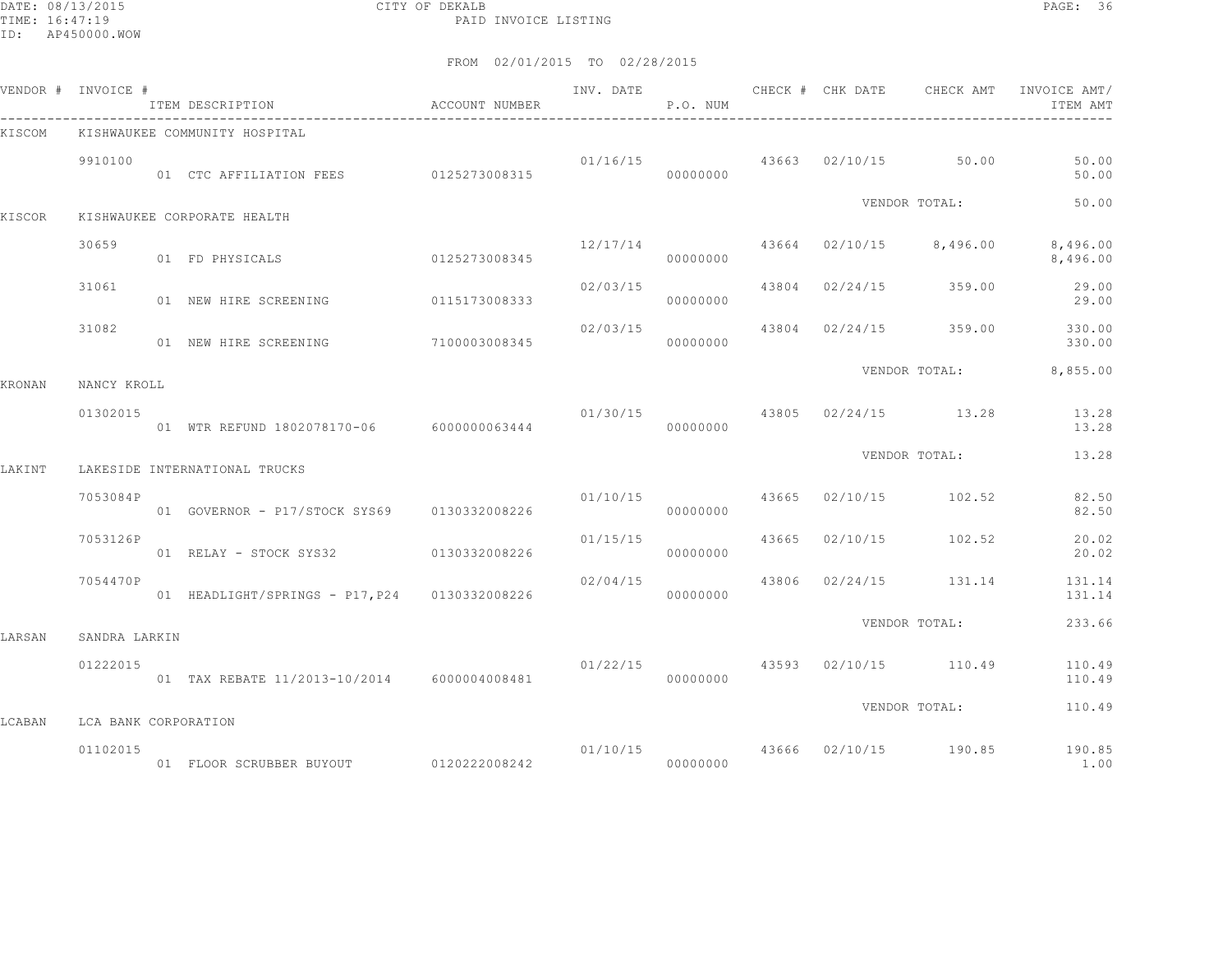DATE: 08/13/2015 CITY OF DEKALB PAGE: 36 PAID INVOICE LISTING

|        | VENDOR # INVOICE #   | ITEM DESCRIPTION ACCOUNT NUMBER               |               |          | P.O. NUM             |       |                |                                   | INV. DATE 6 CHECK # CHK DATE CHECK AMT INVOICE AMT/<br>ITEM AMT |
|--------|----------------------|-----------------------------------------------|---------------|----------|----------------------|-------|----------------|-----------------------------------|-----------------------------------------------------------------|
| KISCOM |                      | KISHWAUKEE COMMUNITY HOSPITAL                 |               |          |                      |       |                |                                   |                                                                 |
|        | 9910100              | 01 CTC AFFILIATION FEES 0125273008315         |               |          | 00000000             |       |                | $01/16/15$ 43663 02/10/15 50.00   | 50.00<br>50.00                                                  |
| KISCOR |                      | KISHWAUKEE CORPORATE HEALTH                   |               |          |                      |       |                | VENDOR TOTAL:                     | 50.00                                                           |
|        | 30659                | 01 FD PHYSICALS                               | 0125273008345 | 12/17/14 | 00000000             |       |                | 43664 02/10/15 8,496.00           | 8,496.00<br>8,496.00                                            |
|        | 31061                | 01 NEW HIRE SCREENING 0115173008333           |               | 02/03/15 | 00000000             | 43804 |                | $02/24/15$ 359.00                 | 29.00<br>29.00                                                  |
|        | 31082                | 01 NEW HIRE SCREENING 7100003008345           |               | 02/03/15 | 00000000             |       | 43804 02/24/15 | 359.00                            | 330.00<br>330.00                                                |
| KRONAN | NANCY KROLL          |                                               |               |          |                      |       |                |                                   | VENDOR TOTAL: 8,855.00                                          |
|        | 01302015             | 01 WTR REFUND 1802078170-06 6000000063444     |               |          | 00000000             |       |                | $01/30/15$ 43805 $02/24/15$ 13.28 | 13.28<br>13.28                                                  |
| LAKINT |                      | LAKESIDE INTERNATIONAL TRUCKS                 |               |          |                      |       |                | VENDOR TOTAL:                     | 13.28                                                           |
|        | 7053084P             | 01 GOVERNOR - P17/STOCK SYS69 0130332008226   |               |          | 01/10/15<br>00000000 |       |                | 43665 02/10/15 102.52             | 82.50<br>82.50                                                  |
|        | 7053126P             | 01 RELAY - STOCK SYS32 0130332008226          |               | 01/15/15 | 00000000             |       |                | 43665 02/10/15 102.52             | 20.02<br>20.02                                                  |
|        | 7054470P             | 01 HEADLIGHT/SPRINGS - P17, P24 0130332008226 |               | 02/04/15 | 00000000             | 43806 |                | $02/24/15$ 131.14                 | 131.14<br>131.14                                                |
| LARSAN | SANDRA LARKIN        |                                               |               |          |                      |       |                | VENDOR TOTAL:                     | 233.66                                                          |
|        | 01222015             | 01 TAX REBATE 11/2013-10/2014 6000004008481   |               | 01/22/15 | 00000000             |       |                | 43593 02/10/15 110.49             | 110.49<br>110.49                                                |
| LCABAN | LCA BANK CORPORATION |                                               |               |          |                      |       |                | VENDOR TOTAL:                     | 110.49                                                          |
|        | 01102015             | 01 FLOOR SCRUBBER BUYOUT 0120222008242        |               |          | 00000000             |       |                | 01/10/15 43666 02/10/15 190.85    | 190.85<br>1.00                                                  |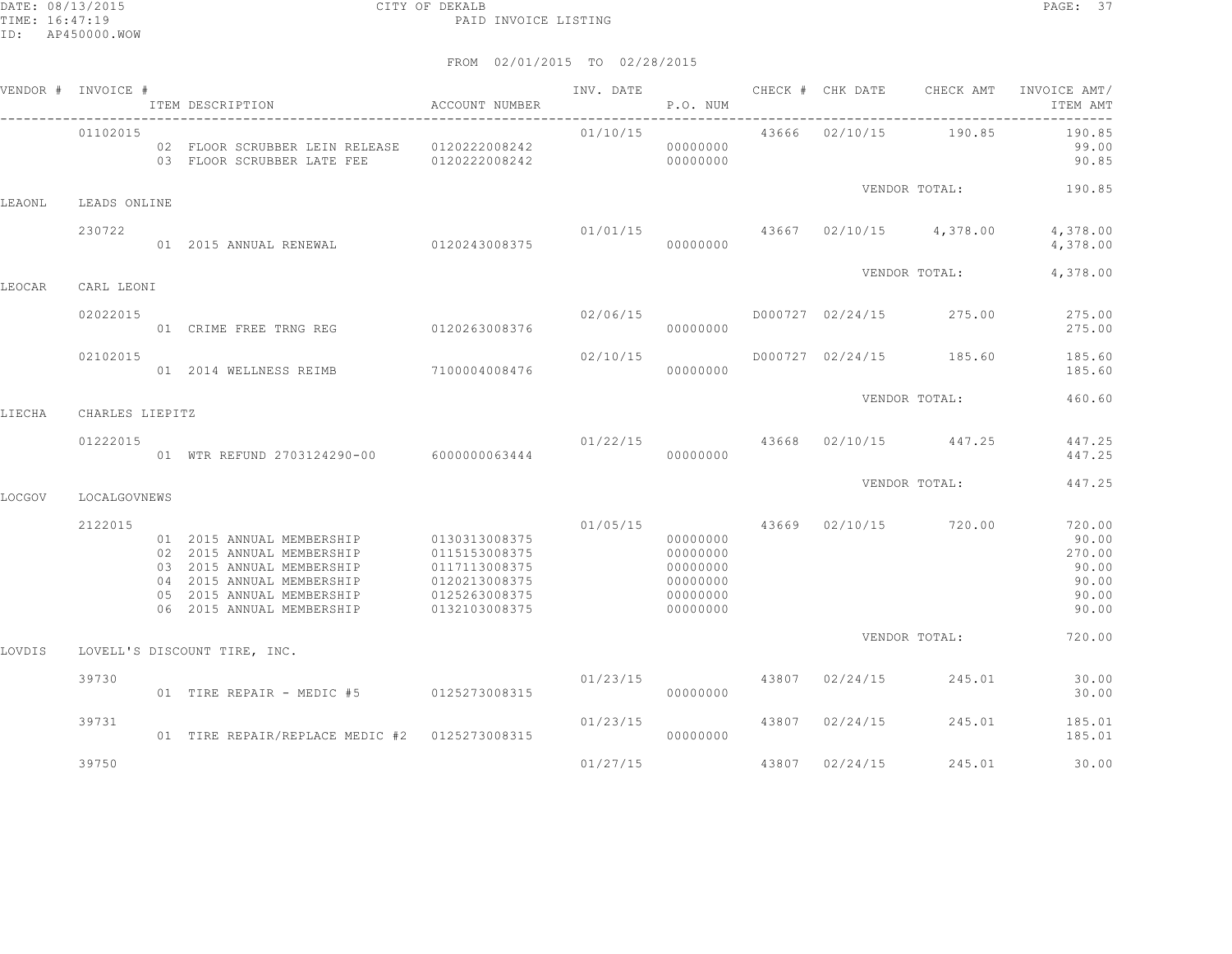|        | VENDOR # INVOICE # | ITEM DESCRIPTION                                                                                                                                                                             | ACCOUNT NUMBER                                                                    |          | P.O. NUM                                                                         |       |                |                                        | INV. DATE 6 CHECK # CHK DATE CHECK AMT INVOICE AMT/<br>ITEM AMT |
|--------|--------------------|----------------------------------------------------------------------------------------------------------------------------------------------------------------------------------------------|-----------------------------------------------------------------------------------|----------|----------------------------------------------------------------------------------|-------|----------------|----------------------------------------|-----------------------------------------------------------------|
|        | 01102015           | 02 FLOOR SCRUBBER LEIN RELEASE 0120222008242<br>03 FLOOR SCRUBBER LATE FEE 0120222008242                                                                                                     |                                                                                   | 01/10/15 | 00000000<br>00000000                                                             |       | 43666 02/10/15 | 190.85                                 | 190.85<br>99.00<br>90.85                                        |
| LEAONL | LEADS ONLINE       |                                                                                                                                                                                              |                                                                                   |          |                                                                                  |       |                |                                        | VENDOR TOTAL: 190.85                                            |
|        | 230722             |                                                                                                                                                                                              |                                                                                   |          |                                                                                  |       |                | $01/01/15$ 43667 02/10/15 4,378.00     | 4,378.00                                                        |
|        |                    |                                                                                                                                                                                              |                                                                                   |          | 00000000                                                                         |       |                |                                        | 4,378.00                                                        |
| LEOCAR | CARL LEONI         |                                                                                                                                                                                              |                                                                                   |          |                                                                                  |       |                | VENDOR TOTAL:                          | 4,378.00                                                        |
|        | 02022015           | 01 CRIME FREE TRNG REG 0120263008376                                                                                                                                                         |                                                                                   | 02/06/15 | 00000000                                                                         |       |                | D000727 02/24/15 275.00                | 275.00<br>275.00                                                |
|        | 02102015           | 01 2014 WELLNESS REIMB                                                                                                                                                                       | 7100004008476                                                                     | 02/10/15 | 00000000                                                                         |       |                | D000727 02/24/15 185.60                | 185.60<br>185.60                                                |
| LIECHA | CHARLES LIEPITZ    |                                                                                                                                                                                              |                                                                                   |          |                                                                                  |       |                | VENDOR TOTAL:                          | 460.60                                                          |
|        | 01222015           | 01 WTR REFUND 2703124290-00 6000000063444                                                                                                                                                    |                                                                                   |          | 00000000                                                                         |       |                | $01/22/15$ $43668$ $02/10/15$ $447.25$ | 447.25<br>447.25                                                |
| LOCGOV | LOCALGOVNEWS       |                                                                                                                                                                                              |                                                                                   |          |                                                                                  |       |                | VENDOR TOTAL:                          | 447.25                                                          |
|        | 2122015            | 01  2015  ANNUAL MEMBERSHIP   0130313008375<br>02 2015 ANNUAL MEMBERSHIP<br>03 2015 ANNUAL MEMBERSHIP<br>04 2015 ANNUAL MEMBERSHIP<br>05 2015 ANNUAL MEMBERSHIP<br>06 2015 ANNUAL MEMBERSHIP | 0115153008375<br>0117113008375<br>0120213008375<br>0125263008375<br>0132103008375 |          | 01/05/15<br>00000000<br>00000000<br>00000000<br>00000000<br>00000000<br>00000000 |       |                | 43669 02/10/15 720.00                  | 720.00<br>90.00<br>270.00<br>90.00<br>90.00<br>90.00<br>90.00   |
| LOVDIS |                    | LOVELL'S DISCOUNT TIRE, INC.                                                                                                                                                                 |                                                                                   |          |                                                                                  |       |                | VENDOR TOTAL:                          | 720.00                                                          |
|        | 39730              |                                                                                                                                                                                              |                                                                                   | 01/23/15 |                                                                                  | 43807 |                | $02/24/15$ 245.01                      | 30.00                                                           |
|        |                    | 01 TIRE REPAIR - MEDIC #5 0125273008315                                                                                                                                                      |                                                                                   |          | 00000000                                                                         |       |                |                                        | 30.00                                                           |
|        | 39731              | 01 TIRE REPAIR/REPLACE MEDIC #2 0125273008315                                                                                                                                                |                                                                                   | 01/23/15 | 00000000                                                                         | 43807 | 02/24/15       | 245.01                                 | 185.01<br>185.01                                                |
|        | 39750              |                                                                                                                                                                                              |                                                                                   | 01/27/15 |                                                                                  | 43807 | 02/24/15       | 245.01                                 | 30.00                                                           |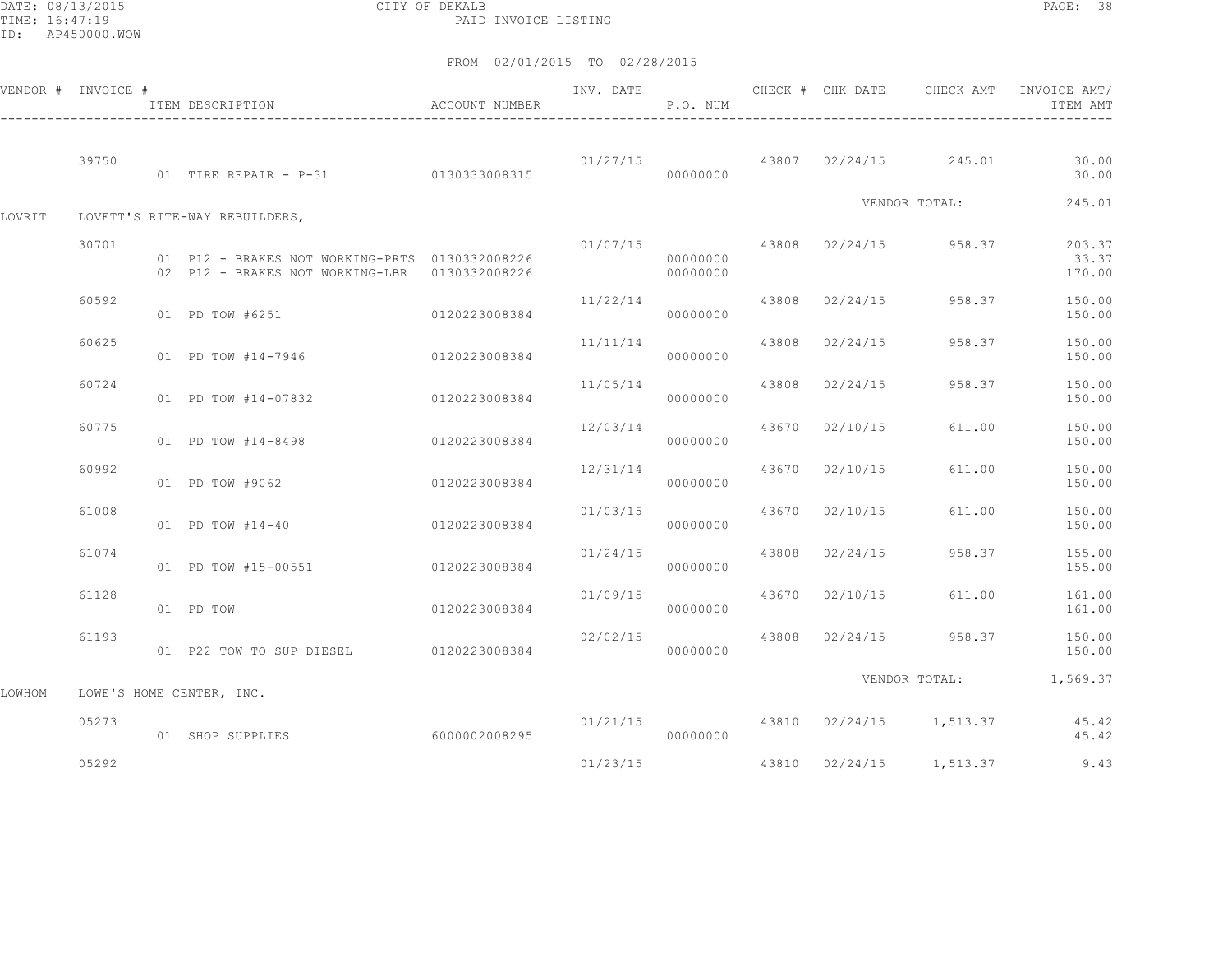DATE: 08/13/2015 CITY OF DEKALB PAGE: 38 PAID INVOICE LISTING

|        | VENDOR # INVOICE # | ITEM DESCRIPTION                                                                  | ACCOUNT NUMBER | INV. DATE | P.O. NUM             |       | CHECK # CHK DATE | CHECK AMT               | INVOICE AMT/<br>ITEM AMT  |
|--------|--------------------|-----------------------------------------------------------------------------------|----------------|-----------|----------------------|-------|------------------|-------------------------|---------------------------|
|        | 39750              | 01 TIRE REPAIR - P-31 0130333008315                                               |                | 01/27/15  | 00000000             |       |                  | 43807 02/24/15 245.01   | 30.00<br>30.00            |
| LOVRIT |                    | LOVETT'S RITE-WAY REBUILDERS,                                                     |                |           |                      |       |                  | VENDOR TOTAL:           | 245.01                    |
|        | 30701              | 01 P12 - BRAKES NOT WORKING-PRTS 0130332008226<br>02 P12 - BRAKES NOT WORKING-LBR | 0130332008226  | 01/07/15  | 00000000<br>00000000 |       | 43808 02/24/15   | 958.37                  | 203.37<br>33.37<br>170.00 |
|        | 60592              | 01 PD TOW #6251                                                                   | 0120223008384  | 11/22/14  | 00000000             | 43808 | 02/24/15         | 958.37                  | 150.00<br>150.00          |
|        | 60625              | 01 PD TOW #14-7946                                                                | 0120223008384  | 11/11/14  | 00000000             | 43808 | 02/24/15         | 958.37                  | 150.00<br>150.00          |
|        | 60724              | 01 PD TOW #14-07832                                                               | 0120223008384  | 11/05/14  | 00000000             | 43808 | 02/24/15         | 958.37                  | 150.00<br>150.00          |
|        | 60775              | 01 PD TOW #14-8498                                                                | 0120223008384  | 12/03/14  | 00000000             | 43670 | 02/10/15         | 611.00                  | 150.00<br>150.00          |
|        | 60992              | 01 PD TOW #9062                                                                   | 0120223008384  | 12/31/14  | 00000000             | 43670 | 02/10/15         | 611.00                  | 150.00<br>150.00          |
|        | 61008              | 01 PD TOW #14-40                                                                  | 0120223008384  | 01/03/15  | 00000000             | 43670 | 02/10/15         | 611.00                  | 150.00<br>150.00          |
|        | 61074              | 01 PD TOW #15-00551                                                               | 0120223008384  | 01/24/15  | 00000000             | 43808 | 02/24/15         | 958.37                  | 155.00<br>155.00          |
|        | 61128              | 01 PD TOW                                                                         | 0120223008384  | 01/09/15  | 00000000             | 43670 | 02/10/15         | 611.00                  | 161.00<br>161.00          |
|        | 61193              | 01 P22 TOW TO SUP DIESEL 0120223008384                                            |                | 02/02/15  | 00000000             | 43808 | 02/24/15         | 958.37                  | 150.00<br>150.00          |
| LOWHOM |                    | LOWE'S HOME CENTER, INC.                                                          |                |           |                      |       |                  |                         | VENDOR TOTAL: 1,569.37    |
|        | 05273              | 01 SHOP SUPPLIES                                                                  | 6000002008295  | 01/21/15  | 00000000             |       |                  | 43810 02/24/15 1,513.37 | 45.42<br>45.42            |
|        | 05292              |                                                                                   |                | 01/23/15  |                      |       | 43810 02/24/15   | 1,513.37                | 9.43                      |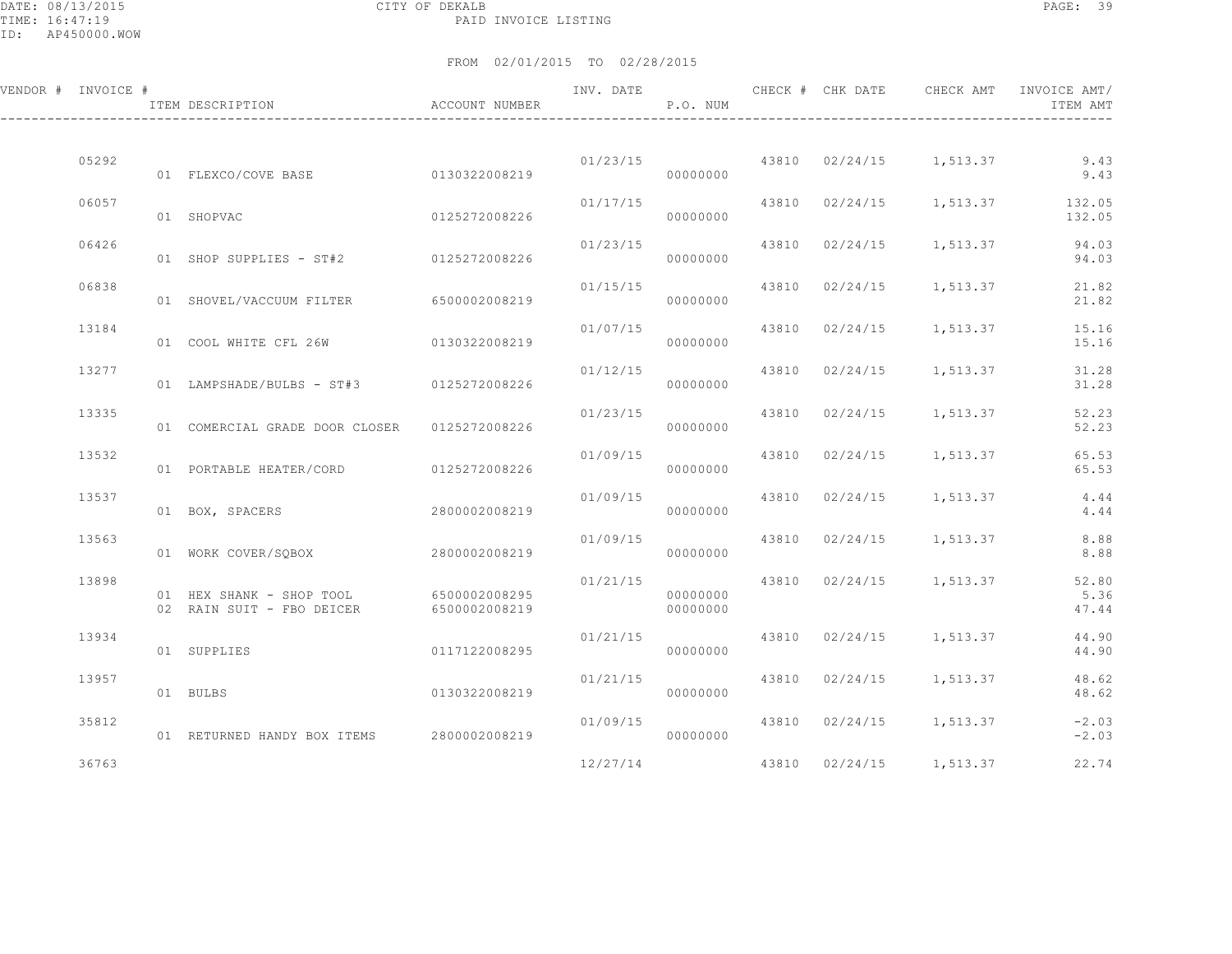DATE: 08/13/2015 CITY OF DEKALB PAGE: 39 PAID INVOICE LISTING

| VENDOR # INVOICE # | ITEM DESCRIPTION                                      | ACCOUNT NUMBER                 | INV. DATE | P.O. NUM             |       |          | CHECK # CHK DATE 6 CHECK AMT INVOICE AMT/ | ITEM AMT               |
|--------------------|-------------------------------------------------------|--------------------------------|-----------|----------------------|-------|----------|-------------------------------------------|------------------------|
| 05292              |                                                       |                                | 01/23/15  |                      |       |          | 43810 02/24/15 1,513.37                   | 9.43                   |
| 06057              | 01 FLEXCO/COVE BASE 0130322008219                     |                                | 01/17/15  | 00000000             | 43810 |          | $02/24/15$ 1, 513.37 132.05               | 9.43                   |
|                    | 01 SHOPVAC                                            | 0125272008226                  |           | 00000000             |       |          |                                           | 132.05                 |
| 06426              | 01 SHOP SUPPLIES - ST#2 0125272008226                 |                                | 01/23/15  | 00000000             | 43810 | 02/24/15 | 1,513.37                                  | 94.03<br>94.03         |
| 06838              | 01 SHOVEL/VACCUUM FILTER 6500002008219                |                                | 01/15/15  | 00000000             | 43810 | 02/24/15 | 1,513.37                                  | 21.82<br>21.82         |
| 13184              | 01 COOL WHITE CFL 26W 0130322008219                   |                                | 01/07/15  | 00000000             | 43810 | 02/24/15 | 1,513.37                                  | 15.16<br>15.16         |
| 13277              | 01 LAMPSHADE/BULBS - ST#3 0125272008226               |                                | 01/12/15  | 00000000             | 43810 | 02/24/15 | 1,513.37                                  | 31.28<br>31.28         |
| 13335              | 01 COMERCIAL GRADE DOOR CLOSER                        | 0125272008226                  | 01/23/15  | 00000000             | 43810 | 02/24/15 | 1,513.37                                  | 52.23<br>52.23         |
| 13532              | 01 PORTABLE HEATER/CORD                               | 0125272008226                  | 01/09/15  | 00000000             | 43810 | 02/24/15 | 1,513.37                                  | 65.53<br>65.53         |
| 13537              | 01 BOX, SPACERS                                       | 2800002008219                  | 01/09/15  | 00000000             | 43810 | 02/24/15 | 1,513.37                                  | 4.44<br>4.44           |
| 13563              | 01 WORK COVER/SQBOX                                   | 2800002008219                  | 01/09/15  | 00000000             | 43810 | 02/24/15 | 1,513.37                                  | 8.88<br>8.88           |
| 13898              | 01 HEX SHANK - SHOP TOOL<br>02 RAIN SUIT - FBO DEICER | 6500002008295<br>6500002008219 | 01/21/15  | 00000000<br>00000000 | 43810 | 02/24/15 | 1,513.37                                  | 52.80<br>5.36<br>47.44 |
| 13934              | 01 SUPPLIES                                           | 0117122008295                  | 01/21/15  | 00000000             | 43810 | 02/24/15 | 1,513.37                                  | 44.90<br>44.90         |
| 13957              | 01 BULBS                                              | 0130322008219                  | 01/21/15  | 00000000             | 43810 | 02/24/15 | 1,513.37                                  | 48.62<br>48.62         |
| 35812              | 01 RETURNED HANDY BOX ITEMS 2800002008219             |                                | 01/09/15  | 00000000             |       |          | 43810 02/24/15 1,513.37                   | $-2.03$<br>$-2.03$     |
| 36763              |                                                       |                                | 12/27/14  |                      | 43810 | 02/24/15 | 1,513.37                                  | 22.74                  |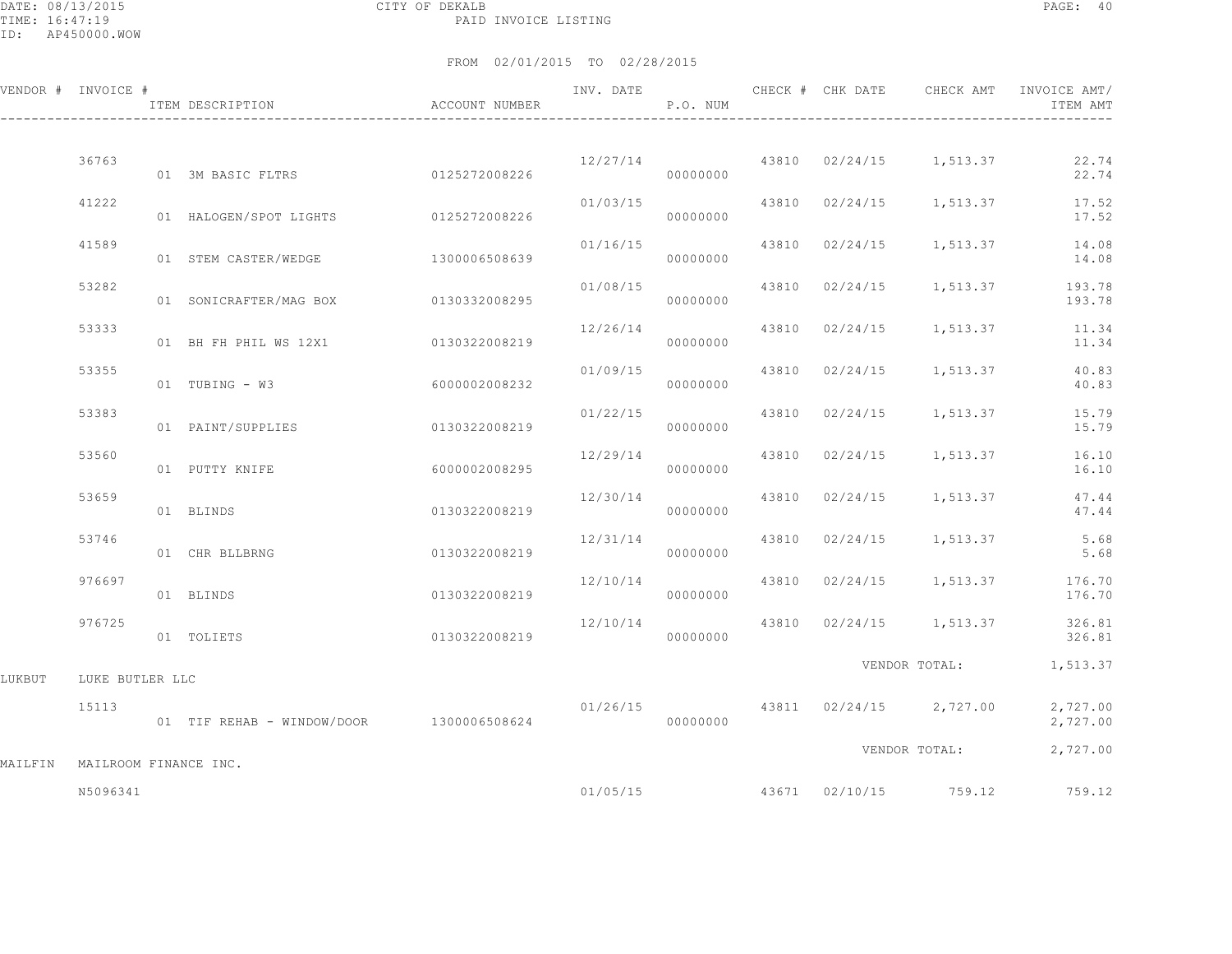DATE: 08/13/2015 CITY OF DEKALB PAGE: 40 PAID INVOICE LISTING

ID: AP450000.WOW

|         | VENDOR # INVOICE #                | ITEM DESCRIPTION                         | ACCOUNT NUMBER |          | P.O. NUM |                | INV. DATE 6 CHECK # CHK DATE CHECK AMT INVOICE AMT/ | ITEM AMT             |
|---------|-----------------------------------|------------------------------------------|----------------|----------|----------|----------------|-----------------------------------------------------|----------------------|
|         |                                   |                                          |                |          |          |                |                                                     |                      |
|         | 36763                             | 01 3M BASIC FLTRS 0125272008226          |                | 12/27/14 | 00000000 |                | 43810 02/24/15 1,513.37                             | 22.74<br>22.74       |
|         | 41222                             | 01 HALOGEN/SPOT LIGHTS                   | 0125272008226  | 01/03/15 | 00000000 |                | 43810 02/24/15 1,513.37                             | 17.52<br>17.52       |
|         | 41589                             | 01 STEM CASTER/WEDGE 1300006508639       |                | 01/16/15 | 00000000 |                | 43810 02/24/15 1,513.37                             | 14.08<br>14.08       |
|         | 53282                             | 01 SONICRAFTER/MAG BOX                   | 0130332008295  | 01/08/15 | 00000000 |                | 43810 02/24/15 1,513.37                             | 193.78<br>193.78     |
|         | 53333                             | 01 BH FH PHIL WS 12X1 0130322008219      |                | 12/26/14 | 00000000 |                | 43810 02/24/15 1,513.37                             | 11.34<br>11.34       |
|         | 53355                             | 01 TUBING - W3                           | 6000002008232  | 01/09/15 | 00000000 |                | 43810 02/24/15 1,513.37                             | 40.83<br>40.83       |
|         | 53383                             | 01 PAINT/SUPPLIES                        | 0130322008219  | 01/22/15 | 00000000 |                | 43810 02/24/15 1,513.37                             | 15.79<br>15.79       |
|         | 53560                             | 01 PUTTY KNIFE                           | 6000002008295  | 12/29/14 | 00000000 | 43810 02/24/15 | 1,513.37                                            | 16.10<br>16.10       |
|         | 53659                             | 01 BLINDS                                | 0130322008219  | 12/30/14 | 00000000 |                | 43810 02/24/15 1,513.37                             | 47.44<br>47.44       |
|         | 53746                             | 01 CHR BLLBRNG                           | 0130322008219  | 12/31/14 | 00000000 |                | 43810 02/24/15 1,513.37                             | 5.68<br>5.68         |
|         | 976697                            | 01 BLINDS                                | 0130322008219  | 12/10/14 | 00000000 |                | 43810 02/24/15 1,513.37                             | 176.70<br>176.70     |
|         | 976725                            | 01 TOLIETS                               | 0130322008219  | 12/10/14 | 00000000 |                | 43810 02/24/15 1,513.37                             | 326.81<br>326.81     |
| LUKBUT  | LUKE BUTLER LLC                   |                                          |                |          |          |                | VENDOR TOTAL:                                       | 1,513.37             |
|         | 15113                             | 01 TIF REHAB - WINDOW/DOOR 1300006508624 |                |          | 00000000 |                | $01/26/15$ $43811$ $02/24/15$ $2,727.00$            | 2,727.00<br>2,727.00 |
|         |                                   |                                          |                |          |          |                | VENDOR TOTAL:                                       | 2,727.00             |
| MAILFIN | MAILROOM FINANCE INC.<br>N5096341 |                                          |                | 01/05/15 |          |                | 43671 02/10/15 759.12                               | 759.12               |
|         |                                   |                                          |                |          |          |                |                                                     |                      |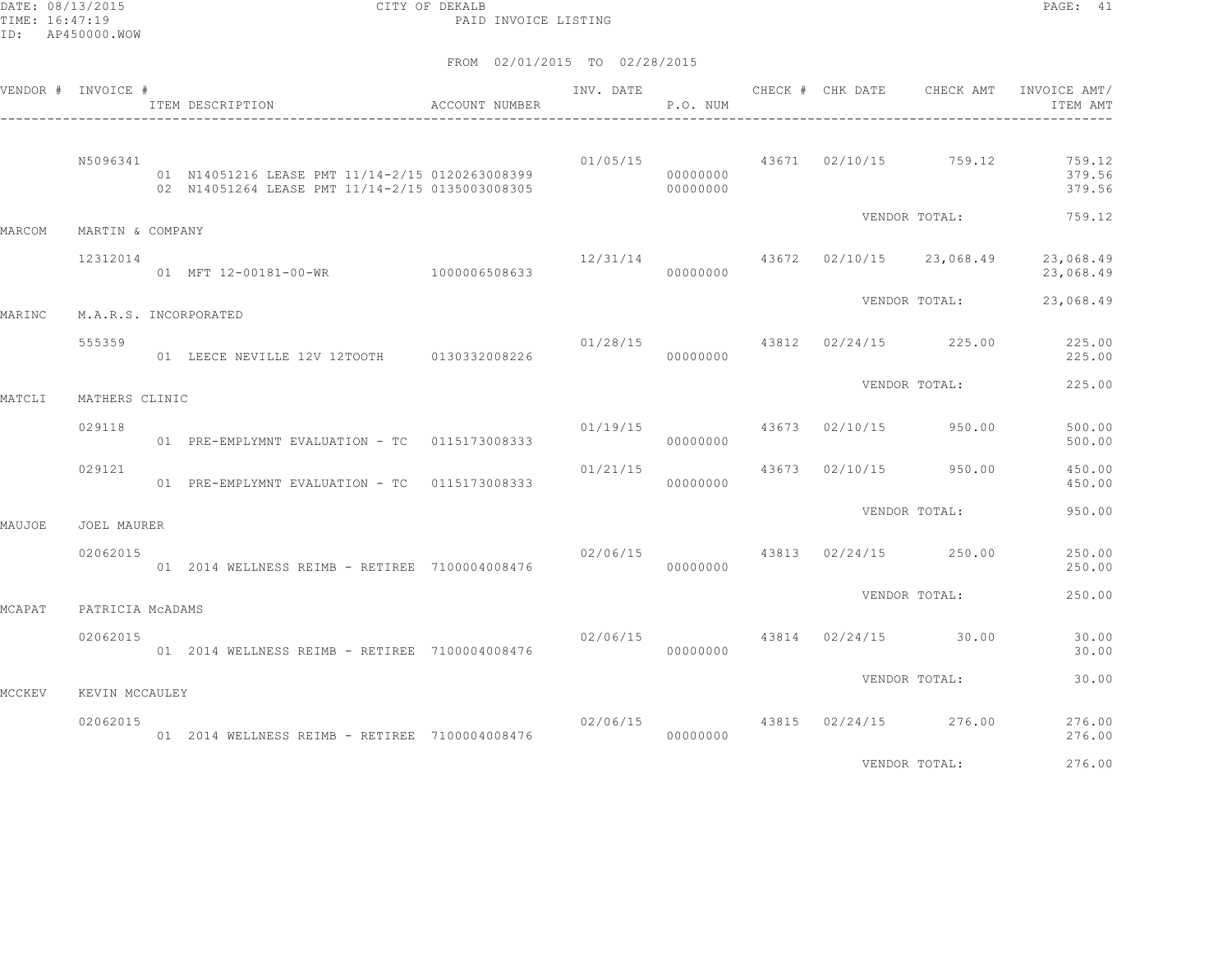DATE: 08/13/2015 CITY OF DEKALB PAGE: 41 PAID INVOICE LISTING

|        | VENDOR # INVOICE #    | ITEM DESCRIPTION                                   | ACCOUNT NUMBER |                                        | P.O. NUM |  |                                           | INV. DATE 6 CHECK # CHK DATE CHECK AMT INVOICE AMT<br>ITEM AMT |
|--------|-----------------------|----------------------------------------------------|----------------|----------------------------------------|----------|--|-------------------------------------------|----------------------------------------------------------------|
|        | N5096341              | 02 N14051264 LEASE PMT 11/14-2/15 0135003008305    |                |                                        | 00000000 |  | $01/05/15$ $43671$ $02/10/15$ $759.12$    | 759.12<br>379.56<br>379.56                                     |
| MARCOM | MARTIN & COMPANY      |                                                    |                |                                        |          |  |                                           | VENDOR TOTAL: 759.12                                           |
|        | 12312014              | 01 MFT 12-00181-00-WR 1000006508633                |                |                                        | 00000000 |  | $12/31/14$ $43672$ $02/10/15$ $23,068.49$ | 23,068.49<br>23,068.49                                         |
| MARINC | M.A.R.S. INCORPORATED |                                                    |                |                                        |          |  | VENDOR TOTAL:                             | 23,068.49                                                      |
|        | 555359                | 01 LEECE NEVILLE 12V 12TOOTH 0130332008226         |                |                                        | 00000000 |  | $01/28/15$ $43812$ $02/24/15$ $225.00$    | 225.00<br>225.00                                               |
| MATCLI | MATHERS CLINIC        |                                                    |                |                                        |          |  | VENDOR TOTAL:                             | 225.00                                                         |
|        | 029118                | 01 PRE-EMPLYMNT EVALUATION - TC 0115173008333      |                | 01/19/15                               | 00000000 |  | 43673 02/10/15 950.00                     | 500.00<br>500.00                                               |
|        | 029121                | 01 PRE-EMPLYMNT EVALUATION - TC 0115173008333      |                |                                        | 00000000 |  | $01/21/15$ 43673 02/10/15 950.00          | 450.00<br>450.00                                               |
| MAUJOE | <b>JOEL MAURER</b>    |                                                    |                |                                        |          |  | VENDOR TOTAL:                             | 950.00                                                         |
|        | 02062015              | 01  2014  WELLNESS  REIMB - RETIREE  7100004008476 |                | $02/06/15$ $43813$ $02/24/15$ $250.00$ | 00000000 |  |                                           | 250.00<br>250.00                                               |
| MCAPAT | PATRICIA MCADAMS      |                                                    |                |                                        |          |  | VENDOR TOTAL:                             | 250.00                                                         |
|        | 02062015              | 01  2014  WELLNESS REIMB - RETIREE  7100004008476  |                | 02/06/15 43814 02/24/15 30.00          | 00000000 |  |                                           | 30.00<br>30.00                                                 |
| MCCKEV | KEVIN MCCAULEY        |                                                    |                |                                        |          |  | VENDOR TOTAL:                             | 30.00                                                          |
|        | 02062015              | 01  2014  WELLNESS  REIMB - RETIREE  7100004008476 |                | 02/06/15                               | 00000000 |  | 43815 02/24/15 276.00                     | 276.00<br>276.00                                               |
|        |                       |                                                    |                |                                        |          |  | VENDOR TOTAL:                             | 276.00                                                         |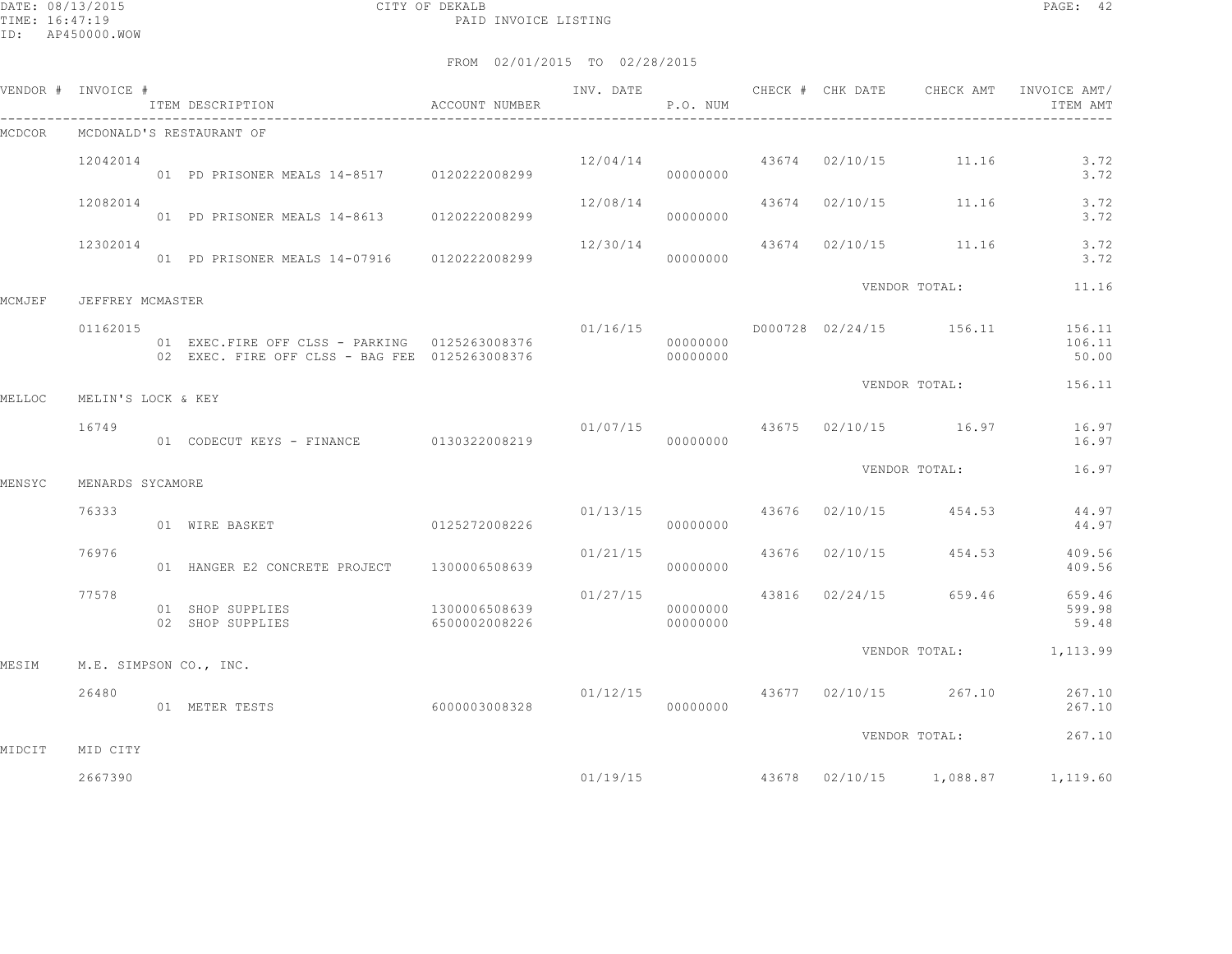DATE: 08/13/2015 CITY OF DEKALB PAGE: 42 PAID INVOICE LISTING

| FROM 02/01/2015 TO 02/28/2015 |  |  |  |  |
|-------------------------------|--|--|--|--|
|-------------------------------|--|--|--|--|

|        | VENDOR # INVOICE #  | ITEM DESCRIPTION ACCOUNT NUMBER                                                                 |                                |          | INV. DATE<br>P.O. NUM |  |                                        | CHECK # CHK DATE CHECK AMT INVOICE AMT/<br>ITEM AMT |
|--------|---------------------|-------------------------------------------------------------------------------------------------|--------------------------------|----------|-----------------------|--|----------------------------------------|-----------------------------------------------------|
| MCDCOR |                     | MCDONALD'S RESTAURANT OF                                                                        |                                |          |                       |  |                                        |                                                     |
|        | 12042014            | 01 PD PRISONER MEALS 14-8517 0120222008299                                                      |                                |          | 00000000              |  | $12/04/14$ $43674$ $02/10/15$ $11.16$  | 3.72<br>3.72                                        |
|        | 12082014            | 01 PD PRISONER MEALS 14-8613 0120222008299                                                      |                                | 12/08/14 | 00000000              |  | 43674 02/10/15 11.16                   | 3.72<br>3.72                                        |
|        | 12302014            | 01 PD PRISONER MEALS 14-07916 0120222008299                                                     |                                | 12/30/14 | 00000000              |  | 43674 02/10/15 11.16                   | 3.72<br>3.72                                        |
| MCMJEF | JEFFREY MCMASTER    |                                                                                                 |                                |          |                       |  | VENDOR TOTAL:                          | 11.16                                               |
|        | 01162015            | 01 EXEC.FIRE OFF CLSS - PARKING 0125263008376<br>02 EXEC. FIRE OFF CLSS - BAG FEE 0125263008376 |                                | 01/16/15 | 00000000<br>00000000  |  | D000728 02/24/15 156.11                | 156.11<br>106.11<br>50.00                           |
| MELLOC | MELIN'S LOCK & KEY  |                                                                                                 |                                |          |                       |  |                                        | VENDOR TOTAL: 156.11                                |
|        | 16749               | 01 CODECUT KEYS - FINANCE 0130322008219                                                         |                                |          | 00000000              |  | $01/07/15$ 43675 02/10/15 16.97        | 16.97<br>16.97                                      |
| MENSYC | MENARDS SYCAMORE    |                                                                                                 |                                |          |                       |  | VENDOR TOTAL:                          | 16.97                                               |
|        | 76333               | 01 WIRE BASKET                                                                                  | 0125272008226                  |          | 01/13/15<br>00000000  |  | 43676 02/10/15 454.53                  | 44.97<br>44.97                                      |
|        | 76976               | 01 HANGER E2 CONCRETE PROJECT 1300006508639                                                     |                                | 01/21/15 | 00000000              |  | 43676 02/10/15 454.53                  | 409.56<br>409.56                                    |
|        | 77578               | 01 SHOP SUPPLIES<br>02 SHOP SUPPLIES                                                            | 1300006508639<br>6500002008226 |          | 00000000<br>00000000  |  | $01/27/15$ 43816 02/24/15 659.46       | 659.46<br>599.98<br>59.48                           |
| MESIM  |                     | M.E. SIMPSON CO., INC.                                                                          |                                |          |                       |  |                                        | VENDOR TOTAL: 1,113.99                              |
|        | 26480               | 60000003008328<br>01 METER TESTS                                                                |                                |          | 00000000              |  | $01/12/15$ $43677$ $02/10/15$ $267.10$ | 267.10<br>267.10                                    |
|        |                     |                                                                                                 |                                |          |                       |  | VENDOR TOTAL:                          | 267.10                                              |
| MIDCIT | MID CITY<br>2667390 |                                                                                                 |                                |          |                       |  |                                        | $01/19/15$ 43678 02/10/15 1,088.87 1,119.60         |
|        |                     |                                                                                                 |                                |          |                       |  |                                        |                                                     |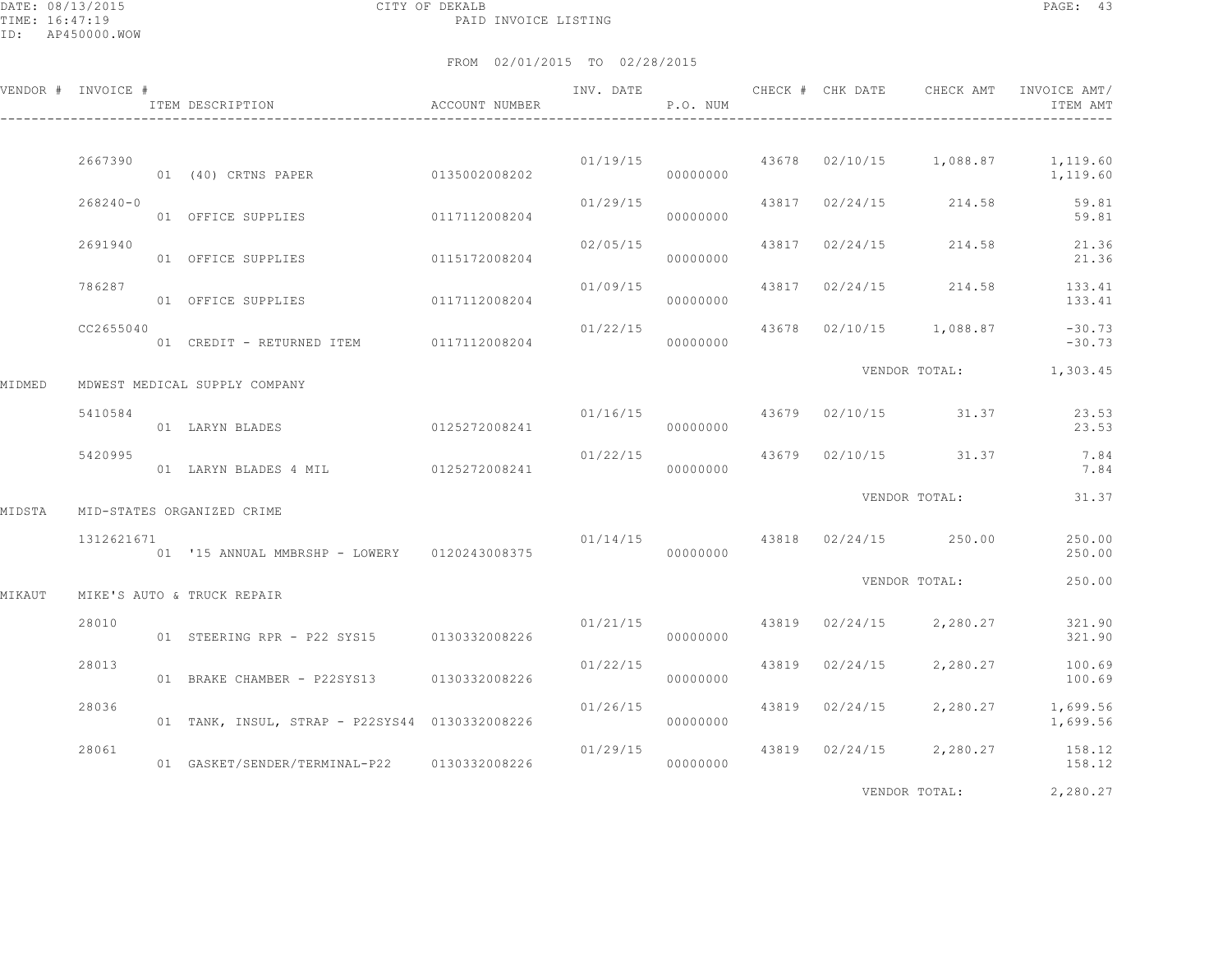DATE: 08/13/2015 CITY OF DEKALB PAGE: 43 PAID INVOICE LISTING

|        | VENDOR # INVOICE # | ITEM DESCRIPTION                               | ACCOUNT NUMBER | INV. DATE | P.O. NUM |                | CHECK # CHK DATE CHECK AMT             | INVOICE AMT/<br>ITEM AMT                                |
|--------|--------------------|------------------------------------------------|----------------|-----------|----------|----------------|----------------------------------------|---------------------------------------------------------|
|        | 2667390            | 01 (40) CRTNS PAPER 0135002008202              |                |           | 00000000 |                |                                        | $01/19/15$ 43678 02/10/15 1,088.87 1,119.60<br>1,119.60 |
|        | $268240 - 0$       | 01 OFFICE SUPPLIES                             | 0117112008204  | 01/29/15  | 00000000 |                | 43817 02/24/15 214.58                  | 59.81<br>59.81                                          |
|        | 2691940            | 01 OFFICE SUPPLIES 0115172008204               |                | 02/05/15  | 00000000 |                |                                        | 43817 02/24/15 214.58 21.36<br>21.36                    |
|        | 786287             | 01 OFFICE SUPPLIES                             | 0117112008204  | 01/09/15  | 00000000 |                |                                        | 43817 02/24/15 214.58 133.41<br>133.41                  |
|        | CC2655040          | 01 CREDIT - RETURNED ITEM 0117112008204        |                | 01/22/15  | 00000000 |                | 43678 02/10/15 1,088.87                | $-30.73$<br>$-30.73$                                    |
| MIDMED |                    | MDWEST MEDICAL SUPPLY COMPANY                  |                |           |          |                |                                        | VENDOR TOTAL: 1,303.45                                  |
|        | 5410584            | 01 LARYN BLADES 0125272008241                  |                |           | 00000000 |                | $01/16/15$ $43679$ $02/10/15$ $31.37$  | 23.53<br>23.53                                          |
|        | 5420995            | 01 LARYN BLADES 4 MIL 0125272008241            |                | 01/22/15  | 00000000 |                | 43679 02/10/15 31.37                   | 7.84<br>7.84                                            |
| MIDSTA |                    | MID-STATES ORGANIZED CRIME                     |                |           |          |                | VENDOR TOTAL:                          | 31.37                                                   |
|        | 1312621671         |                                                |                |           |          |                | $01/14/15$ $43818$ $02/24/15$ $250.00$ | 250.00<br>250.00                                        |
| MIKAUT |                    | MIKE'S AUTO & TRUCK REPAIR                     |                |           |          |                | VENDOR TOTAL:                          | 250.00                                                  |
|        | 28010              | 01 STEERING RPR - P22 SYS15 0130332008226      |                |           | 00000000 |                | $01/21/15$ 43819 02/24/15 2,280.27     | 321.90<br>321.90                                        |
|        | 28013              | 01 BRAKE CHAMBER - P22SYS13 0130332008226      |                | 01/22/15  | 00000000 | 43819 02/24/15 | 2,280.27                               | 100.69<br>100.69                                        |
|        | 28036              | 01 TANK, INSUL, STRAP - P22SYS44 0130332008226 |                | 01/26/15  | 00000000 | 43819 02/24/15 |                                        | 2,280.27 1,699.56<br>1,699.56                           |
|        | 28061              | 01 GASKET/SENDER/TERMINAL-P22 0130332008226    |                | 01/29/15  | 00000000 |                | 43819 02/24/15 2,280.27                | 158.12<br>158.12                                        |
|        |                    |                                                |                |           |          |                | VENDOR TOTAL:                          | 2,280.27                                                |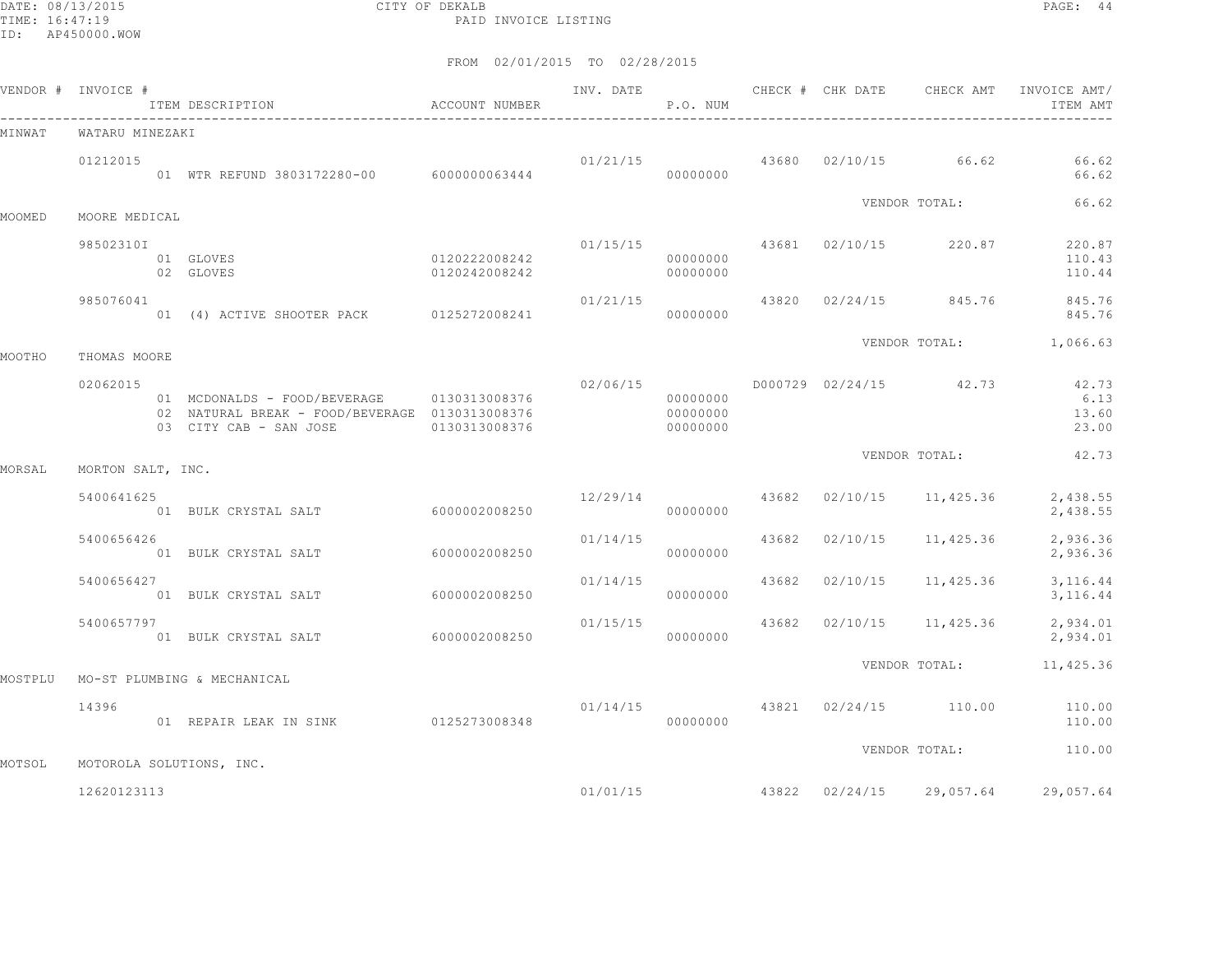DATE: 08/13/2015 CITY OF DEKALB PAGE: 44 PAID INVOICE LISTING

|         | VENDOR # INVOICE # | ITEM DESCRIPTION                                                                   | ACCOUNT NUMBER |          | P.O. NUM                         |       |                |                                        | INVOICE AMT/<br>ITEM AMT                      |
|---------|--------------------|------------------------------------------------------------------------------------|----------------|----------|----------------------------------|-------|----------------|----------------------------------------|-----------------------------------------------|
| MINWAT  | WATARU MINEZAKI    |                                                                                    |                |          |                                  |       |                |                                        |                                               |
|         | 01212015           | 01 WTR REFUND 3803172280-00 6000000063444                                          |                |          | 00000000                         |       |                | $01/21/15$ $43680$ $02/10/15$ $66.62$  | 66.62<br>66.62                                |
| MOOMED  | MOORE MEDICAL      |                                                                                    |                |          |                                  |       |                | VENDOR TOTAL:                          | 66.62                                         |
|         | 98502310I          | 0120222008242<br>01 GLOVES<br>02 GLOVES                                            | 0120242008242  |          | 00000000<br>00000000             |       |                | $01/15/15$ 43681 02/10/15 220.87       | 220.87<br>110.43<br>110.44                    |
|         | 985076041          | 01 (4) ACTIVE SHOOTER PACK 0125272008241                                           |                |          | 00000000                         |       |                | $01/21/15$ $43820$ $02/24/15$ $845.76$ | 845.76<br>845.76                              |
| MOOTHO  | THOMAS MOORE       |                                                                                    |                |          |                                  |       |                |                                        | VENDOR TOTAL: 1,066.63                        |
|         | 02062015           | 01 MCDONALDS - FOOD/BEVERAGE 0130313008376<br>03 CITY CAB - SAN JOSE 0130313008376 |                | 02/06/15 | 00000000<br>00000000<br>00000000 |       |                | D000729 02/24/15 42.73                 | 42.73<br>6.13<br>13.60<br>23.00               |
| MORSAL  | MORTON SALT, INC.  |                                                                                    |                |          |                                  |       |                | VENDOR TOTAL:                          | 42.73                                         |
|         | 5400641625         | 01 BULK CRYSTAL SALT 6000002008250                                                 |                |          | 12/29/14<br>00000000             |       |                | 43682 02/10/15 11,425.36               | 2,438.55<br>2,438.55                          |
|         | 5400656426         | 01 BULK CRYSTAL SALT 6000002008250                                                 |                | 01/14/15 | 00000000                         |       | 43682 02/10/15 | 11,425.36                              | 2,936.36<br>2,936.36                          |
|         | 5400656427         | 01 BULK CRYSTAL SALT                                                               | 6000002008250  | 01/14/15 | 00000000                         | 43682 | 02/10/15       | 11,425.36                              | 3, 116.44<br>3, 116.44                        |
|         | 5400657797         | 01 BULK CRYSTAL SALT 6000002008250                                                 |                |          | 00000000                         |       |                | $01/15/15$ 43682 02/10/15 11,425.36    | 2,934.01<br>2,934.01                          |
| MOSTPLU |                    | MO-ST PLUMBING & MECHANICAL                                                        |                |          |                                  |       |                |                                        | VENDOR TOTAL: 11,425.36                       |
|         | 14396              | 01 REPAIR LEAK IN SINK                                                             | 0125273008348  |          | 00000000                         |       |                | $01/14/15$ $43821$ $02/24/15$ $110.00$ | 110.00<br>110.00                              |
| MOTSOL  |                    | MOTOROLA SOLUTIONS, INC.                                                           |                |          |                                  |       |                | VENDOR TOTAL:                          | 110.00                                        |
|         | 12620123113        |                                                                                    |                |          |                                  |       |                |                                        | $01/01/15$ 43822 02/24/15 29,057.64 29,057.64 |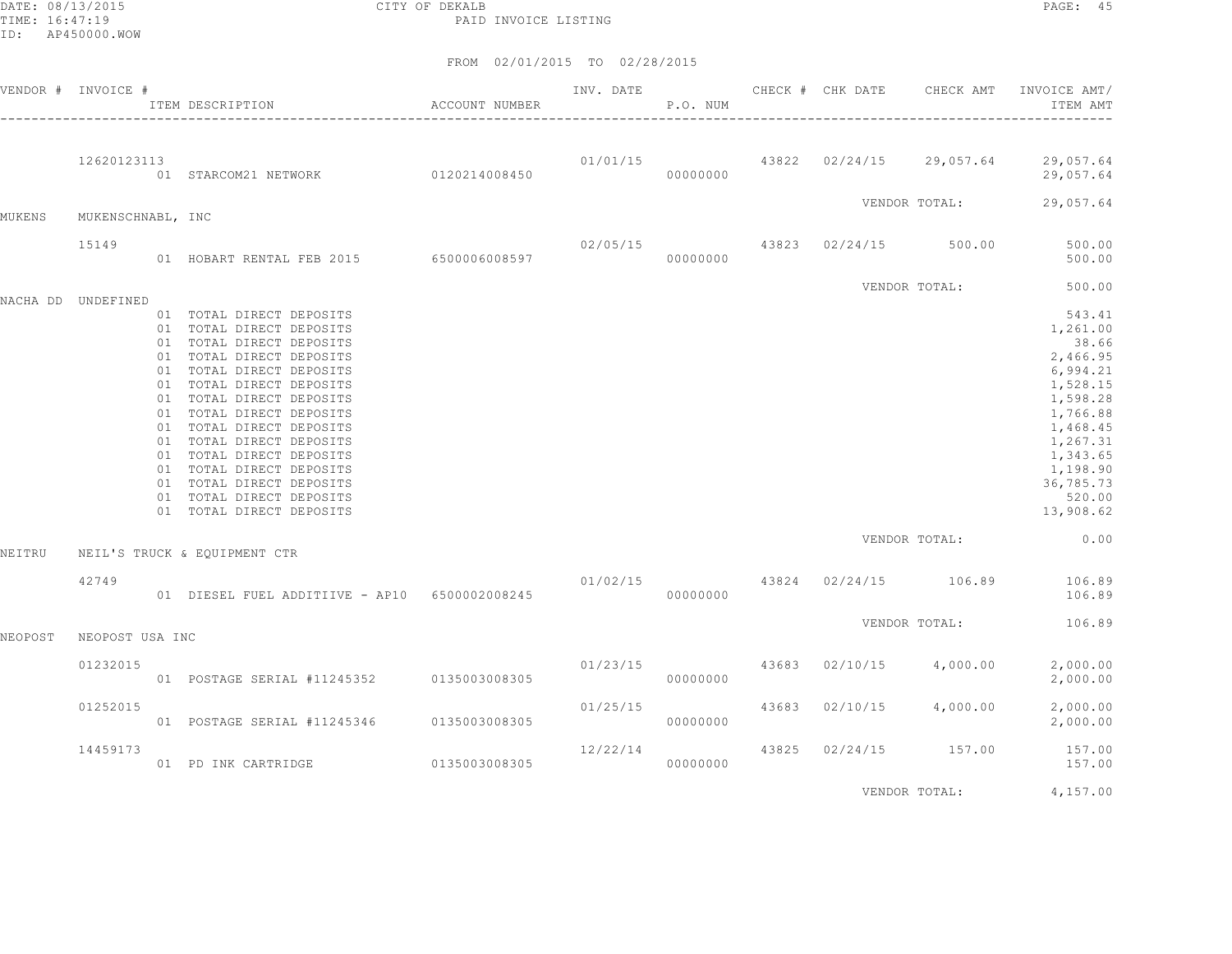DATE: 08/13/2015 CITY OF DEKALB PAGE: 45 PAID INVOICE LISTING

|         | VENDOR # INVOICE # | ITEM DESCRIPTION ACCOUNT NUMBER                                                                                                                                                                                                                                                                                                                                                                                                  |               | INV. DATE             | P.O. NUM |  | CHECK # CHK DATE CHECK AMT               | INVOICE AMT/<br>ITEM AMT                                                                                                                                                            |
|---------|--------------------|----------------------------------------------------------------------------------------------------------------------------------------------------------------------------------------------------------------------------------------------------------------------------------------------------------------------------------------------------------------------------------------------------------------------------------|---------------|-----------------------|----------|--|------------------------------------------|-------------------------------------------------------------------------------------------------------------------------------------------------------------------------------------|
|         | 12620123113        |                                                                                                                                                                                                                                                                                                                                                                                                                                  |               |                       | 00000000 |  |                                          | $01/01/15$ $43822$ $02/24/15$ $29,057.64$ $29,057.64$<br>29,057.64                                                                                                                  |
|         |                    |                                                                                                                                                                                                                                                                                                                                                                                                                                  |               |                       |          |  |                                          | VENDOR TOTAL: 29,057.64                                                                                                                                                             |
| MUKENS  | MUKENSCHNABL, INC  |                                                                                                                                                                                                                                                                                                                                                                                                                                  |               |                       |          |  |                                          |                                                                                                                                                                                     |
|         | 15149              | 01 HOBART RENTAL FEB 2015 6500006008597                                                                                                                                                                                                                                                                                                                                                                                          |               |                       | 00000000 |  |                                          | $02/05/15$ 43823 $02/24/15$ 500.00 500.00<br>500.00                                                                                                                                 |
|         |                    |                                                                                                                                                                                                                                                                                                                                                                                                                                  |               |                       |          |  | VENDOR TOTAL:                            | 500.00                                                                                                                                                                              |
|         | NACHA DD UNDEFINED | 01 TOTAL DIRECT DEPOSITS<br>01 TOTAL DIRECT DEPOSITS<br>01 TOTAL DIRECT DEPOSITS<br>01 TOTAL DIRECT DEPOSITS<br>01 TOTAL DIRECT DEPOSITS<br>01 TOTAL DIRECT DEPOSITS<br>01 TOTAL DIRECT DEPOSITS<br>01 TOTAL DIRECT DEPOSITS<br>01 TOTAL DIRECT DEPOSITS<br>01 TOTAL DIRECT DEPOSITS<br>01 TOTAL DIRECT DEPOSITS<br>01 TOTAL DIRECT DEPOSITS<br>01 TOTAL DIRECT DEPOSITS<br>01 TOTAL DIRECT DEPOSITS<br>01 TOTAL DIRECT DEPOSITS |               |                       |          |  | VENDOR TOTAL:                            | 543.41<br>1,261.00<br>38.66<br>2,466.95<br>6,994.21<br>1,528.15<br>1,598.28<br>1,766.88<br>1,468.45<br>1,267.31<br>1,343.65<br>1,198.90<br>36,785.73<br>520.00<br>13,908.62<br>0.00 |
| NEITRU  |                    | NEIL'S TRUCK & EQUIPMENT CTR                                                                                                                                                                                                                                                                                                                                                                                                     |               |                       |          |  |                                          |                                                                                                                                                                                     |
|         | 42749              | 01 DIESEL FUEL ADDITIIVE - AP10 6500002008245                                                                                                                                                                                                                                                                                                                                                                                    |               |                       | 00000000 |  |                                          | $01/02/15$ $43824$ $02/24/15$ $106.89$ $106.89$<br>106.89                                                                                                                           |
| NEOPOST | NEOPOST USA INC    |                                                                                                                                                                                                                                                                                                                                                                                                                                  |               |                       |          |  |                                          | VENDOR TOTAL: 106.89                                                                                                                                                                |
|         | 01232015           | 01 POSTAGE SERIAL #11245352 0135003008305                                                                                                                                                                                                                                                                                                                                                                                        |               |                       | 00000000 |  | $01/23/15$ $43683$ $02/10/15$ $4,000.00$ | 2,000.00<br>2,000.00                                                                                                                                                                |
|         | 01252015           | 01 POSTAGE SERIAL #11245346 0135003008305                                                                                                                                                                                                                                                                                                                                                                                        |               | 01/25/15              | 00000000 |  | 43683 02/10/15 4,000.00                  | 2,000.00<br>2,000.00                                                                                                                                                                |
|         | 14459173           | 01 PD INK CARTRIDGE                                                                                                                                                                                                                                                                                                                                                                                                              | 0135003008305 | 12/22/14<br>000000000 |          |  | 43825 02/24/15 157.00                    | 157.00<br>157.00                                                                                                                                                                    |
|         |                    |                                                                                                                                                                                                                                                                                                                                                                                                                                  |               |                       |          |  | VENDOR TOTAL:                            | 4,157.00                                                                                                                                                                            |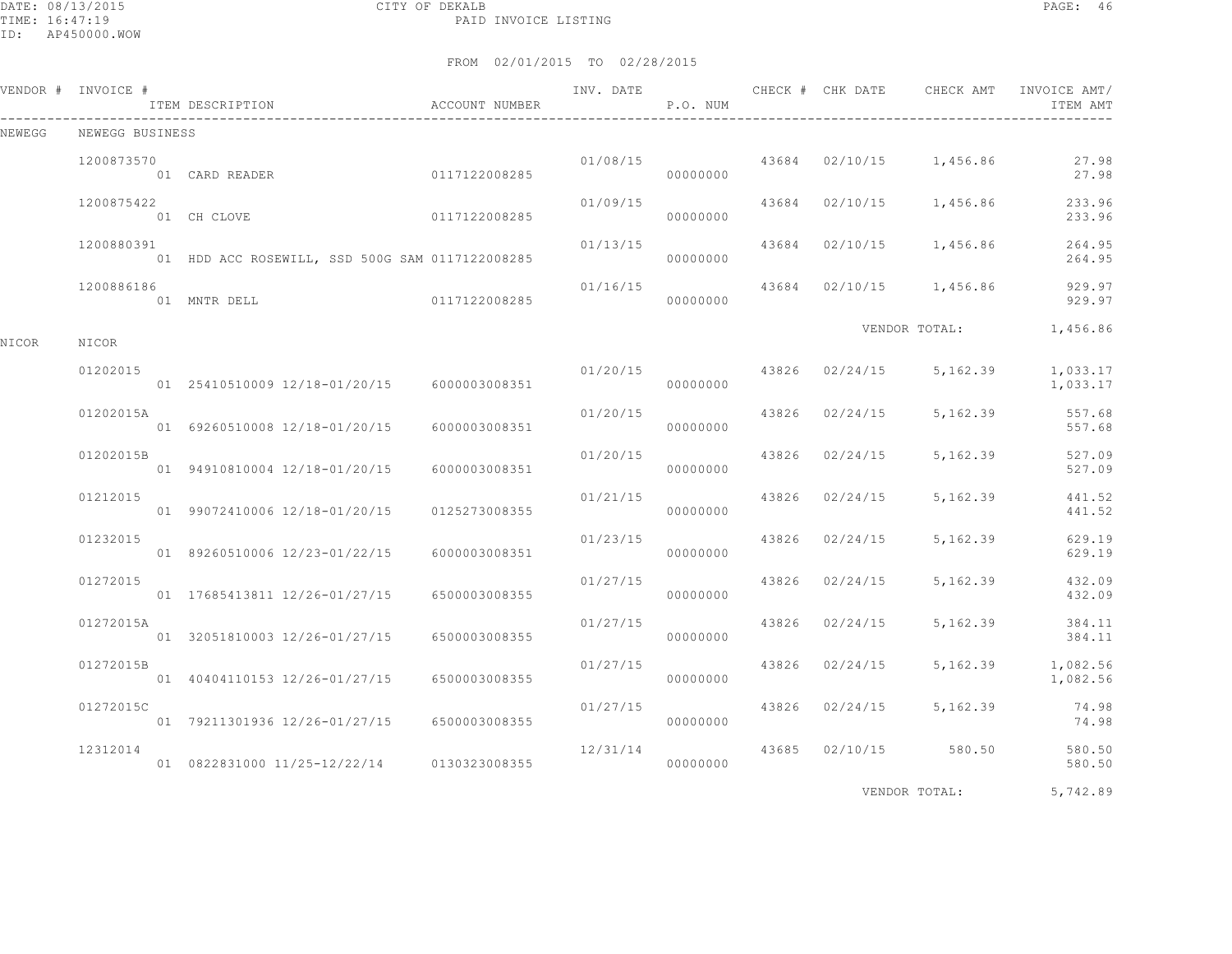DATE: 08/13/2015 CITY OF DEKALB PAGE: 46 PAID INVOICE LISTING

|        | VENDOR # INVOICE # | ITEM DESCRIPTION                                | ACCOUNT NUMBER | INV. DATE | P.O. NUM             | CHECK # CHK DATE CHECK AMT |                         | INVOICE AMT/<br>ITEM AMT                 |
|--------|--------------------|-------------------------------------------------|----------------|-----------|----------------------|----------------------------|-------------------------|------------------------------------------|
| NEWEGG | NEWEGG BUSINESS    |                                                 |                |           |                      |                            |                         |                                          |
|        | 1200873570         | 01 CARD READER                                  | 0117122008285  |           | 01/08/15<br>00000000 |                            | 43684 02/10/15 1,456.86 | 27.98<br>27.98                           |
|        | 1200875422         | 01 CH CLOVE                                     | 0117122008285  | 01/09/15  | 00000000             | 43684 02/10/15             | 1,456.86                | 233.96<br>233.96                         |
|        | 1200880391         | 01 HDD ACC ROSEWILL, SSD 500G SAM 0117122008285 |                | 01/13/15  | 00000000             |                            | 43684 02/10/15 1,456.86 | 264.95<br>264.95                         |
|        | 1200886186         | 01 MNTR DELL                                    | 0117122008285  | 01/16/15  | 00000000             |                            |                         | 43684 02/10/15 1,456.86 929.97<br>929.97 |
| NICOR  | NICOR              |                                                 |                |           |                      |                            | VENDOR TOTAL:           | 1,456.86                                 |
|        | 01202015           | 01 25410510009 12/18-01/20/15 6000003008351     |                |           | 01/20/15<br>00000000 | 43826 02/24/15             | 5,162.39                | 1,033.17<br>1,033.17                     |
|        | 01202015A          | 01 69260510008 12/18-01/20/15                   | 6000003008351  | 01/20/15  | 00000000             | 43826 02/24/15             | 5,162.39                | 557.68<br>557.68                         |
|        | 01202015B          | 01 94910810004 12/18-01/20/15                   | 6000003008351  | 01/20/15  | 00000000             | 43826 02/24/15             | 5,162.39                | 527.09<br>527.09                         |
|        | 01212015           | 01 99072410006 12/18-01/20/15                   | 0125273008355  | 01/21/15  | 00000000             | 43826 02/24/15             | 5, 162, 39              | 441.52<br>441.52                         |
|        | 01232015           | 01 89260510006 12/23-01/22/15                   | 6000003008351  | 01/23/15  | 00000000             | 43826 02/24/15             | 5,162.39                | 629.19<br>629.19                         |
|        | 01272015           | 01 17685413811 12/26-01/27/15                   | 6500003008355  | 01/27/15  | 00000000             | 43826 02/24/15             | 5,162.39                | 432.09<br>432.09                         |
|        | 01272015A          | 01 32051810003 12/26-01/27/15                   | 6500003008355  | 01/27/15  | 00000000             | 43826 02/24/15             | 5, 162.39               | 384.11<br>384.11                         |
|        | 01272015B          | 01 40404110153 12/26-01/27/15                   | 6500003008355  | 01/27/15  | 00000000             | 43826 02/24/15             | 5,162.39                | 1,082.56<br>1,082.56                     |
|        | 01272015C          | 01 79211301936 12/26-01/27/15 6500003008355     |                | 01/27/15  | 00000000             |                            | 43826 02/24/15 5,162.39 | 74.98<br>74.98                           |
|        | 12312014           | 01 0822831000 11/25-12/22/14 0130323008355      |                | 12/31/14  | 00000000             |                            | 43685 02/10/15 580.50   | 580.50<br>580.50                         |
|        |                    |                                                 |                |           |                      |                            | VENDOR TOTAL:           | 5,742.89                                 |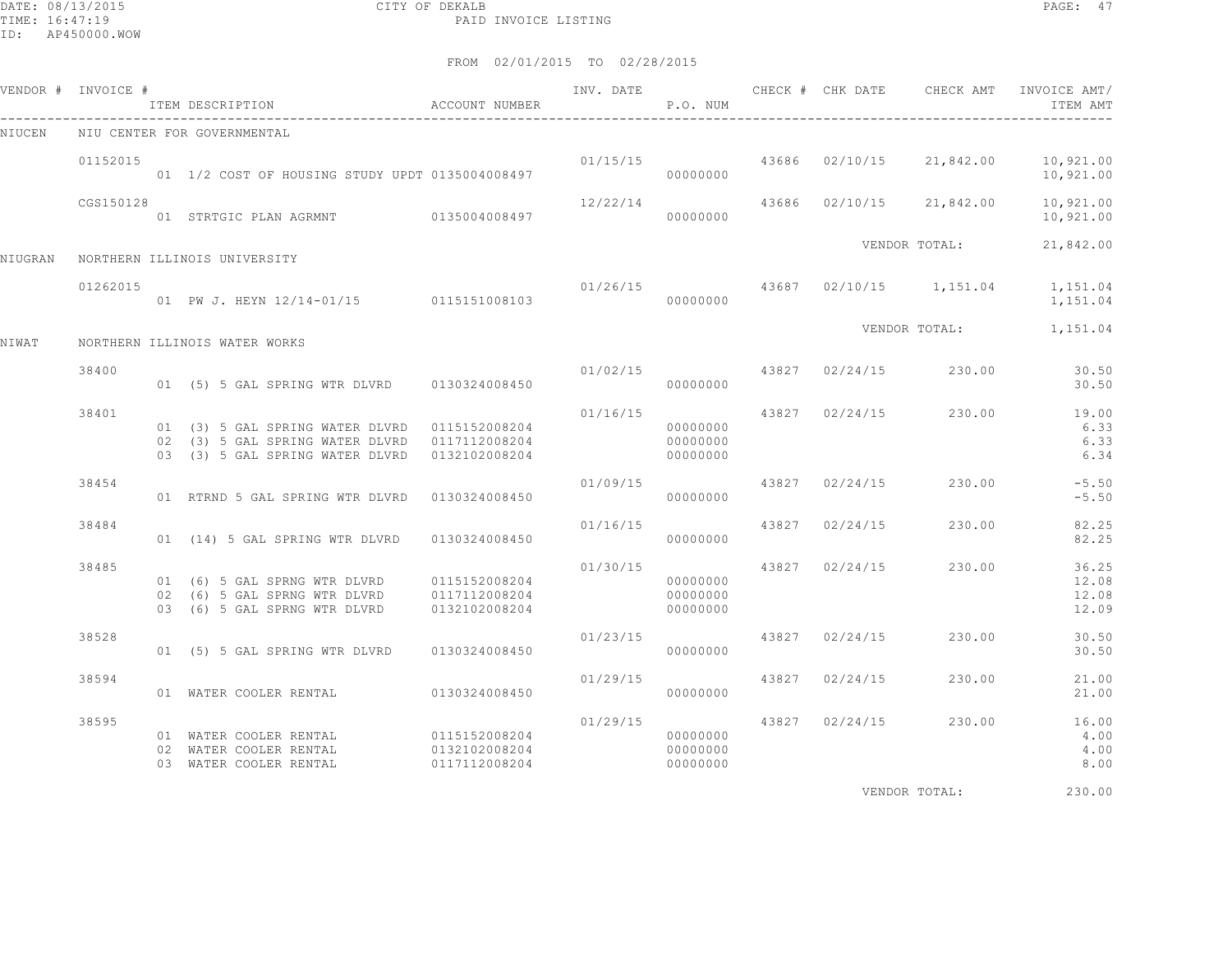|         | VENDOR # INVOICE # | ITEM DESCRIPTION                                                                                           | ACCOUNT NUMBER                                  | INV. DATE                 | P.O. NUM                         |                |                                          | CHECK # CHK DATE 6 CHECK AMT INVOICE AMT/<br>ITEM AMT |
|---------|--------------------|------------------------------------------------------------------------------------------------------------|-------------------------------------------------|---------------------------|----------------------------------|----------------|------------------------------------------|-------------------------------------------------------|
| NIUCEN  |                    | NIU CENTER FOR GOVERNMENTAL                                                                                |                                                 |                           |                                  |                |                                          |                                                       |
|         | 01152015           | 01 1/2 COST OF HOUSING STUDY UPDT 0135004008497                                                            |                                                 | $01/15/15$ 43686 02/10/15 | 00000000                         |                | 21,842.00                                | 10,921.00<br>10,921.00                                |
|         | CGS150128          | 01 STRTGIC PLAN AGRMNT 0135004008497                                                                       |                                                 | 12/22/14                  | 00000000                         |                | 43686 02/10/15 21,842.00                 | 10,921.00<br>10,921.00                                |
| NIUGRAN |                    | NORTHERN ILLINOIS UNIVERSITY                                                                               |                                                 |                           |                                  |                | VENDOR TOTAL:                            | 21,842.00                                             |
|         | 01262015           | 01 PW J. HEYN 12/14-01/15 0115151008103 000000000 00000000                                                 |                                                 |                           |                                  |                | $01/26/15$ $43687$ $02/10/15$ $1,151.04$ | 1,151.04<br>1,151.04                                  |
| NIWAT   |                    | NORTHERN ILLINOIS WATER WORKS                                                                              |                                                 |                           |                                  |                |                                          | VENDOR TOTAL: 1,151.04                                |
|         | 38400              | 01 (5) 5 GAL SPRING WTR DLVRD 0130324008450                                                                |                                                 | 00000000                  |                                  |                | $01/02/15$ 43827 02/24/15 230.00         | 30.50<br>30.50                                        |
|         | 38401              | 01 (3) 5 GAL SPRING WATER DLVRD 0115152008204<br>03 (3) 5 GAL SPRING WATER DLVRD 0132102008204             |                                                 | 01/16/15                  | 00000000<br>00000000<br>00000000 |                | 43827 02/24/15 230.00                    | 19.00<br>6.33<br>6.33<br>6.34                         |
|         | 38454              | 01 RTRND 5 GAL SPRING WTR DLVRD 0130324008450                                                              |                                                 | 01/09/15                  | 00000000                         | 43827 02/24/15 | 230.00                                   | $-5.50$<br>$-5.50$                                    |
|         | 38484              | 01 (14) 5 GAL SPRING WTR DLVRD                                                                             | 0130324008450                                   | 01/16/15                  | 00000000                         | 43827 02/24/15 | 230.00                                   | 82.25<br>82.25                                        |
|         | 38485              | 01 (6) 5 GAL SPRNG WTR DLVRD 0115152008204<br>02 (6) 5 GAL SPRNG WTR DLVRD<br>03 (6) 5 GAL SPRNG WTR DLVRD | 0117112008204<br>0132102008204                  | 01/30/15                  | 00000000<br>00000000<br>00000000 | 43827 02/24/15 | 230.00                                   | 36.25<br>12.08<br>12.08<br>12.09                      |
|         | 38528              | 01 (5) 5 GAL SPRING WTR DLVRD 0130324008450                                                                |                                                 | 01/23/15                  | 00000000                         | 43827 02/24/15 | 230.00                                   | 30.50<br>30.50                                        |
|         | 38594              | 01 WATER COOLER RENTAL                                                                                     | 0130324008450                                   | 01/29/15                  | 00000000                         | 43827 02/24/15 | 230.00                                   | 21.00<br>21.00                                        |
|         | 38595              | 01 WATER COOLER RENTAL<br>02 WATER COOLER RENTAL<br>03 WATER COOLER RENTAL                                 | 0115152008204<br>0132102008204<br>0117112008204 | 01/29/15                  | 00000000<br>00000000<br>00000000 | 43827 02/24/15 | 230.00                                   | 16.00<br>4.00<br>4.00<br>8.00                         |

VENDOR TOTAL: 230.00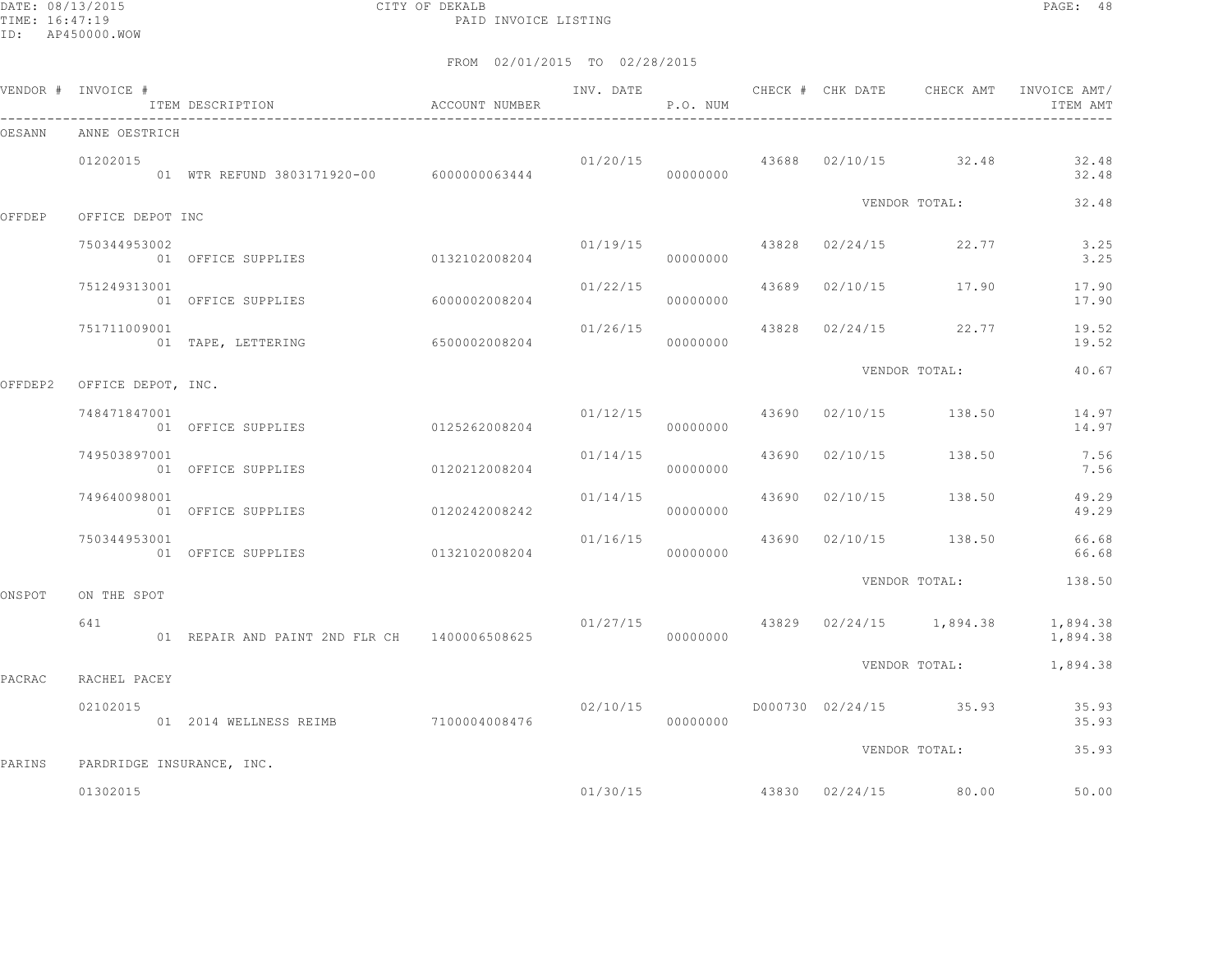DATE: 08/13/2015 CITY OF DEKALB PAGE: 48 PAID INVOICE LISTING

|         | VENDOR # INVOICE #        | ITEM DESCRIPTION                             | ACCOUNT NUMBER |          | P.O. NUM |  | INV. DATE 6 19 CHECK # CHK DATE 6 CHECK AMT | INVOICE AMT/<br>ITEM AMT |
|---------|---------------------------|----------------------------------------------|----------------|----------|----------|--|---------------------------------------------|--------------------------|
| OESANN  | ANNE OESTRICH             |                                              |                |          |          |  |                                             |                          |
|         | 01202015                  | 01 WTR REFUND 3803171920-00 6000000063444    |                |          | 00000000 |  | $01/20/15$ 43688 02/10/15 32.48             | 32.48<br>32.48           |
| OFFDEP  | OFFICE DEPOT INC          |                                              |                |          |          |  | VENDOR TOTAL:                               | 32.48                    |
|         | 750344953002              | 01 OFFICE SUPPLIES                           | 0132102008204  |          | 00000000 |  | $01/19/15$ 43828 $02/24/15$ 22.77           | 3.25<br>3.25             |
|         | 751249313001              | 01 OFFICE SUPPLIES 6000002008204             |                | 01/22/15 | 00000000 |  | 43689 02/10/15 17.90                        | 17.90<br>17.90           |
|         | 751711009001              | 01 TAPE, LETTERING                           | 6500002008204  | 01/26/15 | 00000000 |  | 43828 02/24/15 22.77                        | 19.52<br>19.52           |
| OFFDEP2 | OFFICE DEPOT, INC.        |                                              |                |          |          |  | VENDOR TOTAL:                               | 40.67                    |
|         | 748471847001              | 01 OFFICE SUPPLIES                           | 0125262008204  |          | 00000000 |  | $01/12/15$ 43690 02/10/15 138.50            | 14.97<br>14.97           |
|         | 749503897001              | 01 OFFICE SUPPLIES                           | 0120212008204  | 01/14/15 | 00000000 |  | 43690 02/10/15 138.50                       | 7.56<br>7.56             |
|         | 749640098001              | 01 OFFICE SUPPLIES                           | 0120242008242  | 01/14/15 | 00000000 |  | 43690 02/10/15 138.50                       | 49.29<br>49.29           |
|         | 750344953001              | 01 OFFICE SUPPLIES                           | 0132102008204  | 01/16/15 | 00000000 |  | 43690 02/10/15 138.50                       | 66.68<br>66.68           |
| ONSPOT  | ON THE SPOT               |                                              |                |          |          |  | VENDOR TOTAL:                               | 138.50                   |
|         | 641                       | 01 REPAIR AND PAINT 2ND FLR CH 1400006508625 |                |          | 00000000 |  | $01/27/15$ 43829 02/24/15 1,894.38          | 1,894.38<br>1,894.38     |
| PACRAC  | RACHEL PACEY              |                                              |                |          |          |  | VENDOR TOTAL:                               | 1,894.38                 |
|         | 02102015                  | 01  2014  WELLNESS REIMB  7100004008476      |                | 02/10/15 | 00000000 |  | D000730 02/24/15 35.93                      | 35.93<br>35.93           |
| PARINS  | PARDRIDGE INSURANCE, INC. |                                              |                |          |          |  | VENDOR TOTAL:                               | 35.93                    |
|         | 01302015                  |                                              |                |          | 01/30/15 |  | 43830 02/24/15 80.00                        | 50.00                    |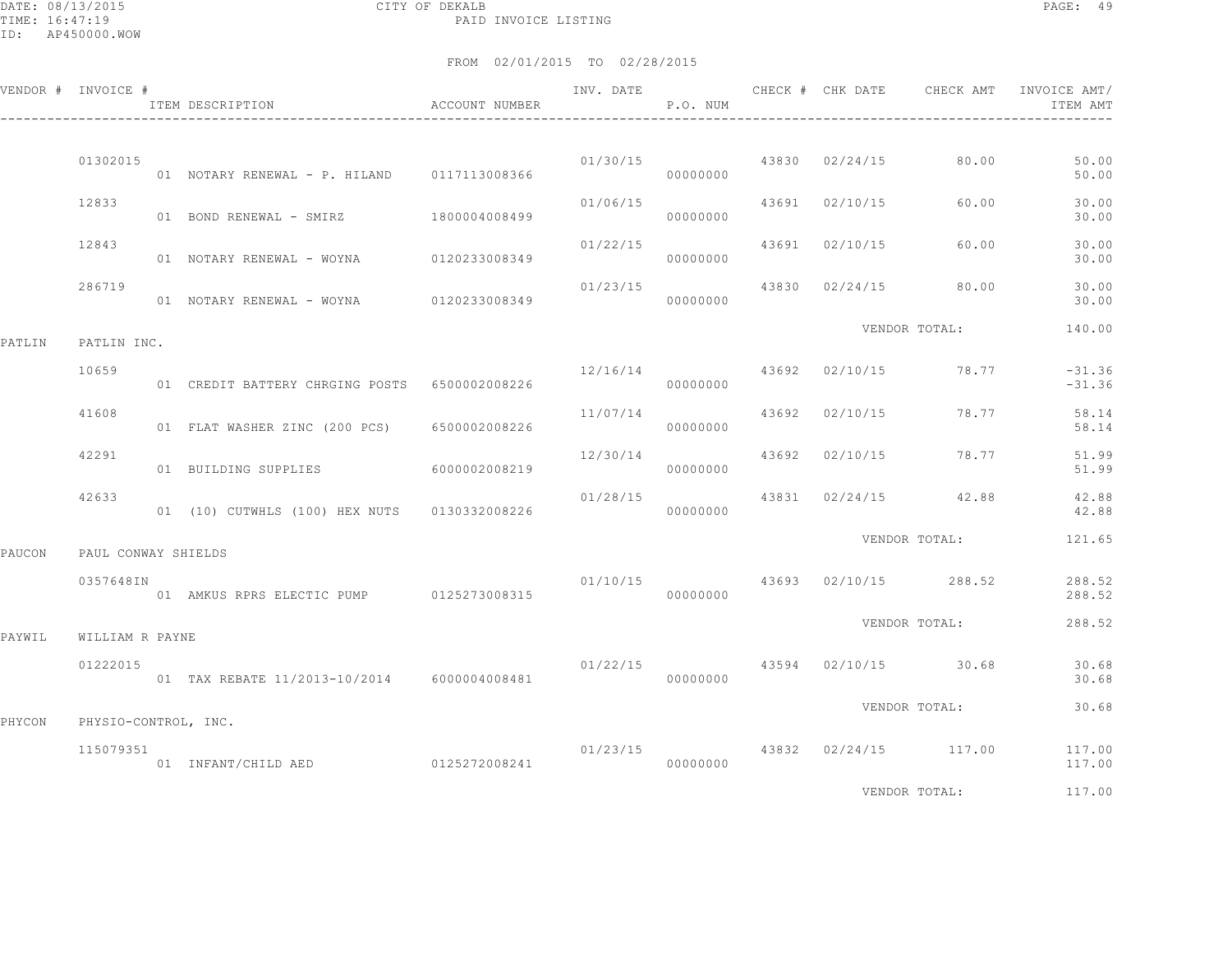DATE: 08/13/2015 CITY OF DEKALB PAGE: 49 PAID INVOICE LISTING

ID: AP450000.WOW

|        | VENDOR # INVOICE #   | ITEM DESCRIPTION                              | ACCOUNT NUMBER | INV. DATE | P.O. NUM |                | CHECK # CHK DATE CHECK AMT             | INVOICE AMT/<br>ITEM AMT |
|--------|----------------------|-----------------------------------------------|----------------|-----------|----------|----------------|----------------------------------------|--------------------------|
|        | 01302015             | 01 NOTARY RENEWAL - P. HILAND 0117113008366   |                | 01/30/15  | 00000000 |                | 43830 02/24/15 80.00                   | 50.00<br>50.00           |
|        | 12833                | 01 BOND RENEWAL - SMIRZ 1800004008499         |                | 01/06/15  | 00000000 | 43691 02/10/15 | 60.00                                  | 30.00<br>30.00           |
|        | 12843                | 01 NOTARY RENEWAL - WOYNA 0120233008349       |                | 01/22/15  | 00000000 | 43691 02/10/15 | 60.00                                  | 30.00<br>30.00           |
|        | 286719               | 01 NOTARY RENEWAL - WOYNA 0120233008349       |                | 01/23/15  | 00000000 |                | 43830 02/24/15 80.00                   | 30.00<br>30.00           |
| PATLIN | PATLIN INC.          |                                               |                |           |          |                | VENDOR TOTAL:                          | 140.00                   |
|        | 10659                | 01 CREDIT BATTERY CHRGING POSTS 6500002008226 |                |           | 00000000 |                | $12/16/14$ $43692$ $02/10/15$ 78.77    | $-31.36$<br>$-31.36$     |
|        | 41608                | 01 FLAT WASHER ZINC (200 PCS) 6500002008226   |                | 11/07/14  | 00000000 | 43692 02/10/15 | 78.77                                  | 58.14<br>58.14           |
|        | 42291                | 01 BUILDING SUPPLIES 6000002008219            |                | 12/30/14  | 00000000 |                | 43692 02/10/15 78.77                   | 51.99<br>51.99           |
|        | 42633                | 01 (10) CUTWHLS (100) HEX NUTS 0130332008226  |                | 01/28/15  | 00000000 |                | 43831 02/24/15 42.88                   | 42.88<br>42.88           |
| PAUCON | PAUL CONWAY SHIELDS  |                                               |                |           |          |                | VENDOR TOTAL:                          | 121.65                   |
|        | 0357648IN            | 01 AMKUS RPRS ELECTIC PUMP 0125273008315      |                |           | 00000000 |                | $01/10/15$ $43693$ $02/10/15$ $288.52$ | 288.52<br>288.52         |
| PAYWIL | WILLIAM R PAYNE      |                                               |                |           |          |                | VENDOR TOTAL:                          | 288.52                   |
|        | 01222015             | 01 TAX REBATE 11/2013-10/2014 6000004008481   |                |           | 00000000 |                | $01/22/15$ 43594 02/10/15 30.68        | 30.68<br>30.68           |
| PHYCON | PHYSIO-CONTROL, INC. |                                               |                |           |          |                | VENDOR TOTAL:                          | 30.68                    |
|        | 115079351            | 01 INFANT/CHILD AED 0125272008241 000000000   |                |           |          |                | 01/23/15 43832 02/24/15 117.00         | 117.00<br>117.00         |
|        |                      |                                               |                |           |          |                | VENDOR TOTAL:                          | 117.00                   |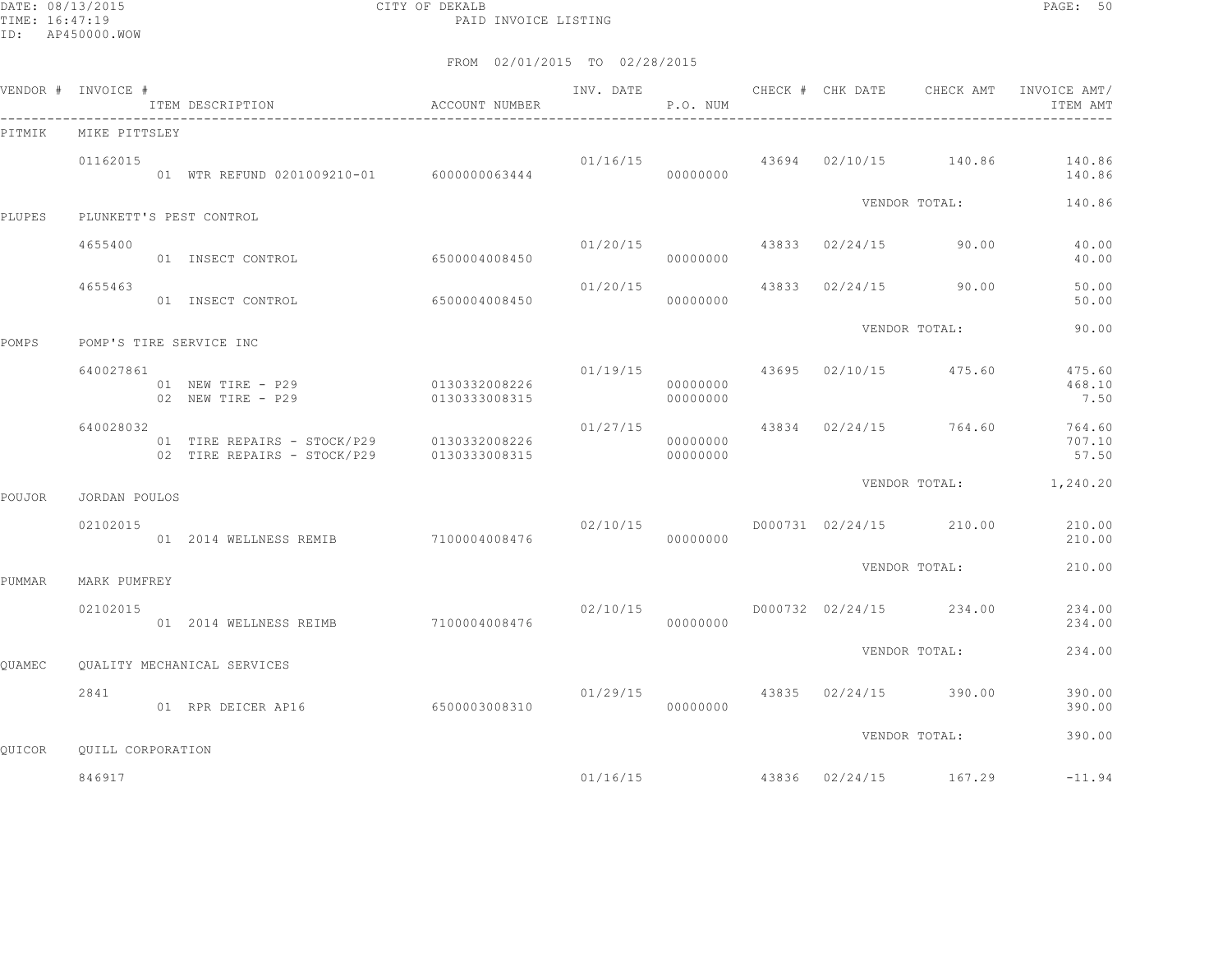DATE: 08/13/2015 CITY OF DEKALB PAGE: 50 PAID INVOICE LISTING

|               | VENDOR # INVOICE #          | ITEM DESCRIPTION                                                                       | ACCOUNT NUMBER                 |          | P.O. NUM             |  | INV. DATE 6 CHECK # CHK DATE CHECK AMT   | INVOICE AMT/<br>ITEM AMT  |
|---------------|-----------------------------|----------------------------------------------------------------------------------------|--------------------------------|----------|----------------------|--|------------------------------------------|---------------------------|
| PITMIK        | MIKE PITTSLEY               |                                                                                        |                                |          |                      |  |                                          |                           |
|               | 01162015                    | 01 WTR REFUND 0201009210-01 6000000063444                                              |                                |          | 00000000             |  | $01/16/15$ $43694$ $02/10/15$ $140.86$   | 140.86<br>140.86          |
| <b>PLUPES</b> |                             | PLUNKETT'S PEST CONTROL                                                                |                                |          |                      |  | VENDOR TOTAL:                            | 140.86                    |
|               | 4655400                     | 01 INSECT CONTROL                                                                      | 6500004008450                  | 01/20/15 | 00000000             |  | 43833 02/24/15 90.00                     | 40.00<br>40.00            |
|               | 4655463                     | 01 INSECT CONTROL                                                                      | 6500004008450                  | 01/20/15 | 00000000             |  | 43833 02/24/15 90.00                     | 50.00<br>50.00            |
| POMPS         |                             | POMP'S TIRE SERVICE INC                                                                |                                |          |                      |  | VENDOR TOTAL:                            | 90.00                     |
|               | 640027861                   | 01 NEW TIRE - P29<br>02 NEW TIRE - P29                                                 | 0130332008226<br>0130333008315 |          | 00000000<br>00000000 |  | $01/19/15$ 43695 02/10/15 475.60         | 475.60<br>468.10<br>7.50  |
|               | 640028032                   | 01 TIRE REPAIRS - STOCK/P29 0130332008226<br>02 TIRE REPAIRS - STOCK/P29 0130333008315 |                                | 01/27/15 | 00000000<br>00000000 |  | 43834 02/24/15 764.60                    | 764.60<br>707.10<br>57.50 |
| POUJOR        | JORDAN POULOS               |                                                                                        |                                |          |                      |  | VENDOR TOTAL:                            | 1,240.20                  |
|               | 02102015                    | 01 2014 WELLNESS REMIB                                                                 | 7100004008476                  | 02/10/15 | 00000000             |  | D000731 02/24/15 210.00                  | 210.00<br>210.00          |
| <b>PUMMAR</b> | MARK PUMFREY                |                                                                                        |                                |          |                      |  | VENDOR TOTAL:                            | 210.00                    |
|               | 02102015                    | 01 2014 WELLNESS REIMB                                                                 | 7100004008476                  |          | 00000000             |  | $02/10/15$ $0000732$ $02/24/15$ $234.00$ | 234.00<br>234.00          |
| OUAMEC        |                             | OUALITY MECHANICAL SERVICES                                                            |                                |          |                      |  | VENDOR TOTAL:                            | 234.00                    |
|               | 2841                        | 01 RPR DEICER AP16                                                                     | 6500003008310                  |          | 00000000             |  | $01/29/15$ $43835$ $02/24/15$ $390.00$   | 390.00<br>390.00          |
|               |                             |                                                                                        |                                |          |                      |  | VENDOR TOTAL:                            | 390.00                    |
| QUICOR        | QUILL CORPORATION<br>846917 |                                                                                        |                                |          |                      |  | $01/16/15$ 43836 $02/24/15$ 167.29       | $-11.94$                  |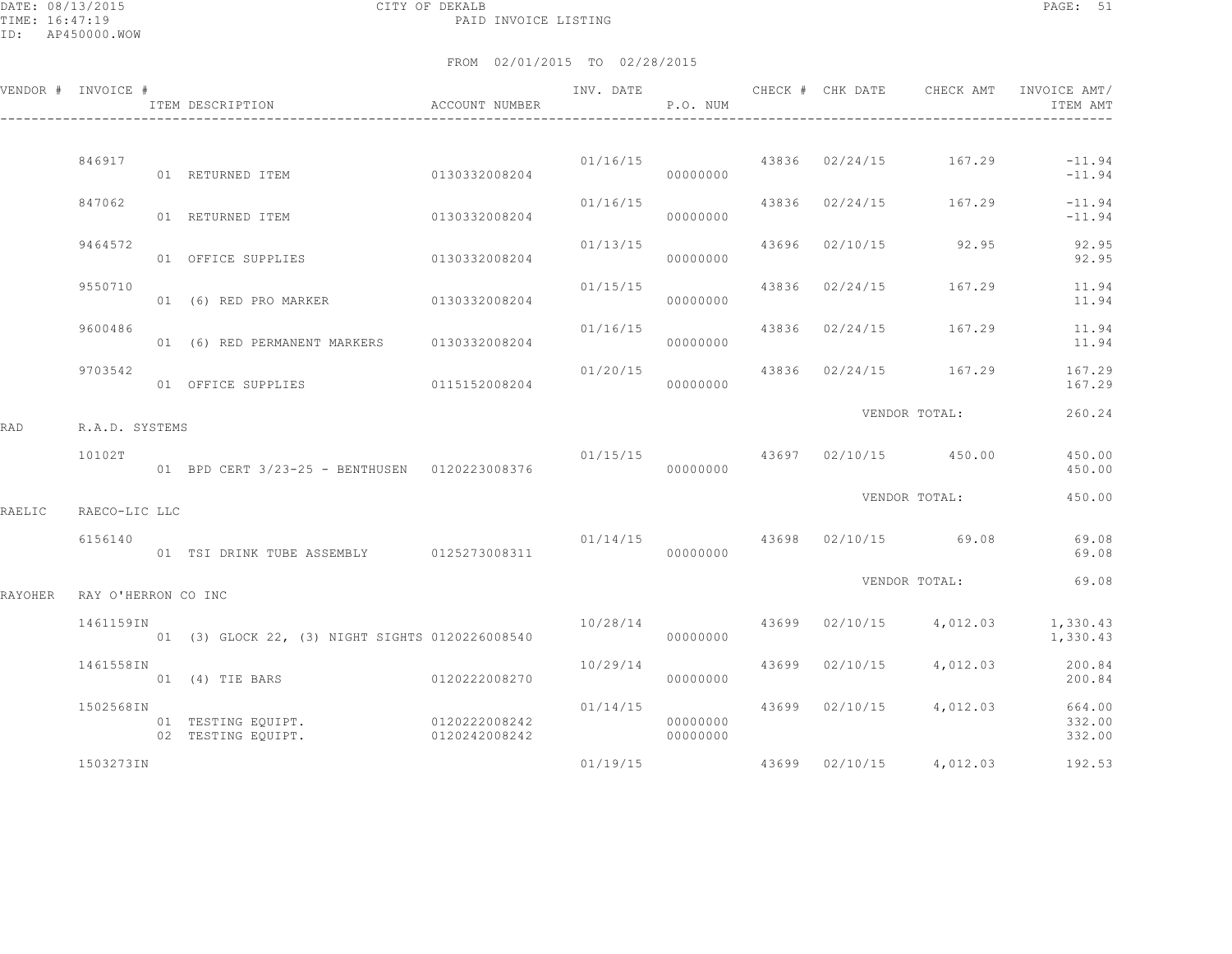DATE: 08/13/2015 CITY OF DEKALB PAGE: 51 PAID INVOICE LISTING

|         | VENDOR # INVOICE #  | ITEM DESCRIPTION                                       | ACCOUNT NUMBER | INV. DATE | P.O. NUM             |       | CHECK # CHK DATE | CHECK AMT                          | INVOICE AMT/<br>ITEM AMT   |
|---------|---------------------|--------------------------------------------------------|----------------|-----------|----------------------|-------|------------------|------------------------------------|----------------------------|
|         |                     |                                                        |                |           |                      |       |                  |                                    |                            |
|         | 846917              | 01 RETURNED ITEM<br>0130332008204                      |                |           | 00000000             |       |                  | $01/16/15$ 43836 $02/24/15$ 167.29 | $-11.94$<br>$-11.94$       |
|         | 847062              | 01 RETURNED ITEM                                       | 0130332008204  | 01/16/15  | 00000000             |       | 43836 02/24/15   | 167.29                             | $-11.94$<br>$-11.94$       |
|         | 9464572             | 01 OFFICE SUPPLIES                                     | 0130332008204  | 01/13/15  | 00000000             | 43696 | 02/10/15         | 92.95                              | 92.95<br>92.95             |
|         | 9550710             | 01 (6) RED PRO MARKER 0130332008204                    |                |           | 01/15/15<br>00000000 |       | 43836 02/24/15   | 167.29                             | 11.94<br>11.94             |
|         | 9600486             | 01 (6) RED PERMANENT MARKERS 0130332008204             |                | 01/16/15  | 00000000             |       |                  | 43836 02/24/15 167.29              | 11.94<br>11.94             |
|         | 9703542             | 01 OFFICE SUPPLIES 0115152008204                       |                | 01/20/15  | 00000000             |       |                  | 43836 02/24/15 167.29              | 167.29<br>167.29           |
| RAD     | R.A.D. SYSTEMS      |                                                        |                |           |                      |       |                  | VENDOR TOTAL:                      | 260.24                     |
|         | 10102T              | 01 BPD CERT 3/23-25 - BENTHUSEN 0120223008376          |                |           | 00000000             |       |                  | $01/15/15$ 43697 02/10/15 450.00   | 450.00<br>450.00           |
| RAELIC  | RAECO-LIC LLC       |                                                        |                |           |                      |       |                  | VENDOR TOTAL:                      | 450.00                     |
|         | 6156140             | 01 TSI DRINK TUBE ASSEMBLY 0125273008311               |                | 00000000  |                      |       |                  | $01/14/15$ 43698 02/10/15 69.08    | 69.08<br>69.08             |
| RAYOHER | RAY O'HERRON CO INC |                                                        |                |           |                      |       |                  | VENDOR TOTAL:                      | 69.08                      |
|         | 1461159IN           | 01 (3) GLOCK 22, (3) NIGHT SIGHTS 0120226008540        |                | 10/28/14  | 00000000             |       |                  | 43699 02/10/15 4,012.03            | 1,330.43<br>1,330.43       |
|         | 1461558IN           | 01 (4) TIE BARS                                        | 0120222008270  | 10/29/14  | 00000000             |       | 43699 02/10/15   | 4,012.03                           | 200.84<br>200.84           |
|         | 1502568IN           | 01 TESTING EQUIPT. 0120222008242<br>02 TESTING EQUIPT. | 0120242008242  | 01/14/15  | 00000000<br>00000000 |       |                  | 43699 02/10/15 4,012.03            | 664.00<br>332.00<br>332.00 |
|         | 1503273IN           |                                                        |                | 01/19/15  |                      |       |                  | 43699 02/10/15 4,012.03            | 192.53                     |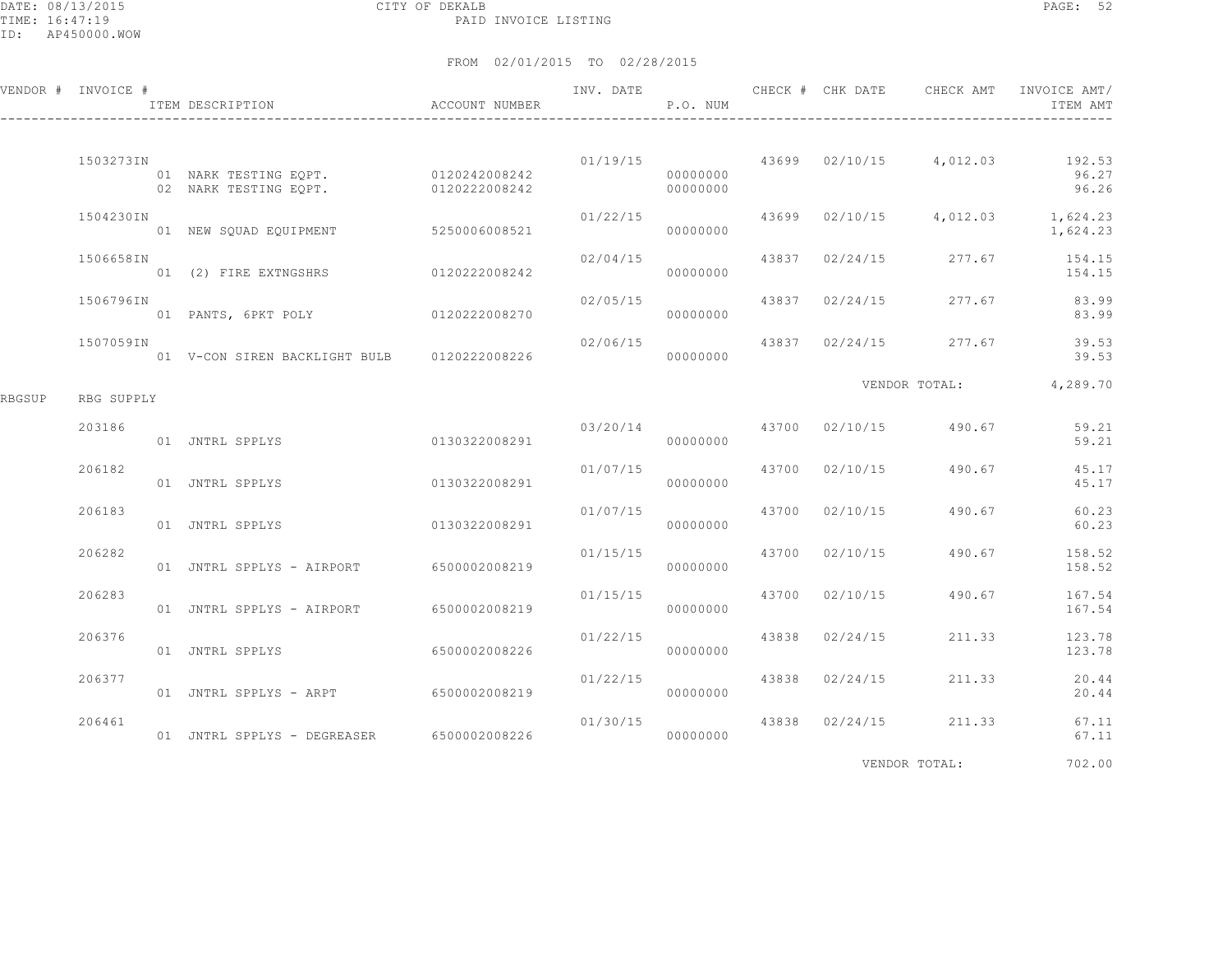DATE: 08/13/2015 CITY OF DEKALB PAGE: 52 PAID INVOICE LISTING

FROM 02/01/2015 TO 02/28/2015

|        | VENDOR # INVOICE # | ITEM DESCRIPTION                                              | ACCOUNT NUMBER |                         | P.O. NUM             |                |                                                   | ITEM AMT         |
|--------|--------------------|---------------------------------------------------------------|----------------|-------------------------|----------------------|----------------|---------------------------------------------------|------------------|
|        | 1503273IN          | 01 NARK TESTING EQPT.<br>02 NARK TESTING EQPT.  0120222008242 |                |                         | 00000000<br>00000000 |                | $01/19/15$ $43699$ $02/10/15$ $4,012.03$ $192.53$ | 96.27<br>96.26   |
|        | 1504230IN          | 01 NEW SQUAD EQUIPMENT 5250006008521                          |                | 01/22/15                | 00000000             |                | 43699 02/10/15 4,012.03 1,624.23                  | 1,624.23         |
|        | 1506658IN          | 01 (2) FIRE EXTNGSHRS 0120222008242                           |                | 02/04/15                | 00000000             |                | 43837 02/24/15 277.67                             | 154.15<br>154.15 |
|        | 1506796IN          | 01 PANTS, 6PKT POLY 0120222008270                             |                | 02/05/15                | 00000000             | 43837 02/24/15 | 277.67                                            | 83.99<br>83.99   |
|        | 1507059IN          | 01 V-CON SIREN BACKLIGHT BULB 0120222008226                   |                | 02/06/15                | 00000000             |                | 43837 02/24/15 277.67                             | 39.53<br>39.53   |
| RBGSUP | RBG SUPPLY         |                                                               |                |                         |                      |                | VENDOR TOTAL: 4,289.70                            |                  |
|        | 203186             | 01 JNTRL SPPLYS                                               | 0130322008291  |                         | 00000000             |                | $03/20/14$ $43700$ $02/10/15$ $490.67$            | 59.21<br>59.21   |
|        | 206182             | 01 JNTRL SPPLYS                                               | 0130322008291  | 01/07/15                | 00000000             | 43700 02/10/15 | 490.67                                            | 45.17<br>45.17   |
|        | 206183             | 01 JNTRL SPPLYS                                               | 0130322008291  | 01/07/15                | 00000000             | 43700 02/10/15 | 490.67                                            | 60.23<br>60.23   |
|        | 206282             | 01 JNTRL SPPLYS - AIRPORT 6500002008219                       |                | 01/15/15                | 00000000             | 43700 02/10/15 | 490.67                                            | 158.52<br>158.52 |
|        | 206283             | 01 JNTRL SPPLYS - AIRPORT 6500002008219                       |                | 01/15/15                | 00000000             | 43700 02/10/15 | 490.67                                            | 167.54<br>167.54 |
|        | 206376             | 01 JNTRL SPPLYS                                               | 6500002008226  | 01/22/15                | 00000000             | 43838 02/24/15 | 211.33                                            | 123.78<br>123.78 |
|        | 206377             | 01 JNTRL SPPLYS - ARPT 6500002008219                          |                | 01/22/15                | 00000000             | 43838 02/24/15 | 211.33                                            | 20.44<br>20.44   |
|        | 206461             | 01 JNTRL SPPLYS - DEGREASER 6500002008226                     |                | 01/30/15 43838 02/24/15 | 00000000             |                | 211.33                                            | 67.11<br>67.11   |
|        |                    |                                                               |                |                         |                      |                |                                                   | $\overline{a}$   |

VENDOR TOTAL: 702.00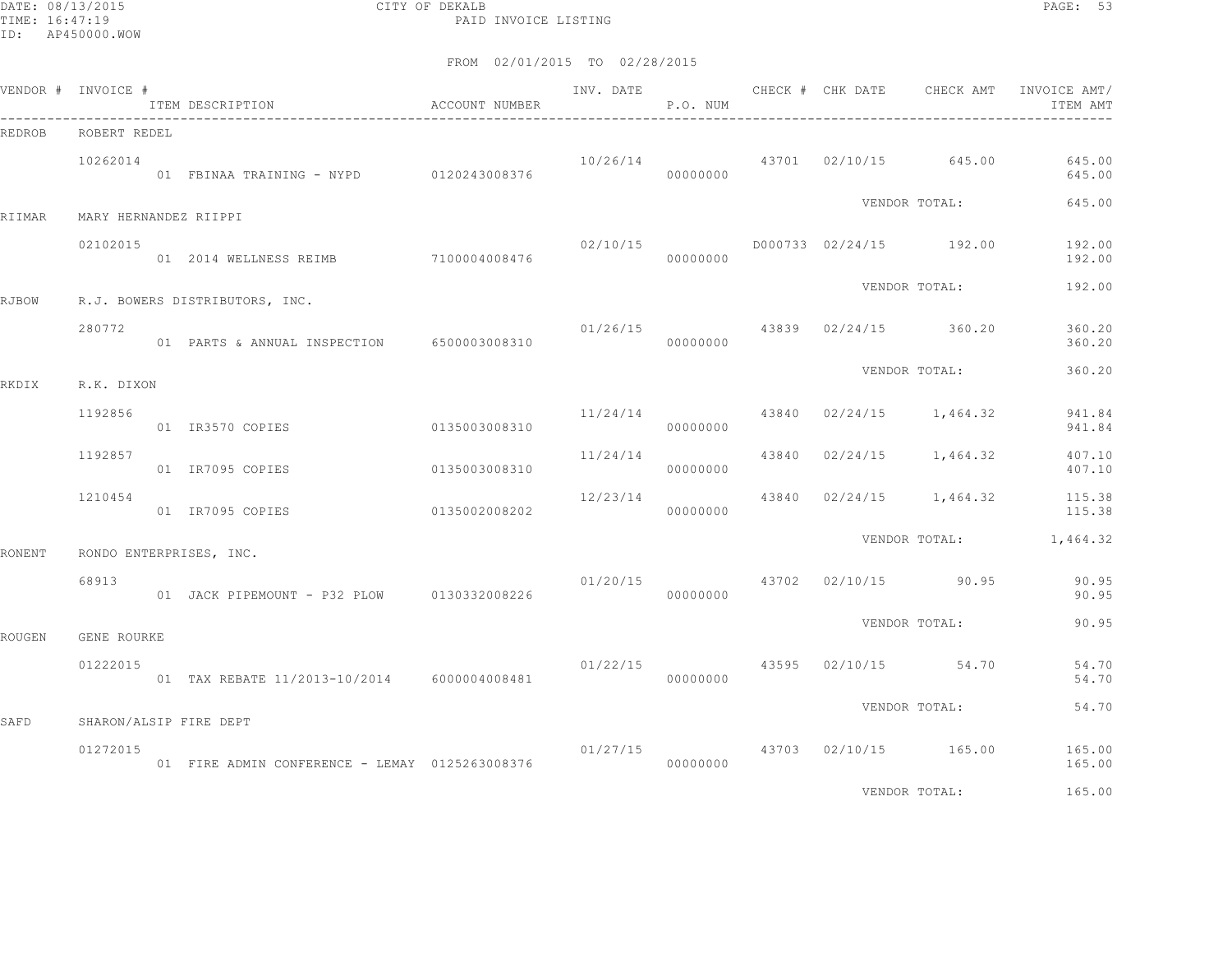DATE: 08/13/2015 CITY OF DEKALB PAGE: 53 PAID INVOICE LISTING

|               | VENDOR # INVOICE #    | ITEM DESCRIPTION                                                         | ACCOUNT NUMBER | INV. DATE | P.O. NUM |       |          | CHECK # CHK DATE CHECK AMT             | INVOICE AMT/<br>ITEM AMT |
|---------------|-----------------------|--------------------------------------------------------------------------|----------------|-----------|----------|-------|----------|----------------------------------------|--------------------------|
| REDROB        | ROBERT REDEL          |                                                                          |                |           |          |       |          |                                        |                          |
|               | 10262014              | 01 FBINAA TRAINING - NYPD 0120243008376                                  |                |           | 00000000 |       |          | $10/26/14$ $43701$ $02/10/15$ $645.00$ | 645.00<br>645.00         |
| <b>RIIMAR</b> | MARY HERNANDEZ RIIPPI |                                                                          |                |           |          |       |          | VENDOR TOTAL:                          | 645.00                   |
|               | 02102015              | 01  2014  WELLNESS  REIMB  7100004008476                                 |                | 02/10/15  | 00000000 |       |          | D000733 02/24/15 192.00                | 192.00<br>192.00         |
| RJBOW         |                       | R.J. BOWERS DISTRIBUTORS, INC.                                           |                |           |          |       |          | VENDOR TOTAL:                          | 192.00                   |
|               | 280772                | 01 PARTS & ANNUAL INSPECTION 6500003008310                               |                |           | 00000000 |       |          | $01/26/15$ 43839 $02/24/15$ 360.20     | 360.20<br>360.20         |
| RKDIX         | R.K. DIXON            |                                                                          |                |           |          |       |          | VENDOR TOTAL:                          | 360.20                   |
|               | 1192856               | 01 IR3570 COPIES                                                         | 0135003008310  | 11/24/14  | 00000000 |       |          | 43840 02/24/15 1,464.32                | 941.84<br>941.84         |
|               | 1192857               | 01 IR7095 COPIES                                                         | 0135003008310  | 11/24/14  | 00000000 | 43840 | 02/24/15 | 1,464.32                               | 407.10<br>407.10         |
|               | 1210454               | 01 IR7095 COPIES                                                         | 0135002008202  | 12/23/14  | 00000000 |       |          | 43840 02/24/15 1,464.32                | 115.38<br>115.38         |
| RONENT        |                       | RONDO ENTERPRISES, INC.                                                  |                |           |          |       |          | VENDOR TOTAL:                          | 1,464.32                 |
|               | 68913                 | 01 JACK PIPEMOUNT - P32 PLOW 0130332008226                               |                |           | 00000000 |       |          | $01/20/15$ $43702$ $02/10/15$ 90.95    | 90.95<br>90.95           |
| ROUGEN        | GENE ROURKE           |                                                                          |                |           |          |       |          | VENDOR TOTAL:                          | 90.95                    |
|               | 01222015              | 01 TAX REBATE 11/2013-10/2014 6000004008481                              |                | 01/22/15  | 00000000 |       |          | 43595 02/10/15 54.70                   | 54.70<br>54.70           |
|               |                       |                                                                          |                |           |          |       |          | VENDOR TOTAL:                          | 54.70                    |
| SAFD          | 01272015              | SHARON/ALSIP FIRE DEPT<br>01 FIRE ADMIN CONFERENCE - LEMAY 0125263008376 |                | 01/27/15  | 00000000 |       |          | 43703 02/10/15 165.00                  | 165.00<br>165.00         |
|               |                       |                                                                          |                |           |          |       |          | VENDOR TOTAL:                          | 165.00                   |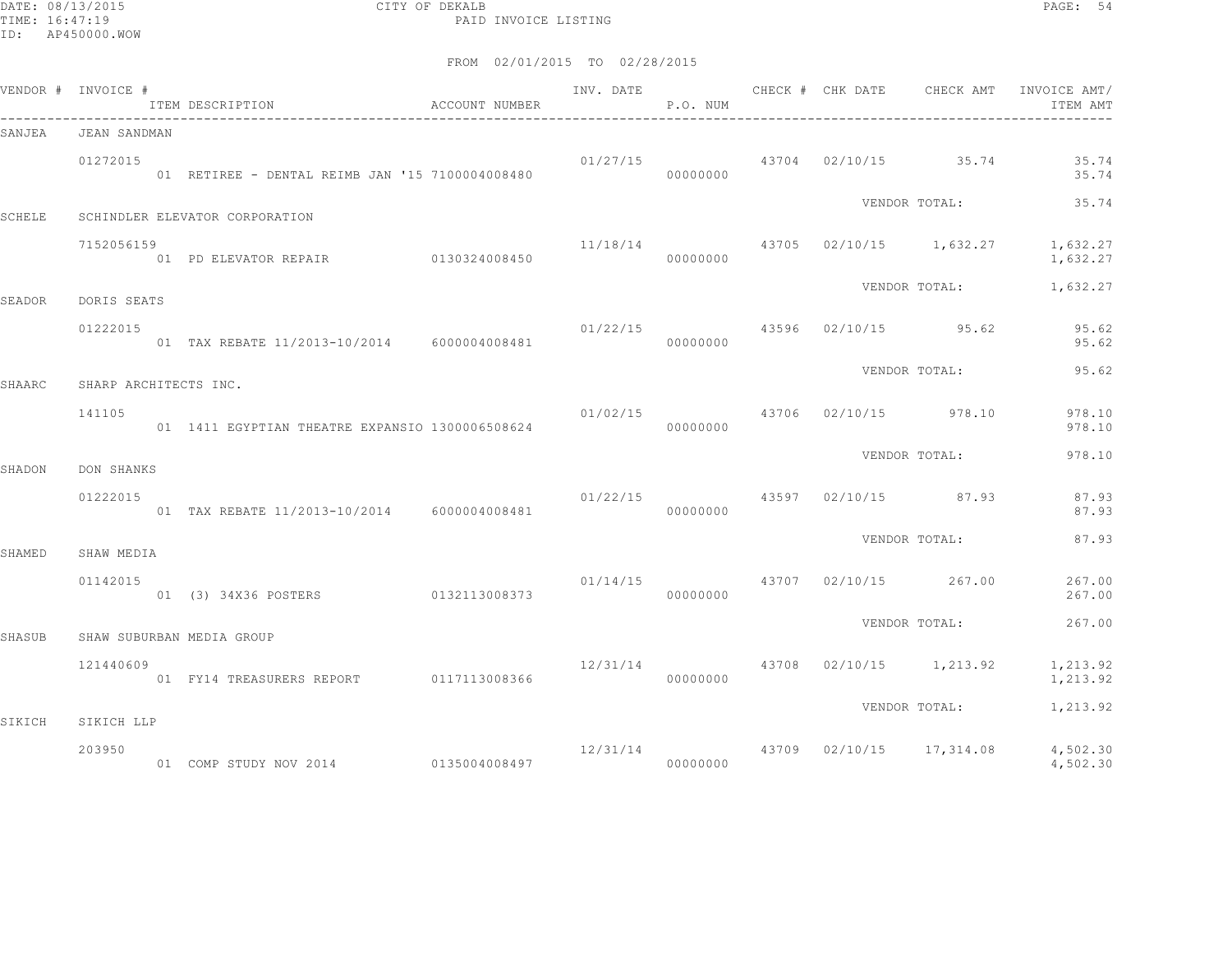DATE: 08/13/2015 CITY OF DEKALB PAGE: 54 PAID INVOICE LISTING

|               | VENDOR # INVOICE #     |                                                                                                         |                                        |          |          |  |                                          | INV. DATE 6 1997 CHECK # CHK DATE 6 CHECK AMT INVOICE AMT       |
|---------------|------------------------|---------------------------------------------------------------------------------------------------------|----------------------------------------|----------|----------|--|------------------------------------------|-----------------------------------------------------------------|
| SANJEA        | JEAN SANDMAN           |                                                                                                         |                                        |          |          |  |                                          |                                                                 |
|               | 01272015               | 01 RETIREE - DENTAL REIMB JAN '15 7100004008480                                                         |                                        | 00000000 |          |  | $01/27/15$ 43704 02/10/15 35.74          | 35.74<br>35.74                                                  |
| <b>SCHELE</b> |                        | SCHINDLER ELEVATOR CORPORATION                                                                          |                                        |          |          |  | VENDOR TOTAL:                            | 35.74                                                           |
|               | 7152056159             | - 01 PD ELEVATOR REPAIR 0130324008450                                                                   |                                        |          | 00000000 |  | $11/18/14$ $43705$ $02/10/15$ $1,632.27$ | 1,632.27<br>1,632.27                                            |
| <b>SEADOR</b> | DORIS SEATS            |                                                                                                         |                                        |          |          |  | VENDOR TOTAL:                            | 1,632.27                                                        |
|               | 01222015               | 01 TAX REBATE 11/2013-10/2014 6000004008481                                                             |                                        |          | 00000000 |  | $01/22/15$ 43596 02/10/15 95.62          | 95.62<br>95.62                                                  |
| SHAARC        |                        | SHARP ARCHITECTS INC.                                                                                   |                                        |          |          |  | VENDOR TOTAL:                            | 95.62                                                           |
|               | 141105                 | 01 1411 EGYPTIAN THEATRE EXPANSIO 1300006508624                                                         |                                        |          | 00000000 |  | $01/02/15$ 43706 02/10/15 978.10         | 978.10<br>978.10                                                |
|               |                        |                                                                                                         |                                        |          |          |  | VENDOR TOTAL:                            | 978.10                                                          |
| SHADON        | DON SHANKS<br>01222015 | 01 TAX REBATE 11/2013-10/2014 6000004008481                                                             |                                        |          | 00000000 |  | $01/22/15$ $43597$ $02/10/15$ 87.93      | 87.93<br>87.93                                                  |
| SHAMED        | SHAW MEDIA             |                                                                                                         |                                        |          |          |  | VENDOR TOTAL:                            | 87.93                                                           |
|               | 01142015               | 01 (3) 34X36 POSTERS 0132113008373                                                                      | $01/14/15$ $43707$ $02/10/15$ $267.00$ |          | 00000000 |  |                                          | 267.00<br>267.00                                                |
| SHASUB        |                        | SHAW SUBURBAN MEDIA GROUP                                                                               |                                        |          |          |  | VENDOR TOTAL:                            | 267.00                                                          |
|               | 121440609              | 01 FY14 TREASURERS REPORT 0117113008366                                                                 |                                        |          | 00000000 |  |                                          | $12/31/14$ $43708$ $02/10/15$ $1,213.92$ $1,213.92$<br>1,213.92 |
|               |                        |                                                                                                         |                                        |          |          |  |                                          | VENDOR TOTAL: 1,213.92                                          |
| SIKICH        | SIKICH LLP<br>203950   | 01 COMP STUDY NOV 2014<br>0135004008497<br>0135004008497 12/31/14 000000000 02/10/15 17,314.08 4,502.30 |                                        |          |          |  |                                          |                                                                 |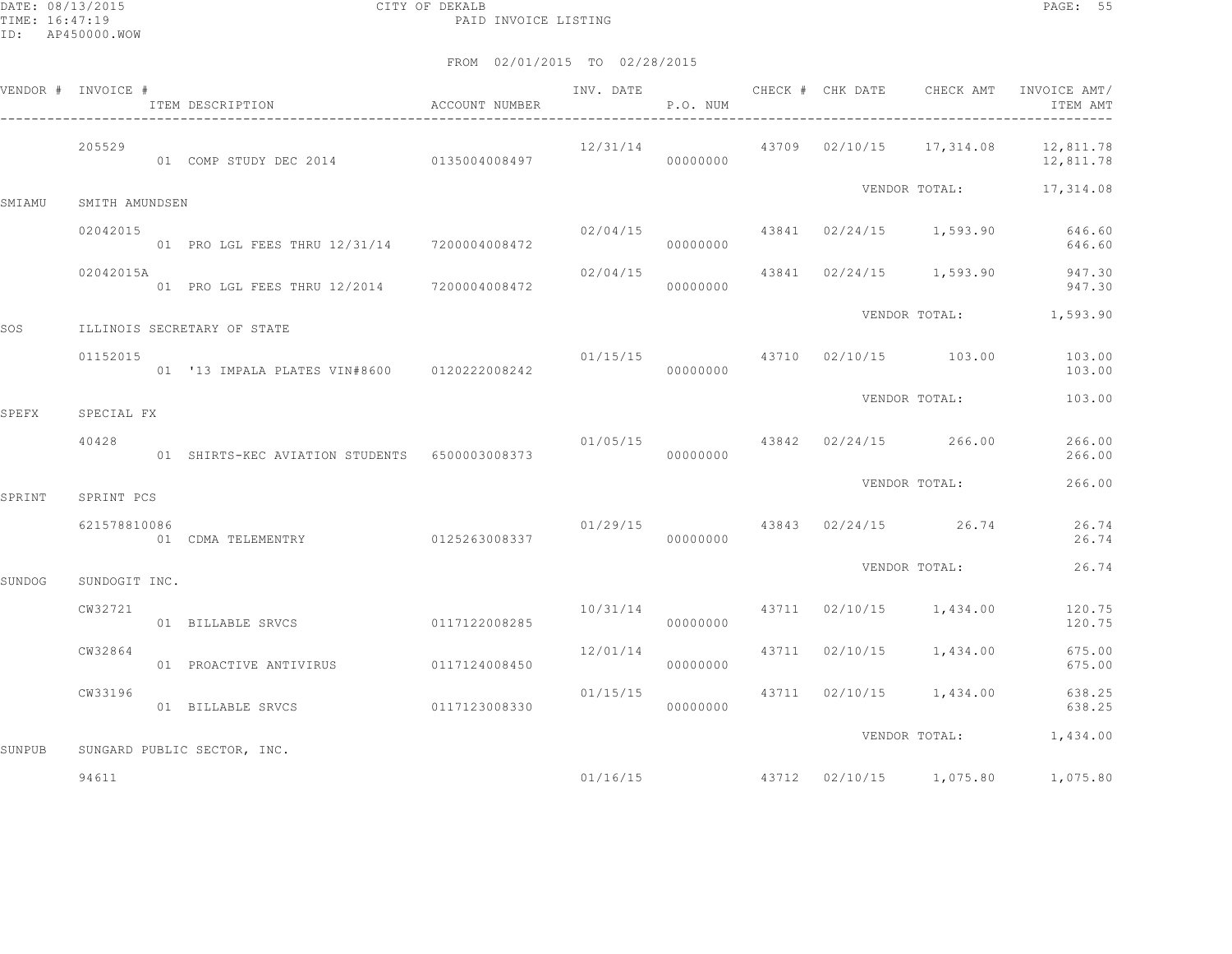|        | VENDOR # INVOICE # | ACCOUNT NUMBER<br>ITEM DESCRIPTION            |          | P.O. NUM |  | INV. DATE 6 19 CHECK # CHK DATE 6 CHECK AMT | INVOICE AMT/<br>ITEM AMT                                           |
|--------|--------------------|-----------------------------------------------|----------|----------|--|---------------------------------------------|--------------------------------------------------------------------|
|        | 205529             | 01 COMP STUDY DEC 2014 0135004008497          |          | 00000000 |  |                                             | $12/31/14$ $43709$ $02/10/15$ $17,314.08$ $12,811.78$<br>12,811.78 |
| SMIAMU | SMITH AMUNDSEN     |                                               |          |          |  |                                             | VENDOR TOTAL: 17,314.08                                            |
|        | 02042015           | 01 PRO LGL FEES THRU 12/31/14 7200004008472   | 00000000 |          |  |                                             | $02/04/15$ 43841 02/24/15 1,593.90 646.60<br>646.60                |
|        | 02042015A          | 01 PRO LGL FEES THRU 12/2014 7200004008472    |          | 00000000 |  |                                             | 02/04/15 43841 02/24/15 1,593.90 947.30<br>947.30                  |
| SOS    |                    | ILLINOIS SECRETARY OF STATE                   |          |          |  |                                             | VENDOR TOTAL: 1,593.90                                             |
|        | 01152015           | 01 '13 IMPALA PLATES VIN#8600 0120222008242   |          | 00000000 |  |                                             | $01/15/15$ $43710$ $02/10/15$ $103.00$ $103.00$<br>103.00          |
| SPEFX  | SPECIAL FX         |                                               |          |          |  | VENDOR TOTAL:                               | 103.00                                                             |
|        | 40428              | 01 SHIRTS-KEC AVIATION STUDENTS 6500003008373 |          | 00000000 |  | $01/05/15$ $43842$ $02/24/15$ $266.00$      | 266.00<br>266.00                                                   |
| SPRINT | SPRINT PCS         |                                               |          |          |  | VENDOR TOTAL:                               | 266.00                                                             |
|        | 621578810086       | 01 CDMA TELEMENTRY 0125263008337              |          | 00000000 |  | $01/29/15$ 43843 02/24/15 26.74             | 26.74<br>26.74                                                     |
| SUNDOG | SUNDOGIT INC.      |                                               |          |          |  | VENDOR TOTAL:                               | 26.74                                                              |
|        | CW32721            | 01 BILLABLE SRVCS 0117122008285               |          | 00000000 |  |                                             | $10/31/14$ $43711$ $02/10/15$ $1,434.00$ $120.75$<br>120.75        |
|        | CW32864            | 01 PROACTIVE ANTIVIRUS 0117124008450          |          | 00000000 |  |                                             | $12/01/14$ $43711$ $02/10/15$ $1,434.00$ 675.00<br>675.00          |
|        | CW33196            | 01 BILLABLE SRVCS 0117123008330               | 01/15/15 | 00000000 |  |                                             | 43711 02/10/15 1,434.00 638.25<br>638.25                           |
| SUNPUB |                    | SUNGARD PUBLIC SECTOR, INC.                   |          |          |  |                                             | VENDOR TOTAL: 1,434.00                                             |
|        | 94611              |                                               |          |          |  |                                             | $01/16/15$ $43712$ $02/10/15$ $1,075.80$ $1,075.80$                |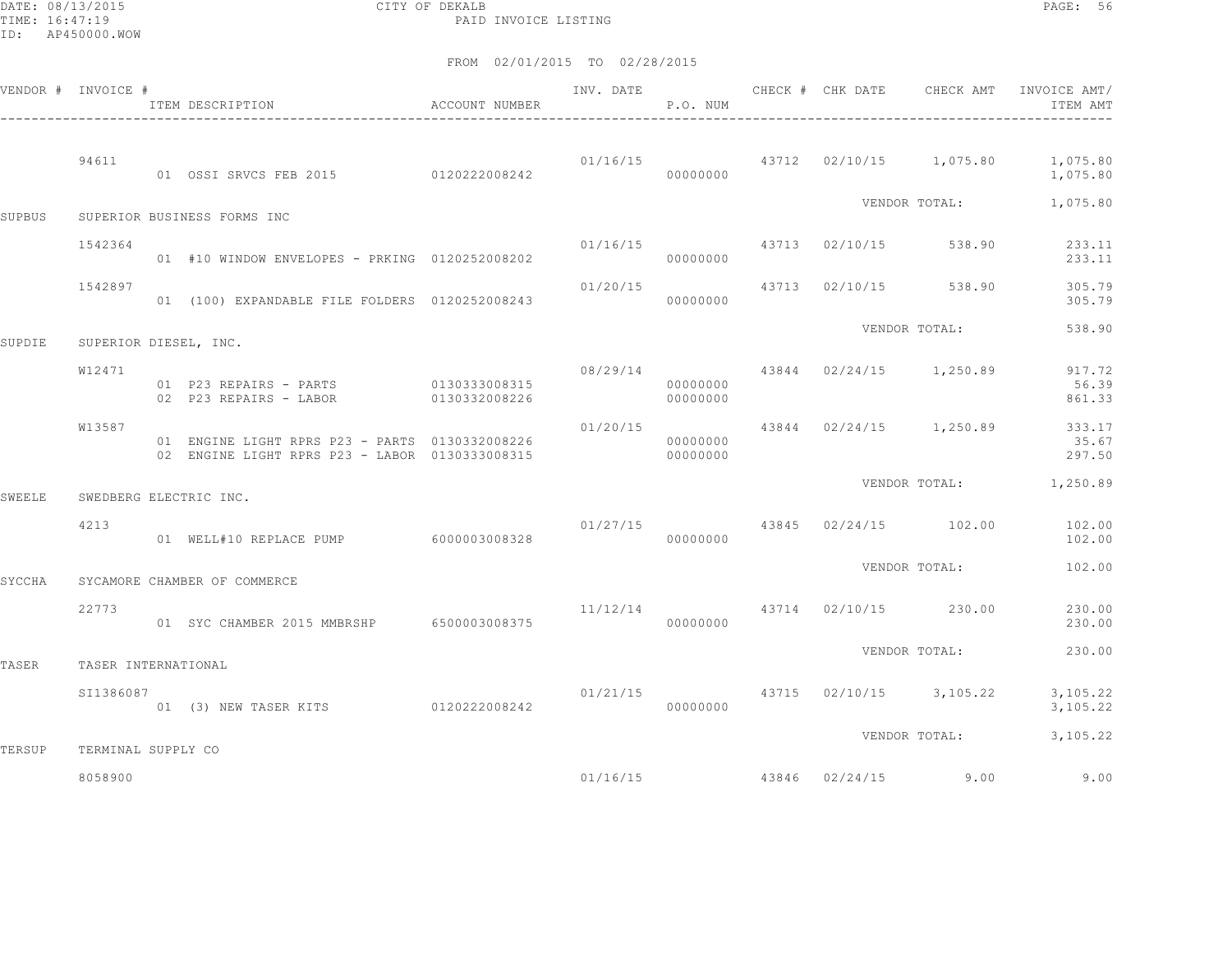DATE: 08/13/2015 CITY OF DEKALB PAGE: 56 PAID INVOICE LISTING

|               | VENDOR # INVOICE #  | ITEM DESCRIPTION                                                                                 | ACCOUNT NUMBER | INV. DATE                         | P.O. NUM             |  | CHECK # CHK DATE CHECK AMT             | INVOICE AMT/<br>ITEM AMT                                             |
|---------------|---------------------|--------------------------------------------------------------------------------------------------|----------------|-----------------------------------|----------------------|--|----------------------------------------|----------------------------------------------------------------------|
|               | 94611               | 01 OSSI SRVCS FEB 2015 0120222008242                                                             |                |                                   | 00000000             |  |                                        | $01/16/15$ $43712$ $02/10/15$ $1,075.80$ $1,075.80$<br>1,075.80      |
| <b>SUPBUS</b> |                     | SUPERIOR BUSINESS FORMS INC                                                                      |                |                                   |                      |  |                                        | VENDOR TOTAL: 1,075.80                                               |
|               | 1542364             | 01 #10 WINDOW ENVELOPES - PRKING 0120252008202                                                   |                |                                   | 00000000             |  | 01/16/15 43713 02/10/15 538.90         | 233.11<br>233.11                                                     |
|               | 1542897             | 01 (100) EXPANDABLE FILE FOLDERS 0120252008243                                                   |                | 01/20/15                          | 00000000             |  | 43713 02/10/15 538.90                  | 305.79<br>305.79                                                     |
| SUPDIE        |                     | SUPERIOR DIESEL, INC.                                                                            |                |                                   |                      |  | VENDOR TOTAL:                          | 538.90                                                               |
|               | W12471              | 01 P23 REPAIRS - PARTS 0130333008315<br>02 P23 REPAIRS - LABOR                                   | 0130332008226  |                                   | 00000000<br>00000000 |  |                                        | $08/29/14$ $43844$ $02/24/15$ $1,250.89$ $917.72$<br>56.39<br>861.33 |
|               | W13587              | 01 ENGINE LIGHT RPRS P23 - PARTS 0130332008226<br>02 ENGINE LIGHT RPRS P23 - LABOR 0130333008315 |                |                                   | 00000000<br>00000000 |  |                                        | $01/20/15$ $43844$ $02/24/15$ $1,250.89$ $333.17$<br>35.67<br>297.50 |
| <b>SWEELE</b> |                     | SWEDBERG ELECTRIC INC.                                                                           |                |                                   |                      |  |                                        | VENDOR TOTAL: 1,250.89                                               |
|               | 4213                | 01 WELL#10 REPLACE PUMP 6000003008328                                                            |                |                                   | 00000000             |  | $01/27/15$ $43845$ $02/24/15$ $102.00$ | 102.00<br>102.00                                                     |
| SYCCHA        |                     | SYCAMORE CHAMBER OF COMMERCE                                                                     |                |                                   |                      |  |                                        | VENDOR TOTAL: 102.00                                                 |
|               | 22773               | 01 SYC CHAMBER 2015 MMBRSHP 6500003008375                                                        |                | 11/12/14  43714  02/10/15  230.00 | 00000000             |  |                                        | 230.00<br>230.00                                                     |
| TASER         | TASER INTERNATIONAL |                                                                                                  |                |                                   |                      |  | VENDOR TOTAL:                          | 230.00                                                               |
|               | SI1386087           | 01 (3) NEW TASER KITS 0120222008242                                                              |                | 01/21/15                          | 00000000             |  | 43715 02/10/15 3,105.22                | 3,105.22<br>3,105.22                                                 |
| TERSUP        | TERMINAL SUPPLY CO  |                                                                                                  |                |                                   |                      |  | VENDOR TOTAL:                          | 3,105.22                                                             |
|               | 8058900             |                                                                                                  |                |                                   |                      |  | $01/16/15$ 43846 02/24/15 9.00         | 9.00                                                                 |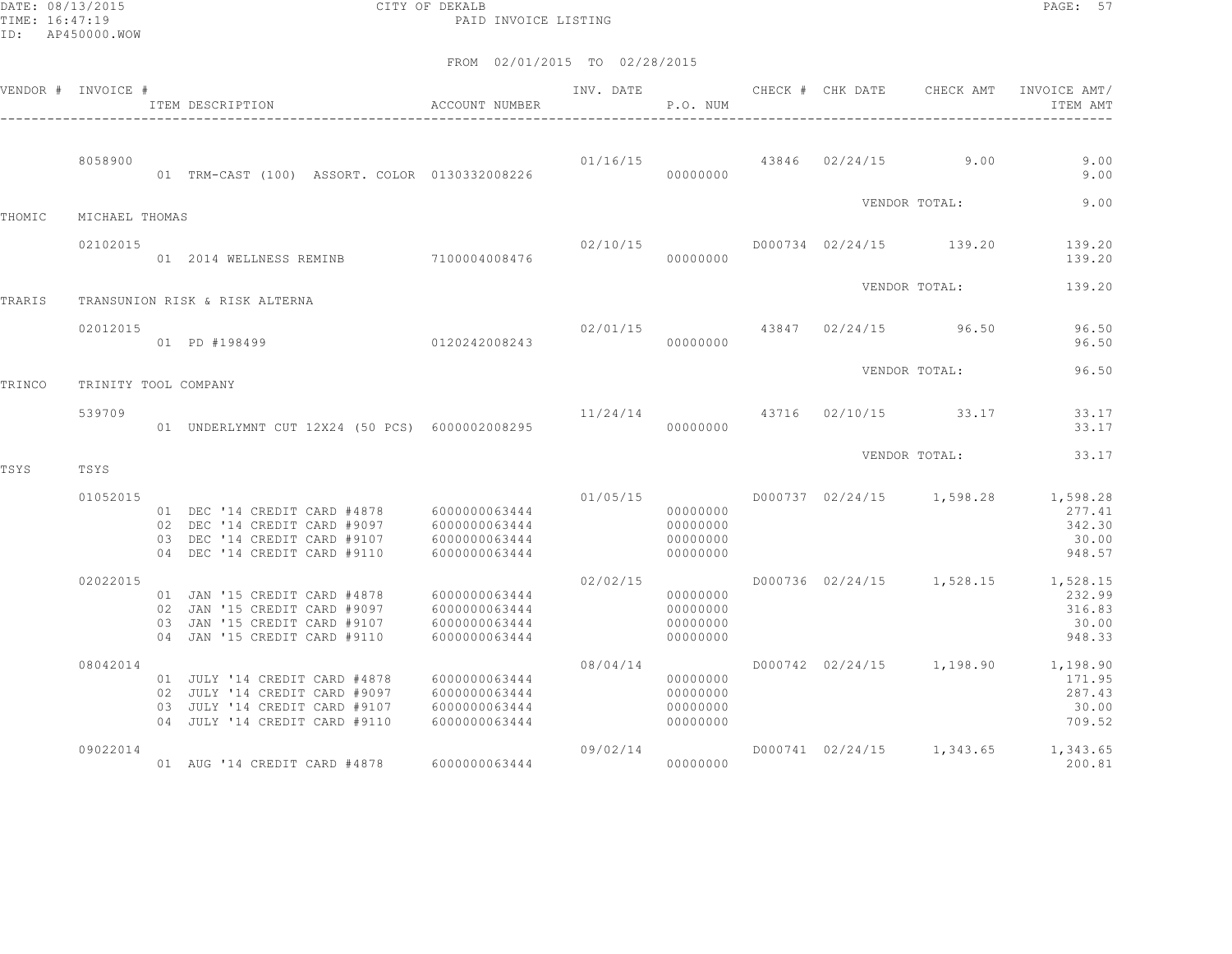DATE: 08/13/2015 CITY OF DEKALB PAGE: 57 PAID INVOICE LISTING

|        | VENDOR # INVOICE #   | ACCOUNT NUMBER<br>ITEM DESCRIPTION                                                                                                         |                                                                  | INV. DATE | P.O. NUM                                     | CHECK # CHK DATE | CHECK AMT                                | INVOICE AMT/<br>ITEM AMT                                                  |
|--------|----------------------|--------------------------------------------------------------------------------------------------------------------------------------------|------------------------------------------------------------------|-----------|----------------------------------------------|------------------|------------------------------------------|---------------------------------------------------------------------------|
|        | 8058900              | 01 TRM-CAST (100) ASSORT. COLOR 0130332008226                                                                                              |                                                                  |           | 00000000                                     |                  | $01/16/15$ 43846 02/24/15 9.00           | 9.00<br>9.00                                                              |
| THOMIC | MICHAEL THOMAS       |                                                                                                                                            |                                                                  |           |                                              |                  | VENDOR TOTAL:                            | 9.00                                                                      |
|        | 02102015             | 01  2014  WELLNESS REMINB  7100004008476                                                                                                   |                                                                  |           | 00000000                                     |                  | $02/10/15$ $D000734$ $02/24/15$ $139.20$ | 139.20<br>139.20                                                          |
| TRARIS |                      | TRANSUNION RISK & RISK ALTERNA                                                                                                             |                                                                  |           |                                              |                  | VENDOR TOTAL:                            | 139.20                                                                    |
|        | 02012015             | 01 PD #198499                                                                                                                              | 0120242008243                                                    |           | 00000000                                     |                  | $02/01/15$ 43847 02/24/15 96.50          | 96.50<br>96.50                                                            |
| TRINCO | TRINITY TOOL COMPANY |                                                                                                                                            |                                                                  |           |                                              |                  | VENDOR TOTAL:                            | 96.50                                                                     |
|        | 539709               | 01    UNDERLYMNT    CUT    12X24    (50 PCS)    6000002008295                                                                              |                                                                  |           | 00000000                                     |                  | $11/24/14$ $43716$ $02/10/15$ $33.17$    | 33.17<br>33.17                                                            |
| TSYS   | TSYS                 |                                                                                                                                            |                                                                  |           |                                              |                  | VENDOR TOTAL:                            | 33.17                                                                     |
|        | 01052015             | 01 DEC '14 CREDIT CARD #4878 6000000063444<br>02 DEC '14 CREDIT CARD #9097<br>03 DEC '14 CREDIT CARD #9107<br>04 DEC '14 CREDIT CARD #9110 | 6000000063444<br>6000000063444<br>6000000063444                  | 01/05/15  | 00000000<br>00000000<br>00000000<br>00000000 |                  |                                          | D000737 02/24/15 1,598.28 1,598.28<br>277.41<br>342.30<br>30.00<br>948.57 |
|        | 02022015             | 01 JAN '15 CREDIT CARD #4878<br>02 JAN '15 CREDIT CARD #9097<br>03 JAN '15 CREDIT CARD #9107<br>04 JAN '15 CREDIT CARD #9110               | 6000000063444<br>6000000063444<br>6000000063444<br>6000000063444 | 02/02/15  | 00000000<br>00000000<br>00000000<br>00000000 |                  |                                          | D000736 02/24/15 1,528.15 1,528.15<br>232.99<br>316.83<br>30.00<br>948.33 |
|        | 08042014             | 01 JULY '14 CREDIT CARD #4878<br>02 JULY '14 CREDIT CARD #9097<br>03 JULY '14 CREDIT CARD #9107<br>04 JULY '14 CREDIT CARD #9110           | 6000000063444<br>6000000063444<br>6000000063444<br>6000000063444 | 08/04/14  | 00000000<br>00000000<br>00000000<br>00000000 |                  |                                          | D000742 02/24/15 1,198.90 1,198.90<br>171.95<br>287.43<br>30.00<br>709.52 |
|        | 09022014             | 01 AUG '14 CREDIT CARD #4878 6000000063444                                                                                                 |                                                                  | 09/02/14  | 00000000                                     |                  |                                          | D000741 02/24/15 1,343.65 1,343.65<br>200.81                              |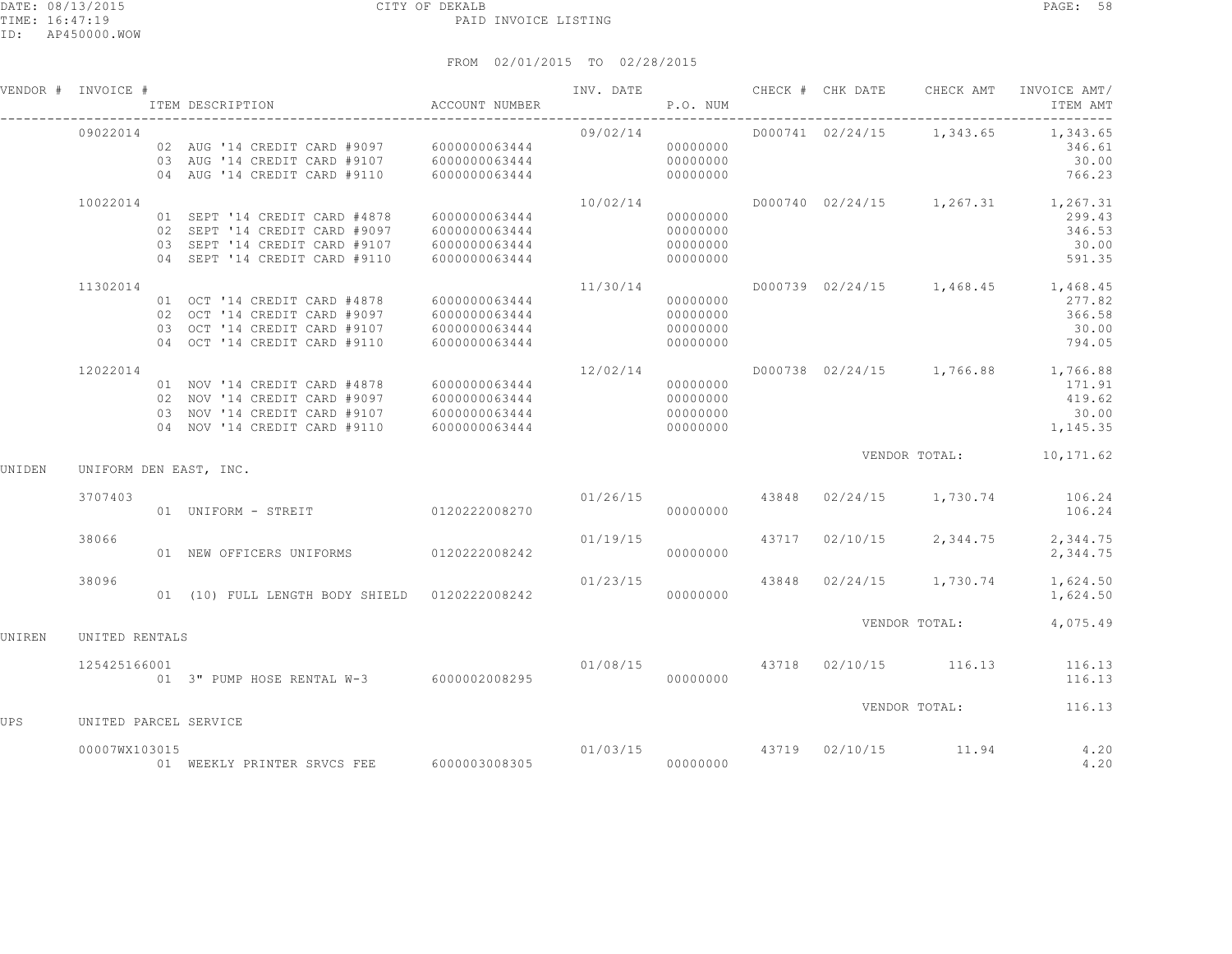| ID: | AP450000.WOW |
|-----|--------------|
|     |              |
|     |              |

|        | VENDOR # INVOICE #     | ITEM DESCRIPTION                                                                                                                                                                     | ACCOUNT NUMBER                                  | INV. DATE<br>P.O. NUM |                                              | CHECK # CHK DATE |                                      | CHECK AMT INVOICE AMT/<br>ITEM AMT                                          |
|--------|------------------------|--------------------------------------------------------------------------------------------------------------------------------------------------------------------------------------|-------------------------------------------------|-----------------------|----------------------------------------------|------------------|--------------------------------------|-----------------------------------------------------------------------------|
|        | 09022014               | 02 AUG '14 CREDIT CARD #9097 6000000063444<br>03 AUG '14 CREDIT CARD #9107 6000000063444<br>04 AUG '14 CREDIT CARD #9110                                                             | 6000000063444                                   | 09/02/14<br>00000000  | 000000000                                    |                  |                                      | D000741 02/24/15 1,343.65 1,343.65<br>346.61<br>30.00<br>766.23             |
|        | 10022014               | 01 SEPT '14 CREDIT CARD #4878<br>02 SEPT '14 CREDIT CARD #9097 6000000063444<br>03 SEPT '14 CREDIT CARD #9107<br>04 SEPT '14 CREDIT CARD #9110                                       | 6000000063444<br>6000000063444<br>6000000063444 | 10/02/14              | 00000000<br>00000000<br>00000000<br>00000000 |                  |                                      | D000740 02/24/15 1,267.31 1,267.31<br>299.43<br>346.53<br>30.00<br>591.35   |
|        | 11302014               | 01 OCT '14 CREDIT CARD #4878 6000000063444<br>02 OCT '14 CREDIT CARD #9097<br>03 OCT '14 CREDIT CARD #9107<br>04 OCT '14 CREDIT CARD #9110                                           | 6000000063444<br>6000000063444<br>6000000063444 | 11/30/14              | 00000000<br>00000000<br>00000000<br>00000000 |                  |                                      | D000739 02/24/15 1,468.45 1,468.45<br>277.82<br>366.58<br>30.00<br>794.05   |
|        | 12022014               | 01 NOV '14 CREDIT CARD #4878 6000000063444<br>02 NOV '14 CREDIT CARD #9097 6000000063444<br>02 NOV 114 CREDIT CARD #9107 6000000063444<br>04 NOV '14 CREDIT CARD #9110 6000000063444 |                                                 | 12/02/14              | 00000000<br>00000000<br>00000000             |                  |                                      | D000738 02/24/15 1,766.88 1,766.88<br>171.91<br>419.62<br>30.00<br>1,145.35 |
| UNIDEN | UNIFORM DEN EAST, INC. |                                                                                                                                                                                      |                                                 |                       |                                              |                  |                                      | VENDOR TOTAL: 10,171.62                                                     |
|        | 3707403                | 01 UNIFORM - STREIT 0120222008270                                                                                                                                                    |                                                 |                       | 00000000                                     |                  |                                      | $01/26/15$ $43848$ $02/24/15$ $1,730.74$ $106.24$<br>106.24                 |
|        | 38066                  | 01 NEW OFFICERS UNIFORMS 0120222008242                                                                                                                                               |                                                 | 01/19/15              |                                              |                  |                                      | 43717 02/10/15 2,344.75 2,344.75<br>2,344.75                                |
|        | 38096                  | 01 (10) FULL LENGTH BODY SHIELD 0120222008242                                                                                                                                        |                                                 |                       | 00000000                                     |                  | $01/23/15$ 43848 $02/24/15$ 1,730.74 | 1,624.50<br>1,624.50                                                        |
| UNIREN | UNITED RENTALS         |                                                                                                                                                                                      |                                                 |                       |                                              |                  |                                      | VENDOR TOTAL: 4,075.49                                                      |
|        | 125425166001           | 01 3" PUMP HOSE RENTAL W-3 6000002008295                                                                                                                                             |                                                 |                       | 00000000                                     |                  |                                      | $01/08/15$ $43718$ $02/10/15$ $116.13$ $116.13$<br>116.13                   |
| UPS    | UNITED PARCEL SERVICE  |                                                                                                                                                                                      |                                                 |                       |                                              |                  |                                      | VENDOR TOTAL: 116.13                                                        |
|        | 00007WX103015          | 01 WEEKLY PRINTER SRVCS FEE 6000003008305 0000000000                                                                                                                                 |                                                 |                       |                                              |                  |                                      | $01/03/15$ $43719$ $02/10/15$ $11.94$ $4.20$<br>4.20                        |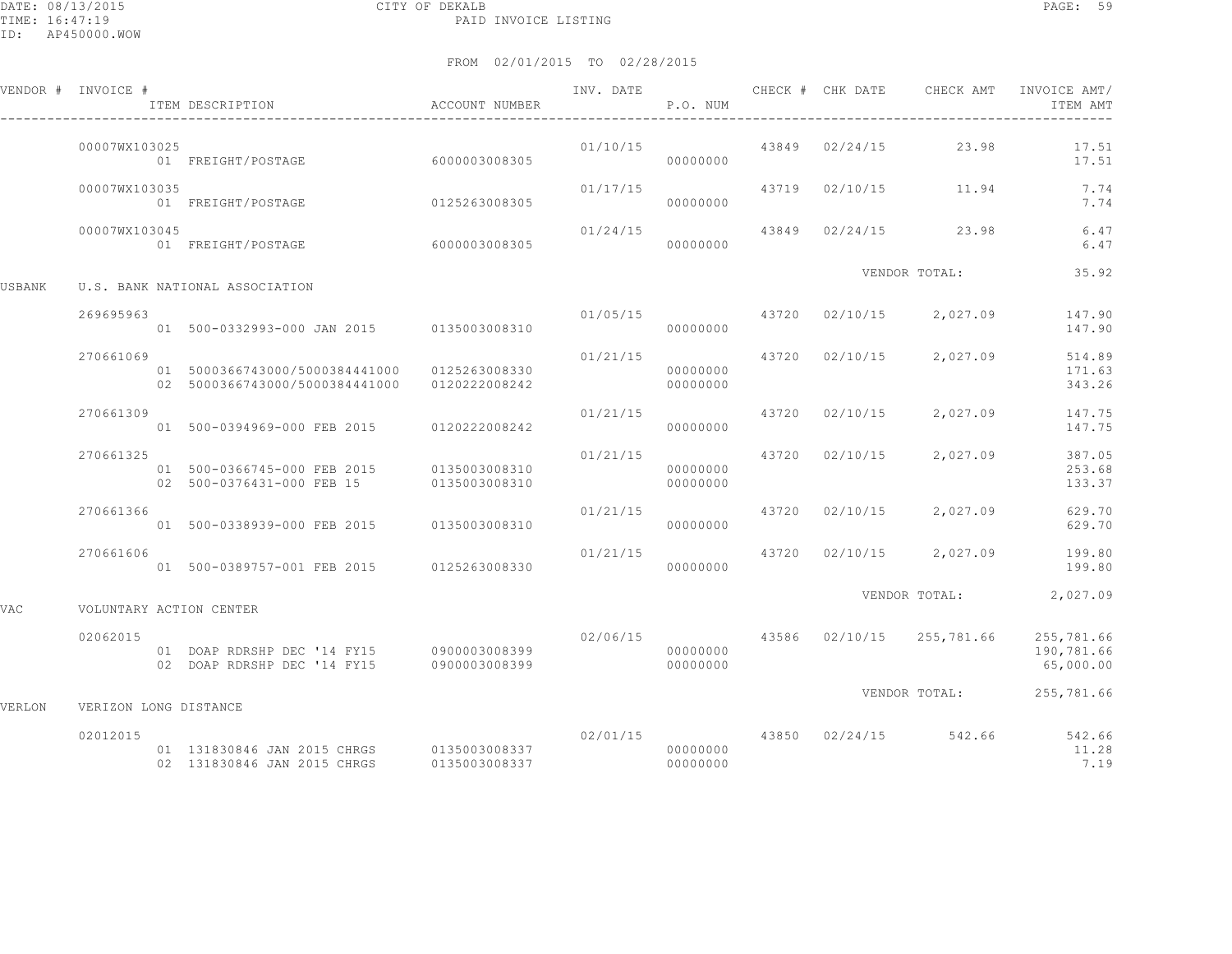DATE: 08/13/2015 CITY OF DEKALB PAGE: 59 PAID INVOICE LISTING

|        | VENDOR # INVOICE #    | ITEM DESCRIPTION                                                                       | ACCOUNT NUMBER                 | INV. DATE | P.O. NUM             |       |                         | CHECK # CHK DATE CHECK AMT                                                                                                                                                | INVOICE AMT/<br>ITEM AMT              |
|--------|-----------------------|----------------------------------------------------------------------------------------|--------------------------------|-----------|----------------------|-------|-------------------------|---------------------------------------------------------------------------------------------------------------------------------------------------------------------------|---------------------------------------|
|        | 00007WX103025         | 01 FREIGHT/POSTAGE                                                                     | 60000003008305                 | 01/10/15  | 00000000             |       |                         | 43849 02/24/15 23.98                                                                                                                                                      | 17.51<br>17.51                        |
|        | 00007WX103035         | 01 FREIGHT/POSTAGE                                                                     | 0125263008305                  | 01/17/15  | 00000000             |       | 43719 02/10/15          | 11.94                                                                                                                                                                     | 7.74<br>7.74                          |
|        | 00007WX103045         | 01 FREIGHT/POSTAGE                                                                     | 6000003008305                  | 01/24/15  | 00000000             | 43849 |                         | $02/24/15$ 23.98                                                                                                                                                          | 6.47<br>6.47                          |
| USBANK |                       | U.S. BANK NATIONAL ASSOCIATION                                                         |                                |           |                      |       |                         | VENDOR TOTAL:                                                                                                                                                             | 35.92                                 |
|        | 269695963             | 01 500-0332993-000 JAN 2015 0135003008310                                              |                                |           | 00000000             |       | 01/05/15 43720 02/10/15 | 2,027.09<br>2,027.09<br>2,027.09<br>2,027.09<br>2,027.09<br>43720 02/10/15 2,027.09<br>VENDOR TOTAL:<br>$02/06/15$ 43586 $02/10/15$ 255,781.66<br>VENDOR TOTAL:<br>542.66 | 147.90<br>147.90                      |
|        | 270661069             | 01 5000366743000/5000384441000<br>02 5000366743000/5000384441000                       | 0125263008330<br>0120222008242 | 01/21/15  | 00000000<br>00000000 |       | 43720 02/10/15          |                                                                                                                                                                           | 514.89<br>171.63<br>343.26            |
|        | 270661309             | 01 500-0394969-000 FEB 2015 0120222008242                                              |                                | 01/21/15  | 00000000             |       | 43720 02/10/15          |                                                                                                                                                                           | 147.75<br>147.75                      |
|        | 270661325             | 01 500-0366745-000 FEB 2015 0135003008310<br>02 500-0376431-000 FEB 15                 | 0135003008310                  | 01/21/15  | 00000000<br>00000000 |       | 43720 02/10/15          |                                                                                                                                                                           | 387.05<br>253.68<br>133.37            |
|        | 270661366             | 01 500-0338939-000 FEB 2015 0135003008310                                              |                                | 01/21/15  | 00000000             |       | 43720 02/10/15          |                                                                                                                                                                           | 629.70<br>629.70                      |
|        | 270661606             | 01 500-0389757-001 FEB 2015 0125263008330                                              |                                | 01/21/15  | 00000000             |       |                         |                                                                                                                                                                           | 199.80<br>199.80                      |
| VAC    |                       | VOLUNTARY ACTION CENTER                                                                |                                |           |                      |       |                         |                                                                                                                                                                           | 2,027.09                              |
|        | 02062015              | 01 DOAP RDRSHP DEC '14 FY15 0900003008399<br>02 DOAP RDRSHP DEC '14 FY15 0900003008399 |                                |           | 00000000<br>00000000 |       |                         |                                                                                                                                                                           | 255,781.66<br>190,781.66<br>65,000.00 |
| VERLON | VERIZON LONG DISTANCE |                                                                                        |                                |           |                      |       |                         |                                                                                                                                                                           | 255,781.66                            |
|        | 02012015              | 01 131830846 JAN 2015 CHRGS 0135003008337<br>02 131830846 JAN 2015 CHRGS               | 0135003008337                  | 02/01/15  | 00000000<br>00000000 |       | 43850 02/24/15          |                                                                                                                                                                           | 542.66<br>11.28<br>7.19               |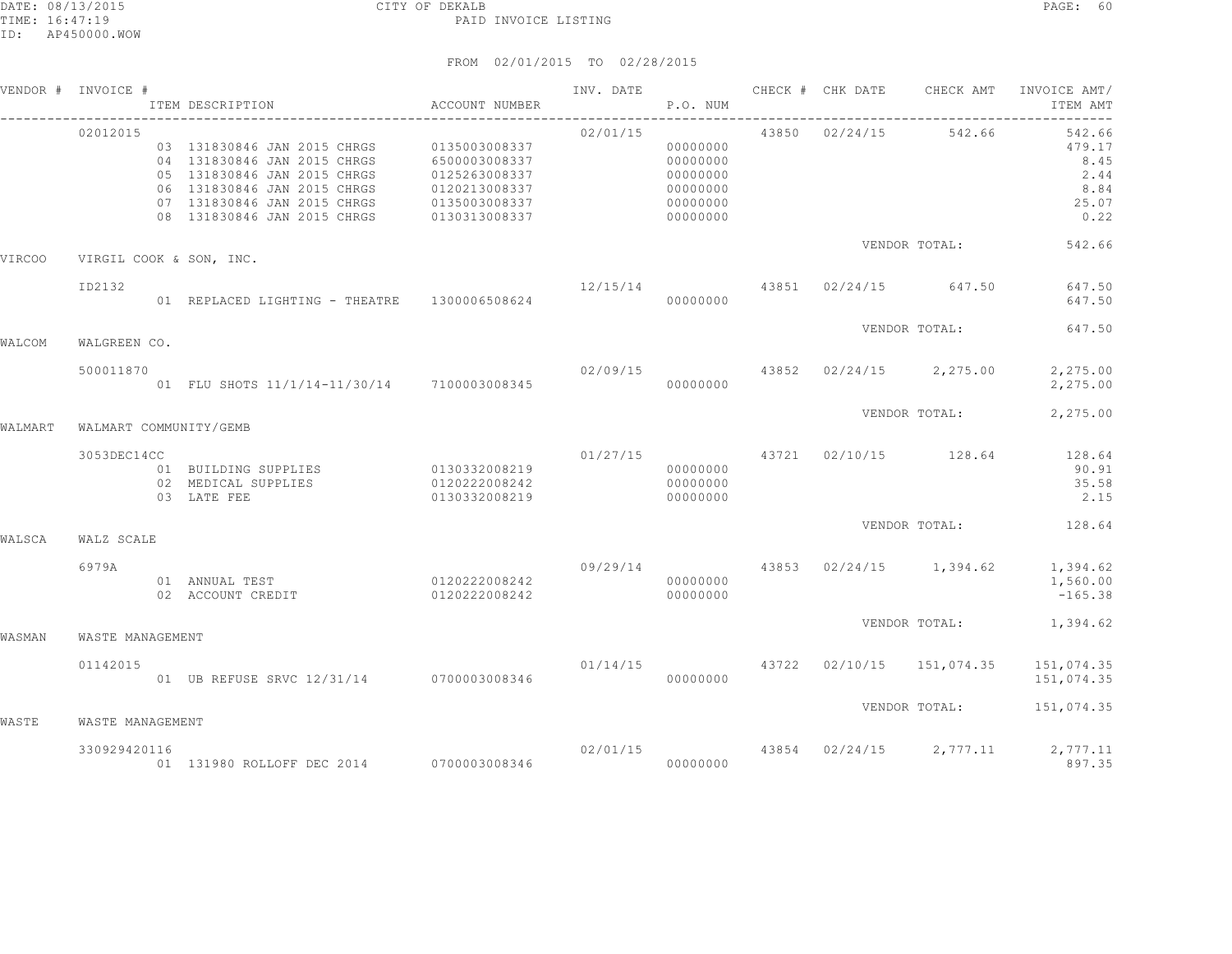|                | VENDOR # INVOICE #      | ITEM DESCRIPTION                                                                                                                                                                                     | ACCOUNT NUMBER                                                                             | INV. DATE | P.O. NUM                                                 | CHECK # CHK DATE       | CHECK AMT                                | INVOICE AMT/<br>ITEM AMT                                                  |
|----------------|-------------------------|------------------------------------------------------------------------------------------------------------------------------------------------------------------------------------------------------|--------------------------------------------------------------------------------------------|-----------|----------------------------------------------------------|------------------------|------------------------------------------|---------------------------------------------------------------------------|
|                | 02012015                | 03 131830846 JAN 2015 CHRGS 0135003008337<br>04 131830846 JAN 2015 CHRGS<br>05 131830846 JAN 2015 CHRGS<br>06 131830846 JAN 2015 CHRGS<br>07 131830846 JAN 2015 CHRGS<br>08 131830846 JAN 2015 CHRGS | 6500003008337<br>0125263008337<br>0120213008337<br>0135003008337<br>0130313008337 00000000 | 02/01/15  | 00000000<br>00000000<br>00000000<br>00000000<br>00000000 |                        | 43850 02/24/15 542.66                    | 542.66<br>479.17<br>8.45<br>2.44<br>8.84<br>25.07<br>0.22                 |
| VIRCOO         | VIRGIL COOK & SON, INC. |                                                                                                                                                                                                      |                                                                                            |           |                                                          |                        | VENDOR TOTAL:                            | 542.66                                                                    |
|                | ID2132                  | 01 REPLACED LIGHTING - THEATRE 1300006508624                                                                                                                                                         |                                                                                            |           | 00000000                                                 |                        | $12/15/14$ $43851$ $02/24/15$ $647.50$   | 647.50<br>647.50                                                          |
| WALCOM         | WALGREEN CO.            |                                                                                                                                                                                                      |                                                                                            |           |                                                          |                        | VENDOR TOTAL:                            | 647.50                                                                    |
|                | 500011870               | 01 FLU SHOTS 11/1/14-11/30/14 7100003008345                                                                                                                                                          |                                                                                            |           | 00000000                                                 |                        | $02/09/15$ $43852$ $02/24/15$ $2,275.00$ | 2,275.00<br>2,275.00                                                      |
| <b>WAIMART</b> | WALMART COMMUNITY/GEMB  |                                                                                                                                                                                                      |                                                                                            |           |                                                          |                        | VENDOR TOTAL:                            | 2,275.00                                                                  |
|                | 3053DEC14CC             | --<br>01 BUILDING SUPPLIES 0130332008219<br>02 MEDICAL SUPPLIES 0120222008242<br>03 LATE FEE                                                                                                         | 0130332008219                                                                              |           | 00000000<br>00000000<br>00000000                         |                        |                                          | $01/27/15$ $43721$ $02/10/15$ $128.64$ $128.64$<br>90.91<br>35.58<br>2.15 |
| WALSCA         | WALZ SCALE              |                                                                                                                                                                                                      |                                                                                            |           |                                                          |                        |                                          | VENDOR TOTAL: 128.64                                                      |
|                | 6979A                   | 01 ANNUAL TEST 0120222008242<br>02 ACCOUNT CREDIT                                                                                                                                                    | 0120222008242                                                                              |           | 00000000<br>00000000                                     |                        | 09/29/14 43853 02/24/15 1,394.62         | 1,394.62<br>1,560.00<br>$-165.38$                                         |
| WASMAN         | WASTE MANAGEMENT        |                                                                                                                                                                                                      |                                                                                            |           |                                                          | VENDOR TOTAL: 1,394.62 |                                          |                                                                           |
|                | 01142015                | 01 UB REFUSE SRVC 12/31/14 0700003008346                                                                                                                                                             |                                                                                            |           | 00000000                                                 |                        |                                          | $01/14/15$ $43722$ $02/10/15$ $151,074.35$ $151,074.35$<br>151,074.35     |
| WASTE          | WASTE MANAGEMENT        |                                                                                                                                                                                                      |                                                                                            |           |                                                          |                        | VENDOR TOTAL:                            | 151,074.35                                                                |
|                | 330929420116            | 01  131980 ROLLOFF DEC  2014  0700003008346                                                                                                                                                          |                                                                                            |           | 00000000                                                 |                        | $02/01/15$ 43854 02/24/15 2,777.11       | 2,777.11<br>897.35                                                        |